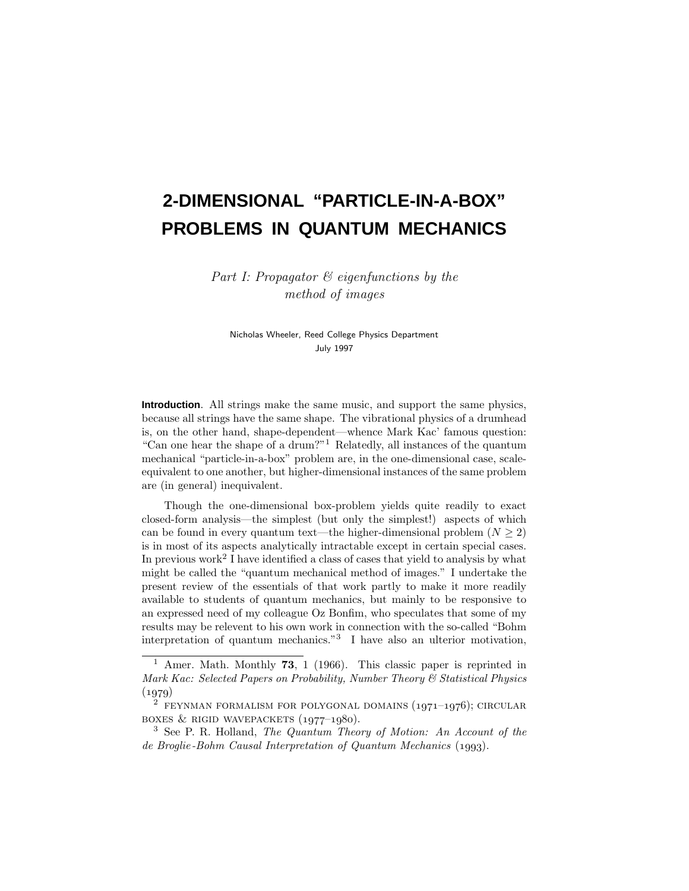# **2-DIMENSIONAL "PARTICLE-IN-A-BOX" PROBLEMS IN QUANTUM MECHANICS**

Part I: Propagator  $\mathcal B$  eigenfunctions by the method of images

Nicholas Wheeler, Reed College Physics Department July 1997

**Introduction**. All strings make the same music, and support the same physics, because all strings have the same shape. The vibrational physics of a drumhead is, on the other hand, shape-dependent—whence Mark Kac'famous question: "Can one hear the shape of a drum?"<sup>1</sup> Relatedly, all instances of the quantum mechanical "particle-in-a-box" problem are, in the one-dimensional case, scaleequivalent to one another, but higher-dimensional instances of the same problem are (in general) inequivalent.

Though the one-dimensional box-problem yields quite readily to exact closed-form analysis—the simplest (but only the simplest!) aspects of which can be found in every quantum text—the higher-dimensional problem  $(N \geq 2)$ is in most of its aspects analytically intractable except in certain special cases. In previous work<sup>2</sup> I have identified a class of cases that yield to analysis by what might be called the "quantum mechanical method of images." I undertake the present review of the essentials of that work partly to make it more readily available to students of quantum mechanics, but mainly to be responsive to an expressed need of my colleague Oz Bonfim, who speculates that some of my results may be relevent to his own work in connection with the so-called "Bohm interpretation of quantum mechanics."<sup>3</sup> I have also an ulterior motivation,

<sup>1</sup> Amer. Math. Monthly **73**, 1 (1966). This classic paper is reprinted in Mark Kac: Selected Papers on Probability, Number Theory & Statistical Physics  $(1979)$ 

 $2$  FEYNMAN FORMALISM FOR POLYGONAL DOMAINS  $(1971-1976)$ ; CIRCULAR boxes & rigid wavepackets  $(1977-1980)$ .

 $3$  See P. R. Holland, The Quantum Theory of Motion: An Account of the de Broglie-Bohm Causal Interpretation of Quantum Mechanics  $(1993)$ .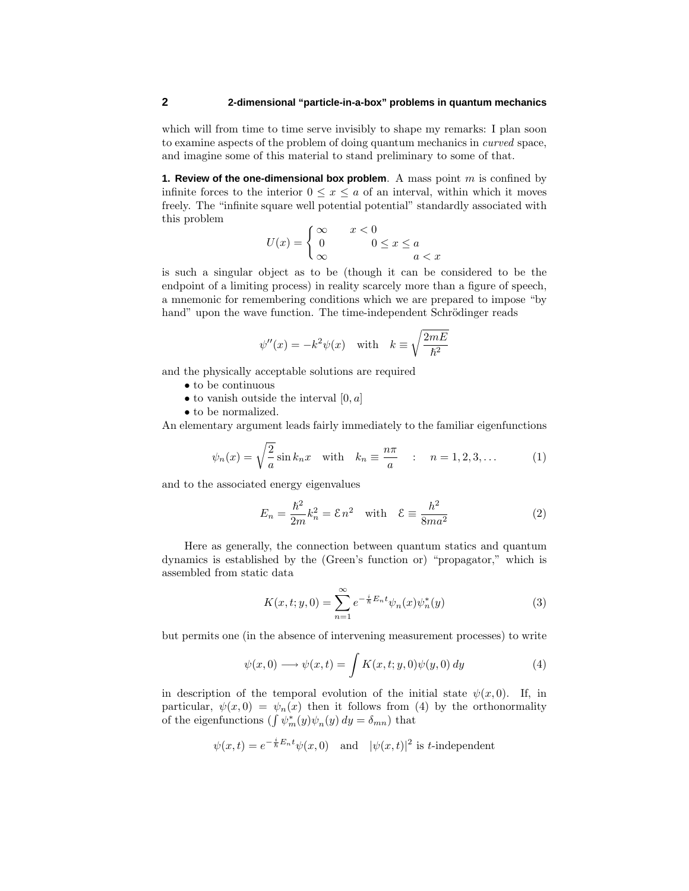which will from time to time serve invisibly to shape my remarks: I plan soon to examine aspects of the problem of doing quantum mechanics in curved space, and imagine some of this material to stand preliminary to some of that.

**1. Review of the one-dimensional box problem**. A mass point *m* is confined by infinite forces to the interior  $0 \leq x \leq a$  of an interval, within which it moves freely. The "infinite square well potential potential" standardly associated with this problem

$$
U(x) = \begin{cases} \infty & x < 0 \\ 0 & 0 \le x \le a \\ \infty & a < x \end{cases}
$$

is such a singular object as to be (though it can be considered to be the endpoint of a limiting process) in reality scarcely more than a figure of speech, a mnemonic for remembering conditions which we are prepared to impose "by hand" upon the wave function. The time-independent Schrödinger reads

$$
\psi''(x) = -k^2 \psi(x)
$$
 with  $k \equiv \sqrt{\frac{2mE}{\hbar^2}}$ 

and the physically acceptable solutions are required

- to be continuous
- to vanish outside the interval [0*, a*]
- to be normalized.

An elementary argument leads fairly immediately to the familiar eigenfunctions

$$
\psi_n(x) = \sqrt{\frac{2}{a}} \sin k_n x \quad \text{with} \quad k_n \equiv \frac{n\pi}{a} \quad : \quad n = 1, 2, 3, \dots \tag{1}
$$

and to the associated energy eigenvalues

$$
E_n = \frac{\hbar^2}{2m} k_n^2 = \mathcal{E} n^2 \quad \text{with} \quad \mathcal{E} \equiv \frac{h^2}{8ma^2} \tag{2}
$$

Here as generally, the connection between quantum statics and quantum dynamics is established by the (Green's function or) "propagator," which is assembled from static data

$$
K(x,t;y,0) = \sum_{n=1}^{\infty} e^{-\frac{i}{\hbar}E_n t} \psi_n(x) \psi_n^*(y)
$$
 (3)

but permits one (in the absence of intervening measurement processes) to write

$$
\psi(x,0) \longrightarrow \psi(x,t) = \int K(x,t;y,0)\psi(y,0) dy \tag{4}
$$

in description of the temporal evolution of the initial state  $\psi(x, 0)$ . If, in particular,  $\psi(x,0) = \psi_n(x)$  then it follows from (4) by the orthonormality of the eigenfunctions  $(\int \psi_m^*(y)\psi_n(y) dy = \delta_{mn})$  that

$$
\psi(x,t) = e^{-\frac{i}{\hbar}E_n t}\psi(x,0)
$$
 and  $|\psi(x,t)|^2$  is *t*-independent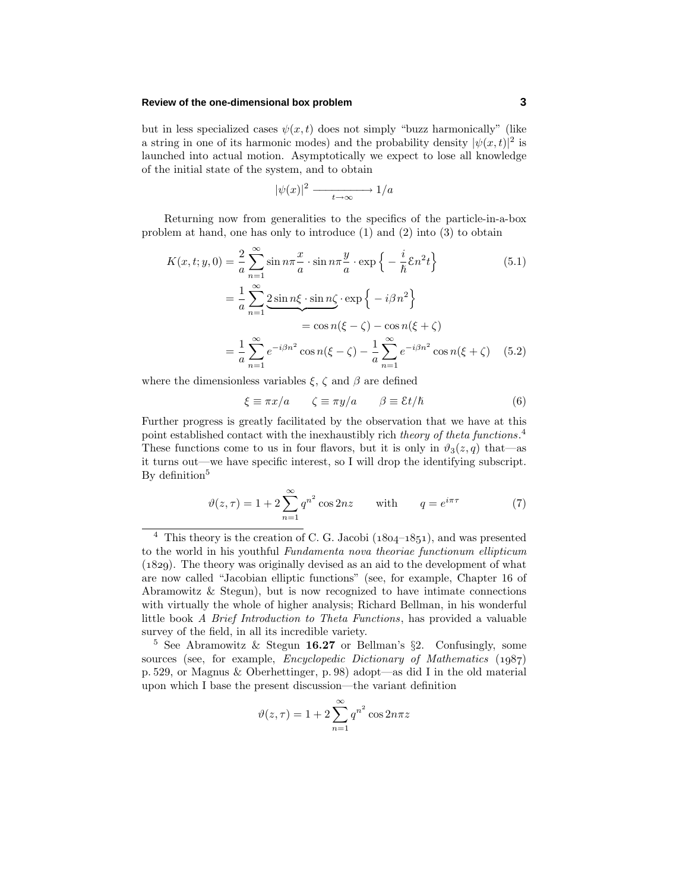## **Review of the one-dimensional box problem 3**

but in less specialized cases  $\psi(x, t)$  does not simply "buzz harmonically" (like a string in one of its harmonic modes) and the probability density  $|\psi(x, t)|^2$  is launched into actual motion. Asymptotically we expect to lose all knowledge of the initial state of the system, and to obtain

$$
|\psi(x)|^2 \xrightarrow[t \to \infty]{} 1/a
$$

Returning now from generalities to the specifics of the particle-in-a-box problem at hand, one has only to introduce (1) and (2) into (3) to obtain

$$
K(x, t; y, 0) = \frac{2}{a} \sum_{n=1}^{\infty} \sin n\pi \frac{x}{a} \cdot \sin n\pi \frac{y}{a} \cdot \exp\left\{-\frac{i}{\hbar} \mathcal{E} n^2 t\right\}
$$
(5.1)  

$$
= \frac{1}{a} \sum_{n=1}^{\infty} \underbrace{2 \sin n\xi \cdot \sin n\zeta}_{= \cos n(\xi - \zeta) - \cos n(\xi + \zeta)}
$$
  

$$
= \frac{1}{a} \sum_{n=1}^{\infty} e^{-i\beta n^2} \cos n(\xi - \zeta) - \frac{1}{a} \sum_{n=1}^{\infty} e^{-i\beta n^2} \cos n(\xi + \zeta)
$$
(5.2)

where the dimensionless variables  $\xi$ ,  $\zeta$  and  $\beta$  are defined

$$
\xi \equiv \pi x/a \qquad \zeta \equiv \pi y/a \qquad \beta \equiv \mathcal{E}t/\hbar \tag{6}
$$

Further progress is greatly facilitated by the observation that we have at this point established contact with the inexhaustibly rich theory of theta functions.<sup>4</sup> These functions come to us in four flavors, but it is only in  $\vartheta_3(z,q)$  that—as it turns out—we have specific interest, so I will drop the identifying subscript. By definition<sup>5</sup>

$$
\vartheta(z,\tau) = 1 + 2\sum_{n=1}^{\infty} q^{n^2} \cos 2nz \quad \text{with} \quad q = e^{i\pi\tau} \tag{7}
$$

$$
\vartheta(z,\tau) = 1 + 2\sum_{n=1}^{\infty} q^{n^2} \cos 2n\pi z
$$

 $4$  This theory is the creation of C. G. Jacobi ( $1804-1851$ ), and was presented to the world in his youthful Fundamenta nova theoriae functionum ellipticum (1829). The theory was originally devised as an aid to the development of what are now called "Jacobian elliptic functions" (see, for example, Chapter 16 of Abramowitz & Stegun), but is now recognized to have intimate connections with virtually the whole of higher analysis; Richard Bellman, in his wonderful little book A Brief Introduction to Theta Functions, has provided a valuable survey of the field, in all its incredible variety.

<sup>5</sup> See Abramowitz & Stegun **16.27** or Bellman's §2. Confusingly, some sources (see, for example, *Encyclopedic Dictionary of Mathematics*  $(1987)$ p. 529, or Magnus & Oberhettinger, p. 98) adopt—as did I in the old material upon which I base the present discussion—the variant definition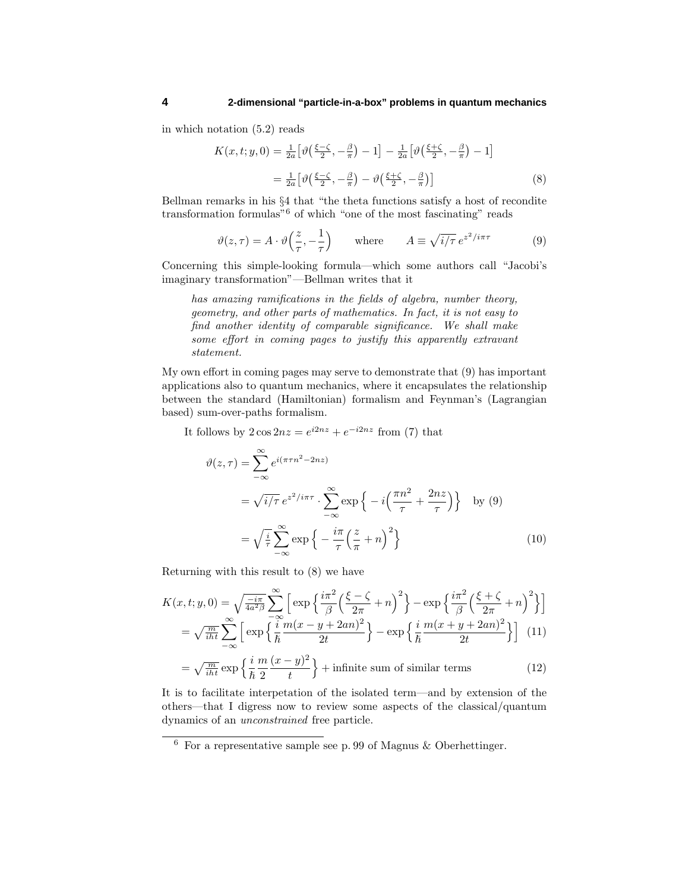in which notation (5.2) reads

$$
K(x,t;y,0) = \frac{1}{2a} \left[ \vartheta \left( \frac{\xi - \zeta}{2}, -\frac{\beta}{\pi} \right) - 1 \right] - \frac{1}{2a} \left[ \vartheta \left( \frac{\xi + \zeta}{2}, -\frac{\beta}{\pi} \right) - 1 \right]
$$

$$
= \frac{1}{2a} \left[ \vartheta \left( \frac{\xi - \zeta}{2}, -\frac{\beta}{\pi} \right) - \vartheta \left( \frac{\xi + \zeta}{2}, -\frac{\beta}{\pi} \right) \right]
$$
(8)

Bellman remarks in his §4 that "the theta functions satisfy a host of recondite transformation formulas"<sup>6</sup> of which "one of the most fascinating" reads

$$
\vartheta(z,\tau) = A \cdot \vartheta\left(\frac{z}{\tau}, -\frac{1}{\tau}\right) \qquad \text{where} \qquad A \equiv \sqrt{i/\tau} \, e^{z^2/i\pi\tau} \tag{9}
$$

Concerning this simple-looking formula—which some authors call "Jacobi's imaginary transformation"—Bellman writes that it

has amazing ramifications in the fields of algebra, number theory, geometry, and other parts of mathematics. In fact, it is not easy to find another identity of comparable significance. We shall make some effort in coming pages to justify this apparently extravant statement.

My own effort in coming pages may serve to demonstrate that (9) has important applications also to quantum mechanics, where it encapsulates the relationship between the standard (Hamiltonian) formalism and Feynman's (Lagrangian based) sum-over-paths formalism.

It follows by  $2\cos 2nz = e^{i2nz} + e^{-i2nz}$  from (7) that

$$
\vartheta(z,\tau) = \sum_{-\infty}^{\infty} e^{i(\pi\tau n^2 - 2nz)}
$$
  
\n
$$
= \sqrt{i/\tau} e^{z^2/i\pi\tau} \cdot \sum_{-\infty}^{\infty} \exp\left\{-i\left(\frac{\pi n^2}{\tau} + \frac{2nz}{\tau}\right)\right\} \text{ by (9)}
$$
  
\n
$$
= \sqrt{\frac{i}{\tau}} \sum_{-\infty}^{\infty} \exp\left\{-\frac{i\pi}{\tau}\left(\frac{z}{\pi} + n\right)^2\right\}
$$
 (10)

Returning with this result to (8) we have

$$
K(x,t;y,0) = \sqrt{\frac{-i\pi}{4a^2\beta}} \sum_{-\infty}^{\infty} \left[ \exp\left\{ \frac{i\pi^2}{\beta} \left( \frac{\xi - \zeta}{2\pi} + n \right)^2 \right\} - \exp\left\{ \frac{i\pi^2}{\beta} \left( \frac{\xi + \zeta}{2\pi} + n \right)^2 \right\} \right]
$$
  
=  $\sqrt{\frac{m}{i\hbar t}} \sum_{-\infty}^{\infty} \left[ \exp\left\{ \frac{i}{\hbar} \frac{m(x - y + 2an)^2}{2t} \right\} - \exp\left\{ \frac{i}{\hbar} \frac{m(x + y + 2an)^2}{2t} \right\} \right]$  (11)  
=  $\sqrt{\frac{m}{i\hbar}} \exp\left\{ \frac{i}{\hbar} \frac{m(x - y)^2}{2} \right\} + \text{infinite sum of similar terms} \tag{12}$ 

$$
= \sqrt{\frac{m}{iht}} \exp\left\{\frac{i}{\hbar} \frac{m}{2} \frac{(x-y)^2}{t}\right\} + \text{infinite sum of similar terms} \tag{12}
$$

It is to facilitate interpetation of the isolated term—and by extension of the others—that I digress now to review some aspects of the classical/quantum dynamics of an unconstrained free particle.

 $6$  For a representative sample see p. 99 of Magnus & Oberhettinger.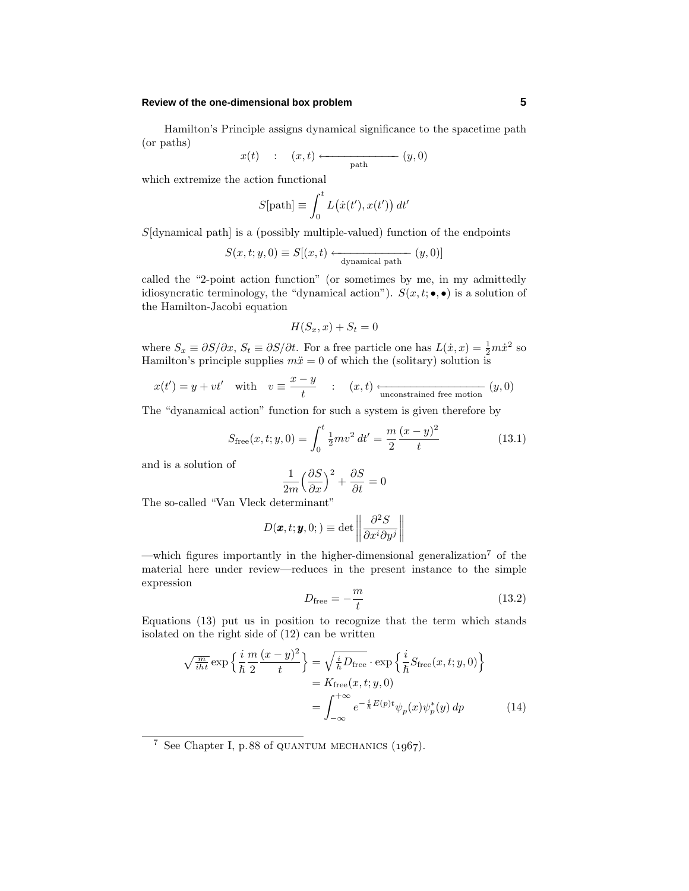## **Review of the one-dimensional box problem 5**

Hamilton's Principle assigns dynamical significance to the spacetime path (or paths)

$$
x(t) : (x,t) \longleftarrow \text{path} (y,0)
$$

which extremize the action functional

$$
S[\text{path}] \equiv \int_0^t L(\dot{x}(t'), x(t')) dt'
$$

*S*[dynamical path] is a (possibly multiple-valued) function of the endpoints

$$
S(x, t; y, 0) \equiv S[(x, t) \xleftarrow{\text{dynamical path}} (y, 0)]
$$

called the "2-point action function" (or sometimes by me, in my admittedly idiosyncratic terminology, the "dynamical action").  $S(x, t; \bullet, \bullet)$  is a solution of the Hamilton-Jacobi equation

$$
H(S_x, x) + S_t = 0
$$

where  $S_x \equiv \partial S/\partial x$ ,  $S_t \equiv \partial S/\partial t$ . For a free particle one has  $L(x, x) = \frac{1}{2}m\dot{x}^2$  so Hamilton's principle supplies  $m\ddot{x} = 0$  of which the (solitary) solution is

$$
x(t') = y + vt'
$$
 with  $v \equiv \frac{x - y}{t}$  :  $(x, t) \xrightarrow{\text{unconstrained free motion}} (y, 0)$ 

The "dyanamical action" function for such a system is given therefore by

$$
S_{\text{free}}(x, t; y, 0) = \int_0^t \frac{1}{2} m v^2 dt' = \frac{m}{2} \frac{(x - y)^2}{t}
$$
 (13.1)

and is a solution of

$$
\frac{1}{2m} \left(\frac{\partial S}{\partial x}\right)^2 + \frac{\partial S}{\partial t} = 0
$$

The so-called "Van Vleck determinant"

$$
D(\pmb{x},t;\pmb{y},0;)\equiv\det\left\|\frac{\partial^2 S}{\partial x^i\partial y^j}\right\|
$$

—which figures importantly in the higher-dimensional generalization<sup>7</sup> of the material here under review—reduces in the present instance to the simple expression

$$
D_{\text{free}} = -\frac{m}{t} \tag{13.2}
$$

Equations (13) put us in position to recognize that the term which stands isolated on the right side of (12) can be written

$$
\sqrt{\frac{m}{iht}} \exp\left\{\frac{i}{\hbar} \frac{m}{2} \frac{(x-y)^2}{t}\right\} = \sqrt{\frac{i}{\hbar} D_{\text{free}}} \cdot \exp\left\{\frac{i}{\hbar} S_{\text{free}}(x, t; y, 0)\right\}
$$

$$
= K_{\text{free}}(x, t; y, 0)
$$

$$
= \int_{-\infty}^{+\infty} e^{-\frac{i}{\hbar} E(p)t} \psi_p(x) \psi_p^*(y) dp \tag{14}
$$

<sup>7</sup> See Chapter I, p.88 of QUANTUM MECHANICS  $(1967)$ .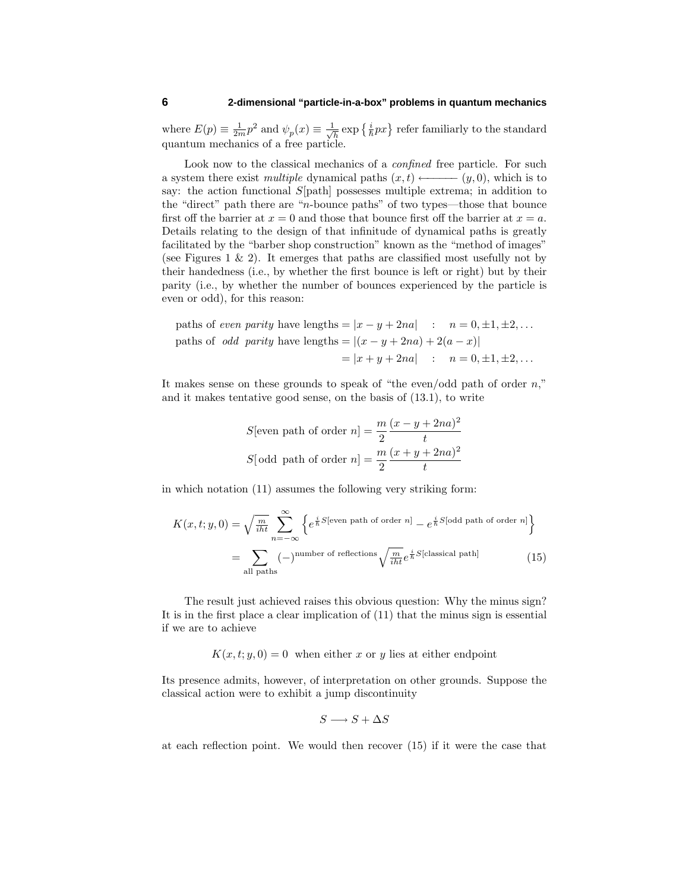where  $E(p) \equiv \frac{1}{2m} p^2$  and  $\psi_p(x) \equiv \frac{1}{\sqrt{h}} \exp\left\{\frac{i}{\hbar} px\right\}$  refer familiarly to the standard quantum mechanics of a free particle.

Look now to the classical mechanics of a *confined* free particle. For such a system there exist multiple dynamical paths  $(x,t) \longleftarrow (y,0)$ , which is to say: the action functional *S*[path] possesses multiple extrema; in addition to the "direct" path there are "*n*-bounce paths" of two types—those that bounce first off the barrier at  $x = 0$  and those that bounce first off the barrier at  $x = a$ . Details relating to the design of that infinitude of dynamical paths is greatly facilitated by the "barber shop construction" known as the "method of images" (see Figures  $1 \& 2$ ). It emerges that paths are classified most usefully not by their handedness (i.e., by whether the first bounce is left or right) but by their parity (i.e., by whether the number of bounces experienced by the particle is even or odd), for this reason:

paths of *even parity* have lengths = 
$$
|x - y + 2na|
$$
 :  $n = 0, \pm 1, \pm 2,...$   
paths of *odd parity* have lengths =  $|(x - y + 2na) + 2(a - x)|$   
=  $|x + y + 2na|$  :  $n = 0, \pm 1, \pm 2,...$ 

It makes sense on these grounds to speak of "the even/odd path of order *n*," and it makes tentative good sense, on the basis of (13.1), to write

S[even path of order 
$$
n] = \frac{m}{2} \frac{(x - y + 2na)^2}{t}
$$
  
S[odd path of order  $n] = \frac{m}{2} \frac{(x + y + 2na)^2}{t}$ 

in which notation (11) assumes the following very striking form:

$$
K(x, t; y, 0) = \sqrt{\frac{m}{i\hbar t}} \sum_{n=-\infty}^{\infty} \left\{ e^{\frac{i}{\hbar}S[\text{even path of order } n]} - e^{\frac{i}{\hbar}S[\text{odd path of order } n]} \right\}
$$

$$
= \sum_{\text{all paths}} (-)^{\text{number of reflections}} \sqrt{\frac{m}{i\hbar t}} e^{\frac{i}{\hbar}S[\text{classical path}]} \tag{15}
$$

The result just achieved raises this obvious question: Why the minus sign? It is in the first place a clear implication of (11) that the minus sign is essential if we are to achieve

 $K(x, t; y, 0) = 0$  when either *x* or *y* lies at either endpoint

Its presence admits, however, of interpretation on other grounds. Suppose the classical action were to exhibit a jump discontinuity

$$
S\longrightarrow S+\Delta S
$$

at each reflection point. We would then recover (15) if it were the case that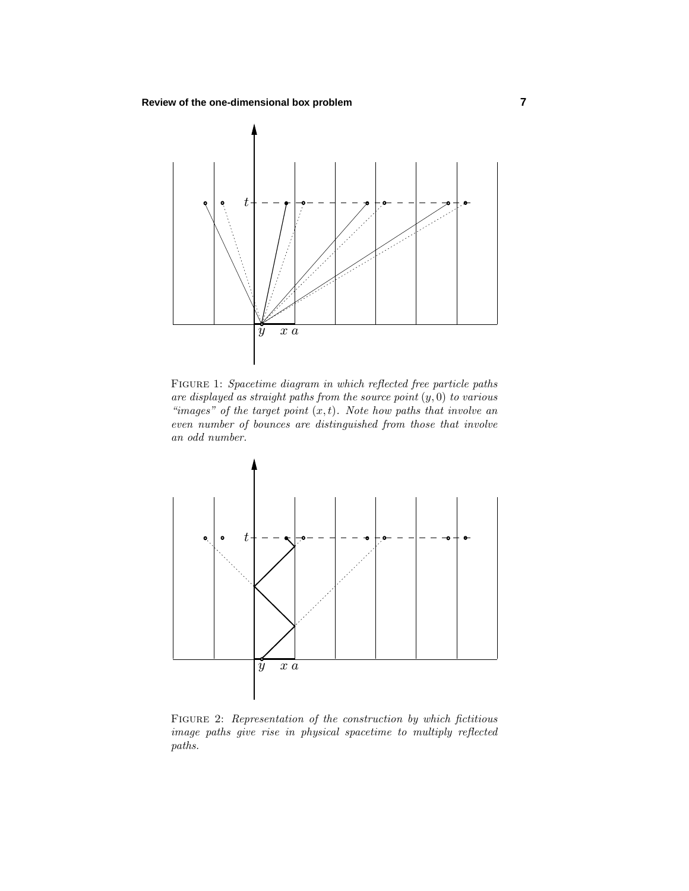

FIGURE 1: Spacetime diagram in which reflected free particle paths are displayed as straight paths from the source point  $(y, 0)$  to various "images" of the target point  $(x, t)$ . Note how paths that involve an even number of bounces are distinguished from those that involve an odd number.



FIGURE 2: Representation of the construction by which fictitious image paths give rise in physical spacetime to multiply reflected paths.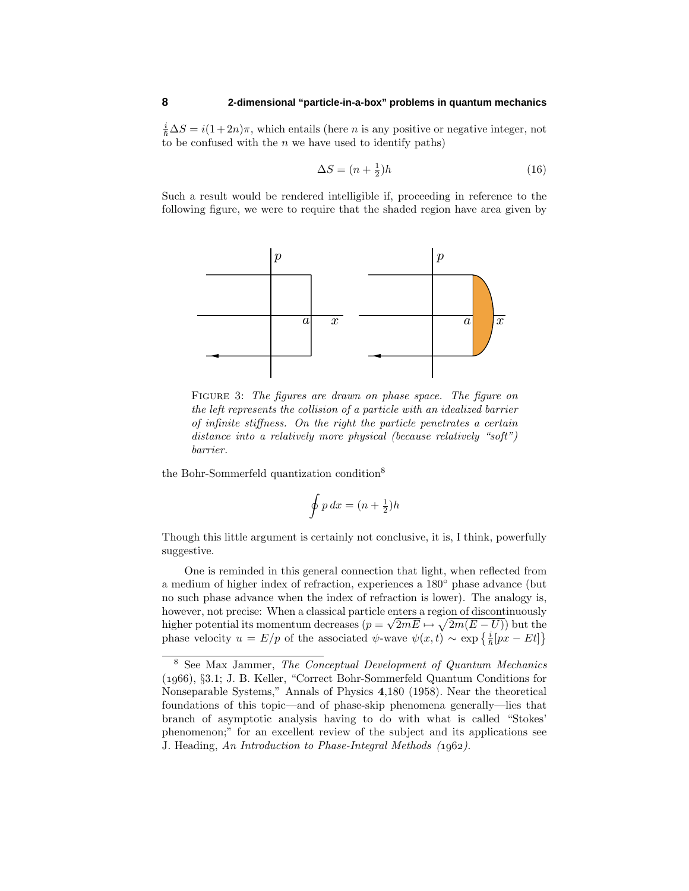$\frac{i}{\hbar}\Delta S = i(1+2n)\pi$ , which entails (here *n* is any positive or negative integer, not to be confused with the *n* we have used to identify paths)

$$
\Delta S = (n + \frac{1}{2})h\tag{16}
$$

Such a result would be rendered intelligible if, proceeding in reference to the following figure, we were to require that the shaded region have area given by



FIGURE 3: The figures are drawn on phase space. The figure on the left represents the collision of a particle with an idealized barrier of infinite stiffness. On the right the particle penetrates a certain distance into a relatively more physical (because relatively "soft") barrier.

the Bohr-Sommerfeld quantization condition<sup>8</sup>

$$
\oint p\,dx = (n + \frac{1}{2})h
$$

Though this little argument is certainly not conclusive, it is, I think, powerfully suggestive.

One is reminded in this general connection that light, when reflected from a medium of higher index of refraction, experiences a 180◦ phase advance (but no such phase advance when the index of refraction is lower). The analogy is, however, not precise: When a classical particle enters a region of discontinuously higher potential its momentum decreases  $(p = \sqrt{2mE} \mapsto \sqrt{2m(E-U)})$  but the phase velocity  $u = E/p$  of the associated  $\psi$ -wave  $\psi(x, t) \sim \exp\left\{\frac{i}{\hbar}[px - Et]\right\}$ 

<sup>8</sup> See Max Jammer, The Conceptual Development of Quantum Mechanics (), §3.1; J. B. Keller, "Correct Bohr-Sommerfeld Quantum Conditions for Nonseparable Systems," Annals of Physics **4**,180 (1958). Near the theoretical foundations of this topic—and of phase-skip phenomena generally—lies that branch of asymptotic analysis having to do with what is called "Stokes' phenomenon;" for an excellent review of the subject and its applications see J. Heading, An Introduction to Phase-Integral Methods (1962).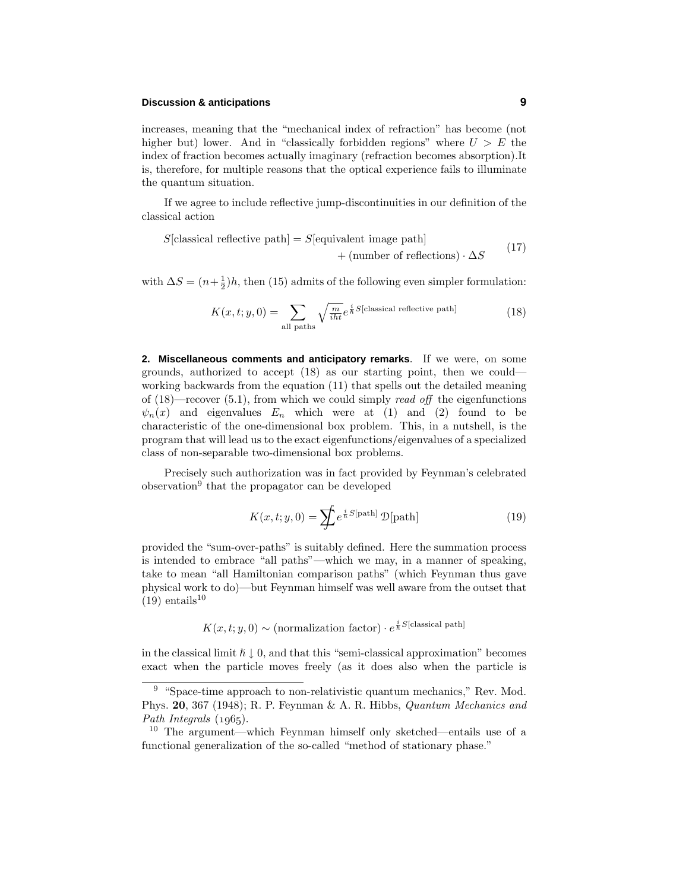## **Discussion & anticipations 9**

increases, meaning that the "mechanical index of refraction" has become (not higher but) lower. And in "classically forbidden regions" where  $U > E$  the index of fraction becomes actually imaginary (refraction becomes absorption).It is, therefore, for multiple reasons that the optical experience fails to illuminate the quantum situation.

If we agree to include reflective jump-discontinuities in our definition of the classical action

$$
S[classical reflective path] = S[equivalent image path] + (number of reflections) \cdot \Delta S
$$
 (17)

with  $\Delta S = (n + \frac{1}{2})h$ , then (15) admits of the following even simpler formulation:

$$
K(x, t; y, 0) = \sum_{\text{all paths}} \sqrt{\frac{m}{iht}} e^{\frac{i}{\hbar}S[\text{classical reflective path}]} \tag{18}
$$

**2. Miscellaneous comments and anticipatory remarks**. If we were, on some grounds, authorized to accept (18) as our starting point, then we could working backwards from the equation (11) that spells out the detailed meaning of  $(18)$ —recover  $(5.1)$ , from which we could simply *read off* the eigenfunctions  $\psi_n(x)$  and eigenvalues  $E_n$  which were at (1) and (2) found to be characteristic of the one-dimensional box problem. This, in a nutshell, is the program that will lead us to the exact eigenfunctions/eigenvalues of a specialized class of non-separable two-dimensional box problems.

Precisely such authorization was in fact provided by Feynman's celebrated observation<sup>9</sup> that the propagator can be developed

$$
K(x, t; y, 0) = \sum_{n=0}^{\infty} e^{\frac{i}{\hbar}S[\text{path}]} \mathcal{D}[\text{path}]
$$
 (19)

provided the "sum-over-paths" is suitably defined. Here the summation process is intended to embrace "all paths"—which we may, in a manner of speaking, take to mean "all Hamiltonian comparison paths" (which Feynman thus gave physical work to do)—but Feynman himself was well aware from the outset that  $(19)$  entails<sup>10</sup>

 $K(x, t; y, 0) \sim (normalization factor) \cdot e^{\frac{i}{\hbar}S[classical path]}$ 

in the classical limit  $\hbar \downarrow 0$ , and that this "semi-classical approximation" becomes exact when the particle moves freely (as it does also when the particle is

<sup>9</sup> "Space-time approach to non-relativistic quantum mechanics," Rev. Mod. Phys. **20**, 367 (1948); R. P. Feynman & A. R. Hibbs, Quantum Mechanics and Path Integrals  $(1965)$ .

<sup>10</sup> The argument—which Feynman himself only sketched—entails use of a functional generalization of the so-called "method of stationary phase."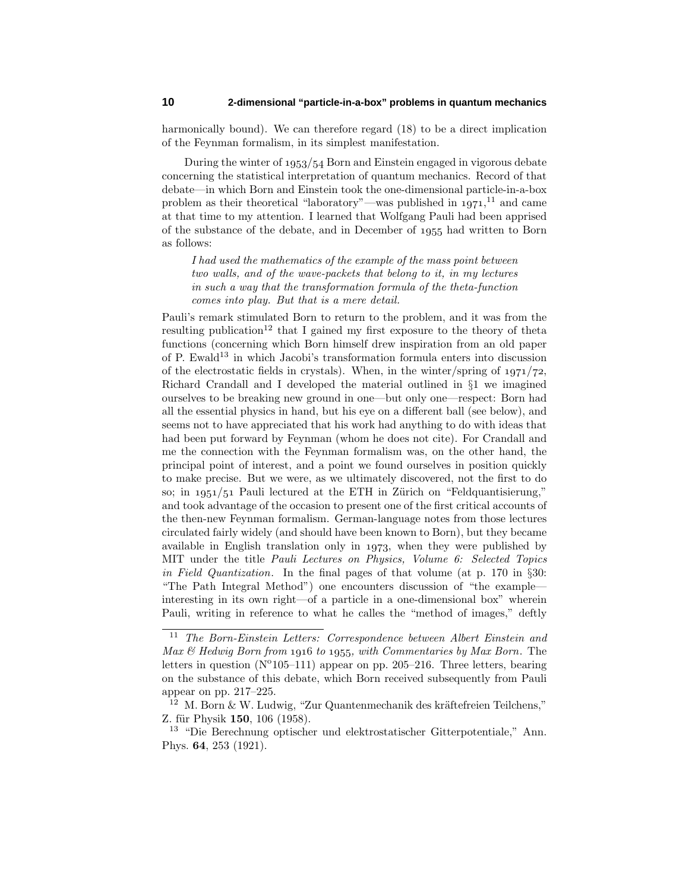harmonically bound). We can therefore regard (18) to be a direct implication of the Feynman formalism, in its simplest manifestation.

During the winter of  $1953/54$  Born and Einstein engaged in vigorous debate concerning the statistical interpretation of quantum mechanics. Record of that debate—in which Born and Einstein took the one-dimensional particle-in-a-box problem as their theoretical "laboratory"—was published in  $1971$ ,<sup>11</sup> and came at that time to my attention. I learned that Wolfgang Pauli had been apprised of the substance of the debate, and in December of 1955 had written to Born as follows:

I had used the mathematics of the example of the mass point between two walls, and of the wave-packets that belong to it, in my lectures in such a way that the transformation formula of the theta-function comes into play. But that is a mere detail.

Pauli's remark stimulated Born to return to the problem, and it was from the resulting publication<sup>12</sup> that I gained my first exposure to the theory of theta functions (concerning which Born himself drew inspiration from an old paper of P. Ewald<sup>13</sup> in which Jacobi's transformation formula enters into discussion of the electrostatic fields in crystals). When, in the winter/spring of  $1971/72$ , Richard Crandall and I developed the material outlined in §1 we imagined ourselves to be breaking new ground in one—but only one—respect: Born had all the essential physics in hand, but his eye on a different ball (see below), and seems not to have appreciated that his work had anything to do with ideas that had been put forward by Feynman (whom he does not cite). For Crandall and me the connection with the Feynman formalism was, on the other hand, the principal point of interest, and a point we found ourselves in position quickly to make precise. But we were, as we ultimately discovered, not the first to do so; in  $1951/51$  Pauli lectured at the ETH in Zürich on "Feldquantisierung," and took advantage of the occasion to present one of the first critical accounts of the then-new Feynman formalism. German-language notes from those lectures circulated fairly widely (and should have been known to Born), but they became available in English translation only in  $1973$ , when they were published by MIT under the title Pauli Lectures on Physics, Volume 6: Selected Topics in Field Quantization. In the final pages of that volume (at p. 170 in  $\S 30$ : "The Path Integral Method") one encounters discussion of "the example interesting in its own right—of a particle in a one-dimensional box" wherein Pauli, writing in reference to what he calles the "method of images," deftly

<sup>11</sup> The Born-Einstein Letters: Correspondence between Albert Einstein and Max  $\mathcal B$  Hedwig Born from 1916 to 1955, with Commentaries by Max Born. The letters in question ( $N^{\circ}105-111$ ) appear on pp. 205–216. Three letters, bearing on the substance of this debate, which Born received subsequently from Pauli appear on pp. 217–225.

 $12$  M. Born & W. Ludwig, "Zur Quantenmechanik des kräftefreien Teilchens," Z. für Physik 150, 106 (1958).

<sup>13</sup> "Die Berechnung optischer und elektrostatischer Gitterpotentiale," Ann. Phys. **64**, 253 (1921).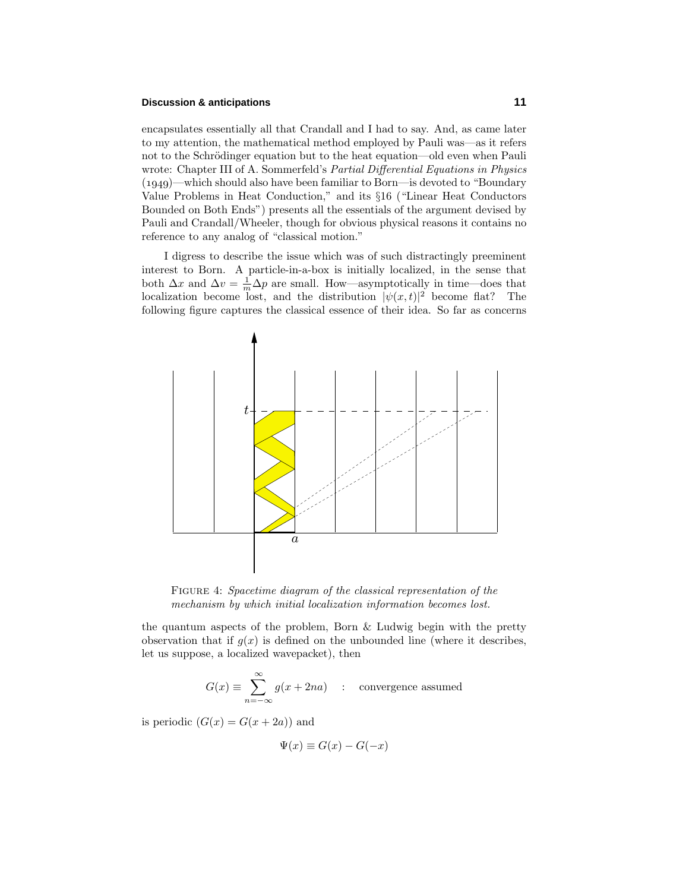## **Discussion & anticipations 11**

encapsulates essentially all that Crandall and I had to say. And, as came later to my attention, the mathematical method employed by Pauli was—as it refers not to the Schrödinger equation but to the heat equation—old even when Pauli wrote: Chapter III of A. Sommerfeld's *Partial Differential Equations in Physics*  $(1949)$ —which should also have been familiar to Born—is devoted to "Boundary" Value Problems in Heat Conduction," and its §16 ("Linear Heat Conductors Bounded on Both Ends") presents all the essentials of the argument devised by Pauli and Crandall/Wheeler, though for obvious physical reasons it contains no reference to any analog of "classical motion."

I digress to describe the issue which was of such distractingly preeminent interest to Born. A particle-in-a-box is initially localized, in the sense that both  $\Delta x$  and  $\Delta v = \frac{1}{m} \Delta p$  are small. How—asymptotically in time—does that localization become lost, and the distribution  $|\psi(x,t)|^2$  become flat? The following figure captures the classical essence of their idea. So far as concerns



FIGURE 4: Spacetime diagram of the classical representation of the mechanism by which initial localization information becomes lost.

the quantum aspects of the problem, Born  $&$  Ludwig begin with the pretty observation that if  $g(x)$  is defined on the unbounded line (where it describes, let us suppose, a localized wavepacket), then

$$
G(x) \equiv \sum_{n=-\infty}^{\infty} g(x + 2na) \quad : \quad \text{convergence assumed}
$$

is periodic  $(G(x) = G(x + 2a))$  and

$$
\Psi(x) \equiv G(x) - G(-x)
$$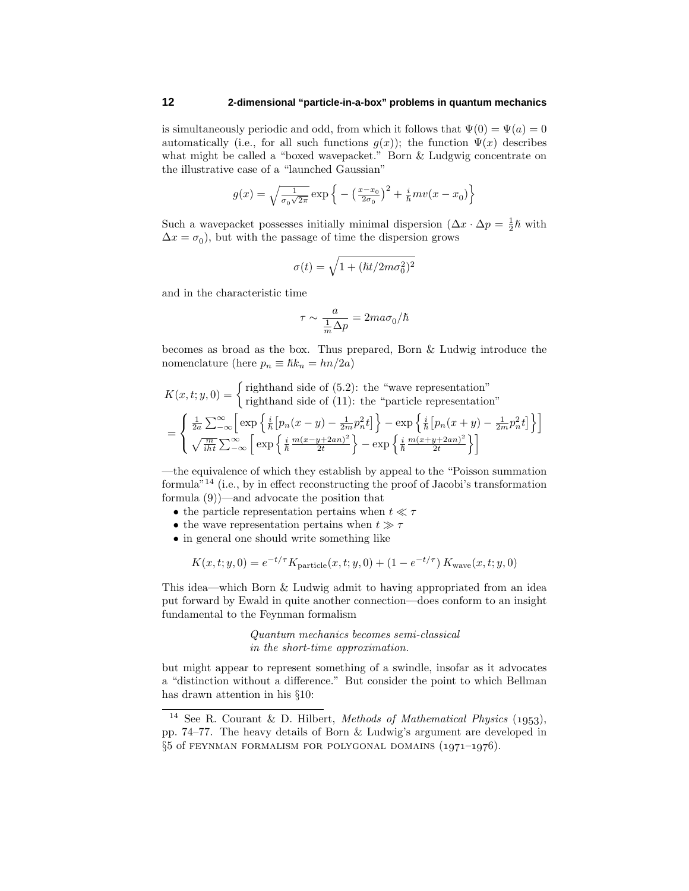is simultaneously periodic and odd, from which it follows that  $\Psi(0) = \Psi(a) = 0$ automatically (i.e., for all such functions  $g(x)$ ); the function  $\Psi(x)$  describes what might be called a "boxed wavepacket." Born & Ludgwig concentrate on the illustrative case of a "launched Gaussian"

$$
g(x) = \sqrt{\frac{1}{\sigma_0 \sqrt{2\pi}}} \exp \left\{-\left(\frac{x - x_0}{2\sigma_0}\right)^2 + \frac{i}{\hbar}mv(x - x_0)\right\}
$$

Such a wavepacket possesses initially minimal dispersion  $(\Delta x \cdot \Delta p) = \frac{1}{2}\hbar$  with  $\Delta x = \sigma_0$ , but with the passage of time the dispersion grows

$$
\sigma(t) = \sqrt{1 + (\hbar t/2m\sigma_0^2)^2}
$$

and in the characteristic time

$$
\tau \sim \frac{a}{\frac{1}{m}\Delta p} = 2ma\sigma_0/\hslash
$$

becomes as broad as the box. Thus prepared, Born & Ludwig introduce the nomenclature (here  $p_n \equiv \hbar k_n = h n/2a$ )

$$
K(x, t; y, 0) = \begin{cases} \text{righthand side of (5.2): the "wave representation" } \\ \text{righthand side of (11): the "particle representation" } \end{cases}
$$

$$
= \begin{cases} \frac{1}{2a} \sum_{-\infty}^{\infty} \left[ \exp\left\{ \frac{i}{\hbar} \left[ p_n(x-y) - \frac{1}{2m} p_n^2 t \right] \right\} - \exp\left\{ \frac{i}{\hbar} \left[ p_n(x+y) - \frac{1}{2m} p_n^2 t \right] \right\} \right] \\ \sqrt{\frac{m}{i\hbar t}} \sum_{-\infty}^{\infty} \left[ \exp\left\{ \frac{i}{\hbar} \frac{m(x-y+2an)^2}{2t} \right\} - \exp\left\{ \frac{i}{\hbar} \frac{m(x+y+2an)^2}{2t} \right\} \right] \end{cases}
$$

—the equivalence of which they establish by appeal to the "Poisson summation formula $^{n}$ <sup>14</sup> (i.e., by in effect reconstructing the proof of Jacobi's transformation formula (9))—and advocate the position that

- the particle representation pertains when  $t \ll \tau$
- the wave representation pertains when  $t \gg \tau$
- in general one should write something like

$$
K(x, t; y, 0) = e^{-t/\tau} K_{\text{particle}}(x, t; y, 0) + (1 - e^{-t/\tau}) K_{\text{wave}}(x, t; y, 0)
$$

This idea—which Born & Ludwig admit to having appropriated from an idea put forward by Ewald in quite another connection—does conform to an insight fundamental to the Feynman formalism

> Quantum mechanics becomes semi-classical in the short-time approximation.

but might appear to represent something of a swindle, insofar as it advocates a "distinction without a difference." But consider the point to which Bellman has drawn attention in his §10:

<sup>&</sup>lt;sup>14</sup> See R. Courant & D. Hilbert, *Methods of Mathematical Physics* (1953), pp. 74–77. The heavy details of Born & Ludwig's argument are developed in  $\S5$  of FEYNMAN FORMALISM FOR POLYGONAL DOMAINS  $(1971-1976)$ .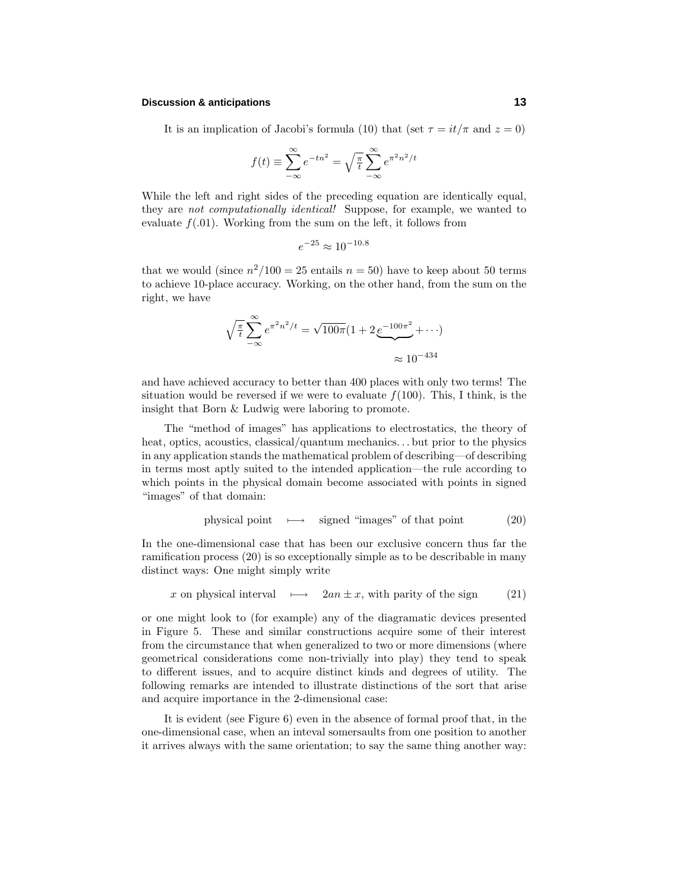## **Discussion & anticipations 13**

It is an implication of Jacobi's formula (10) that (set  $\tau = it/\pi$  and  $z = 0$ )

$$
f(t) \equiv \sum_{-\infty}^{\infty} e^{-tn^2} = \sqrt{\frac{\pi}{t}} \sum_{-\infty}^{\infty} e^{\pi^2 n^2 / t}
$$

While the left and right sides of the preceding equation are identically equal, they are not computationally identical! Suppose, for example, we wanted to evaluate  $f(.01)$ . Working from the sum on the left, it follows from

$$
e^{-25} \approx 10^{-10.8}
$$

that we would (since  $n^2/100 = 25$  entails  $n = 50$ ) have to keep about 50 terms to achieve 10-place accuracy. Working, on the other hand, from the sum on the right, we have

$$
\sqrt{\frac{\pi}{t}} \sum_{-\infty}^{\infty} e^{\pi^2 n^2/t} = \sqrt{100\pi} (1 + 2 e^{-100\pi^2} + \cdots)
$$

$$
\approx 10^{-434}
$$

and have achieved accuracy to better than 400 places with only two terms! The situation would be reversed if we were to evaluate  $f(100)$ . This, I think, is the insight that Born & Ludwig were laboring to promote.

The "method of images" has applications to electrostatics, the theory of heat, optics, acoustics, classical/quantum mechanics*...* but prior to the physics in any application stands the mathematical problem of describing—of describing in terms most aptly suited to the intended application—the rule according to which points in the physical domain become associated with points in signed "images" of that domain:

physical point 
$$
\longmapsto
$$
 signed "images" of that point (20)

In the one-dimensional case that has been our exclusive concern thus far the ramification process (20) is so exceptionally simple as to be describable in many distinct ways: One might simply write

x on physical interval 
$$
\rightarrow
$$
  $2an \pm x$ , with parity of the sign (21)

or one might look to (for example) any of the diagramatic devices presented in Figure 5. These and similar constructions acquire some of their interest from the circumstance that when generalized to two or more dimensions (where geometrical considerations come non-trivially into play) they tend to speak to different issues, and to acquire distinct kinds and degrees of utility. The following remarks are intended to illustrate distinctions of the sort that arise and acquire importance in the 2-dimensional case:

It is evident (see Figure 6) even in the absence of formal proof that, in the one-dimensional case, when an inteval somersaults from one position to another it arrives always with the same orientation; to say the same thing another way: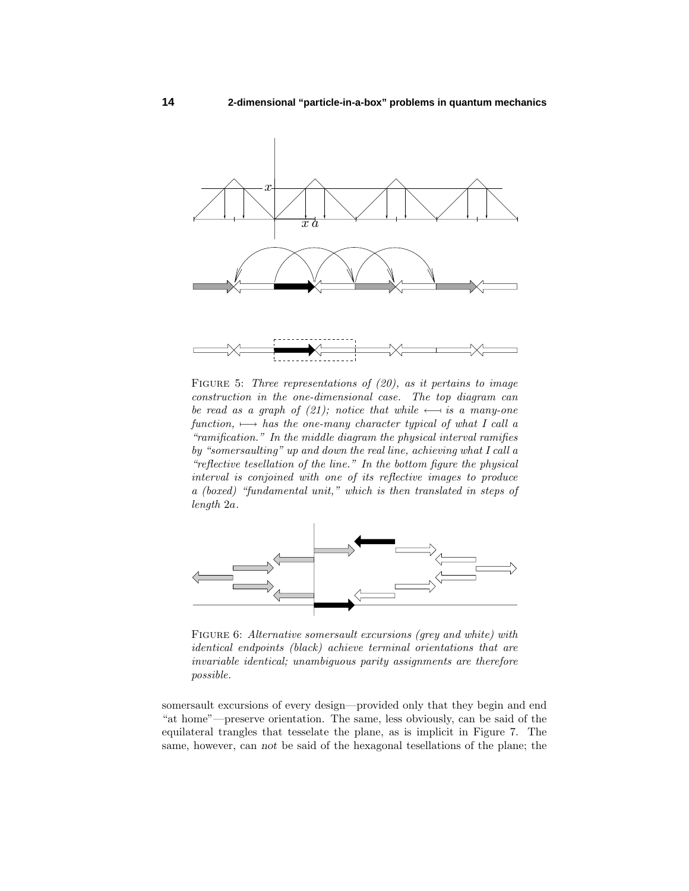

FIGURE 5: Three representations of  $(20)$ , as it pertains to image construction in the one-dimensional case. The top diagram can be read as a graph of (21); notice that while  $\leftarrow$  is a many-one function,  $\rightarrow$  has the one-many character typical of what I call a "ramification." In the middle diagram the physical interval ramifies by "somersaulting" up and down the real line, achieving what I call a "reflective tesellation of the line." In the bottom figure the physical interval is conjoined with one of its reflective images to produce a (boxed) "fundamental unit," which is then translated in steps of length 2*a*.



FIGURE 6: Alternative somersault excursions (grey and white) with identical endpoints (black) achieve terminal orientations that are invariable identical; unambiguous parity assignments are therefore possible.

somersault excursions of every design—provided only that they begin and end "at home"—preserve orientation. The same, less obviously, can be said of the equilateral trangles that tesselate the plane, as is implicit in Figure 7. The same, however, can *not* be said of the hexagonal tesellations of the plane; the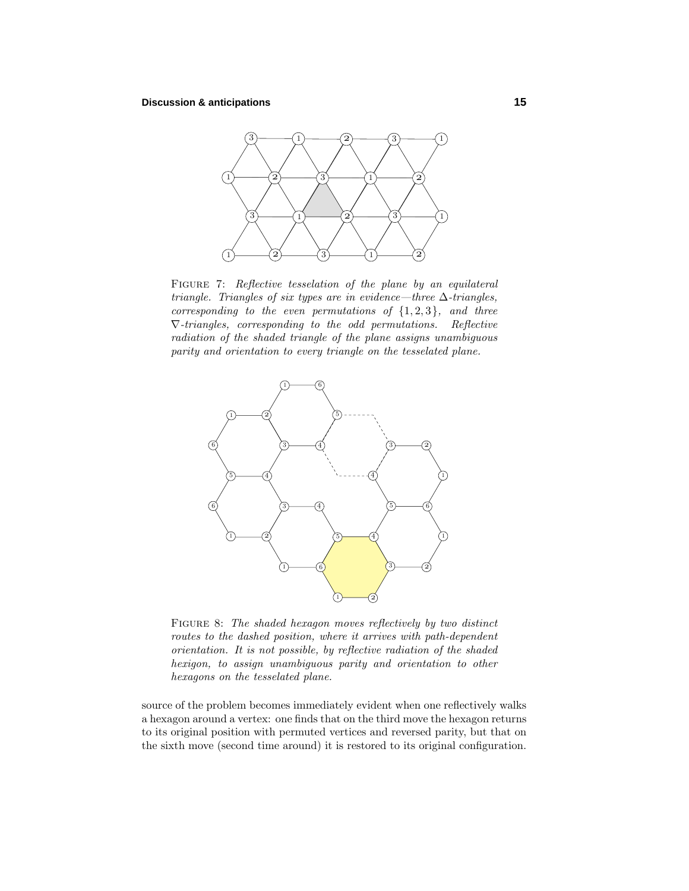

FIGURE 7: Reflective tesselation of the plane by an equilateral triangle. Triangles of six types are in evidence—three  $\Delta$ -triangles, corresponding to the even permutations of  $\{1,2,3\}$ , and three ∇-triangles, corresponding to the odd permutations. Reflective radiation of the shaded triangle of the plane assigns unambiguous parity and orientation to every triangle on the tesselated plane.



FIGURE 8: The shaded hexagon moves reflectively by two distinct routes to the dashed position, where it arrives with path-dependent orientation. It is not possible, by reflective radiation of the shaded hexigon, to assign unambiguous parity and orientation to other hexagons on the tesselated plane.

source of the problem becomes immediately evident when one reflectively walks a hexagon around a vertex: one finds that on the third move the hexagon returns to its original position with permuted vertices and reversed parity, but that on the sixth move (second time around) it is restored to its original configuration.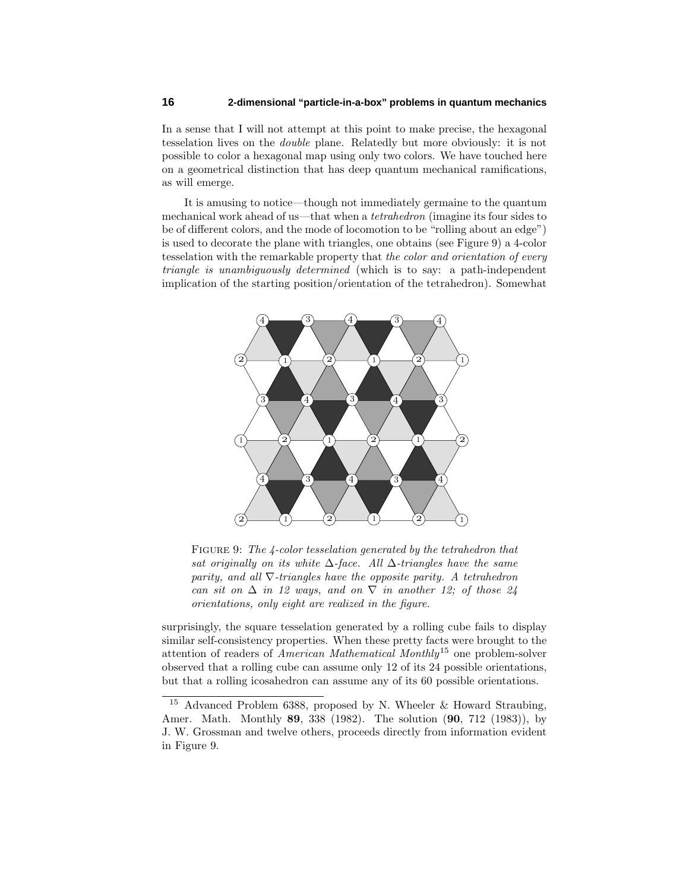In a sense that I will not attempt at this point to make precise, the hexagonal tesselation lives on the double plane. Relatedly but more obviously: it is not possible to color a hexagonal map using only two colors. We have touched here on a geometrical distinction that has deep quantum mechanical ramifications, as will emerge.

It is amusing to notice—though not immediately germaine to the quantum mechanical work ahead of us—that when a tetrahedron (imagine its four sides to be of different colors, and the mode of locomotion to be "rolling about an edge") is used to decorate the plane with triangles, one obtains (see Figure 9) a 4-color tesselation with the remarkable property that the color and orientation of every triangle is unambiguously determined (which is to say: a path-independent implication of the starting position/orientation of the tetrahedron). Somewhat



FIGURE 9: The 4-color tesselation generated by the tetrahedron that sat originally on its white  $\Delta$ -face. All  $\Delta$ -triangles have the same parity, and all  $\nabla$ -triangles have the opposite parity. A tetrahedron can sit on  $\Delta$  in 12 ways, and on  $\nabla$  in another 12; of those 24 orientations, only eight are realized in the figure.

surprisingly, the square tesselation generated by a rolling cube fails to display similar self-consistency properties. When these pretty facts were brought to the attention of readers of American Mathematical Monthly<sup>15</sup> one problem-solver observed that a rolling cube can assume only 12 of its 24 possible orientations, but that a rolling icosahedron can assume any of its 60 possible orientations.

<sup>15</sup> Advanced Problem 6388, proposed by N. Wheeler & Howard Straubing, Amer. Math. Monthly **89**, 338 (1982). The solution (**90**, 712 (1983)), by J. W. Grossman and twelve others, proceeds directly from information evident in Figure 9.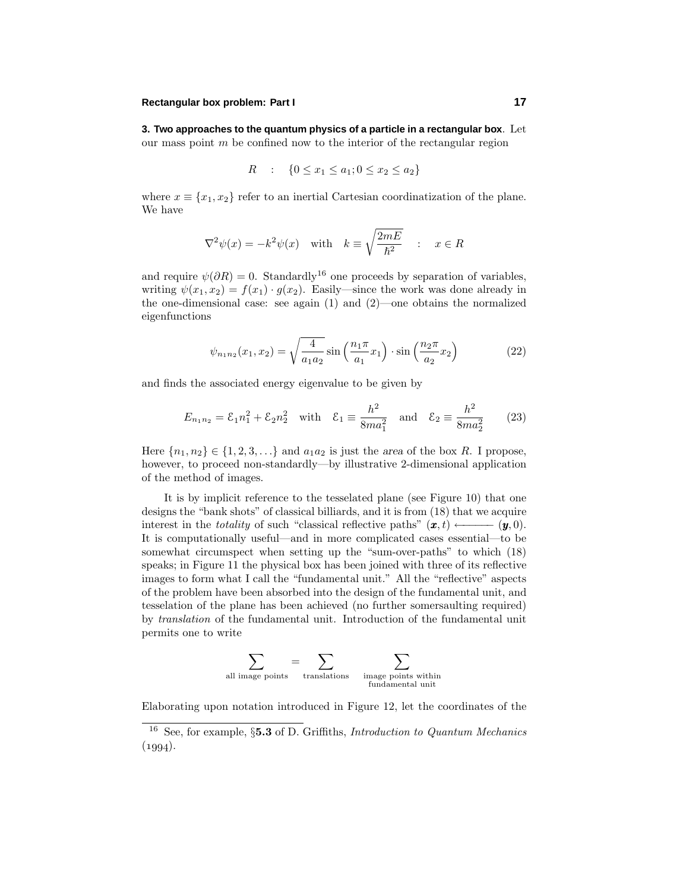## **Rectangular box problem: Part I 17**

**3. Two approaches to the quantum physics of a particle in a rectangular box**. Let our mass point *m* be confined now to the interior of the rectangular region

$$
R : \{ 0 \le x_1 \le a_1; 0 \le x_2 \le a_2 \}
$$

where  $x \equiv \{x_1, x_2\}$  refer to an inertial Cartesian coordinatization of the plane. We have

$$
\nabla^2 \psi(x) = -k^2 \psi(x) \quad \text{with} \quad k \equiv \sqrt{\frac{2mE}{\hbar^2}} \quad : \quad x \in R
$$

and require  $\psi(\partial R) = 0$ . Standardly<sup>16</sup> one proceeds by separation of variables, writing  $\psi(x_1, x_2) = f(x_1) \cdot g(x_2)$ . Easily—since the work was done already in the one-dimensional case: see again (1) and (2)—one obtains the normalized eigenfunctions

$$
\psi_{n_1 n_2}(x_1, x_2) = \sqrt{\frac{4}{a_1 a_2}} \sin\left(\frac{n_1 \pi}{a_1} x_1\right) \cdot \sin\left(\frac{n_2 \pi}{a_2} x_2\right) \tag{22}
$$

and finds the associated energy eigenvalue to be given by

$$
E_{n_1 n_2} = \mathcal{E}_1 n_1^2 + \mathcal{E}_2 n_2^2 \quad \text{with} \quad \mathcal{E}_1 \equiv \frac{h^2}{8m a_1^2} \quad \text{and} \quad \mathcal{E}_2 \equiv \frac{h^2}{8m a_2^2} \tag{23}
$$

Here  $\{n_1, n_2\} \in \{1, 2, 3, \ldots\}$  and  $a_1 a_2$  is just the *area* of the box *R*. I propose, however, to proceed non-standardly—by illustrative 2-dimensional application of the method of images.

It is by implicit reference to the tesselated plane (see Figure 10) that one designs the "bank shots" of classical billiards, and it is from (18) that we acquire interest in the *totality* of such "classical reflective paths"  $(\mathbf{x}, t) \longleftarrow (\mathbf{y}, 0)$ . It is computationally useful—and in more complicated cases essential—to be somewhat circumspect when setting up the "sum-over-paths" to which (18) speaks; in Figure 11 the physical box has been joined with three of its reflective images to form what I call the "fundamental unit." All the "reflective" aspects of the problem have been absorbed into the design of the fundamental unit, and tesselation of the plane has been achieved (no further somersaulting required) by translation of the fundamental unit. Introduction of the fundamental unit permits one to write

$$
\sum_{\text{all image points}} = \sum_{\text{translations}} \sum_{\substack{\text{image points within }\\\text{fundamental unit}}} \;
$$

Elaborating upon notation introduced in Figure 12, let the coordinates of the

<sup>16</sup> See, for example, §**5.3** of D. Griffiths, Introduction to Quantum Mechanics  $(1994).$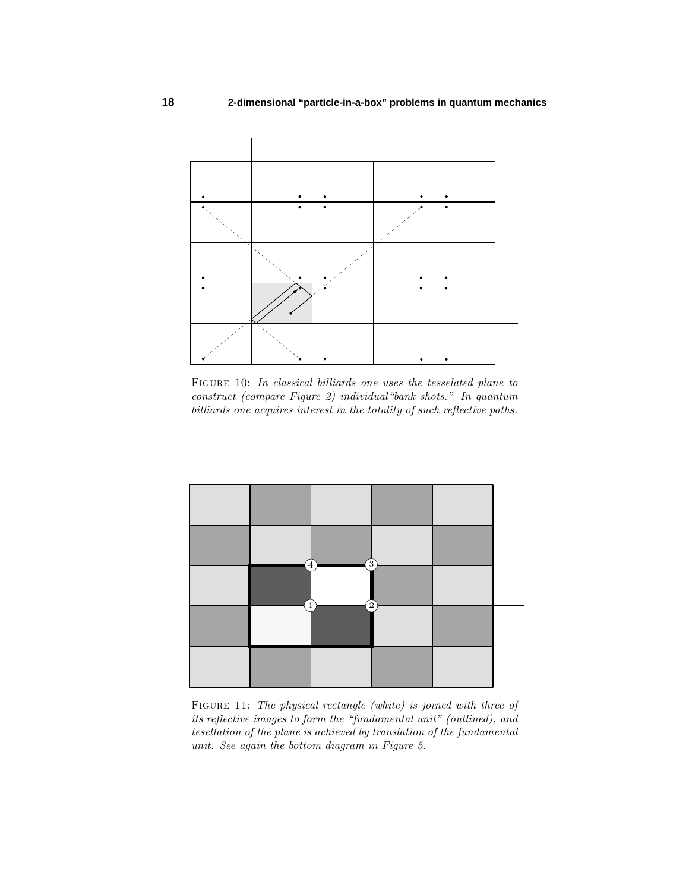

Figure 10: In classical billiards one uses the tesselated plane to construct (compare Figure 2) individual"bank shots." In quantum billiards one acquires interest in the totality of such reflective paths.



FIGURE 11: The physical rectangle (white) is joined with three of its reflective images to form the "fundamental unit" (outlined), and tesellation of the plane is achieved by translation of the fundamental unit. See again the bottom diagram in Figure 5.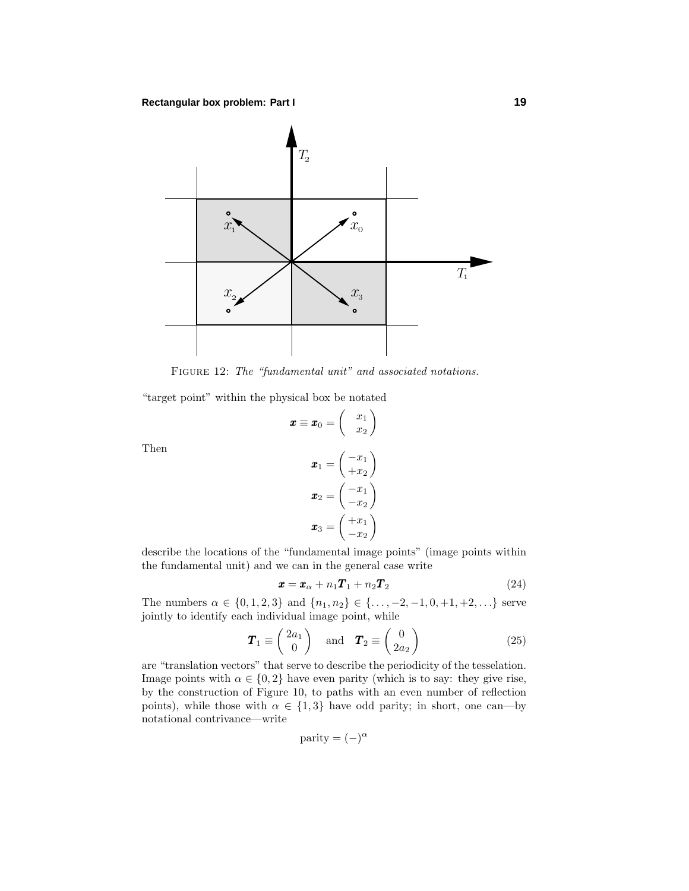

FIGURE 12: The "fundamental unit" and associated notations.

 $\boldsymbol{x} \equiv \boldsymbol{x}_0 = \begin{pmatrix} x_1 \ -x_2 \end{pmatrix}$ 

"target point" within the physical box be notated

Then

$$
\boldsymbol{x}_1 = \begin{pmatrix} -x_1 \\ +x_2 \end{pmatrix}
$$

$$
\boldsymbol{x}_2 = \begin{pmatrix} -x_1 \\ -x_2 \end{pmatrix}
$$

$$
\boldsymbol{x}_3 = \begin{pmatrix} +x_1 \\ -x_2 \end{pmatrix}
$$

*x*2  $\setminus$ 

describe the locations of the "fundamental image points" (image points within the fundamental unit) and we can in the general case write

$$
\boldsymbol{x} = \boldsymbol{x}_{\alpha} + n_1 \boldsymbol{T}_1 + n_2 \boldsymbol{T}_2 \tag{24}
$$

The numbers  $\alpha \in \{0, 1, 2, 3\}$  and  $\{n_1, n_2\} \in \{\ldots, -2, -1, 0, +1, +2, \ldots\}$  serve jointly to identify each individual image point, while

$$
\boldsymbol{T}_1 \equiv \begin{pmatrix} 2a_1 \\ 0 \end{pmatrix} \quad \text{and} \quad \boldsymbol{T}_2 \equiv \begin{pmatrix} 0 \\ 2a_2 \end{pmatrix} \tag{25}
$$

are "translation vectors" that serve to describe the periodicity of the tesselation. Image points with  $\alpha \in \{0, 2\}$  have even parity (which is to say: they give rise, by the construction of Figure 10, to paths with an even number of reflection points), while those with  $\alpha \in \{1,3\}$  have odd parity; in short, one can—by notational contrivance—write

parity = 
$$
(-)^{\alpha}
$$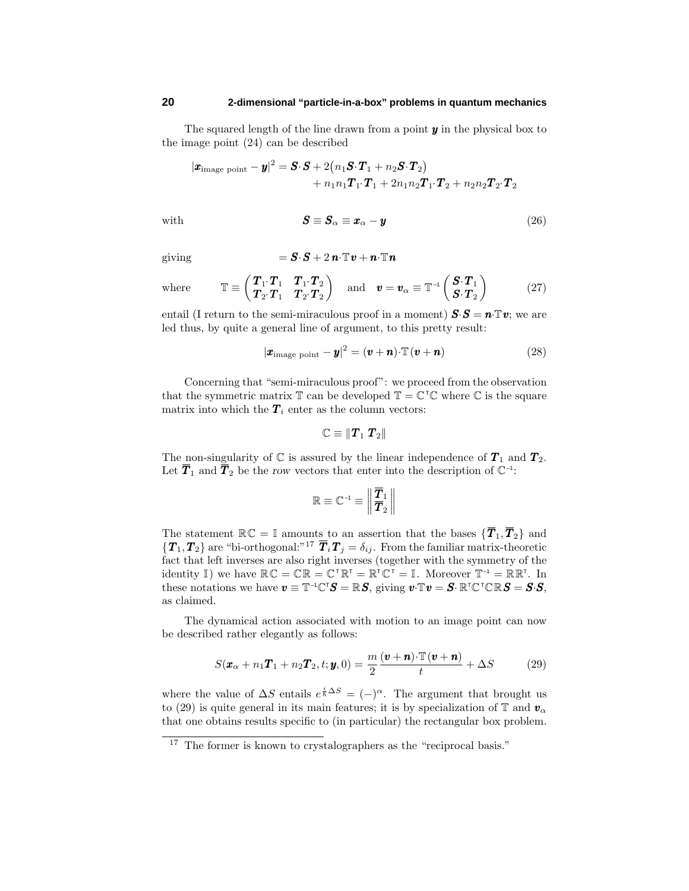The squared length of the line drawn from a point *y* in the physical box to the image point (24) can be described

$$
\begin{aligned} |\boldsymbol{x}_{\text{image point}}-\boldsymbol{y}|^2 & = \boldsymbol{S}\cdotp\boldsymbol{S} + 2\big(n_1\boldsymbol{S}\cdotp\boldsymbol{T}_1+n_2\boldsymbol{S}\cdotp\boldsymbol{T}_2\big) \\ & + n_1n_1\boldsymbol{T}_1\cdotp\boldsymbol{T}_1+ 2n_1n_2\boldsymbol{T}_1\cdotp\boldsymbol{T}_2 + n_2n_2\boldsymbol{T}_2\cdotp\boldsymbol{T}_2 \end{aligned}
$$

with 
$$
\mathbf{S} \equiv \mathbf{S}_{\alpha} \equiv \mathbf{x}_{\alpha} - \mathbf{y}
$$
 (26)

giving = *S*·*S* + 2 *n*·T*v* + *n*·T*n*

$$
=\boldsymbol{S}\cdotp\boldsymbol{S}+2\,\boldsymbol{n}\cdotp\mathbb{T}\boldsymbol{v}+\boldsymbol{n}\cdotp\mathbb{T}\boldsymbol{n}
$$

whe

$$
\mathbb{T} \equiv \begin{pmatrix} \boldsymbol{T}_1 \cdot \boldsymbol{T}_1 & \boldsymbol{T}_1 \cdot \boldsymbol{T}_2 \\ \boldsymbol{T}_2 \cdot \boldsymbol{T}_1 & \boldsymbol{T}_2 \cdot \boldsymbol{T}_2 \end{pmatrix} \quad \text{and} \quad \boldsymbol{v} = \boldsymbol{v}_{\alpha} \equiv \mathbb{T}^{-1} \begin{pmatrix} \boldsymbol{S} \cdot \boldsymbol{T}_1 \\ \boldsymbol{S} \cdot \boldsymbol{T}_2 \end{pmatrix} \tag{27}
$$

entail (I return to the semi-miraculous proof in a moment)  $\mathbf{S}\cdot\mathbf{S} = \mathbf{n}\cdot\mathbf{T}\mathbf{v}$ ; we are led thus, by quite a general line of argument, to this pretty result:

$$
|\boldsymbol{x}_{\text{image point}} - \boldsymbol{y}|^2 = (\boldsymbol{v} + \boldsymbol{n}) \cdot \mathbb{T}(\boldsymbol{v} + \boldsymbol{n}) \tag{28}
$$

Concerning that "semi-miraculous proof": we proceed from the observation that the symmetric matrix  $\mathbb{T}$  can be developed  $\mathbb{T} = \mathbb{C}^\top \mathbb{C}$  where  $\mathbb{C}$  is the square matrix into which the  $T_i$  enter as the column vectors:

$$
\mathbb{C} \equiv \|\bm{T}_1 \ \bm{T}_2\|
$$

The non-singularity of  $\mathbb C$  is assured by the linear independence of  $T_1$  and  $T_2$ . Let  $\overline{T}_1$  and  $\overline{T}_2$  be the *row* vectors that enter into the description of  $\mathbb{C}^{-1}$ :

$$
\mathbb{R} \equiv \mathbb{C}^{-1} \equiv \left\| \frac{\overline{T}_1}{\overline{T}_2} \right\|
$$

The statement  $\mathbb{R}\mathbb{C} = \mathbb{I}$  amounts to an assertion that the bases  $\{T_1, T_2\}$  and  $\{T_1, T_2\}$  are "bi-orthogonal:"<sup>17</sup>  $\overline{T}_i T_j = \delta_{ij}$ . From the familiar matrix-theoretic fact that left inverses are also right inverses (together with the symmetry of the identity I) we have  $\mathbb{RC} = \mathbb{CR} = \mathbb{C}^\top \mathbb{R}^\top = \mathbb{R}^\top \mathbb{C}^\top = \mathbb{I}$ . Moreover  $\mathbb{T}^{-1} = \mathbb{RR}^\top$ . In these notations we have  $v \equiv \mathbb{T}^{-1} \mathbb{C}^{\mathsf{T}} S = \mathbb{R} S$ , giving  $v \cdot \mathbb{T} v = S \cdot \mathbb{R}^{\mathsf{T}} \mathbb{C}^{\mathsf{T}} \mathbb{C} \mathbb{R} S = S \cdot S$ , as claimed.

The dynamical action associated with motion to an image point can now be described rather elegantly as follows:

$$
S(\boldsymbol{x}_{\alpha} + n_1 \boldsymbol{T}_1 + n_2 \boldsymbol{T}_2, t; \boldsymbol{y}, 0) = \frac{m}{2} \frac{(\boldsymbol{v} + \boldsymbol{n}) \cdot \mathbb{T}(\boldsymbol{v} + \boldsymbol{n})}{t} + \Delta S \tag{29}
$$

where the value of  $\Delta S$  entails  $e^{\frac{i}{\hbar}\Delta S} = (-)^{\alpha}$ . The argument that brought us to (29) is quite general in its main features; it is by specialization of  $\mathbb{T}$  and  $\mathbf{v}_{\alpha}$ that one obtains results specific to (in particular) the rectangular box problem.

<sup>&</sup>lt;sup>17</sup> The former is known to crystalographers as the "reciprocal basis."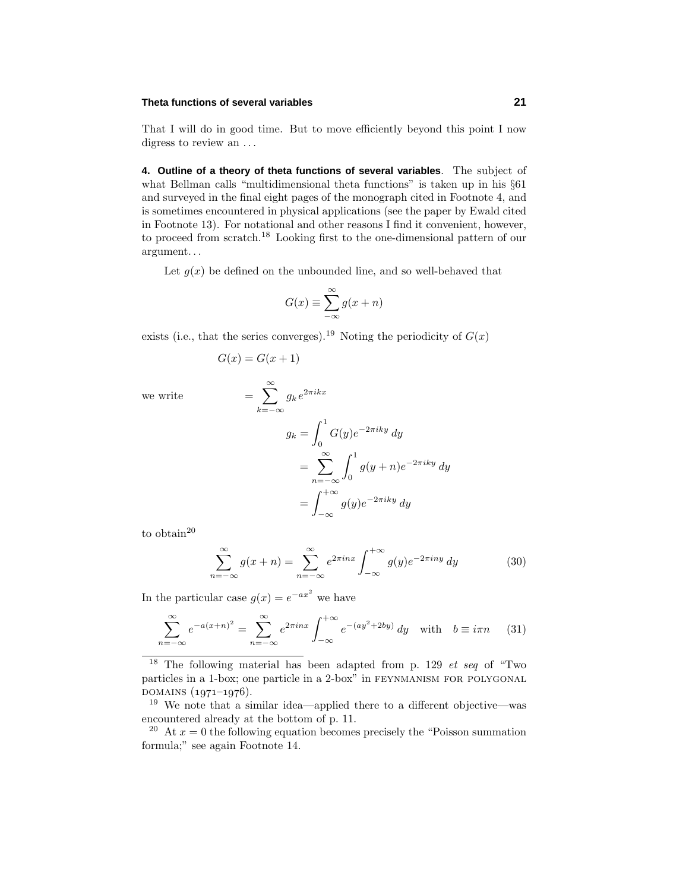## **Theta functions of several variables 21**

That I will do in good time. But to move efficiently beyond this point I now digress to review an *...*

**4. Outline of a theory of theta functions of several variables**. The subject of what Bellman calls "multidimensional theta functions" is taken up in his  $\S61$ and surveyed in the final eight pages of the monograph cited in Footnote 4, and is sometimes encountered in physical applications (see the paper by Ewald cited in Footnote 13). For notational and other reasons I find it convenient, however, to proceed from scratch.<sup>18</sup> Looking first to the one-dimensional pattern of our argument*...*

Let  $g(x)$  be defined on the unbounded line, and so well-behaved that

$$
G(x) \equiv \sum_{-\infty}^{\infty} g(x+n)
$$

exists (i.e., that the series converges).<sup>19</sup> Noting the periodicity of  $G(x)$ 

$$
G(x) = G(x+1)
$$

we write  $=$   $\sum_{n=1}^{\infty}$ 

$$
\sum_{k=-\infty} g_k e^{2\pi i kx}
$$
  

$$
g_k = \int_0^1 G(y)e^{-2\pi i ky} dy
$$
  

$$
= \sum_{n=-\infty}^{\infty} \int_0^1 g(y+n)e^{-2\pi i ky} dy
$$
  

$$
= \int_{-\infty}^{+\infty} g(y)e^{-2\pi i ky} dy
$$

to obtain<sup>20</sup>

$$
\sum_{n=-\infty}^{\infty} g(x+n) = \sum_{n=-\infty}^{\infty} e^{2\pi i n x} \int_{-\infty}^{+\infty} g(y)e^{-2\pi i n y} dy \tag{30}
$$

In the particular case  $g(x) = e^{-ax^2}$  we have

$$
\sum_{n=-\infty}^{\infty} e^{-a(x+n)^2} = \sum_{n=-\infty}^{\infty} e^{2\pi i n x} \int_{-\infty}^{+\infty} e^{-(ay^2+2by)} dy \quad \text{with} \quad b \equiv i\pi n \tag{31}
$$

<sup>&</sup>lt;sup>18</sup> The following material has been adapted from p. 129 *et seq* of "Two" particles in a 1-box; one particle in a 2-box" in feynmanism for polygonal .<br>DOMAINS (1971–1976).

<sup>19</sup> We note that a similar idea—applied there to a different objective—was encountered already at the bottom of p. 11.

<sup>&</sup>lt;sup>20</sup> At  $x = 0$  the following equation becomes precisely the "Poisson summation" formula;" see again Footnote 14.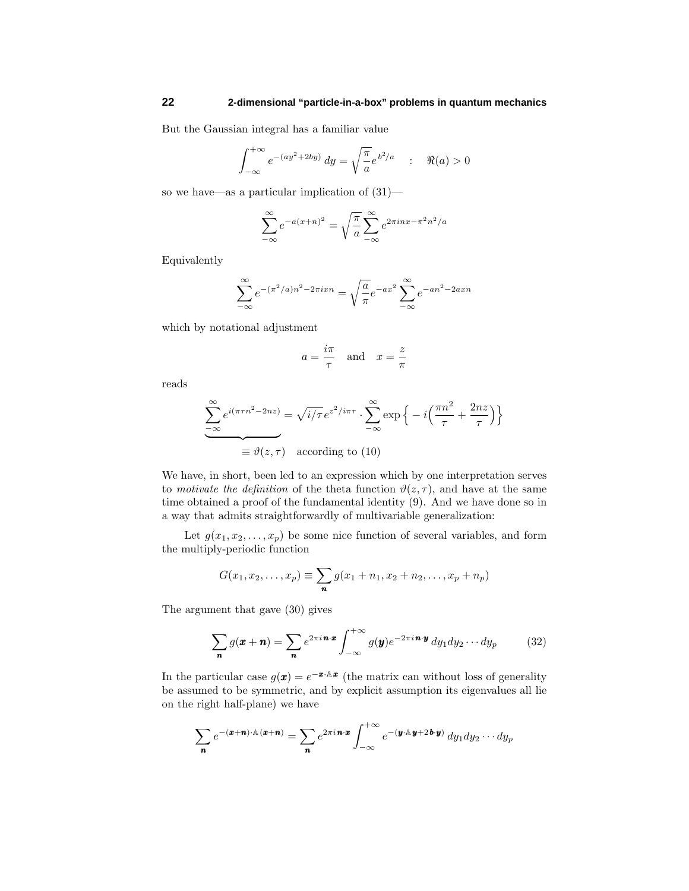But the Gaussian integral has a familiar value

$$
\int_{-\infty}^{+\infty} e^{-(ay^2+2by)} dy = \sqrt{\frac{\pi}{a}} e^{b^2/a} \quad : \quad \Re(a) > 0
$$

so we have—as a particular implication of (31)—

$$
\sum_{-\infty}^{\infty} e^{-a(x+n)^2} = \sqrt{\frac{\pi}{a}} \sum_{-\infty}^{\infty} e^{2\pi inx - \pi^2 n^2/a}
$$

Equivalently

$$
\sum_{-\infty}^{\infty} e^{-(\pi^2/a)n^2 - 2\pi ixn} = \sqrt{\frac{a}{\pi}} e^{-ax^2} \sum_{-\infty}^{\infty} e^{-an^2 - 2axn}
$$

which by notational adjustment

$$
a = \frac{i\pi}{\tau}
$$
 and  $x = \frac{z}{\pi}$ 

reads

$$
\sum_{-\infty}^{\infty} e^{i(\pi \tau n^2 - 2nz)} = \sqrt{i/\tau} e^{z^2/i\pi\tau} \cdot \sum_{-\infty}^{\infty} \exp\left\{-i\left(\frac{\pi n^2}{\tau} + \frac{2nz}{\tau}\right)\right\}
$$

$$
\equiv \vartheta(z, \tau) \quad \text{according to (10)}
$$

We have, in short, been led to an expression which by one interpretation serves to *motivate the definition* of the theta function  $\vartheta(z, \tau)$ , and have at the same time obtained a proof of the fundamental identity (9). And we have done so in a way that admits straightforwardly of multivariable generalization:

Let  $g(x_1, x_2, \ldots, x_p)$  be some nice function of several variables, and form the multiply-periodic function

$$
G(x_1, x_2, \dots, x_p) \equiv \sum_{\mathbf{n}} g(x_1 + n_1, x_2 + n_2, \dots, x_p + n_p)
$$

The argument that gave (30) gives

$$
\sum_{\mathbf{n}} g(\mathbf{x} + \mathbf{n}) = \sum_{\mathbf{n}} e^{2\pi i \mathbf{n} \cdot \mathbf{x}} \int_{-\infty}^{+\infty} g(\mathbf{y}) e^{-2\pi i \mathbf{n} \cdot \mathbf{y}} dy_1 dy_2 \cdots dy_p \qquad (32)
$$

In the particular case  $g(\mathbf{x}) = e^{-\mathbf{x} \cdot \mathbf{A} \cdot \mathbf{x}}$  (the matrix can without loss of generality be assumed to be symmetric, and by explicit assumption its eigenvalues all lie on the right half-plane) we have

$$
\sum_{\mathbf{n}} e^{-(\mathbf{x}+\mathbf{n})\cdot\mathbb{A}(\mathbf{x}+\mathbf{n})} = \sum_{\mathbf{n}} e^{2\pi i \mathbf{n}\cdot\mathbf{x}} \int_{-\infty}^{+\infty} e^{-(\mathbf{y}\cdot\mathbb{A}\mathbf{y}+2\mathbf{b}\cdot\mathbf{y})} dy_1 dy_2 \cdots dy_p
$$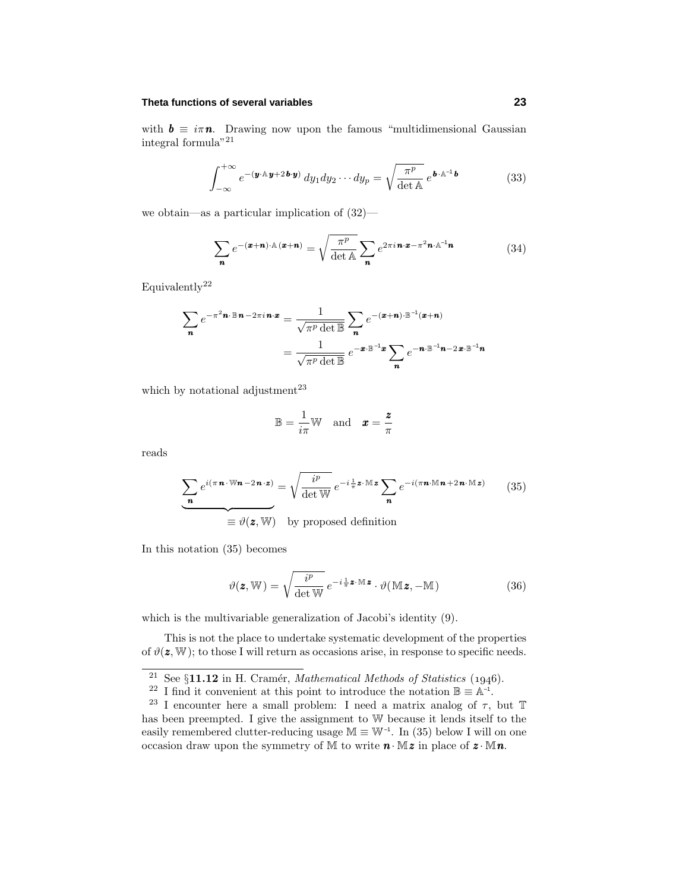## **Theta functions of several variables 23**

with  $\mathbf{b} \equiv i\pi \mathbf{n}$ . Drawing now upon the famous "multidimensional Gaussian integral formula"<br/>  $\rm ^{21}$ 

$$
\int_{-\infty}^{+\infty} e^{-(\boldsymbol{y}\cdot\mathbf{A}\boldsymbol{y}+2\boldsymbol{b}\cdot\boldsymbol{y})} dy_1 dy_2 \cdots dy_p = \sqrt{\frac{\pi^p}{\det A}} e^{\boldsymbol{b}\cdot\mathbf{A}^{-1}\boldsymbol{b}}
$$
(33)

we obtain—as a particular implication of (32)—

$$
\sum_{\mathbf{n}} e^{-(\mathbf{x}+\mathbf{n}) \cdot \mathbb{A}(\mathbf{x}+\mathbf{n})} = \sqrt{\frac{\pi^p}{\det \mathbb{A}}} \sum_{\mathbf{n}} e^{2\pi i \mathbf{n} \cdot \mathbf{x} - \pi^2 \mathbf{n} \cdot \mathbb{A}^{-1} \mathbf{n}}
$$
(34)

Equivalently<sup>22</sup>

$$
\sum_{\mathbf{n}} e^{-\pi^2 \mathbf{n} \cdot \mathbb{B} \cdot \mathbf{n} - 2\pi i \mathbf{n} \cdot \mathbf{x}} = \frac{1}{\sqrt{\pi^p \det \mathbb{B}}} \sum_{\mathbf{n}} e^{-(\mathbf{x} + \mathbf{n}) \cdot \mathbb{B}^{-1}(\mathbf{x} + \mathbf{n})}
$$

$$
= \frac{1}{\sqrt{\pi^p \det \mathbb{B}}} e^{-\mathbf{x} \cdot \mathbb{B}^{-1} \mathbf{x}} \sum_{\mathbf{n}} e^{-\mathbf{n} \cdot \mathbb{B}^{-1} \mathbf{n} - 2\mathbf{x} \cdot \mathbb{B}^{-1} \mathbf{n}}
$$

which by notational adjustment $^{23}$ 

$$
\mathbb{B} = \frac{1}{i\pi} \mathbb{W} \quad \text{and} \quad \pmb{x} = \frac{\pmb{z}}{\pi}
$$

reads

$$
\sum_{n} e^{i(\pi n \cdot Wn - 2n \cdot z)} = \sqrt{\frac{i^p}{\det W}} e^{-i \frac{1}{\pi} z \cdot Mz} \sum_{n} e^{-i(\pi n \cdot Mn + 2n \cdot Mz)} \qquad (35)
$$

$$
\equiv \vartheta(z, W) \quad \text{by proposed definition}
$$

In this notation (35) becomes

$$
\vartheta(\mathbf{z}, \mathbb{W}) = \sqrt{\frac{i^p}{\det \mathbb{W}}} e^{-i\frac{1}{\pi}\mathbf{z} \cdot \mathbb{M}\mathbf{z}} \cdot \vartheta(\mathbb{M}\mathbf{z}, -\mathbb{M})
$$
(36)

which is the multivariable generalization of Jacobi's identity (9).

This is not the place to undertake systematic development of the properties of  $\vartheta(\mathbf{z}, \mathbb{W})$ ; to those I will return as occasions arise, in response to specific needs.

<sup>&</sup>lt;sup>21</sup> See §**11.12** in H. Cramér, Mathematical Methods of Statistics (1946).

<sup>&</sup>lt;sup>22</sup> I find it convenient at this point to introduce the notation  $\mathbb{B} \equiv \mathbb{A}^{-1}$ .

<sup>&</sup>lt;sup>23</sup> I encounter here a small problem: I need a matrix analog of  $\tau$ , but T has been preempted. I give the assignment to W because it lends itself to the easily remembered clutter-reducing usage  $M \equiv W^{-1}$ . In (35) below I will on one occasion draw upon the symmetry of  $M$  to write  $n \cdot Mz$  in place of  $z \cdot Mn$ .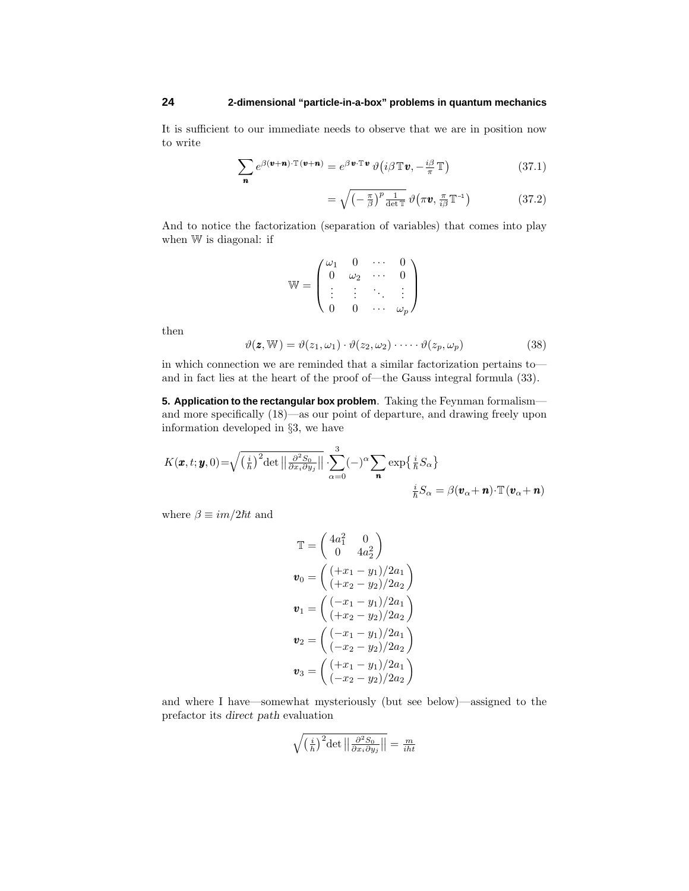It is sufficient to our immediate needs to observe that we are in position now to write

$$
\sum_{\mathbf{n}} e^{\beta(\mathbf{v}+\mathbf{n}) \cdot \mathbb{T}(\mathbf{v}+\mathbf{n})} = e^{\beta \mathbf{v} \cdot \mathbb{T} \mathbf{v}} \vartheta \big( i\beta \mathbb{T} \mathbf{v}, -\frac{i\beta}{\pi} \mathbb{T} \big)
$$
(37.1)

$$
= \sqrt{\left(-\frac{\pi}{\beta}\right)^p \frac{1}{\det \mathbb{T}}} \,\vartheta\big(\pi \boldsymbol{v}, \frac{\pi}{i\beta} \mathbb{T}^{-1}\big) \tag{37.2}
$$

And to notice the factorization (separation of variables) that comes into play when W is diagonal: if

$$
\mathbb{W} = \begin{pmatrix} \omega_1 & 0 & \cdots & 0 \\ 0 & \omega_2 & \cdots & 0 \\ \vdots & \vdots & \ddots & \vdots \\ 0 & 0 & \cdots & \omega_p \end{pmatrix}
$$

then

$$
\vartheta(\mathbf{z}, \mathbb{W}) = \vartheta(z_1, \omega_1) \cdot \vartheta(z_2, \omega_2) \cdot \dots \cdot \vartheta(z_p, \omega_p)
$$
\n(38)

in which connection we are reminded that a similar factorization pertains to and in fact lies at the heart of the proof of—the Gauss integral formula (33).

**5. Application to the rectangular box problem**. Taking the Feynman formalism and more specifically (18)—as our point of departure, and drawing freely upon information developed in §3, we have

$$
K(\boldsymbol{x}, t; \boldsymbol{y}, 0) = \sqrt{\left(\frac{i}{\hbar}\right)^2 \det \left\| \frac{\partial^2 S_0}{\partial x_i \partial y_j} \right\|} \cdot \sum_{\alpha=0}^3 (-)^{\alpha} \sum_{\boldsymbol{n}} \exp\left\{ \frac{i}{\hbar} S_\alpha \right\}
$$

$$
\frac{i}{\hbar} S_\alpha = \beta(\boldsymbol{v}_\alpha + \boldsymbol{n}) \cdot \mathbb{T}(\boldsymbol{v}_\alpha + \boldsymbol{n})
$$

where  $\beta \equiv im/2\hbar t$  and

$$
\mathbb{T} = \begin{pmatrix} 4a_1^2 & 0 \\ 0 & 4a_2^2 \end{pmatrix}
$$
  
\n
$$
\mathbf{v}_0 = \begin{pmatrix} (+x_1 - y_1)/2a_1 \\ (+x_2 - y_2)/2a_2 \end{pmatrix}
$$
  
\n
$$
\mathbf{v}_1 = \begin{pmatrix} (-x_1 - y_1)/2a_1 \\ (+x_2 - y_2)/2a_2 \end{pmatrix}
$$
  
\n
$$
\mathbf{v}_2 = \begin{pmatrix} (-x_1 - y_1)/2a_1 \\ (-x_2 - y_2)/2a_2 \end{pmatrix}
$$
  
\n
$$
\mathbf{v}_3 = \begin{pmatrix} (+x_1 - y_1)/2a_1 \\ (-x_2 - y_2)/2a_2 \end{pmatrix}
$$

and where I have—somewhat mysteriously (but see below)—assigned to the prefactor its *direct path* evaluation

$$
\sqrt{\left(\frac{i}{h}\right)^2 \det \left\|\frac{\partial^2 S_0}{\partial x_i \partial y_j}\right\|} = \frac{m}{iht}
$$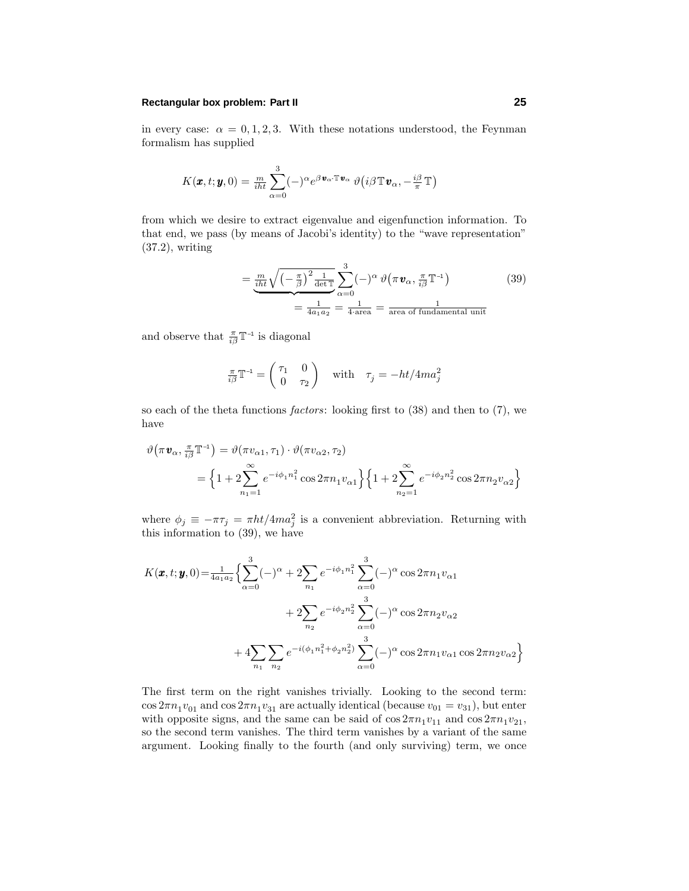## **Rectangular box problem: Part II 25**

in every case:  $\alpha = 0, 1, 2, 3$ . With these notations understood, the Feynman formalism has supplied

$$
K(\pmb{x},t;\pmb{y},0)=\frac{m}{i\hbar t}\sum_{\alpha=0}^3(-)^{\alpha}e^{\beta\pmb{v}_{\alpha}\cdot\mathbb{T}\pmb{v}_{\alpha}}\vartheta\big(i\beta\mathbb{T}\pmb{v}_{\alpha},-\frac{i\beta}{\pi}\mathbb{T}\big)
$$

from which we desire to extract eigenvalue and eigenfunction information. To that end, we pass (by means of Jacobi's identity) to the "wave representation" (37.2), writing

$$
= \underbrace{\frac{m}{i\hbar t}\sqrt{\left(-\frac{\pi}{\beta}\right)^2\frac{1}{\det\mathbb{T}}}}_{=\frac{1}{4a_1a_2}} \sum_{\alpha=0}^3 (-)^{\alpha} \vartheta\left(\pi \mathbf{v}_{\alpha}, \frac{\pi}{i\beta} \mathbb{T}^{-1}\right)
$$
(39)  

$$
= \frac{1}{4a_1a_2} = \frac{1}{4\operatorname{area}} = \frac{1}{\operatorname{area of fundamental unit}}
$$

and observe that  $\frac{\pi}{i\beta}T^{-1}$  is diagonal

$$
\frac{\pi}{i\beta}\mathbb{T}^{-1} = \begin{pmatrix} \tau_1 & 0\\ 0 & \tau_2 \end{pmatrix} \quad \text{with} \quad \tau_j = -\frac{ht}{4ma_j^2}
$$

so each of the theta functions *factors*: looking first to  $(38)$  and then to  $(7)$ , we have

$$
\vartheta(\pi \mathbf{v}_{\alpha}, \frac{\pi}{i\beta} \mathbb{T}^{-1}) = \vartheta(\pi v_{\alpha 1}, \tau_1) \cdot \vartheta(\pi v_{\alpha 2}, \tau_2)
$$
  
=  $\left\{ 1 + 2 \sum_{n_1=1}^{\infty} e^{-i\phi_1 n_1^2} \cos 2\pi n_1 v_{\alpha 1} \right\} \left\{ 1 + 2 \sum_{n_2=1}^{\infty} e^{-i\phi_2 n_2^2} \cos 2\pi n_2 v_{\alpha 2} \right\}$ 

where  $\phi_j \equiv -\pi \tau_j = \pi \frac{h t}{4m a_j^2}$  is a convenient abbreviation. Returning with this information to (39), we have

$$
K(\boldsymbol{x},t;\boldsymbol{y},0) = \frac{1}{4a_1a_2} \Big\{ \sum_{\alpha=0}^{3} (-)^{\alpha} + 2 \sum_{n_1} e^{-i\phi_1 n_1^2} \sum_{\alpha=0}^{3} (-)^{\alpha} \cos 2\pi n_1 v_{\alpha 1} + 2 \sum_{n_2} e^{-i\phi_2 n_2^2} \sum_{\alpha=0}^{3} (-)^{\alpha} \cos 2\pi n_2 v_{\alpha 2} + 4 \sum_{n_1} \sum_{n_2} e^{-i(\phi_1 n_1^2 + \phi_2 n_2^2)} \sum_{\alpha=0}^{3} (-)^{\alpha} \cos 2\pi n_1 v_{\alpha 1} \cos 2\pi n_2 v_{\alpha 2} \Big\}
$$

The first term on the right vanishes trivially. Looking to the second term:  $\cos 2\pi n_1 v_{01}$  and  $\cos 2\pi n_1 v_{31}$  are actually identical (because  $v_{01} = v_{31}$ ), but enter with opposite signs, and the same can be said of  $\cos 2\pi n_1 v_{11}$  and  $\cos 2\pi n_1 v_{21}$ , so the second term vanishes. The third term vanishes by a variant of the same argument. Looking finally to the fourth (and only surviving) term, we once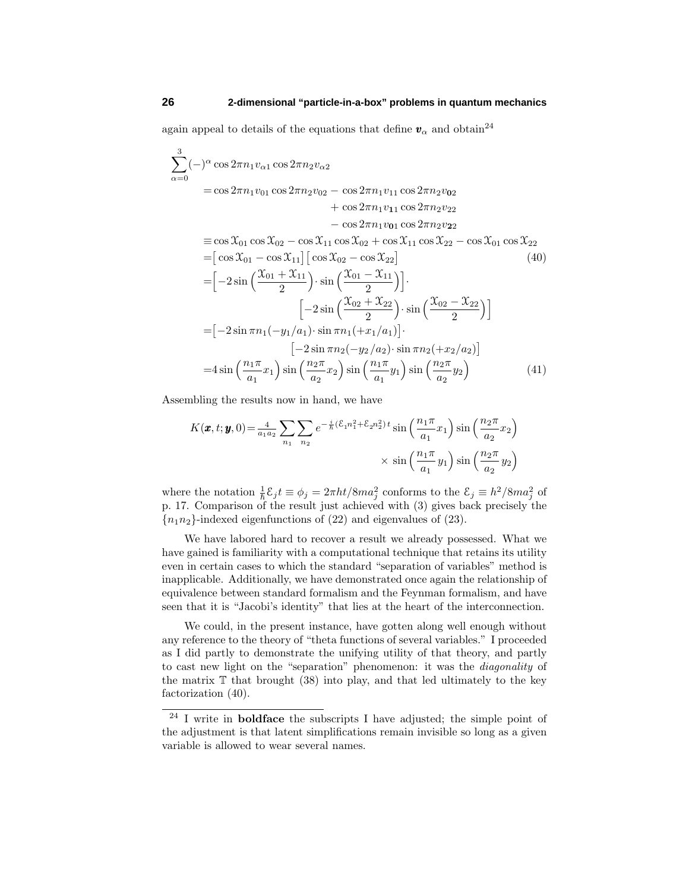again appeal to details of the equations that define  $v_\alpha$  and obtain<sup>24</sup>

$$
\sum_{\alpha=0}^{3} (-)^{\alpha} \cos 2\pi n_1 v_{\alpha 1} \cos 2\pi n_2 v_{\alpha 2} \n= \cos 2\pi n_1 v_{01} \cos 2\pi n_2 v_{02} - \cos 2\pi n_1 v_{11} \cos 2\pi n_2 v_{02} \n+ \cos 2\pi n_1 v_{11} \cos 2\pi n_2 v_{22} \n- \cos 2\pi n_1 v_{01} \cos 2\pi n_2 v_{22} \n= \cos X_{01} \cos X_{02} - \cos X_{11} \cos X_{02} + \cos X_{11} \cos X_{22} - \cos X_{01} \cos X_{22} \n= [\cos X_{01} - \cos X_{11}] [\cos X_{02} - \cos X_{22}] \qquad (40) \n= [-2 \sin \left( \frac{X_{01} + X_{11}}{2} \right) \cdot \sin \left( \frac{X_{01} - X_{11}}{2} \right)]. \n\qquad \qquad [-2 \sin \left( \frac{X_{02} + X_{22}}{2} \right) \cdot \sin \left( \frac{X_{02} - X_{22}}{2} \right)] \n= [-2 \sin \pi n_1 (-y_1/a_1) \cdot \sin \pi n_1 (+x_1/a_1)]. \n\qquad \qquad [-2 \sin \pi n_2 (-y_2/a_2) \cdot \sin \pi n_2 (+x_2/a_2)] \n= 4 \sin \left( \frac{n_1 \pi}{a_1} x_1 \right) \sin \left( \frac{n_2 \pi}{a_2} x_2 \right) \sin \left( \frac{n_1 \pi}{a_1} y_1 \right) \sin \left( \frac{n_2 \pi}{a_2} y_2 \right) \qquad (41)
$$

Assembling the results now in hand, we have

 $\frac{1}{c}$ 

$$
K(\mathbf{x}, t; \mathbf{y}, 0) = \frac{4}{a_1 a_2} \sum_{n_1} \sum_{n_2} e^{-\frac{i}{\hbar} (\mathcal{E}_1 n_1^2 + \mathcal{E}_2 n_2^2) t} \sin\left(\frac{n_1 \pi}{a_1} x_1\right) \sin\left(\frac{n_2 \pi}{a_2} x_2\right) \times \sin\left(\frac{n_1 \pi}{a_1} y_1\right) \sin\left(\frac{n_2 \pi}{a_2} y_2\right)
$$

where the notation  $\frac{1}{\hbar} \mathcal{E}_j t \equiv \phi_j = 2\pi \frac{ht}{8ma_j^2}$  conforms to the  $\mathcal{E}_j \equiv \frac{h^2}{8ma_j^2}$  of p. 17. Comparison of the result just achieved with (3) gives back precisely the  ${n_1n_2}$ -indexed eigenfunctions of  $(22)$  and eigenvalues of  $(23)$ .

We have labored hard to recover a result we already possessed. What we have gained is familiarity with a computational technique that retains its utility even in certain cases to which the standard "separation of variables" method is inapplicable. Additionally, we have demonstrated once again the relationship of equivalence between standard formalism and the Feynman formalism, and have seen that it is "Jacobi's identity" that lies at the heart of the interconnection.

We could, in the present instance, have gotten along well enough without any reference to the theory of "theta functions of several variables." I proceeded as I did partly to demonstrate the unifying utility of that theory, and partly to cast new light on the "separation" phenomenon: it was the diagonality of the matrix  $\mathbb T$  that brought (38) into play, and that led ultimately to the key factorization (40).

<sup>24</sup> I write in **boldface** the subscripts I have adjusted; the simple point of the adjustment is that latent simplifications remain invisible so long as a given variable is allowed to wear several names.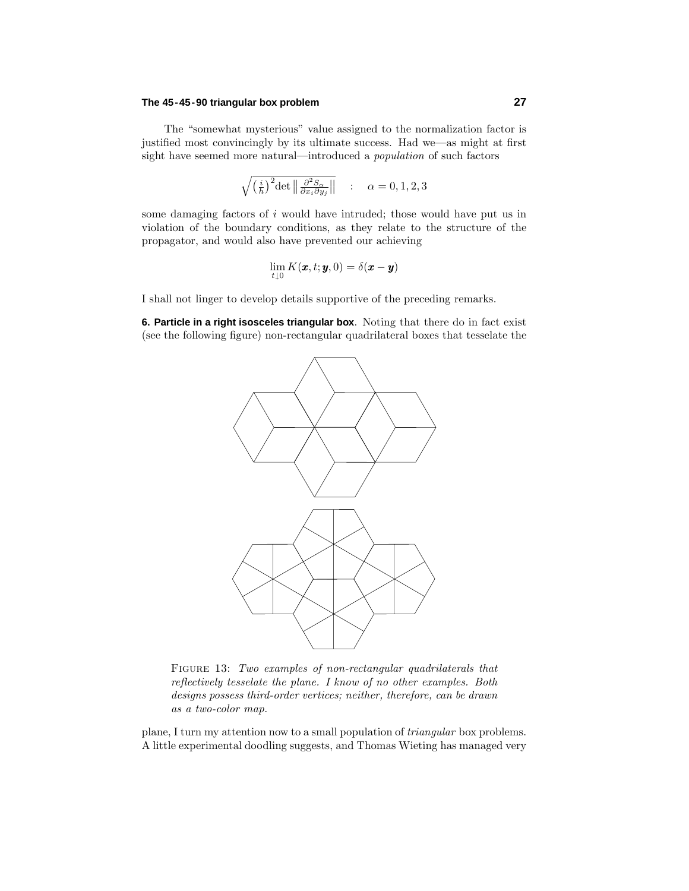## **The 45-45-90 triangular box problem 27**

The "somewhat mysterious" value assigned to the normalization factor is justified most convincingly by its ultimate success. Had we—as might at first sight have seemed more natural—introduced a population of such factors

$$
\sqrt{\left(\frac{i}{h}\right)^2 \det \left\|\frac{\partial^2 S_{\alpha}}{\partial x_i \partial y_j}\right\|} \quad : \quad \alpha = 0, 1, 2, 3
$$

some damaging factors of *i* would have intruded; those would have put us in violation of the boundary conditions, as they relate to the structure of the propagator, and would also have prevented our achieving

$$
\lim_{t\downarrow 0} K(\pmb{x},t;\pmb{y},0)=\delta(\pmb{x}-\pmb{y})
$$

I shall not linger to develop details supportive of the preceding remarks.

**6. Particle in a right isosceles triangular box**. Noting that there do in fact exist (see the following figure) non-rectangular quadrilateral boxes that tesselate the



FIGURE 13: Two examples of non-rectangular quadrilaterals that reflectively tesselate the plane. I know of no other examples. Both designs possess third-order vertices; neither, therefore, can be drawn as a two-color map.

plane, I turn my attention now to a small population of triangular box problems. A little experimental doodling suggests, and Thomas Wieting has managed very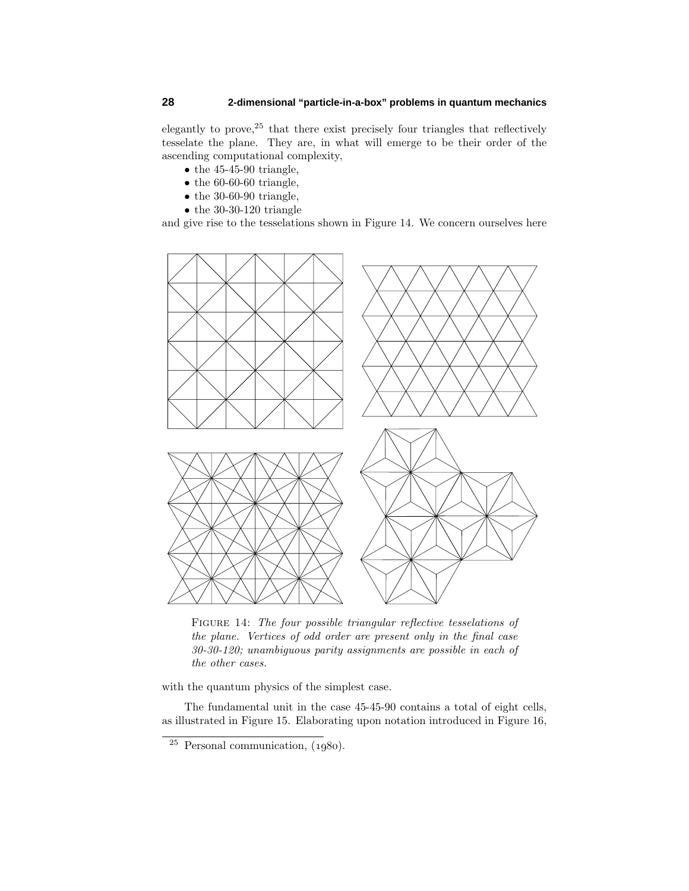elegantly to prove,  $25$  that there exist precisely four triangles that reflectively tesselate the plane. They are, in what will emerge to be their order of the ascending computational complexity,

- $\bullet$  the 45-45-90 triangle,
- $\bullet$  the 60-60-60 triangle,
- $\bullet$  the 30-60-90 triangle,
- $\bullet$  the 30-30-120 triangle

and give rise to the tesselations shown in Figure 14. We concern ourselves here



FIGURE 14: The four possible triangular reflective tesselations of the plane. Vertices of odd order are present only in the final case 30-30-120; unambiguous parity assignments are possible in each of the other cases.

with the quantum physics of the simplest case.

The fundamental unit in the case 45-45-90 contains a total of eight cells, as illustrated in Figure 15. Elaborating upon notation introduced in Figure 16,

 $\overline{^{25}}$  Personal communication, (1980).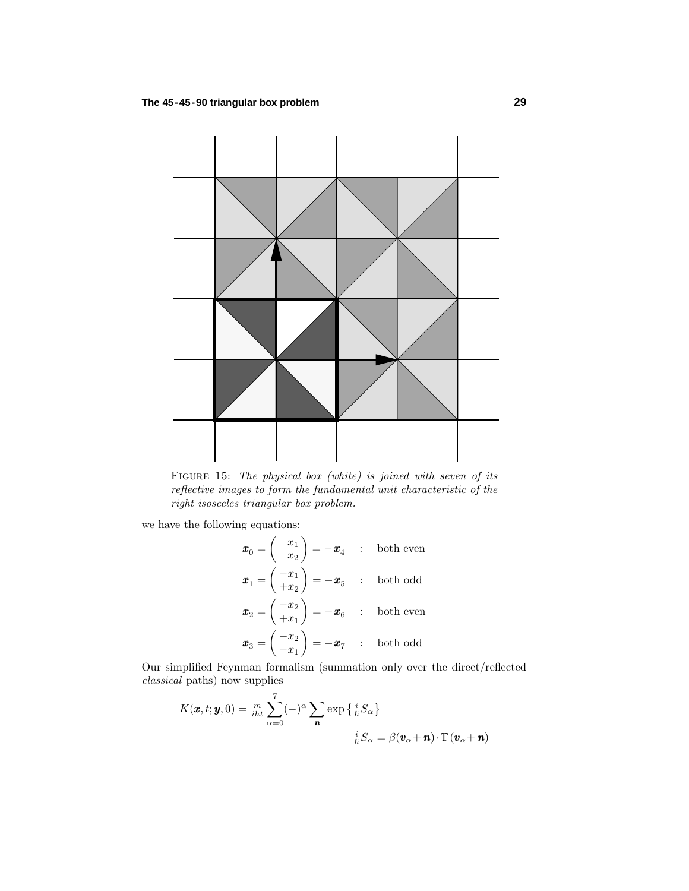

FIGURE 15: The physical box (white) is joined with seven of its reflective images to form the fundamental unit characteristic of the right isosceles triangular box problem.

we have the following equations:

$$
\mathbf{x}_0 = \begin{pmatrix} x_1 \\ x_2 \end{pmatrix} = -\mathbf{x}_4 \quad : \quad \text{both even}
$$
\n
$$
\mathbf{x}_1 = \begin{pmatrix} -x_1 \\ +x_2 \end{pmatrix} = -\mathbf{x}_5 \quad : \quad \text{both odd}
$$
\n
$$
\mathbf{x}_2 = \begin{pmatrix} -x_2 \\ +x_1 \end{pmatrix} = -\mathbf{x}_6 \quad : \quad \text{both even}
$$
\n
$$
\mathbf{x}_3 = \begin{pmatrix} -x_2 \\ -x_1 \end{pmatrix} = -\mathbf{x}_7 \quad : \quad \text{both odd}
$$

Our simplified Feynman formalism (summation only over the direct/reflected classical paths) now supplies

$$
K(\boldsymbol{x}, t; \boldsymbol{y}, 0) = \frac{m}{i\hbar t} \sum_{\alpha=0}^{7} (-)^{\alpha} \sum_{\boldsymbol{n}} \exp\left\{\frac{i}{\hbar} S_{\alpha}\right\}
$$

$$
\frac{i}{\hbar} S_{\alpha} = \beta(\boldsymbol{v}_{\alpha} + \boldsymbol{n}) \cdot \mathbb{T}(\boldsymbol{v}_{\alpha} + \boldsymbol{n})
$$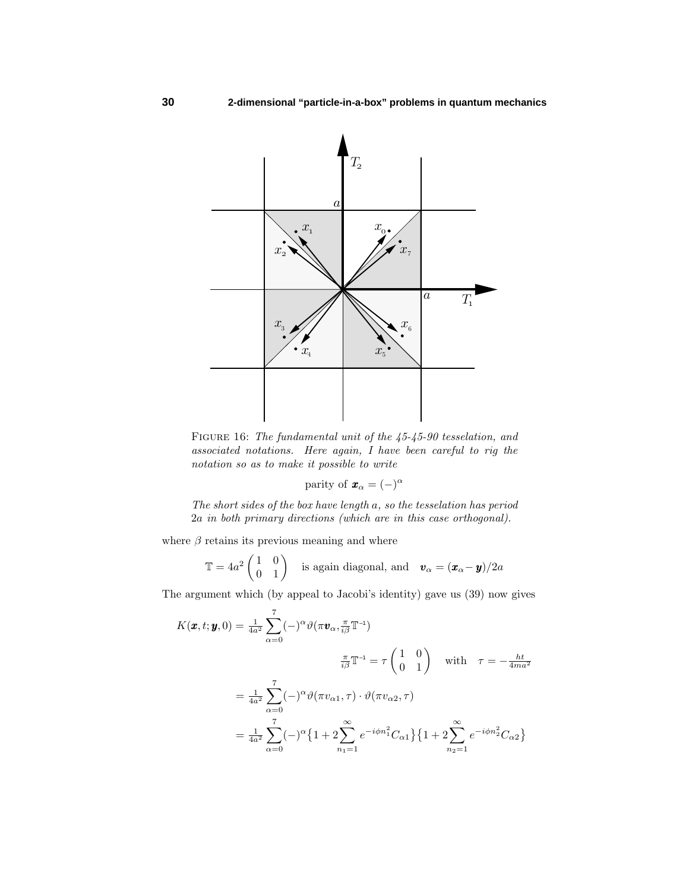

FIGURE 16: The fundamental unit of the  $45-45-90$  tesselation, and associated notations. Here again, I have been careful to rig the notation so as to make it possible to write

parity of  $\mathbf{x}_{\alpha} = (-)^{\alpha}$ 

The short sides of the box have length *a*, so the tesselation has period 2*a* in both primary directions (which are in this case orthogonal).

where  $\beta$  retains its previous meaning and where

$$
\mathbb{T} = 4a^2 \begin{pmatrix} 1 & 0 \\ 0 & 1 \end{pmatrix}
$$
 is again diagonal, and  $\mathbf{v}_{\alpha} = (\mathbf{x}_{\alpha} - \mathbf{y})/2a$ 

The argument which (by appeal to Jacobi's identity) gave us (39) now gives

$$
K(\boldsymbol{x}, t; \boldsymbol{y}, 0) = \frac{1}{4a^2} \sum_{\alpha=0}^{7} (-)^{\alpha} \vartheta (\pi \boldsymbol{v}_{\alpha}, \frac{\pi}{i\beta} \mathbb{T}^{-1})
$$
  

$$
\frac{\pi}{i\beta} \mathbb{T}^{-1} = \tau \begin{pmatrix} 1 & 0 \\ 0 & 1 \end{pmatrix} \quad \text{with} \quad \tau = -\frac{ht}{4ma^2}
$$
  

$$
= \frac{1}{4a^2} \sum_{\alpha=0}^{7} (-)^{\alpha} \vartheta (\pi v_{\alpha 1}, \tau) \cdot \vartheta (\pi v_{\alpha 2}, \tau)
$$
  

$$
= \frac{1}{4a^2} \sum_{\alpha=0}^{7} (-)^{\alpha} \left\{ 1 + 2 \sum_{n_1=1}^{\infty} e^{-i\phi n_1^2} C_{\alpha 1} \right\} \left\{ 1 + 2 \sum_{n_2=1}^{\infty} e^{-i\phi n_2^2} C_{\alpha 2} \right\}
$$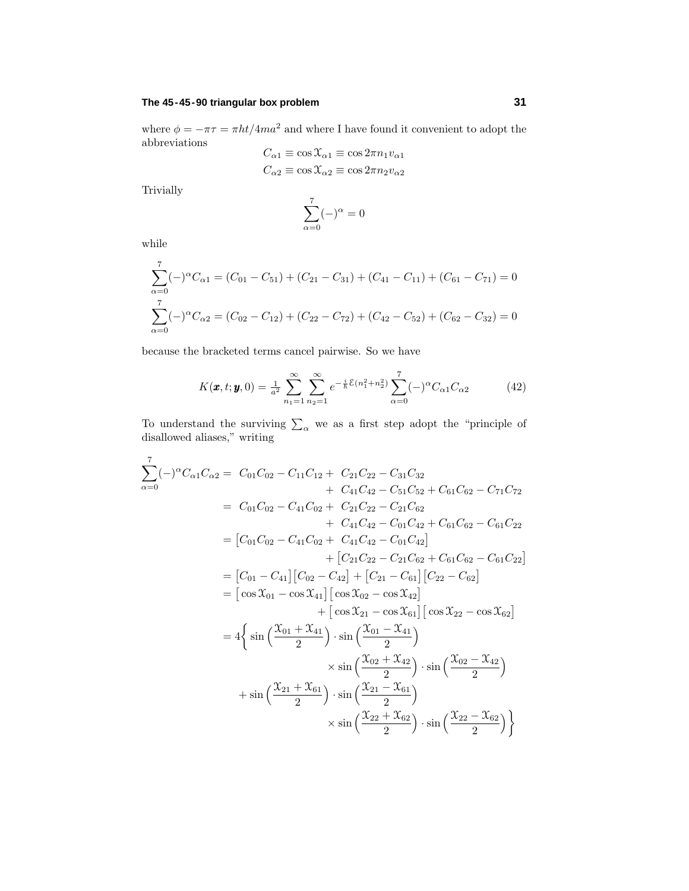## **The 45-45-90 triangular box problem 31**

where  $\phi = -\pi\tau = \pi \frac{ht}{4ma^2}$  and where I have found it convenient to adopt the abbreviations

$$
C_{\alpha 1} \equiv \cos \mathcal{X}_{\alpha 1} \equiv \cos 2\pi n_1 v_{\alpha 1}
$$

$$
C_{\alpha 2} \equiv \cos \mathcal{X}_{\alpha 2} \equiv \cos 2\pi n_2 v_{\alpha 2}
$$

Trivially

$$
\sum_{\alpha=0}^7(-)^\alpha=0
$$

while

$$
\sum_{\alpha=0}^{7} (-)^{\alpha} C_{\alpha 1} = (C_{01} - C_{51}) + (C_{21} - C_{31}) + (C_{41} - C_{11}) + (C_{61} - C_{71}) = 0
$$
  

$$
\sum_{\alpha=0}^{7} (-)^{\alpha} C_{\alpha 2} = (C_{02} - C_{12}) + (C_{22} - C_{72}) + (C_{42} - C_{52}) + (C_{62} - C_{32}) = 0
$$

because the bracketed terms cancel pairwise. So we have

$$
K(\pmb{x}, t; \pmb{y}, 0) = \frac{1}{a^2} \sum_{n_1=1}^{\infty} \sum_{n_2=1}^{\infty} e^{-\frac{i}{\hbar} \mathcal{E}(n_1^2 + n_2^2)} \sum_{\alpha=0}^{7} (-)^{\alpha} C_{\alpha 1} C_{\alpha 2}
$$
(42)

To understand the surviving  $\sum_{\alpha}$  we as a first step adopt the "principle of disallowed aliases," writing

$$
\sum_{\alpha=0}^{7} (-)^{\alpha} C_{\alpha 1} C_{\alpha 2} = C_{01} C_{02} - C_{11} C_{12} + C_{21} C_{22} - C_{31} C_{32} \n+ C_{41} C_{42} - C_{51} C_{52} + C_{61} C_{62} - C_{71} C_{72} \n= C_{01} C_{02} - C_{41} C_{02} + C_{21} C_{22} - C_{21} C_{62} \n+ C_{41} C_{42} - C_{01} C_{42} + C_{61} C_{62} - C_{61} C_{22} \n= [C_{01} C_{02} - C_{41} C_{02} + C_{41} C_{42} - C_{01} C_{42}] \n+ [C_{21} C_{22} - C_{21} C_{62} + C_{61} C_{62} - C_{61} C_{22}] \n= [C_{01} - C_{41}] [C_{02} - C_{42}] + [C_{21} - C_{61}] [C_{22} - C_{62}] \n= [\cos X_{01} - \cos X_{41}] [\cos X_{02} - \cos X_{42}] \n+ [\cos X_{21} - \cos X_{41}] [\cos X_{22} - \cos X_{62}] \n= 4 \Big\{ \sin \Big( \frac{X_{01} + X_{41}}{2} \Big) \cdot \sin \Big( \frac{X_{01} - X_{41}}{2} \Big) \n\times \sin \Big( \frac{X_{02} + X_{42}}{2} \Big) \cdot \sin \Big( \frac{X_{02} - X_{42}}{2} \Big) \n+ \sin \Big( \frac{X_{21} + X_{61}}{2} \Big) \cdot \sin \Big( \frac{X_{21} - X_{61}}{2} \Big) \n\times \sin \Big( \frac{X_{22} + X_{62}}{2} \Big) \cdot \sin \Big( \frac{X_{22} - X_{62}}{2} \Big) \Big\}
$$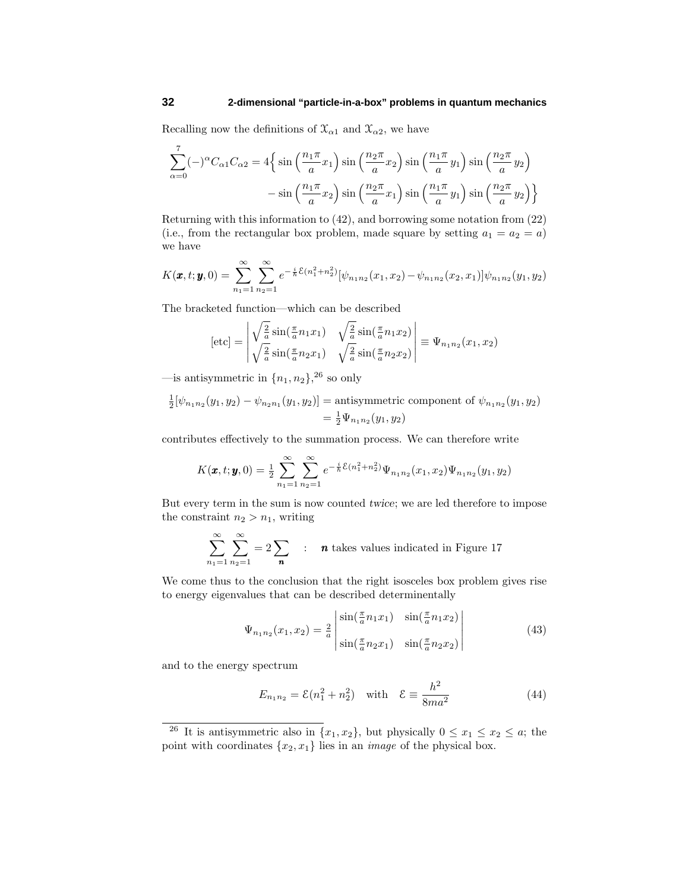Recalling now the definitions of  $\mathfrak{X}_{\alpha 1}$  and  $\mathfrak{X}_{\alpha 2}$ , we have

$$
\sum_{\alpha=0}^{7}(-)^{\alpha}C_{\alpha1}C_{\alpha2} = 4\left\{\sin\left(\frac{n_1\pi}{a}x_1\right)\sin\left(\frac{n_2\pi}{a}x_2\right)\sin\left(\frac{n_1\pi}{a}y_1\right)\sin\left(\frac{n_2\pi}{a}y_2\right) - \sin\left(\frac{n_1\pi}{a}x_2\right)\sin\left(\frac{n_2\pi}{a}x_1\right)\sin\left(\frac{n_1\pi}{a}y_1\right)\sin\left(\frac{n_2\pi}{a}y_2\right)\right\}
$$

Returning with this information to (42), and borrowing some notation from (22) (i.e., from the rectangular box problem, made square by setting  $a_1 = a_2 = a$ ) we have

$$
K(\pmb{x},t;\pmb{y},0)=\sum_{n_1=1}^{\infty}\sum_{n_2=1}^{\infty}e^{-\frac{i}{\hbar}\mathcal{E}(n_1^2+n_2^2)}[\psi_{n_1n_2}(x_1,x_2)-\psi_{n_1n_2}(x_2,x_1)]\psi_{n_1n_2}(y_1,y_2)
$$

The bracketed function—which can be described

$$
[\text{etc}] = \begin{vmatrix} \sqrt{\frac{2}{a}} \sin(\frac{\pi}{a} n_1 x_1) & \sqrt{\frac{2}{a}} \sin(\frac{\pi}{a} n_1 x_2) \\ \sqrt{\frac{2}{a}} \sin(\frac{\pi}{a} n_2 x_1) & \sqrt{\frac{2}{a}} \sin(\frac{\pi}{a} n_2 x_2) \end{vmatrix} \equiv \Psi_{n_1 n_2}(x_1, x_2)
$$

—is antisymmetric in  $\{n_1, n_2\}$ , <sup>26</sup> so only

$$
\frac{1}{2}[\psi_{n_1n_2}(y_1, y_2) - \psi_{n_2n_1}(y_1, y_2)] = \text{antisymmetric component of } \psi_{n_1n_2}(y_1, y_2)
$$

$$
= \frac{1}{2}\Psi_{n_1n_2}(y_1, y_2)
$$

contributes effectively to the summation process. We can therefore write

$$
K(\pmb{x},t;\pmb{y},0)=\frac{1}{2}\sum_{n_1=1}^{\infty}\sum_{n_2=1}^{\infty}e^{-\frac{i}{\hbar}\mathcal{E}(n_1^2+n_2^2)}\Psi_{n_1n_2}(x_1,x_2)\Psi_{n_1n_2}(y_1,y_2)
$$

But every term in the sum is now counted *twice*; we are led therefore to impose the constraint  $n_2 > n_1$ , writing

$$
\sum_{n_1=1}^{\infty} \sum_{n_2=1}^{\infty} = 2 \sum_{\mathbf{n}} : \mathbf{n} \text{ takes values indicated in Figure 17}
$$

We come thus to the conclusion that the right isosceles box problem gives rise to energy eigenvalues that can be described determinentally

$$
\Psi_{n_1 n_2}(x_1, x_2) = \frac{2}{a} \begin{vmatrix} \sin(\frac{\pi}{a} n_1 x_1) & \sin(\frac{\pi}{a} n_1 x_2) \\ \sin(\frac{\pi}{a} n_2 x_1) & \sin(\frac{\pi}{a} n_2 x_2) \end{vmatrix}
$$
\n(43)

and to the energy spectrum

$$
E_{n_1 n_2} = \mathcal{E}(n_1^2 + n_2^2) \quad \text{with} \quad \mathcal{E} \equiv \frac{h^2}{8ma^2}
$$
 (44)

<sup>&</sup>lt;sup>26</sup> It is antisymmetric also in  $\{x_1, x_2\}$ , but physically  $0 \le x_1 \le x_2 \le a$ ; the point with coordinates  $\{x_2, x_1\}$  lies in an *image* of the physical box.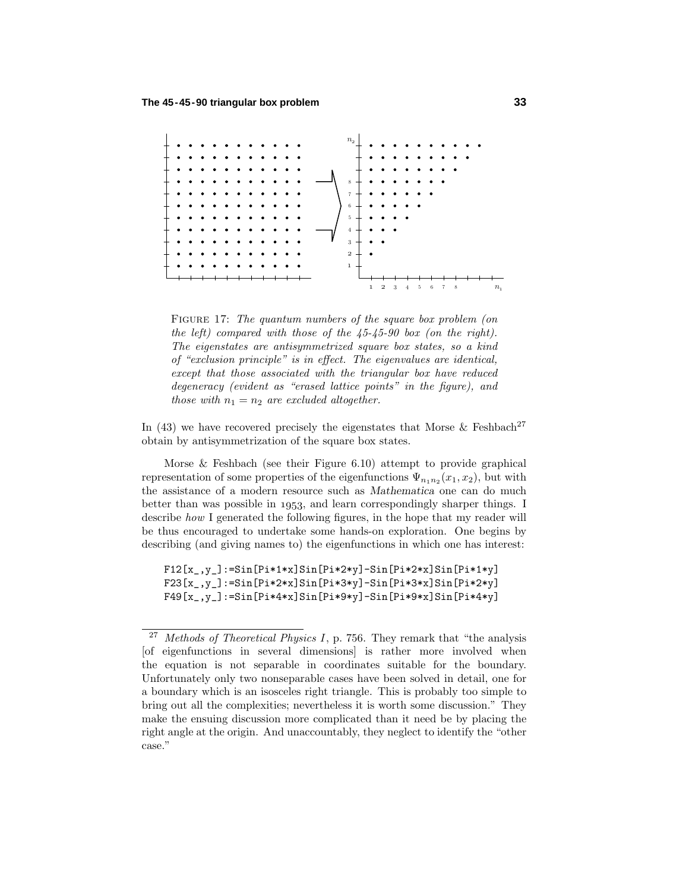

FIGURE 17: The quantum numbers of the square box problem (on the left) compared with those of the 45-45-90 box (on the right). The eigenstates are antisymmetrized square box states, so a kind of "exclusion principle" is in effect. The eigenvalues are identical, except that those associated with the triangular box have reduced degeneracy (evident as "erased lattice points" in the figure), and *those with*  $n_1 = n_2$  *are excluded altogether.* 

In (43) we have recovered precisely the eigenstates that Morse & Feshbach<sup>27</sup> obtain by antisymmetrization of the square box states.

Morse & Feshbach (see their Figure 6.10) attempt to provide graphical representation of some properties of the eigenfunctions  $\Psi_{n_1 n_2}(x_1, x_2)$ , but with the assistance of a modern resource such as *Mathematica* one can do much better than was possible in  $1953$ , and learn correspondingly sharper things. I describe how I generated the following figures, in the hope that my reader will be thus encouraged to undertake some hands-on exploration. One begins by describing (and giving names to) the eigenfunctions in which one has interest:

F12[x-,y-]:=Sin[Pi\*1\*x]Sin[Pi\*2\*y]-Sin[Pi\*2\*x]Sin[Pi\*1\*y] F23[x-,y-]:=Sin[Pi\*2\*x]Sin[Pi\*3\*y]-Sin[Pi\*3\*x]Sin[Pi\*2\*y] F49[x-,y-]:=Sin[Pi\*4\*x]Sin[Pi\*9\*y]-Sin[Pi\*9\*x]Sin[Pi\*4\*y]

<sup>&</sup>lt;sup>27</sup> Methods of Theoretical Physics I, p. 756. They remark that "the analysis" [of eigenfunctions in several dimensions] is rather more involved when the equation is not separable in coordinates suitable for the boundary. Unfortunately only two nonseparable cases have been solved in detail, one for a boundary which is an isosceles right triangle. This is probably too simple to bring out all the complexities; nevertheless it is worth some discussion." They make the ensuing discussion more complicated than it need be by placing the right angle at the origin. And unaccountably, they neglect to identify the "other case."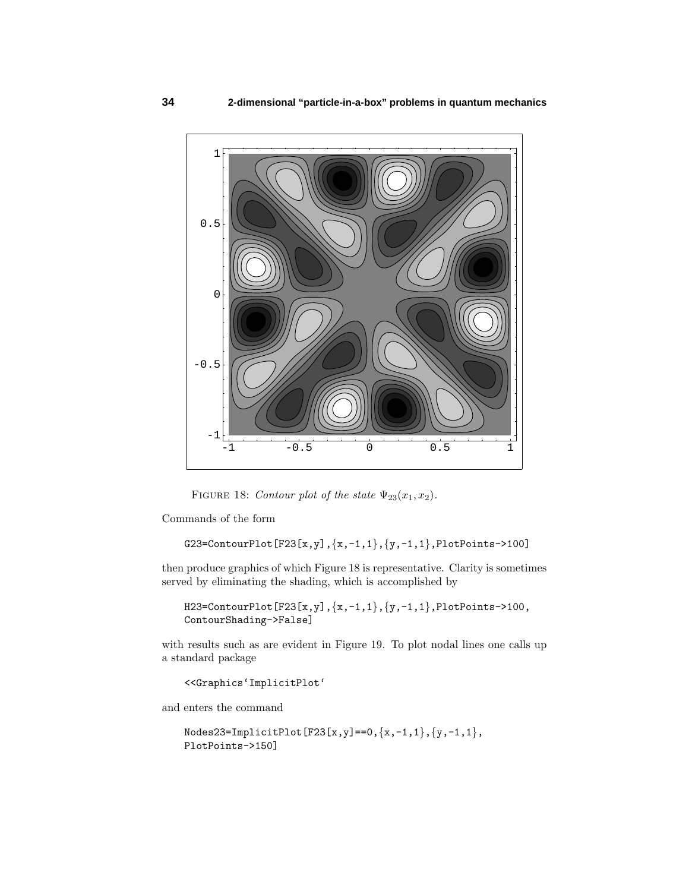

FIGURE 18: Contour plot of the state  $\Psi_{23}(x_1, x_2)$ .

Commands of the form

```
G23=ContourPlot[F23[x,y],{x,-1,1},{y,-1,1},PlotPoints->100]
```
then produce graphics of which Figure 18 is representative. Clarity is sometimes served by eliminating the shading, which is accomplished by

H23=ContourPlot[F23[x,y], ${x,-1,1}$ , ${y,-1,1}$ ,PlotPoints->100, ContourShading->False]

with results such as are evident in Figure 19. To plot nodal lines one calls up a standard package

<<Graphics'ImplicitPlot'

and enters the command

 $\texttt{Nodes23=ImplicitPlot}[\texttt{F23}[x,y] == 0, {x,-1,1}, {y,-1,1},$ PlotPoints->150]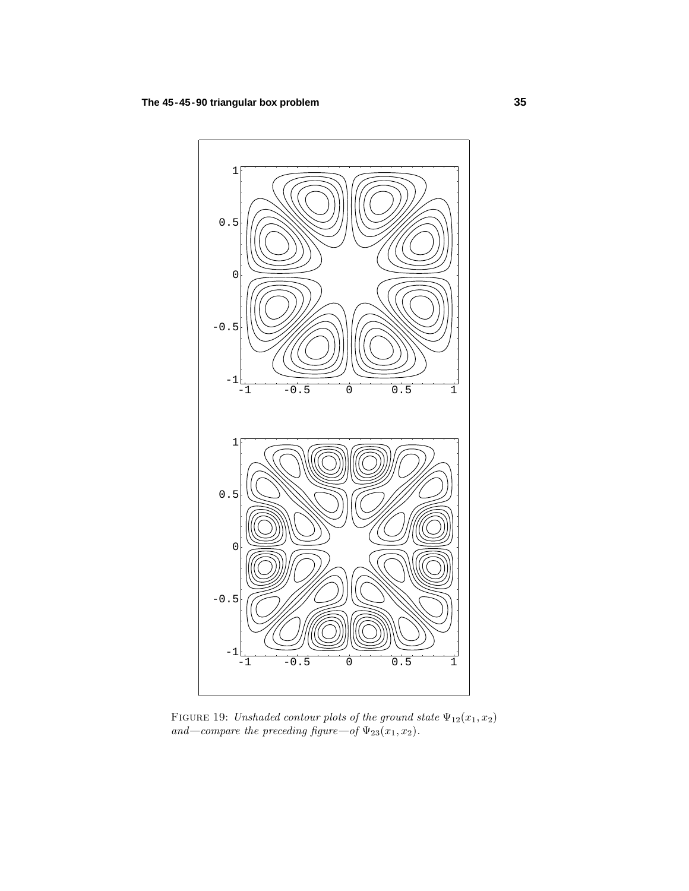

FIGURE 19: Unshaded contour plots of the ground state  $\Psi_{12}(x_1, x_2)$ and—compare the preceding figure—of  $\Psi_{23}(x_1, x_2)$ .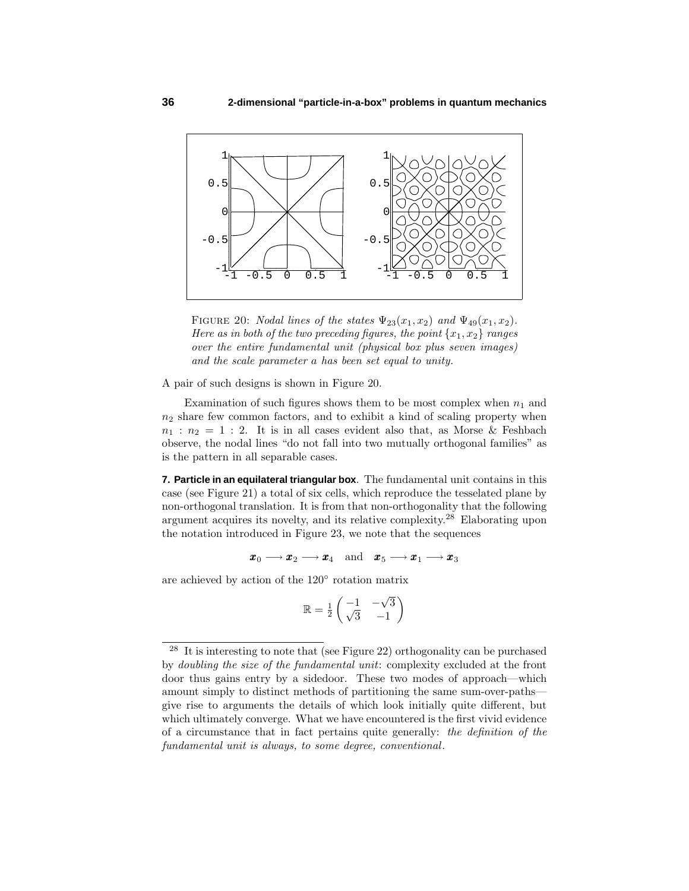

FIGURE 20: *Nodal lines of the states*  $\Psi_{23}(x_1, x_2)$  and  $\Psi_{49}(x_1, x_2)$ . Here as in both of the two preceding figures, the point  $\{x_1, x_2\}$  ranges over the entire fundamental unit (physical box plus seven images) and the scale parameter *a* has been set equal to unity.

A pair of such designs is shown in Figure 20.

Examination of such figures shows them to be most complex when  $n_1$  and  $n_2$  share few common factors, and to exhibit a kind of scaling property when  $n_1 : n_2 = 1 : 2$ . It is in all cases evident also that, as Morse & Feshbach observe, the nodal lines "do not fall into two mutually orthogonal families" as is the pattern in all separable cases.

**7. Particle in an equilateral triangular box**. The fundamental unit contains in this case (see Figure 21) a total of six cells, which reproduce the tesselated plane by non-orthogonal translation. It is from that non-orthogonality that the following argument acquires its novelty, and its relative complexity.<sup>28</sup> Elaborating upon the notation introduced in Figure 23, we note that the sequences

$$
\pmb{x}_0 \longrightarrow \pmb{x}_2 \longrightarrow \pmb{x}_4 \quad \text{and} \quad \pmb{x}_5 \longrightarrow \pmb{x}_1 \longrightarrow \pmb{x}_3
$$

are achieved by action of the 120◦ rotation matrix

$$
\mathbb{R} = \frac{1}{2} \begin{pmatrix} -1 & -\sqrt{3} \\ \sqrt{3} & -1 \end{pmatrix}
$$

<sup>&</sup>lt;sup>28</sup> It is interesting to note that (see Figure 22) orthogonality can be purchased by doubling the size of the fundamental unit: complexity excluded at the front door thus gains entry by a sidedoor. These two modes of approach—which amount simply to distinct methods of partitioning the same sum-over-paths give rise to arguments the details of which look initially quite different, but which ultimately converge. What we have encountered is the first vivid evidence of a circumstance that in fact pertains quite generally: the definition of the fundamental unit is always, to some degree, conventional.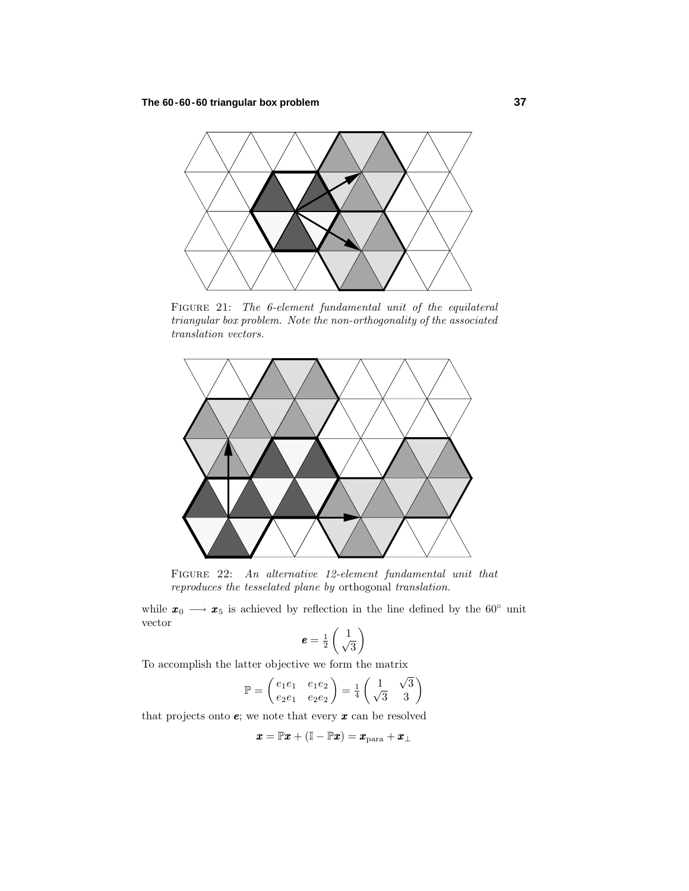

FIGURE 21: The 6-element fundamental unit of the equilateral triangular box problem. Note the non-orthogonality of the associated translation vectors.



Figure 22: An alternative 12-element fundamental unit that reproduces the tesselated plane by orthogonal translation.

while  $x_0 \longrightarrow x_5$  is achieved by reflection in the line defined by the 60<sup>°</sup> unit vector

$$
\boldsymbol{e} = \frac{1}{2} \begin{pmatrix} 1 \\ \sqrt{3} \end{pmatrix}
$$

To accomplish the latter objective we form the matrix

$$
\mathbb{P} = \begin{pmatrix} e_1 e_1 & e_1 e_2 \\ e_2 e_1 & e_2 e_2 \end{pmatrix} = \frac{1}{4} \begin{pmatrix} 1 & \sqrt{3} \\ \sqrt{3} & 3 \end{pmatrix}
$$

that projects onto *e*; we note that every *x* can be resolved

$$
\pmb{x} = \mathbb{P} \pmb{x} + (\mathbb{I} - \mathbb{P} \pmb{x}) = \pmb{x}_{\mathrm{para}} + \pmb{x}_{\perp}
$$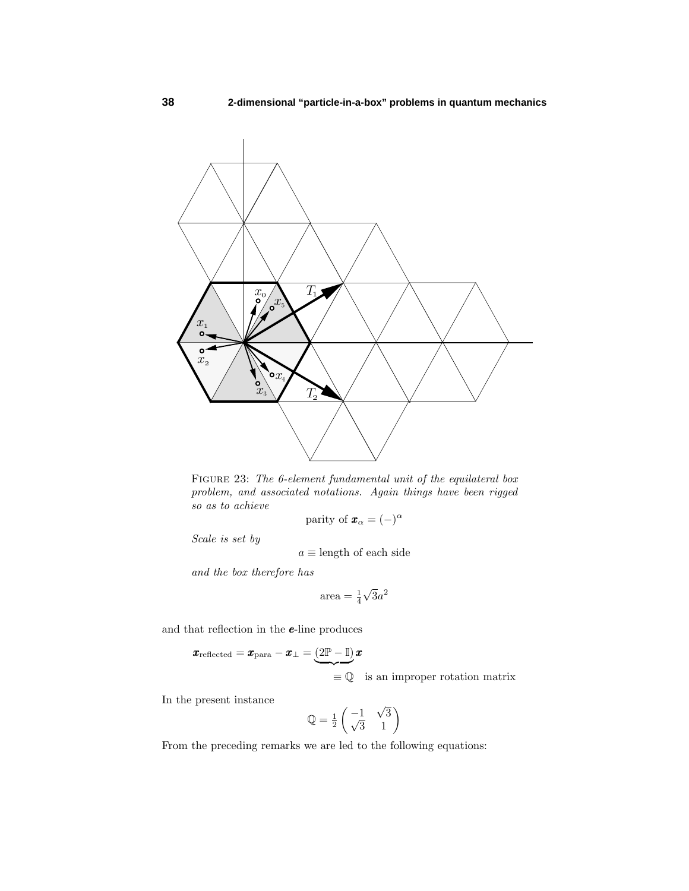

FIGURE 23: The 6-element fundamental unit of the equilateral box problem, and associated notations. Again things have been rigged so as to achieve

parity of 
$$
\mathbf{x}_{\alpha} = (-)^{\alpha}
$$

Scale is set by

 $a\equiv$  length of each side

and the box therefore has

$$
area = \frac{1}{4}\sqrt{3}a^2
$$

and that reflection in the *e*-line produces

$$
\pmb{x}_{\text{reflected}} = \pmb{x}_{\text{para}} - \pmb{x}_{\perp} = \underbrace{(2\mathbb{P} - \mathbb{I})}_{\text{def}} \pmb{x}
$$

 $\equiv \mathbb{Q}$  is an improper rotation matrix

In the present instance

$$
\mathbb{Q} = \frac{1}{2} \begin{pmatrix} -1 & \sqrt{3} \\ \sqrt{3} & 1 \end{pmatrix}
$$

From the preceding remarks we are led to the following equations: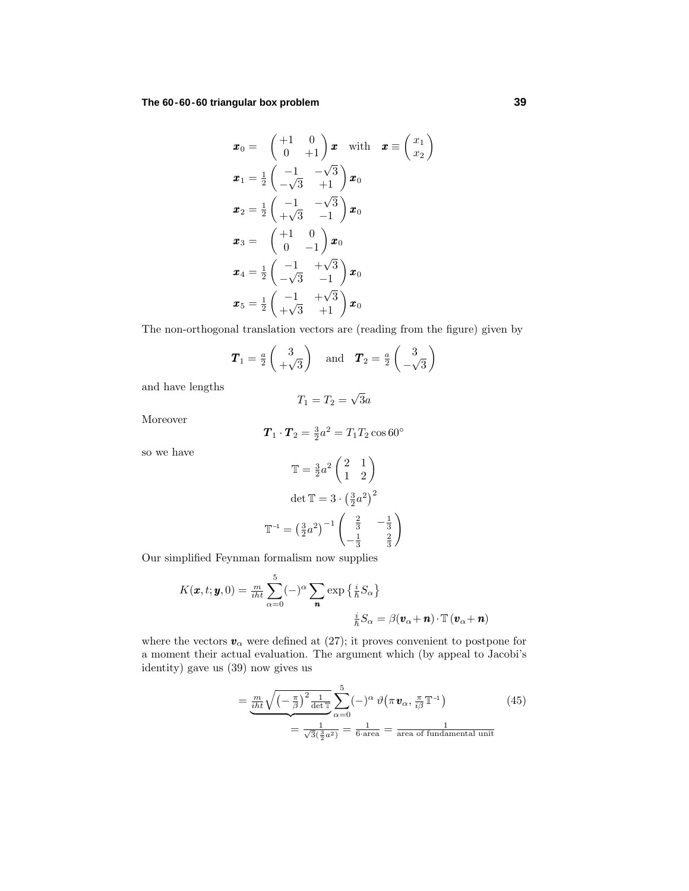**The 60-60-60 triangular box problem 39**

$$
\boldsymbol{x}_0 = \begin{pmatrix} +1 & 0 \\ 0 & +1 \end{pmatrix} \boldsymbol{x} \quad \text{with} \quad \boldsymbol{x} \equiv \begin{pmatrix} x_1 \\ x_2 \end{pmatrix}
$$
\n
$$
\boldsymbol{x}_1 = \frac{1}{2} \begin{pmatrix} -1 & -\sqrt{3} \\ -\sqrt{3} & +1 \end{pmatrix} \boldsymbol{x}_0
$$
\n
$$
\boldsymbol{x}_2 = \frac{1}{2} \begin{pmatrix} -1 & -\sqrt{3} \\ +\sqrt{3} & -1 \end{pmatrix} \boldsymbol{x}_0
$$
\n
$$
\boldsymbol{x}_3 = \begin{pmatrix} +1 & 0 \\ 0 & -1 \end{pmatrix} \boldsymbol{x}_0
$$
\n
$$
\boldsymbol{x}_4 = \frac{1}{2} \begin{pmatrix} -1 & +\sqrt{3} \\ -\sqrt{3} & -1 \end{pmatrix} \boldsymbol{x}_0
$$
\n
$$
\boldsymbol{x}_5 = \frac{1}{2} \begin{pmatrix} -1 & +\sqrt{3} \\ +\sqrt{3} & +1 \end{pmatrix} \boldsymbol{x}_0
$$

The non-orthogonal translation vectors are (reading from the figure) given by

$$
T_1 = \frac{a}{2} \begin{pmatrix} 3 \\ +\sqrt{3} \end{pmatrix}
$$
 and  $T_2 = \frac{a}{2} \begin{pmatrix} 3 \\ -\sqrt{3} \end{pmatrix}$ 

and have lengths

$$
T_1 = T_2 = \sqrt{3}a
$$

Moreover

$$
\boldsymbol{T}_1 \cdot \boldsymbol{T}_2 = \frac{3}{2}a^2 = T_1 T_2 \cos 60^\circ
$$

so we have

$$
\mathbb{T} = \frac{3}{2}a^2 \begin{pmatrix} 2 & 1 \\ 1 & 2 \end{pmatrix}
$$

$$
\det \mathbb{T} = 3 \cdot \left(\frac{3}{2}a^2\right)^2
$$

$$
\mathbb{T}^{-1} = \left(\frac{3}{2}a^2\right)^{-1} \begin{pmatrix} \frac{2}{3} & -\frac{1}{3} \\ -\frac{1}{3} & \frac{2}{3} \end{pmatrix}
$$

Our simplified Feynman formalism now supplies

$$
K(\pmb{x}, t; \pmb{y}, 0) = \frac{m}{i\hbar t} \sum_{\alpha=0}^{5} (-)^{\alpha} \sum_{\pmb{n}} \exp\left\{\frac{i}{\hbar} S_{\alpha}\right\}
$$

$$
\frac{i}{\hbar} S_{\alpha} = \beta(\pmb{v}_{\alpha} + \pmb{n}) \cdot \mathbb{T}(\pmb{v}_{\alpha} + \pmb{n})
$$

where the vectors  $\pmb{v}_\alpha$  were defined at (27); it proves convenient to postpone for a moment their actual evaluation. The argument which (by appeal to Jacobi's identity) gave us (39) now gives us

$$
= \underbrace{\frac{m}{i\hbar t}\sqrt{\left(-\frac{\pi}{\beta}\right)^2\frac{1}{\det\mathbb{T}}}}_{=\frac{1}{\sqrt{3}(\frac{3}{2}a^2)}} \sum_{\alpha=0}^{5} (-)^{\alpha} \vartheta\left(\pi \mathbf{v}_{\alpha}, \frac{\pi}{i\beta} \mathbb{T}^{-1}\right)
$$
(45)  

$$
= \frac{1}{\sqrt{3}(\frac{3}{2}a^2)} = \frac{1}{6 \text{ area}} = \frac{1}{\text{area of fundamental unit}}
$$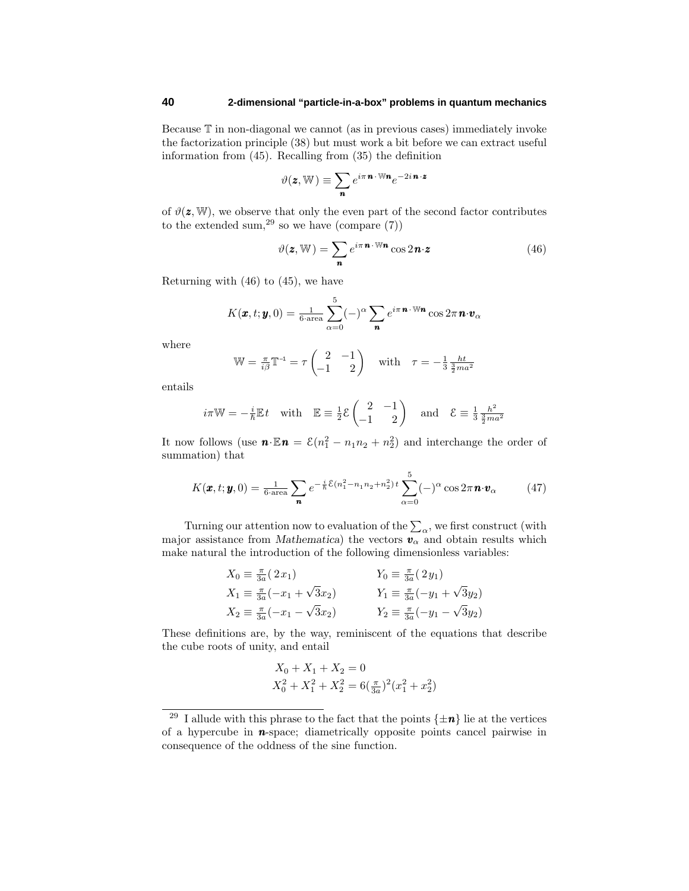Because T in non-diagonal we cannot (as in previous cases) immediately invoke the factorization principle (38) but must work a bit before we can extract useful information from (45). Recalling from (35) the definition

$$
\vartheta(\mathbf{z}, \mathbb{W}) \equiv \sum_{\mathbf{n}} e^{i\pi \mathbf{n} \cdot \mathbb{W}\mathbf{n}} e^{-2i\mathbf{n} \cdot \mathbf{z}}
$$

of  $\vartheta(\mathbf{z}, \mathbb{W})$ , we observe that only the even part of the second factor contributes to the extended sum,<sup>29</sup> so we have (compare  $(7)$ )

$$
\vartheta(\mathbf{z}, \mathbb{W}) = \sum_{\mathbf{n}} e^{i\pi \mathbf{n} \cdot \mathbb{W}\mathbf{n}} \cos 2\mathbf{n} \cdot \mathbf{z}
$$
 (46)

Returning with  $(46)$  to  $(45)$ , we have

$$
K(\boldsymbol{x},t;\boldsymbol{y},0)=\tfrac{1}{6\cdot \text{area}}\sum_{\alpha=0}^{5}(-)^{\alpha}\sum_{\boldsymbol{n}}e^{i\pi \boldsymbol{n}\cdot \mathbb{W}\boldsymbol{n}}\cos 2\pi \boldsymbol{n}\cdot \boldsymbol{v}_{\alpha}
$$

where

$$
\mathbb{W} = \frac{\pi}{i\beta} \mathbb{T}^{-1} = \tau \begin{pmatrix} 2 & -1 \\ -1 & 2 \end{pmatrix} \quad \text{with} \quad \tau = -\frac{1}{3} \frac{ht}{\frac{3}{2}ma^2}
$$

entails

$$
i\pi W = -\frac{i}{\hbar} E t
$$
 with  $E = \frac{1}{2} \mathcal{E} \begin{pmatrix} 2 & -1 \\ -1 & 2 \end{pmatrix}$  and  $\mathcal{E} \equiv \frac{1}{3} \frac{\hbar^2}{\frac{3}{2} m a^2}$ 

It now follows (use  $\mathbf{n} \cdot \mathbb{E} \mathbf{n} = \mathcal{E}(n_1^2 - n_1 n_2 + n_2^2)$  and interchange the order of summation) that

$$
K(\boldsymbol{x},t;\boldsymbol{y},0)=\frac{1}{6\cdot\text{area}}\sum_{\boldsymbol{n}}e^{-\frac{i}{\hbar}\mathcal{E}(n_1^2-n_1n_2+n_2^2)t}\sum_{\alpha=0}^5(-)^{\alpha}\cos 2\pi \boldsymbol{n}\cdot\boldsymbol{v}_{\alpha}
$$
 (47)

Turning our attention now to evaluation of the  $\sum_{\alpha}$ , we first construct (with major assistance from *Mathematica*) the vectors  $v_\alpha$  and obtain results which make natural the introduction of the following dimensionless variables:

$$
X_0 \equiv \frac{\pi}{3a} (2x_1)
$$
  
\n
$$
X_1 \equiv \frac{\pi}{3a} (-x_1 + \sqrt{3}x_2)
$$
  
\n
$$
X_2 \equiv \frac{\pi}{3a} (-x_1 - \sqrt{3}x_2)
$$
  
\n
$$
Y_1 \equiv \frac{\pi}{3a} (-y_1 + \sqrt{3}y_2)
$$
  
\n
$$
Y_2 \equiv \frac{\pi}{3a} (-y_1 - \sqrt{3}y_2)
$$

These definitions are, by the way, reminiscent of the equations that describe the cube roots of unity, and entail

$$
X_0 + X_1 + X_2 = 0
$$
  

$$
X_0^2 + X_1^2 + X_2^2 = 6(\frac{\pi}{3a})^2(x_1^2 + x_2^2)
$$

<sup>&</sup>lt;sup>29</sup> I allude with this phrase to the fact that the points  $\{\pm n\}$  lie at the vertices of a hypercube in *n*-space; diametrically opposite points cancel pairwise in consequence of the oddness of the sine function.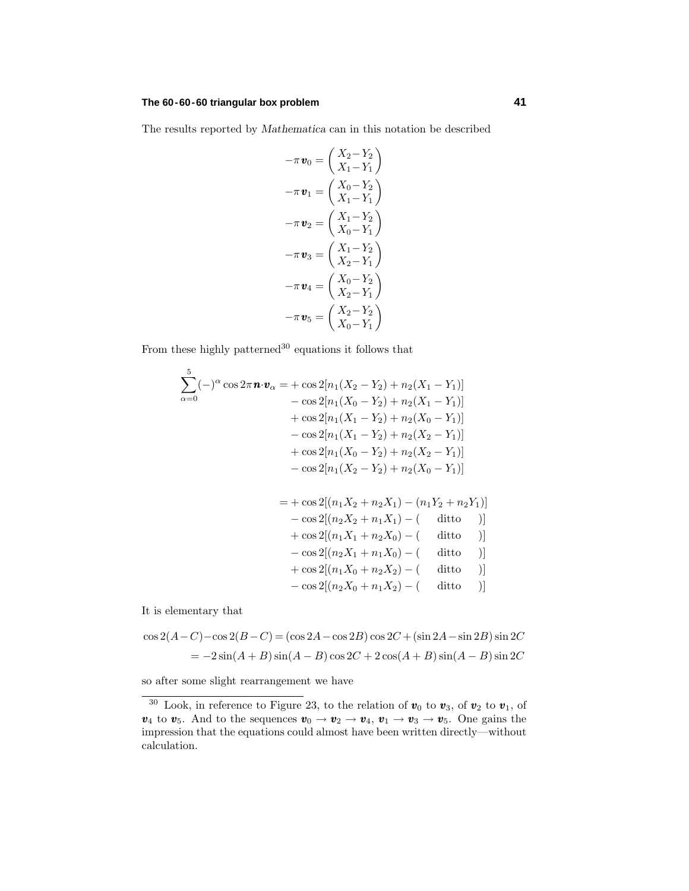## **The 60-60-60 triangular box problem 41**

The results reported by *Mathematica* can in this notation be described

$$
-\pi \mathbf{v}_0 = \begin{pmatrix} X_2 - Y_2 \\ X_1 - Y_1 \end{pmatrix}
$$

$$
-\pi \mathbf{v}_1 = \begin{pmatrix} X_0 - Y_2 \\ X_1 - Y_1 \end{pmatrix}
$$

$$
-\pi \mathbf{v}_2 = \begin{pmatrix} X_1 - Y_2 \\ X_0 - Y_1 \end{pmatrix}
$$

$$
-\pi \mathbf{v}_3 = \begin{pmatrix} X_1 - Y_2 \\ X_2 - Y_1 \end{pmatrix}
$$

$$
-\pi \mathbf{v}_4 = \begin{pmatrix} X_0 - Y_2 \\ X_2 - Y_1 \end{pmatrix}
$$

$$
-\pi \mathbf{v}_5 = \begin{pmatrix} X_2 - Y_2 \\ X_0 - Y_1 \end{pmatrix}
$$

From these highly patterned<sup>30</sup> equations it follows that

$$
\sum_{\alpha=0}^{5} (-)^{\alpha} \cos 2\pi \mathbf{n} \cdot \mathbf{v}_{\alpha} = + \cos 2[n_{1}(X_{2} - Y_{2}) + n_{2}(X_{1} - Y_{1})]
$$
  
\n
$$
- \cos 2[n_{1}(X_{0} - Y_{2}) + n_{2}(X_{1} - Y_{1})]
$$
  
\n
$$
+ \cos 2[n_{1}(X_{1} - Y_{2}) + n_{2}(X_{0} - Y_{1})]
$$
  
\n
$$
- \cos 2[n_{1}(X_{1} - Y_{2}) + n_{2}(X_{2} - Y_{1})]
$$
  
\n
$$
+ \cos 2[n_{1}(X_{0} - Y_{2}) + n_{2}(X_{2} - Y_{1})]
$$
  
\n
$$
- \cos 2[n_{1}(X_{2} - Y_{2}) + n_{2}(X_{0} - Y_{1})]
$$

$$
= + \cos 2[(n_1X_2 + n_2X_1) - (n_1Y_2 + n_2Y_1)]
$$
  
\n
$$
- \cos 2[(n_2X_2 + n_1X_1) - (
$$
ditto )]  
\n
$$
+ \cos 2[(n_1X_1 + n_2X_0) - (
$$
ditto )]  
\n
$$
- \cos 2[(n_2X_1 + n_1X_0) - (
$$
ditto )]  
\n
$$
+ \cos 2[(n_1X_0 + n_2X_2) - (
$$
ditto )]  
\n
$$
- \cos 2[(n_2X_0 + n_1X_2) - (
$$
ditto )]

It is elementary that

$$
\cos 2(A - C) - \cos 2(B - C) = (\cos 2A - \cos 2B)\cos 2C + (\sin 2A - \sin 2B)\sin 2C
$$
  
=  $-2\sin(A + B)\sin(A - B)\cos 2C + 2\cos(A + B)\sin(A - B)\sin 2C$ 

so after some slight rearrangement we have

<sup>&</sup>lt;sup>30</sup> Look, in reference to Figure 23, to the relation of  $v_0$  to  $v_3$ , of  $v_2$  to  $v_1$ , of *v*<sub>4</sub> to *v*<sub>5</sub>. And to the sequences  $v_0 \rightarrow v_2 \rightarrow v_4$ ,  $v_1 \rightarrow v_3 \rightarrow v_5$ . One gains the impression that the equations could almost have been written directly—without calculation.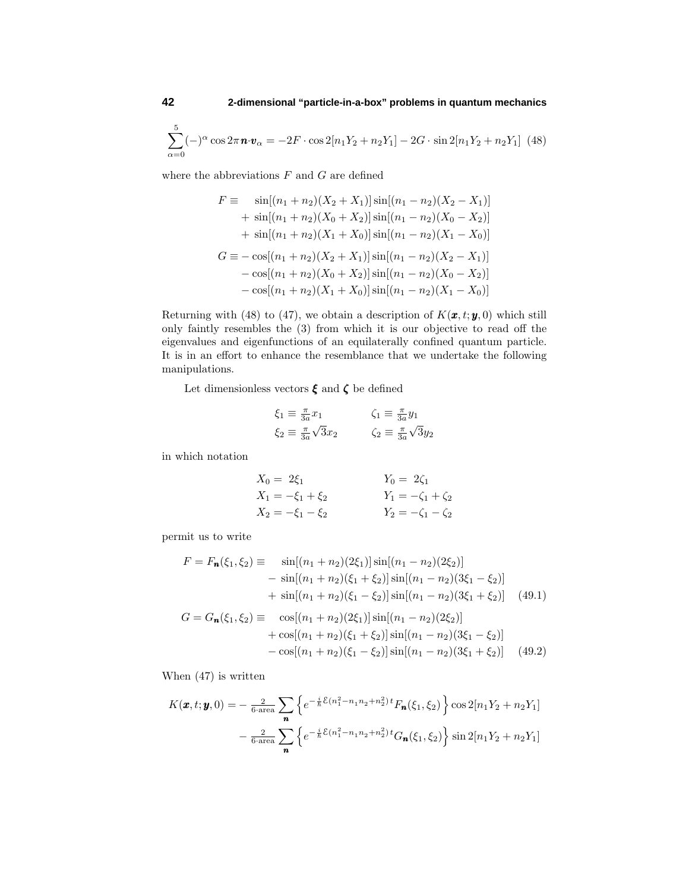$$
\sum_{\alpha=0}^{5} (-)^{\alpha} \cos 2\pi \mathbf{n} \cdot \mathbf{v}_{\alpha} = -2F \cdot \cos 2[n_1 Y_2 + n_2 Y_1] - 2G \cdot \sin 2[n_1 Y_2 + n_2 Y_1] \tag{48}
$$

where the abbreviations *F* and *G* are defined

$$
F \equiv \sin[(n_1 + n_2)(X_2 + X_1)]\sin[(n_1 - n_2)(X_2 - X_1)]
$$
  
+  $\sin[(n_1 + n_2)(X_0 + X_2)]\sin[(n_1 - n_2)(X_0 - X_2)]$   
+  $\sin[(n_1 + n_2)(X_1 + X_0)]\sin[(n_1 - n_2)(X_1 - X_0)]$   

$$
G \equiv -\cos[(n_1 + n_2)(X_2 + X_1)]\sin[(n_1 - n_2)(X_2 - X_1)]
$$
  
-  $\cos[(n_1 + n_2)(X_0 + X_2)]\sin[(n_1 - n_2)(X_0 - X_2)]$   
-  $\cos[(n_1 + n_2)(X_1 + X_0)]\sin[(n_1 - n_2)(X_1 - X_0)]$ 

Returning with (48) to (47), we obtain a description of  $K(\mathbf{x}, t; \mathbf{y}, 0)$  which still only faintly resembles the (3) from which it is our objective to read off the eigenvalues and eigenfunctions of an equilaterally confined quantum particle. It is in an effort to enhance the resemblance that we undertake the following manipulations.

Let dimensionless vectors  $\pmb{\xi}$  and  $\pmb{\zeta}$  be defined

$$
\xi_1 \equiv \frac{\pi}{3a} x_1 \qquad \qquad \zeta_1 \equiv \frac{\pi}{3a} y_1
$$
  

$$
\xi_2 \equiv \frac{\pi}{3a} \sqrt{3} x_2 \qquad \qquad \zeta_2 \equiv \frac{\pi}{3a} \sqrt{3} y_2
$$

in which notation

$$
X_0 = 2\xi_1
$$
  
\n
$$
X_1 = -\xi_1 + \xi_2
$$
  
\n
$$
X_2 = -\xi_1 - \xi_2
$$
  
\n
$$
Y_0 = 2\zeta_1
$$
  
\n
$$
Y_1 = -\zeta_1 + \zeta_2
$$
  
\n
$$
Y_2 = -\zeta_1 - \zeta_2
$$

permit us to write

$$
F = F_{\mathbf{n}}(\xi_1, \xi_2) \equiv \sin[(n_1 + n_2)(2\xi_1)]\sin[(n_1 - n_2)(2\xi_2)]
$$
  
\n
$$
- \sin[(n_1 + n_2)(\xi_1 + \xi_2)]\sin[(n_1 - n_2)(3\xi_1 - \xi_2)]
$$
  
\n
$$
+ \sin[(n_1 + n_2)(\xi_1 - \xi_2)]\sin[(n_1 - n_2)(3\xi_1 + \xi_2)] \quad (49.1)
$$
  
\n
$$
G = G_{\mathbf{n}}(\xi_1, \xi_2) \equiv \cos[(n_1 + n_2)(2\xi_1)]\sin[(n_1 - n_2)(2\xi_2)]
$$
  
\n
$$
+ \cos[(n_1 + n_2)(\xi_1 + \xi_2)]\sin[(n_1 - n_2)(3\xi_1 - \xi_2)]
$$
  
\n
$$
- \cos[(n_1 + n_2)(\xi_1 - \xi_2)]\sin[(n_1 - n_2)(3\xi_1 + \xi_2)] \quad (49.2)
$$

When (47) is written

$$
K(\pmb{x}, t; \pmb{y}, 0) = -\frac{2}{6 \cdot \text{area}} \sum_{\pmb{n}} \left\{ e^{-\frac{i}{\hbar} \mathcal{E}(n_1^2 - n_1 n_2 + n_2^2) t} F_{\pmb{n}}(\xi_1, \xi_2) \right\} \cos 2[n_1 Y_2 + n_2 Y_1]
$$

$$
-\frac{2}{6 \cdot \text{area}} \sum_{\pmb{n}} \left\{ e^{-\frac{i}{\hbar} \mathcal{E}(n_1^2 - n_1 n_2 + n_2^2) t} G_{\pmb{n}}(\xi_1, \xi_2) \right\} \sin 2[n_1 Y_2 + n_2 Y_1]
$$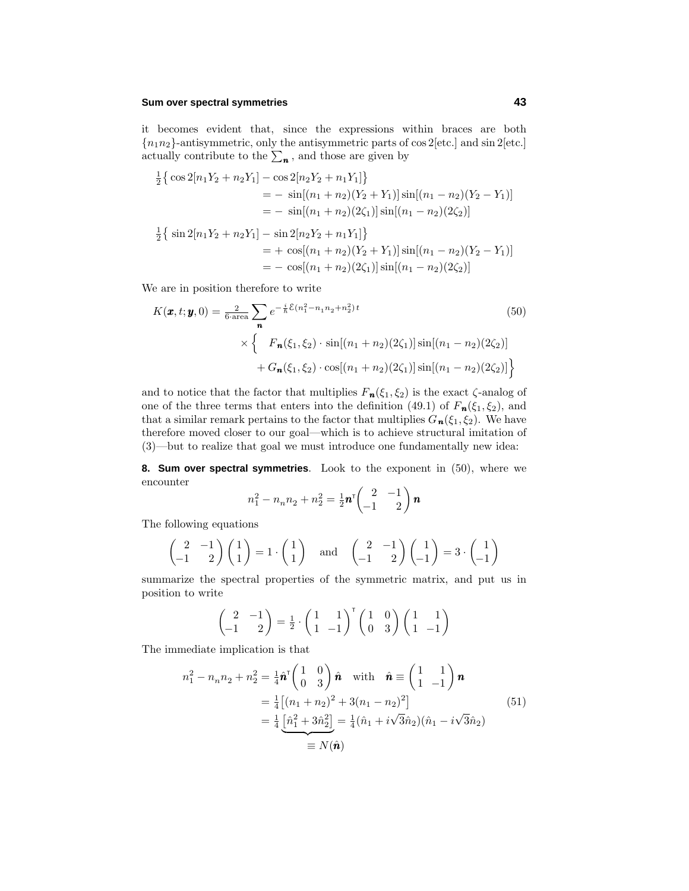### **Sum over spectral symmetries 43**

it becomes evident that, since the expressions within braces are both  ${n_1 n_2}$ -antisymmetric, only the antisymmetric parts of cos 2[etc.] and sin 2[etc.] actually contribute to the  $\sum_{n}$ , and those are given by

$$
\frac{1}{2} \left\{ \cos 2[n_1 Y_2 + n_2 Y_1] - \cos 2[n_2 Y_2 + n_1 Y_1] \right\}
$$
  
\n
$$
= -\sin[(n_1 + n_2)(Y_2 + Y_1)] \sin[(n_1 - n_2)(Y_2 - Y_1)]
$$
  
\n
$$
= -\sin[(n_1 + n_2)(2\zeta_1)] \sin[(n_1 - n_2)(2\zeta_2)]
$$
  
\n
$$
\frac{1}{2} \left\{ \sin 2[n_1 Y_2 + n_2 Y_1] - \sin 2[n_2 Y_2 + n_1 Y_1] \right\}
$$
  
\n
$$
= +\cos[(n_1 + n_2)(Y_2 + Y_1)] \sin[(n_1 - n_2)(Y_2 - Y_1)]
$$
  
\n
$$
= -\cos[(n_1 + n_2)(2\zeta_1)] \sin[(n_1 - n_2)(2\zeta_2)]
$$

We are in position therefore to write

$$
K(\mathbf{x}, t; \mathbf{y}, 0) = \frac{2}{6 \text{ area}} \sum_{\mathbf{n}} e^{-\frac{i}{\hbar} \mathcal{E}(n_1^2 - n_1 n_2 + n_2^2) t}
$$
(50)  

$$
\times \left\{ F_{\mathbf{n}}(\xi_1, \xi_2) \cdot \sin[(n_1 + n_2)(2\zeta_1)] \sin[(n_1 - n_2)(2\zeta_2)] + G_{\mathbf{n}}(\xi_1, \xi_2) \cdot \cos[(n_1 + n_2)(2\zeta_1)] \sin[(n_1 - n_2)(2\zeta_2)] \right\}
$$

and to notice that the factor that multiplies  $F_n(\xi_1, \xi_2)$  is the exact  $\zeta$ -analog of one of the three terms that enters into the definition (49.1) of  $F_n(\xi_1, \xi_2)$ , and that a similar remark pertains to the factor that multiplies  $G_n(\xi_1, \xi_2)$ . We have therefore moved closer to our goal—which is to achieve structural imitation of (3)—but to realize that goal we must introduce one fundamentally new idea:

**8. Sum over spectral symmetries**. Look to the exponent in (50), where we encounter

$$
n_1^2 - n_n n_2 + n_2^2 = \frac{1}{2} \mathbf{n}^\mathsf{T} \begin{pmatrix} 2 & -1 \\ -1 & 2 \end{pmatrix} \mathbf{n}
$$

The following equations

$$
\begin{pmatrix} 2 & -1 \ -1 & 2 \end{pmatrix} \begin{pmatrix} 1 \ 1 \end{pmatrix} = 1 \cdot \begin{pmatrix} 1 \ 1 \end{pmatrix} \text{ and } \begin{pmatrix} 2 & -1 \ -1 & 2 \end{pmatrix} \begin{pmatrix} 1 \ -1 \end{pmatrix} = 3 \cdot \begin{pmatrix} 1 \ -1 \end{pmatrix}
$$

summarize the spectral properties of the symmetric matrix, and put us in position to write

$$
\begin{pmatrix} 2 & -1 \ -1 & 2 \end{pmatrix} = \frac{1}{2} \cdot \begin{pmatrix} 1 & 1 \ 1 & -1 \end{pmatrix}^{\mathsf{T}} \begin{pmatrix} 1 & 0 \ 0 & 3 \end{pmatrix} \begin{pmatrix} 1 & 1 \ 1 & -1 \end{pmatrix}
$$

The immediate implication is that

$$
n_1^2 - n_n n_2 + n_2^2 = \frac{1}{4} \hat{\mathbf{n}} \begin{pmatrix} 1 & 0 \\ 0 & 3 \end{pmatrix} \hat{\mathbf{n}} \quad \text{with} \quad \hat{\mathbf{n}} \equiv \begin{pmatrix} 1 & 1 \\ 1 & -1 \end{pmatrix} \mathbf{n}
$$
  
=  $\frac{1}{4} \left[ (n_1 + n_2)^2 + 3(n_1 - n_2)^2 \right]$   
=  $\frac{1}{4} \underbrace{\left[ \hat{n}_1^2 + 3\hat{n}_2^2 \right]}_{\equiv N(\hat{\mathbf{n}})} = \frac{1}{4} (\hat{n}_1 + i\sqrt{3}\hat{n}_2)(\hat{n}_1 - i\sqrt{3}\hat{n}_2)$  (51)  
=  $N(\hat{\mathbf{n}})$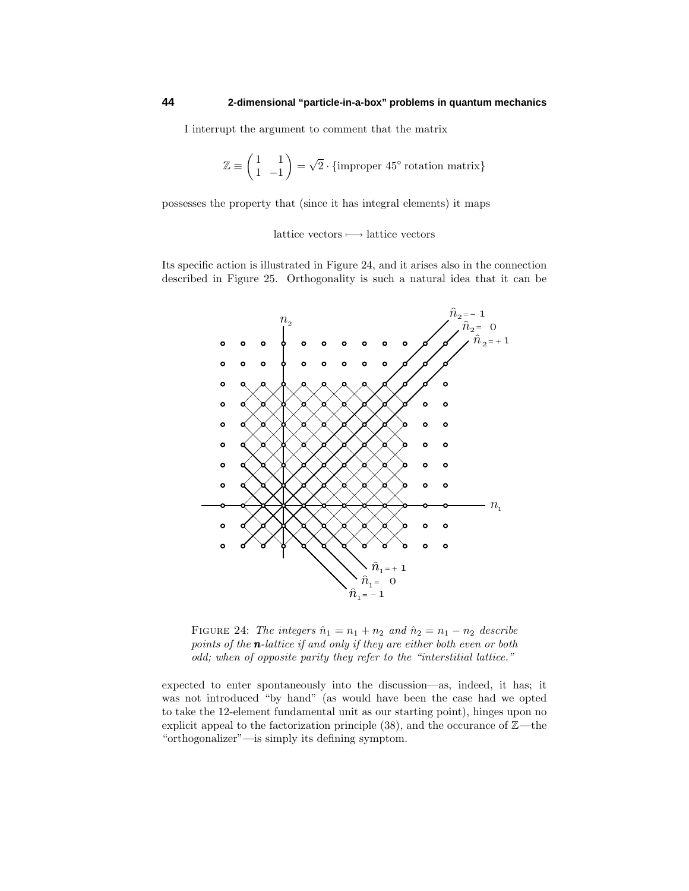I interrupt the argument to comment that the matrix

$$
\mathbb{Z} \equiv \begin{pmatrix} 1 & 1 \\ 1 & -1 \end{pmatrix} = \sqrt{2} \cdot \{\text{improper } 45^{\circ} \text{ rotation matrix}\}
$$

possesses the property that (since it has integral elements) it maps

lattice vectors  $\longmapsto$  lattice vectors

Its specific action is illustrated in Figure 24, and it arises also in the connection described in Figure 25. Orthogonality is such a natural idea that it can be



FIGURE 24: The integers  $\hat{n}_1 = n_1 + n_2$  and  $\hat{n}_2 = n_1 - n_2$  describe points of the *n*-lattice if and only if they are either both even or both odd; when of opposite parity they refer to the "interstitial lattice."

expected to enter spontaneously into the discussion—as, indeed, it has; it was not introduced "by hand" (as would have been the case had we opted to take the 12-element fundamental unit as our starting point), hinges upon no explicit appeal to the factorization principle  $(38)$ , and the occurance of  $\mathbb{Z}$ —the "orthogonalizer"—is simply its defining symptom.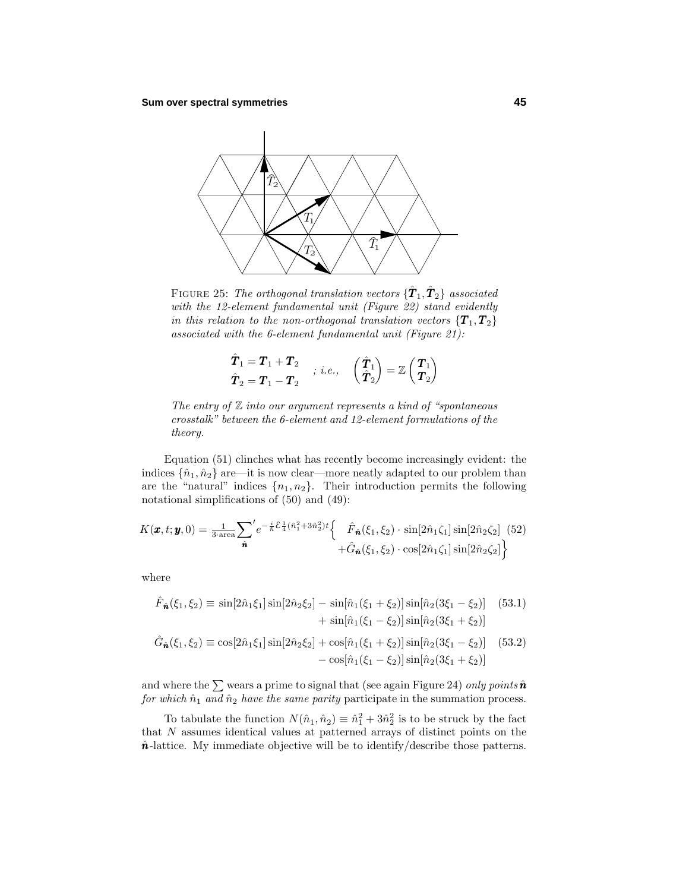

FIGURE 25: *The orthogonal translation vectors*  $\{\hat{\pmb{T}}_1, \hat{\pmb{T}}_2\}$  *associated* with the 12-element fundamental unit (Figure 22) stand evidently in this relation to the non-orthogonal translation vectors  $\{T_1, T_2\}$ associated with the 6-element fundamental unit (Figure 21):

$$
\begin{aligned}\n\hat{T}_1 &= \boldsymbol{T}_1 + \boldsymbol{T}_2 \\
\hat{\boldsymbol{T}}_2 &= \boldsymbol{T}_1 - \boldsymbol{T}_2\n\end{aligned}\n\quad ; i.e., \quad\n\begin{pmatrix}\n\hat{T}_1 \\
\hat{T}_2\n\end{pmatrix} = \mathbb{Z}\begin{pmatrix}\n\boldsymbol{T}_1 \\
\boldsymbol{T}_2\n\end{pmatrix}
$$

The entry of  $\mathbb Z$  into our argument represents a kind of "spontaneous" crosstalk" between the 6-element and 12-element formulations of the theory.

Equation (51) clinches what has recently become increasingly evident: the indices  $\{\hat{n}_1, \hat{n}_2\}$  are—it is now clear—more neatly adapted to our problem than are the "natural" indices  $\{n_1, n_2\}$ . Their introduction permits the following notational simplifications of (50) and (49):

$$
K(\pmb{x},t;\pmb{y},0) = \frac{1}{3\cdot \text{area}} \sum_{\hat{\pmb{n}}}^{\prime} e^{-\frac{i}{\hbar}\mathcal{E}\frac{1}{4}(\hat{n}_1^2 + 3\hat{n}_2^2)t} \left\{ \begin{array}{c} \hat{F}_{\hat{\pmb{n}}}(\xi_1,\xi_2) \cdot \sin[2\hat{n}_1\zeta_1] \sin[2\hat{n}_2\zeta_2] \\ + \hat{G}_{\hat{\pmb{n}}}(\xi_1,\xi_2) \cdot \cos[2\hat{n}_1\zeta_1] \sin[2\hat{n}_2\zeta_2] \end{array} \right\}
$$

where

$$
\hat{F}_{\hat{n}}(\xi_1, \xi_2) \equiv \sin[2\hat{n}_1 \xi_1] \sin[2\hat{n}_2 \xi_2] - \sin[\hat{n}_1(\xi_1 + \xi_2)] \sin[\hat{n}_2(3\xi_1 - \xi_2)] \quad (53.1)
$$

$$
+ \sin[\hat{n}_1(\xi_1 - \xi_2)] \sin[\hat{n}_2(3\xi_1 + \xi_2)]
$$

$$
\hat{G}_{\hat{n}}(\xi_1, \xi_2) \equiv \cos[2\hat{n}_1 \xi_1] \sin[2\hat{n}_2 \xi_2] + \cos[\hat{n}_1(\xi_1 + \xi_2)] \sin[\hat{n}_2(3\xi_1 - \xi_2)] \quad (53.2)
$$

$$
- \cos[\hat{n}_1(\xi_1 - \xi_2)] \sin[\hat{n}_2(3\xi_1 + \xi_2)]
$$

and where the  $\sum$  wears a prime to signal that (see again Figure 24) only points  $\hat{n}$ for which  $\hat{n}_1$  and  $\hat{n}_2$  have the same parity participate in the summation process.

To tabulate the function  $N(\hat{n}_1, \hat{n}_2) \equiv \hat{n}_1^2 + 3\hat{n}_2^2$  is to be struck by the fact that *N* assumes identical values at patterned arrays of distinct points on the  $\hat{n}$ -lattice. My immediate objective will be to identify/describe those patterns.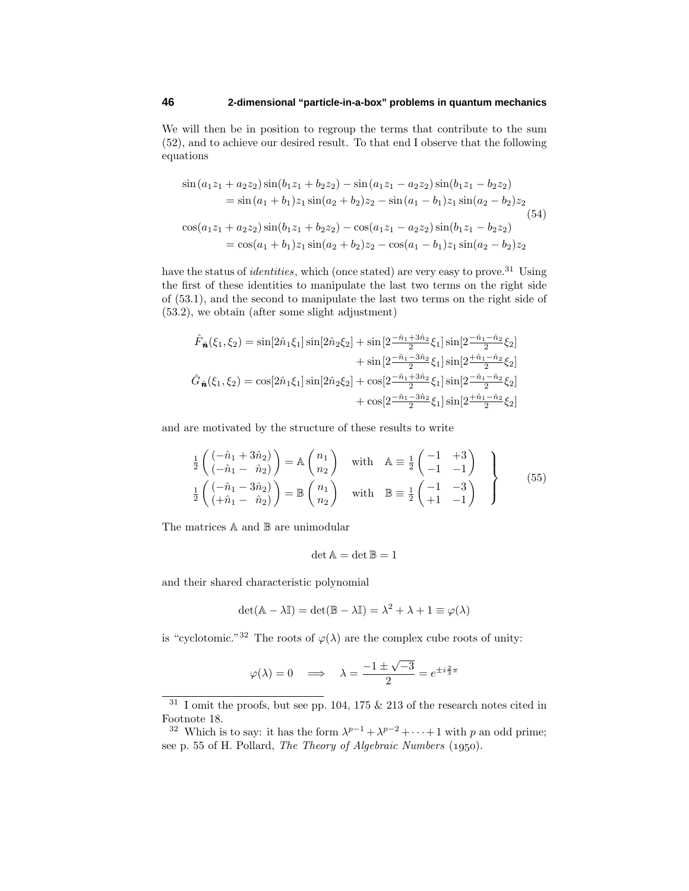We will then be in position to regroup the terms that contribute to the sum (52), and to achieve our desired result. To that end I observe that the following equations

$$
\sin(a_1z_1 + a_2z_2)\sin(b_1z_1 + b_2z_2) - \sin(a_1z_1 - a_2z_2)\sin(b_1z_1 - b_2z_2)
$$
  
\n
$$
= \sin(a_1 + b_1)z_1\sin(a_2 + b_2)z_2 - \sin(a_1 - b_1)z_1\sin(a_2 - b_2)z_2
$$
  
\n
$$
\cos(a_1z_1 + a_2z_2)\sin(b_1z_1 + b_2z_2) - \cos(a_1z_1 - a_2z_2)\sin(b_1z_1 - b_2z_2)
$$
  
\n
$$
= \cos(a_1 + b_1)z_1\sin(a_2 + b_2)z_2 - \cos(a_1 - b_1)z_1\sin(a_2 - b_2)z_2
$$

have the status of *identities*, which (once stated) are very easy to prove.<sup>31</sup> Using the first of these identities to manipulate the last two terms on the right side of (53.1), and the second to manipulate the last two terms on the right side of (53.2), we obtain (after some slight adjustment)

$$
\hat{F}_{\hat{n}}(\xi_1, \xi_2) = \sin[2\hat{n}_1 \xi_1] \sin[2\hat{n}_2 \xi_2] + \sin[2\frac{-\hat{n}_1 + 3\hat{n}_2}{2} \xi_1] \sin[2\frac{-\hat{n}_1 - \hat{n}_2}{2} \xi_2]
$$

$$
+ \sin[2\frac{-\hat{n}_1 - 3\hat{n}_2}{2} \xi_1] \sin[2\frac{+\hat{n}_1 - \hat{n}_2}{2} \xi_2]
$$

$$
\hat{G}_{\hat{n}}(\xi_1, \xi_2) = \cos[2\hat{n}_1 \xi_1] \sin[2\hat{n}_2 \xi_2] + \cos[2\frac{-\hat{n}_1 + 3\hat{n}_2}{2} \xi_1] \sin[2\frac{-\hat{n}_1 - \hat{n}_2}{2} \xi_2]
$$

$$
+ \cos[2\frac{-\hat{n}_1 - 3\hat{n}_2}{2} \xi_1] \sin[2\frac{+\hat{n}_1 - \hat{n}_2}{2} \xi_2]
$$

and are motivated by the structure of these results to write

$$
\frac{1}{2}\begin{pmatrix}\n(-\hat{n}_1 + 3\hat{n}_2) \\
(-\hat{n}_1 - \hat{n}_2)\n\end{pmatrix} = \mathbb{A}\begin{pmatrix}\nn_1 \\
n_2\n\end{pmatrix} \quad \text{with} \quad \mathbb{A} \equiv \frac{1}{2}\begin{pmatrix}\n-1 & +3 \\
-1 & -1\n\end{pmatrix}
$$
\n
$$
\frac{1}{2}\begin{pmatrix}\n(-\hat{n}_1 - 3\hat{n}_2) \\
(+\hat{n}_1 - \hat{n}_2)\n\end{pmatrix} = \mathbb{B}\begin{pmatrix}\nn_1 \\
n_2\n\end{pmatrix} \quad \text{with} \quad \mathbb{B} \equiv \frac{1}{2}\begin{pmatrix}\n-1 & -3 \\
+1 & -1\n\end{pmatrix}
$$
\n(55)

The matrices A and B are unimodular

$$
\det \mathbb{A} = \det \mathbb{B} = 1
$$

and their shared characteristic polynomial

$$
\det(\mathbb{A} - \lambda \mathbb{I}) = \det(\mathbb{B} - \lambda \mathbb{I}) = \lambda^2 + \lambda + 1 \equiv \varphi(\lambda)
$$

is "cyclotomic."<sup>32</sup> The roots of  $\varphi(\lambda)$  are the complex cube roots of unity:

$$
\varphi(\lambda) = 0 \implies \lambda = \frac{-1 \pm \sqrt{-3}}{2} = e^{\pm i \frac{2}{3}\pi}
$$

<sup>&</sup>lt;sup>31</sup> I omit the proofs, but see pp. 104, 175  $\&$  213 of the research notes cited in Footnote 18.

<sup>&</sup>lt;sup>32</sup> Which is to say: it has the form  $\lambda^{p-1} + \lambda^{p-2} + \cdots + 1$  with *p* an odd prime; see p. 55 of H. Pollard, The Theory of Algebraic Numbers (1950).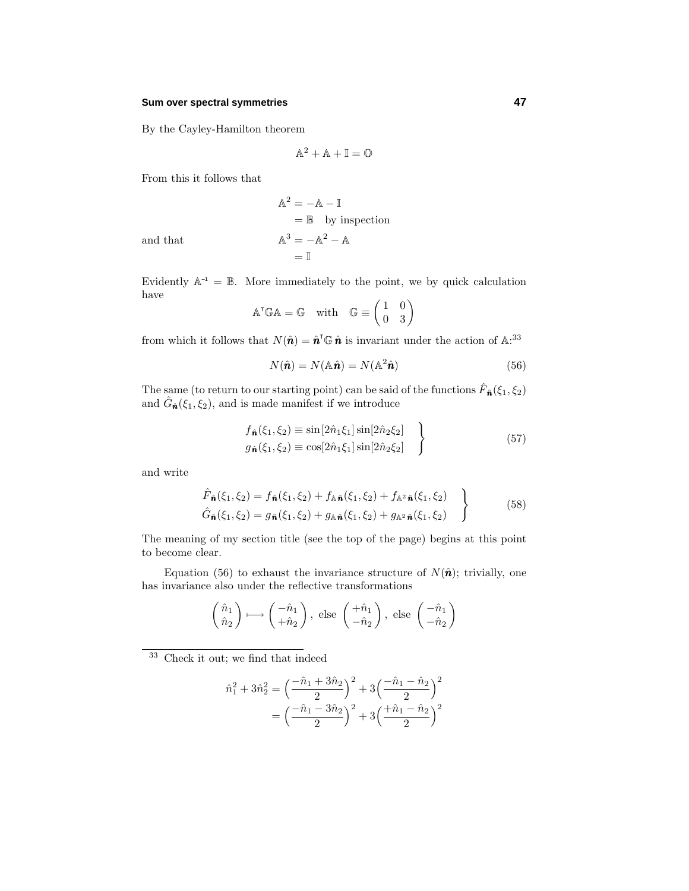#### **Sum over spectral symmetries 47**

By the Cayley-Hamilton theorem

$$
\mathbb{A}^2 + \mathbb{A} + \mathbb{I} = \mathbb{O}
$$

From this it follows that

$$
\begin{aligned}\n\mathbb{A}^2 &= -\mathbb{A} - \mathbb{I} \\
&= \mathbb{B} \quad \text{by inspection} \\
\mathbb{A}^3 &= -\mathbb{A}^2 - \mathbb{A} \\
&= \mathbb{I}\n\end{aligned}
$$

and that  $\overrightarrow{A}$ 

Evidently  $\mathbb{A}^{-1} = \mathbb{B}$ . More immediately to the point, we by quick calculation have  $1000$ 

$$
ATGA = G \quad \text{with} \quad G \equiv \begin{pmatrix} 1 & 0 \\ 0 & 3 \end{pmatrix}
$$

from which it follows that  $N(\hat{\bf{n}}) = \hat{\bf{n}}^T \mathbb{G} \hat{\bf{n}}$  is invariant under the action of  $\mathbb{A}$ <sup>33</sup>

$$
N(\hat{\mathbf{n}}) = N(\mathbb{A}\hat{\mathbf{n}}) = N(\mathbb{A}^2\hat{\mathbf{n}})
$$
\n(56)

The same (to return to our starting point) can be said of the functions  $\hat{F}_n(\xi_1, \xi_2)$ and  $\hat{G}_{\hat{n}}(\xi_1, \xi_2)$ , and is made manifest if we introduce

$$
f_{\hat{\mathbf{n}}}(\xi_1, \xi_2) \equiv \sin[2\hat{n}_1 \xi_1] \sin[2\hat{n}_2 \xi_2] g_{\hat{\mathbf{n}}}(\xi_1, \xi_2) \equiv \cos[2\hat{n}_1 \xi_1] \sin[2\hat{n}_2 \xi_2]
$$
 (57)

and write

$$
\hat{F}_{\hat{n}}(\xi_1, \xi_2) = f_{\hat{n}}(\xi_1, \xi_2) + f_{\mathbb{A}\hat{n}}(\xi_1, \xi_2) + f_{\mathbb{A}^2\hat{n}}(\xi_1, \xi_2)
$$
\n
$$
\hat{G}_{\hat{n}}(\xi_1, \xi_2) = g_{\hat{n}}(\xi_1, \xi_2) + g_{\mathbb{A}\hat{n}}(\xi_1, \xi_2) + g_{\mathbb{A}^2\hat{n}}(\xi_1, \xi_2)
$$
\n(58)

The meaning of my section title (see the top of the page) begins at this point to become clear.

Equation (56) to exhaust the invariance structure of  $N(\hat{\bf{n}})$ ; trivially, one has invariance also under the reflective transformations

$$
\begin{pmatrix} \hat{n}_1 \\ \hat{n}_2 \end{pmatrix} \longmapsto \begin{pmatrix} -\hat{n}_1 \\ +\hat{n}_2 \end{pmatrix}
$$
, else  $\begin{pmatrix} +\hat{n}_1 \\ -\hat{n}_2 \end{pmatrix}$ , else  $\begin{pmatrix} -\hat{n}_1 \\ -\hat{n}_2 \end{pmatrix}$ 

<sup>33</sup> Check it out; we find that indeed

$$
\hat{n}_1^2 + 3\hat{n}_2^2 = \left(\frac{-\hat{n}_1 + 3\hat{n}_2}{2}\right)^2 + 3\left(\frac{-\hat{n}_1 - \hat{n}_2}{2}\right)^2
$$

$$
= \left(\frac{-\hat{n}_1 - 3\hat{n}_2}{2}\right)^2 + 3\left(\frac{+\hat{n}_1 - \hat{n}_2}{2}\right)^2
$$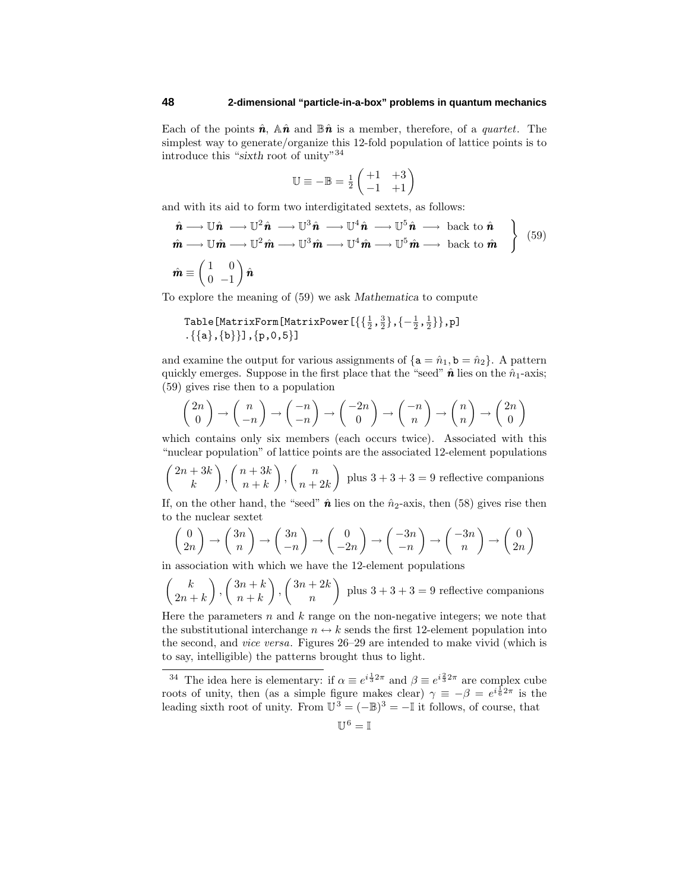Each of the points  $\hat{\mathbf{n}}$ ,  $\mathbb{A}\hat{\mathbf{n}}$  and  $\mathbb{B}\hat{\mathbf{n}}$  is a member, therefore, of a *quartet*. The simplest way to generate/organize this 12-fold population of lattice points is to introduce this "*sixth* root of unity"<sup>34</sup>

$$
\mathbb{U} \equiv -\mathbb{B} = \frac{1}{2} \begin{pmatrix} +1 & +3 \\ -1 & +1 \end{pmatrix}
$$

and with its aid to form two interdigitated sextets, as follows:

$$
\hat{\mathbf{n}} \longrightarrow \mathbb{U}\hat{\mathbf{n}} \longrightarrow \mathbb{U}^2 \hat{\mathbf{n}} \longrightarrow \mathbb{U}^3 \hat{\mathbf{n}} \longrightarrow \mathbb{U}^4 \hat{\mathbf{n}} \longrightarrow \mathbb{U}^5 \hat{\mathbf{n}} \longrightarrow \text{back to } \hat{\mathbf{n}} \n\hat{\mathbf{m}} \longrightarrow \mathbb{U}\hat{\mathbf{m}} \longrightarrow \mathbb{U}^2 \hat{\mathbf{m}} \longrightarrow \mathbb{U}^3 \hat{\mathbf{m}} \longrightarrow \mathbb{U}^4 \hat{\mathbf{m}} \longrightarrow \mathbb{U}^5 \hat{\mathbf{m}} \longrightarrow \text{back to } \hat{\mathbf{m}} \}
$$
\n
$$
\hat{\mathbf{m}} \equiv \begin{pmatrix} 1 & 0 \\ 0 & -1 \end{pmatrix} \hat{\mathbf{n}}
$$

To explore the meaning of (59) we ask *Mathematica* to compute

Table [MatrixForm[MatrixPower 
$$
\{\{\frac{1}{2}, \frac{3}{2}\}, \{-\frac{1}{2}, \frac{1}{2}\}\}
$$
, p]  $\{\{a\}, \{b\}\}\}$ ,  $\{p, 0, 5\}$ ]

and examine the output for various assignments of  $\{a = \hat{n}_1, b = \hat{n}_2\}$ . A pattern quickly emerges. Suppose in the first place that the "seed"  $\hat{\boldsymbol{n}}$  lies on the  $\hat{n}_1$ -axis; (59) gives rise then to a population

$$
\begin{pmatrix} 2n \\ 0 \end{pmatrix} \rightarrow \begin{pmatrix} n \\ -n \end{pmatrix} \rightarrow \begin{pmatrix} -n \\ -n \end{pmatrix} \rightarrow \begin{pmatrix} -2n \\ 0 \end{pmatrix} \rightarrow \begin{pmatrix} -n \\ n \end{pmatrix} \rightarrow \begin{pmatrix} n \\ n \end{pmatrix} \rightarrow \begin{pmatrix} 2n \\ 0 \end{pmatrix}
$$

which contains only six members (each occurs twice). Associated with this "nuclear population" of lattice points are the associated 12-element populations

$$
\binom{2n+3k}{k}, \binom{n+3k}{n+k}, \binom{n}{n+2k}
$$
 plus  $3+3+3=9$  reflective companions

If, on the other hand, the "seed"  $\hat{\boldsymbol{n}}$  lies on the  $\hat{n}_2$ -axis, then (58) gives rise then to the nuclear sextet

$$
\begin{pmatrix} 0 \\ 2n \end{pmatrix} \rightarrow \begin{pmatrix} 3n \\ n \end{pmatrix} \rightarrow \begin{pmatrix} 3n \\ -n \end{pmatrix} \rightarrow \begin{pmatrix} 0 \\ -2n \end{pmatrix} \rightarrow \begin{pmatrix} -3n \\ -n \end{pmatrix} \rightarrow \begin{pmatrix} -3n \\ n \end{pmatrix} \rightarrow \begin{pmatrix} 0 \\ 2n \end{pmatrix}
$$

in association with which we have the 12-element populations

$$
\binom{k}{2n+k}, \binom{3n+k}{n+k}, \binom{3n+2k}{n}
$$
 plus  $3+3+3=9$  reflective companions

Here the parameters *n* and *k* range on the non-negative integers; we note that the substitutional interchange  $n \leftrightarrow k$  sends the first 12-element population into the second, and vice versa. Figures 26–29 are intended to make vivid (which is to say, intelligible) the patterns brought thus to light.

<sup>&</sup>lt;sup>34</sup> The idea here is elementary: if  $\alpha \equiv e^{i\frac{1}{3}2\pi}$  and  $\beta \equiv e^{i\frac{2}{3}2\pi}$  are complex cube roots of unity, then (as a simple figure makes clear)  $\gamma \equiv -\beta = e^{i\frac{1}{6}2\pi}$  is the leading sixth root of unity. From  $\mathbb{U}^3 = (-\mathbb{B})^3 = -\mathbb{I}$  it follows, of course, that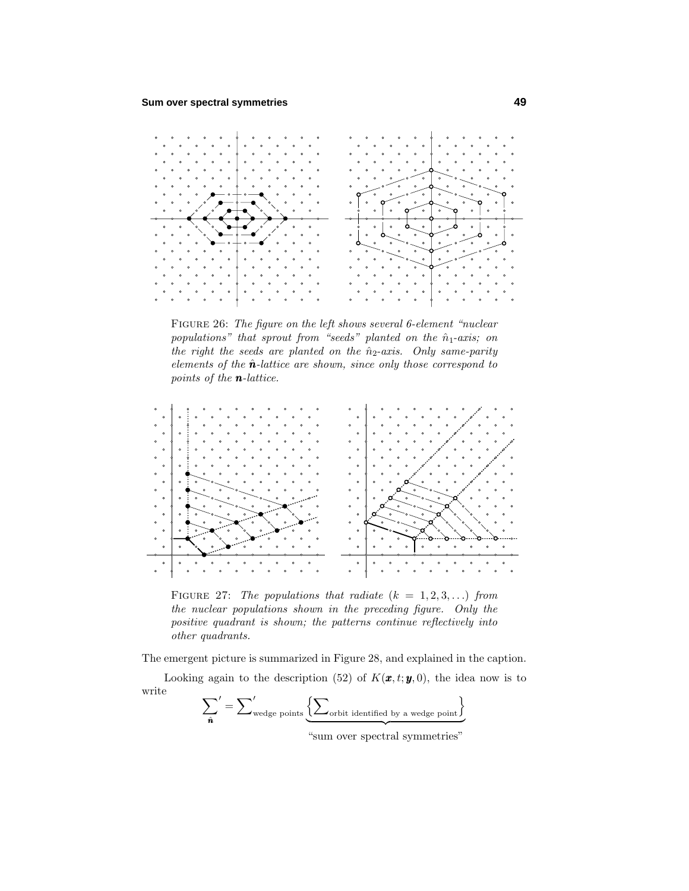

Figure 26: The figure on the left shows several 6-element "nuclear populations" that sprout from "seeds" planted on the  $\hat{n}_1$ -axis; on the right the seeds are planted on the  $\hat{n}_2$ -axis. Only same-parity elements of the  $\hat{\mathbf{n}}$ -lattice are shown, since only those correspond to points of the *n*-lattice.



FIGURE 27: The populations that radiate  $(k = 1, 2, 3, \ldots)$  from the nuclear populations shown in the preceding figure. Only the positive quadrant is shown; the patterns continue reflectively into other quadrants.

The emergent picture is summarized in Figure 28, and explained in the caption.

Looking again to the description (52) of  $K(\mathbf{x}, t; \mathbf{y}, 0)$ , the idea now is to write

$$
\sum'_{\hat{\mathbf{n}}} = \sum'_{\text{wedge points}} \underbrace{\left\{ \sum_{\text{orbit identified by a wedge point} \right\}}_{\text{intra}}
$$

"sum over spectral symmetries"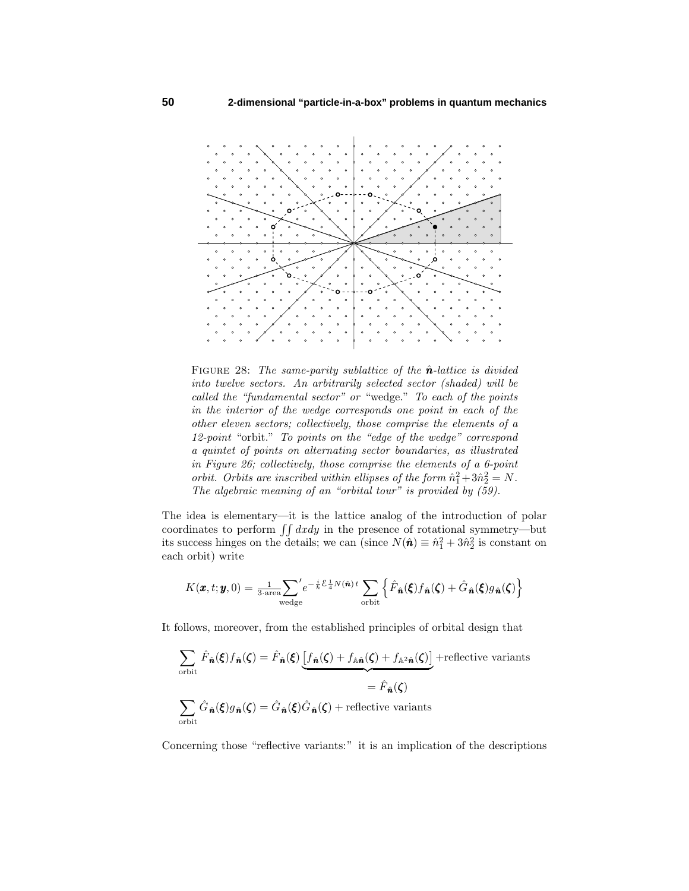

FIGURE 28: The same-parity sublattice of the  $\hat{n}$ -lattice is divided into twelve sectors. An arbitrarily selected sector (shaded) will be called the "fundamental sector" or "wedge." To each of the points in the interior of the wedge corresponds one point in each of the other eleven sectors; collectively, those comprise the elements of a 12-point "orbit." To points on the "edge of the wedge" correspond a quintet of points on alternating sector boundaries, as illustrated in Figure 26; collectively, those comprise the elements of a 6-point orbit. Orbits are inscribed within ellipses of the form  $\hat{n}_1^2 + 3\hat{n}_2^2 = N$ . The algebraic meaning of an "orbital tour" is provided by (59).

The idea is elementary—it is the lattice analog of the introduction of polar coordinates to perform  $\iint dx dy$  in the presence of rotational symmetry—but its success hinges on the details; we can (since  $N(\hat{\bf{n}}) \equiv \hat{n}_1^2 + 3\hat{n}_2^2$  is constant on each orbit) write

$$
K(\pmb{x},t;\pmb{y},0) = \frac{1}{3\cdot \text{area}} \sum_{\text{wedge}}' e^{-\frac{i}{\hbar}\mathcal{E}\frac{1}{4}N(\hat{\pmb{n}})\,t} \sum_{\text{orbit}} \left\{ \hat{F}_{\hat{\pmb{n}}}(\pmb{\xi}) f_{\hat{\pmb{n}}}(\pmb{\zeta}) + \hat{G}_{\hat{\pmb{n}}}(\pmb{\xi}) g_{\hat{\pmb{n}}}(\pmb{\zeta}) \right\}
$$

It follows, moreover, from the established principles of orbital design that

$$
\sum_{\text{orbit}} \hat{F}_{\hat{n}}(\xi) f_{\hat{n}}(\zeta) = \hat{F}_{\hat{n}}(\xi) \underbrace{[f_{\hat{n}}(\zeta) + f_{\mathbb{A}\hat{n}}(\zeta) + f_{\mathbb{A}^2\hat{n}}(\zeta)]}_{= \hat{F}_{\hat{n}}(\zeta)} + \text{reflective variants}
$$
\n
$$
= \hat{F}_{\hat{n}}(\zeta)
$$
\n
$$
\sum_{\text{orbit}} \hat{G}_{\hat{n}}(\xi) g_{\hat{n}}(\zeta) = \hat{G}_{\hat{n}}(\xi) \hat{G}_{\hat{n}}(\zeta) + \text{reflective variants}
$$

Concerning those "reflective variants:" it is an implication of the descriptions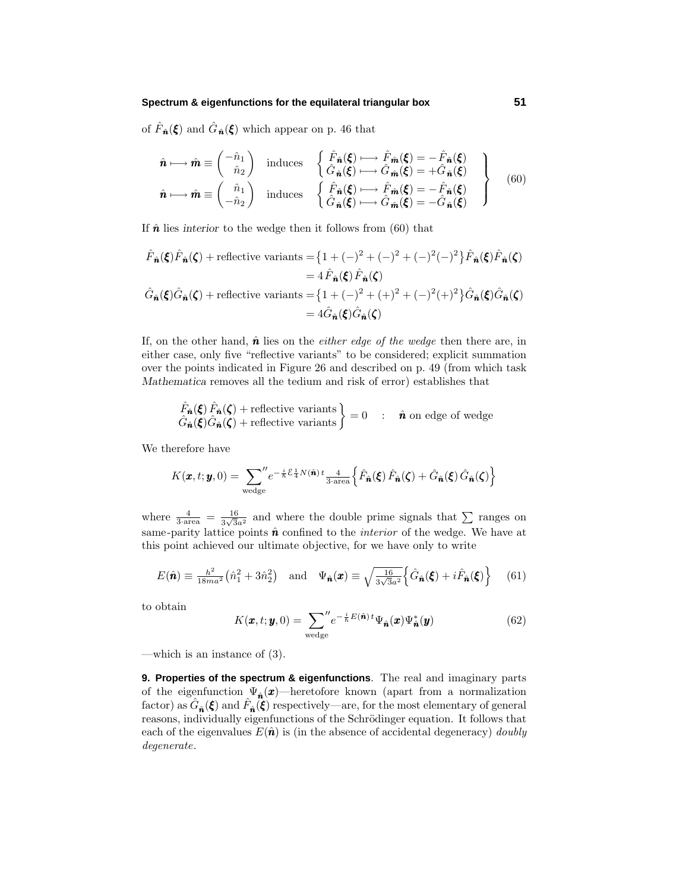of  $\hat{F}_{\hat{n}}(\xi)$  and  $\hat{G}_{\hat{n}}(\xi)$  which appear on p. 46 that

$$
\hat{\boldsymbol{n}} \longmapsto \hat{\boldsymbol{m}} \equiv \begin{pmatrix} -\hat{n}_1 \\ \hat{n}_2 \end{pmatrix} \text{ induces } \begin{cases} \hat{F}_{\hat{\boldsymbol{n}}}(\boldsymbol{\xi}) \longmapsto \hat{F}_{\hat{\boldsymbol{m}}}(\boldsymbol{\xi}) = -\hat{F}_{\hat{\boldsymbol{n}}}(\boldsymbol{\xi}) \\ \hat{G}_{\hat{\boldsymbol{n}}}(\boldsymbol{\xi}) \longmapsto \hat{G}_{\hat{\boldsymbol{m}}}(\boldsymbol{\xi}) = +\hat{G}_{\hat{\boldsymbol{n}}}(\boldsymbol{\xi}) \\ \hat{n} \longmapsto \hat{\boldsymbol{m}} \equiv \begin{pmatrix} \hat{n}_1 \\ -\hat{n}_2 \end{pmatrix} \text{ induces } \begin{cases} \hat{F}_{\hat{\boldsymbol{n}}}(\boldsymbol{\xi}) \longmapsto \hat{F}_{\hat{\boldsymbol{m}}}(\boldsymbol{\xi}) = -\hat{F}_{\hat{\boldsymbol{n}}}(\boldsymbol{\xi}) \\ \hat{G}_{\hat{\boldsymbol{n}}}(\boldsymbol{\xi}) \longmapsto \hat{G}_{\hat{\boldsymbol{m}}}(\boldsymbol{\xi}) = -\hat{G}_{\hat{\boldsymbol{n}}}(\boldsymbol{\xi}) \end{cases}
$$
(60)

If  $\hat{\boldsymbol{n}}$  lies *interior* to the wedge then it follows from (60) that

$$
\hat{F}_{\hat{\mathbf{n}}}(\boldsymbol{\xi})\hat{F}_{\hat{\mathbf{n}}}(\boldsymbol{\xi}) + \text{reflective variants} = \left\{1 + (-)^2 + (-)^2 + (-)^2(-)^2\right\}\hat{F}_{\hat{\mathbf{n}}}(\boldsymbol{\xi})\hat{F}_{\hat{\mathbf{n}}}(\boldsymbol{\xi})
$$
\n
$$
= 4\hat{F}_{\hat{\mathbf{n}}}(\boldsymbol{\xi})\hat{F}_{\hat{\mathbf{n}}}(\boldsymbol{\xi})
$$
\n
$$
\hat{G}_{\hat{\mathbf{n}}}(\boldsymbol{\xi})\hat{G}_{\hat{\mathbf{n}}}(\boldsymbol{\xi}) + \text{reflective variants} = \left\{1 + (-)^2 + (+)^2 + (-)^2(+)^2\right\}\hat{G}_{\hat{\mathbf{n}}}(\boldsymbol{\xi})\hat{G}_{\hat{\mathbf{n}}}(\boldsymbol{\xi})
$$
\n
$$
= 4\hat{G}_{\hat{\mathbf{n}}}(\boldsymbol{\xi})\hat{G}_{\hat{\mathbf{n}}}(\boldsymbol{\xi})
$$

If, on the other hand,  $\hat{\boldsymbol{n}}$  lies on the *either edge of the wedge* then there are, in either case, only five "reflective variants" to be considered; explicit summation over the points indicated in Figure 26 and described on p. 49 (from which task *Mathematica* removes all the tedium and risk of error) establishes that

$$
\hat{F}_{\hat{n}}(\xi)\hat{F}_{\hat{n}}(\zeta) + \text{reflective variants} \Big\} = 0 \quad : \quad \hat{n} \text{ on edge of wedge}
$$
\n
$$
\hat{G}_{\hat{n}}(\xi)\hat{G}_{\hat{n}}(\zeta) + \text{reflective variants} \Big\} = 0 \quad : \quad \hat{n} \text{ on edge of wedge}
$$

We therefore have

$$
K(\boldsymbol{x},t;\boldsymbol{y},0) = \sum_{\text{wedge}}^{\prime\prime} e^{-\frac{i}{\hbar}\mathcal{E}\frac{1}{4}N(\hat{\boldsymbol{n}})\,t} \frac{4}{3\text{-area}} \Big\{ \hat{F}_{\hat{\boldsymbol{n}}}(\boldsymbol{\xi}) \,\hat{F}_{\hat{\boldsymbol{n}}}(\boldsymbol{\xi}) + \hat{G}_{\hat{\boldsymbol{n}}}(\boldsymbol{\xi}) \,\hat{G}_{\hat{\boldsymbol{n}}}(\boldsymbol{\xi}) \Big\}
$$

where  $\frac{4}{3 \cdot \text{area}} = \frac{16}{3\sqrt{3}a^2}$  and where the double prime signals that  $\sum$  ranges on same-parity lattice points  $\hat{n}$  confined to the *interior* of the wedge. We have at this point achieved our ultimate objective, for we have only to write

$$
E(\hat{\boldsymbol{n}}) \equiv \frac{\hbar^2}{18ma^2} \left(\hat{n}_1^2 + 3\hat{n}_2^2\right) \quad \text{and} \quad \Psi_{\hat{\boldsymbol{n}}}(\boldsymbol{x}) \equiv \sqrt{\frac{16}{3\sqrt{3}a^2}} \left\{\hat{G}_{\hat{\boldsymbol{n}}}(\boldsymbol{\xi}) + i\hat{F}_{\hat{\boldsymbol{n}}}(\boldsymbol{\xi})\right\} \tag{61}
$$

to obtain

$$
K(\boldsymbol{x}, t; \boldsymbol{y}, 0) = \sum_{\text{wedge}}^{\prime\prime} e^{-\frac{i}{\hbar}E(\hat{\boldsymbol{n}})t} \Psi_{\hat{\boldsymbol{n}}}(\boldsymbol{x}) \Psi_{\hat{\boldsymbol{n}}}^{*}(\boldsymbol{y})
$$
(62)

—which is an instance of (3).

**9. Properties of the spectrum & eigenfunctions**. The real and imaginary parts of the eigenfunction Ψ*n*<sup>ˆ</sup>(*x*)—heretofore known (apart from a normalization factor) as  $G_{\hat{n}}(\xi)$  and  $\hat{F}_{\hat{n}}(\xi)$  respectively—are, for the most elementary of general reasons, individually eigenfunctions of the Schrödinger equation. It follows that each of the eigenvalues  $E(\hat{\boldsymbol{n}})$  is (in the absence of accidental degeneracy) *doubly* degenerate.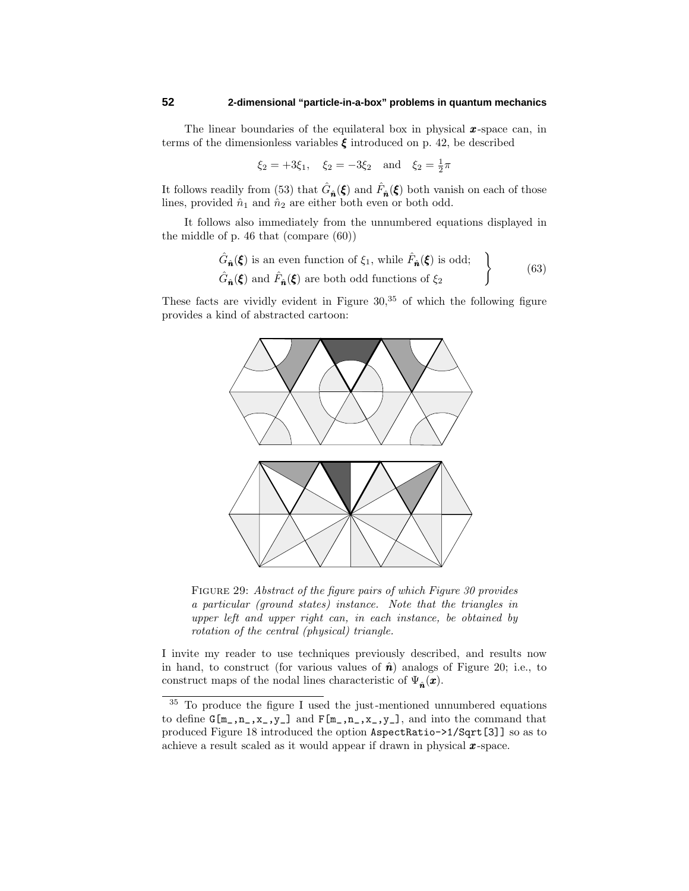The linear boundaries of the equilateral box in physical *x*-space can, in terms of the dimensionless variables  $\xi$  introduced on p. 42, be described

$$
\xi_2 = +3\xi_1
$$
,  $\xi_2 = -3\xi_2$  and  $\xi_2 = \frac{1}{2}\pi$ 

It follows readily from (53) that  $\hat{G}_{\hat{n}}(\xi)$  and  $\hat{F}_{\hat{n}}(\xi)$  both vanish on each of those lines, provided  $\hat{n}_1$  and  $\hat{n}_2$  are either both even or both odd.

It follows also immediately from the unnumbered equations displayed in the middle of p. 46 that (compare (60))

$$
\left\{\n\begin{aligned}\n\hat{G}_{\hat{n}}(\xi) & \text{is an even function of } \xi_1 \text{, while } \hat{F}_{\hat{n}}(\xi) \text{ is odd;} \\
\hat{G}_{\hat{n}}(\xi) & \text{and } \hat{F}_{\hat{n}}(\xi) \text{ are both odd functions of } \xi_2\n\end{aligned}\n\right\}\n\tag{63}
$$

These facts are vividly evident in Figure  $30<sup>35</sup>$  of which the following figure provides a kind of abstracted cartoon:



Figure 29: Abstract of the figure pairs of which Figure 30 provides a particular (ground states) instance. Note that the triangles in upper left and upper right can, in each instance, be obtained by rotation of the central (physical) triangle.

I invite my reader to use techniques previously described, and results now in hand, to construct (for various values of  $\hat{\boldsymbol{n}}$ ) analogs of Figure 20; i.e., to construct maps of the nodal lines characteristic of  $\Psi_{\hat{n}}(\boldsymbol{x})$ .

<sup>&</sup>lt;sup>35</sup> To produce the figure I used the just-mentioned unnumbered equations to define  $G[m_1,n_2,x_1,y_1]$  and  $F[m_1,n_2,x_1,y_1]$ , and into the command that produced Figure 18 introduced the option AspectRatio->1/Sqrt[3]] so as to achieve a result scaled as it would appear if drawn in physical *x*-space.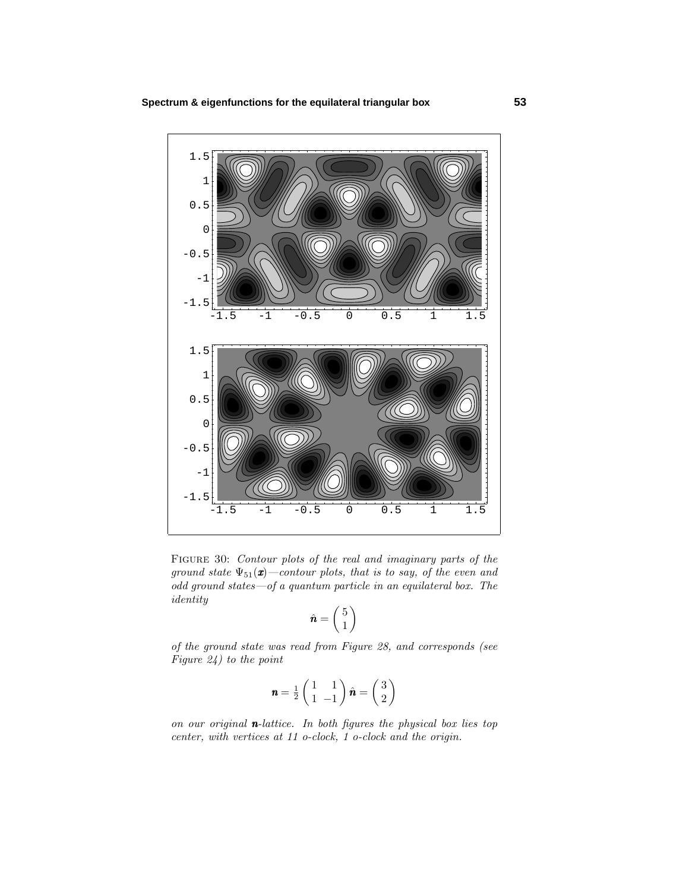

Figure 30: Contour plots of the real and imaginary parts of the ground state  $\Psi_{51}(\mathbf{x})$  –contour plots, that is to say, of the even and odd ground states—of a quantum particle in an equilateral box. The identity

$$
\hat{\boldsymbol{n}} = \begin{pmatrix} 5 \\ 1 \end{pmatrix}
$$

of the ground state was read from Figure 28, and corresponds (see Figure 24) to the point

$$
\mathbf{n} = \frac{1}{2} \begin{pmatrix} 1 & 1 \\ 1 & -1 \end{pmatrix} \hat{\mathbf{n}} = \begin{pmatrix} 3 \\ 2 \end{pmatrix}
$$

on our original  $n$ -lattice. In both figures the physical box lies top center, with vertices at 11 o-clock, 1 o-clock and the origin.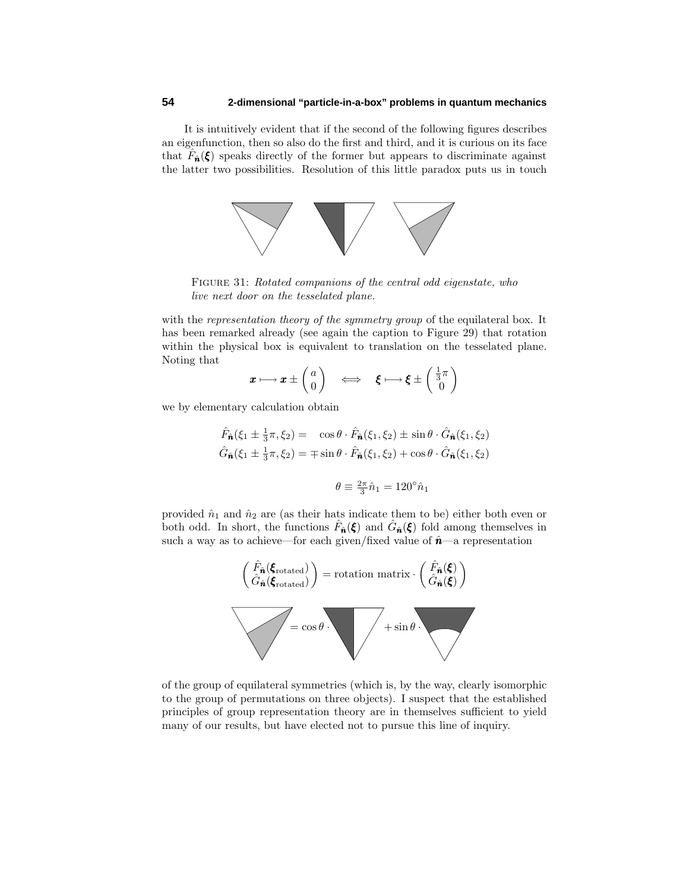It is intuitively evident that if the second of the following figures describes an eigenfunction, then so also do the first and third, and it is curious on its face that  $\hat{F}_{\hat{n}}(\xi)$  speaks directly of the former but appears to discriminate against the latter two possibilities. Resolution of this little paradox puts us in touch



Figure 31: Rotated companions of the central odd eigenstate, who live next door on the tesselated plane.

with the *representation theory of the symmetry group* of the equilateral box. It has been remarked already (see again the caption to Figure 29) that rotation within the physical box is equivalent to translation on the tesselated plane. Noting that

$$
\boldsymbol{x} \longmapsto \boldsymbol{x} \pm \begin{pmatrix} a \\ 0 \end{pmatrix} \quad \Longleftrightarrow \quad \boldsymbol{\xi} \longmapsto \boldsymbol{\xi} \pm \begin{pmatrix} \frac{1}{3}\pi \\ 0 \end{pmatrix}
$$

we by elementary calculation obtain

$$
\hat{F}_{\hat{\mathbf{n}}}(\xi_1 \pm \frac{1}{3}\pi, \xi_2) = \cos\theta \cdot \hat{F}_{\hat{\mathbf{n}}}(\xi_1, \xi_2) \pm \sin\theta \cdot \hat{G}_{\hat{\mathbf{n}}}(\xi_1, \xi_2)
$$

$$
\hat{G}_{\hat{\mathbf{n}}}(\xi_1 \pm \frac{1}{3}\pi, \xi_2) = \mp \sin\theta \cdot \hat{F}_{\hat{\mathbf{n}}}(\xi_1, \xi_2) + \cos\theta \cdot \hat{G}_{\hat{\mathbf{n}}}(\xi_1, \xi_2)
$$

$$
\theta \equiv \frac{2\pi}{3} \hat{n}_1 = 120^\circ \hat{n}_1
$$

provided  $\hat{n}_1$  and  $\hat{n}_2$  are (as their hats indicate them to be) either both even or both odd. In short, the functions  $\hat{F}_{\hat{n}}(\xi)$  and  $\hat{G}_{\hat{n}}(\xi)$  fold among themselves in such a way as to achieve—for each given/fixed value of  $\hat{n}$ —a representation



of the group of equilateral symmetries (which is, by the way, clearly isomorphic to the group of permutations on three objects). I suspect that the established principles of group representation theory are in themselves sufficient to yield many of our results, but have elected not to pursue this line of inquiry.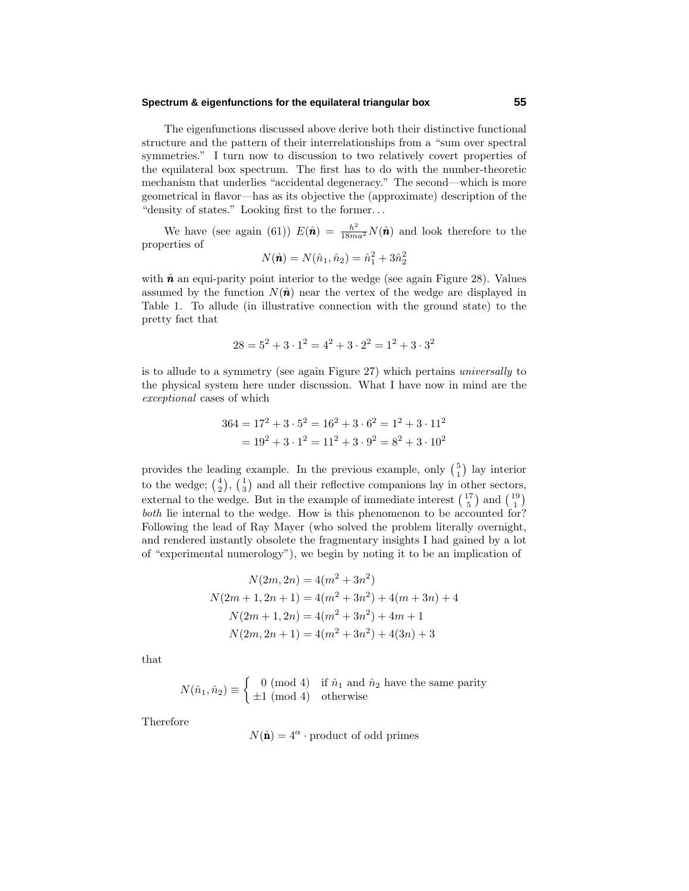The eigenfunctions discussed above derive both their distinctive functional structure and the pattern of their interrelationships from a "sum over spectral symmetries." I turn now to discussion to two relatively covert properties of the equilateral box spectrum. The first has to do with the number-theoretic mechanism that underlies "accidental degeneracy." The second—which is more geometrical in flavor—has as its objective the (approximate) description of the "density of states." Looking first to the former*...*

We have (see again (61))  $E(\hat{\boldsymbol{n}}) = \frac{\hbar^2}{18ma^2} N(\hat{\boldsymbol{n}})$  and look therefore to the properties of

$$
N(\hat{\mathbf{n}}) = N(\hat{n}_1, \hat{n}_2) = \hat{n}_1^2 + 3\hat{n}_2^2
$$

with  $\hat{\boldsymbol{n}}$  an equi-parity point interior to the wedge (see again Figure 28). Values assumed by the function  $N(\hat{\bf{n}})$  near the vertex of the wedge are displayed in Table 1. To allude (in illustrative connection with the ground state) to the pretty fact that

$$
28 = 5^2 + 3 \cdot 1^2 = 4^2 + 3 \cdot 2^2 = 1^2 + 3 \cdot 3^2
$$

is to allude to a symmetry (see again Figure 27) which pertains universally to the physical system here under discussion. What I have now in mind are the exceptional cases of which

$$
364 = 172 + 3 \cdot 52 = 162 + 3 \cdot 62 = 12 + 3 \cdot 112
$$
  
= 19<sup>2</sup> + 3 \cdot 1<sup>2</sup> = 11<sup>2</sup> + 3 \cdot 9<sup>2</sup> = 8<sup>2</sup> + 3 \cdot 10<sup>2</sup>

provides the leading example. In the previous example, only  $\binom{5}{1}$  lay interior to the wedge;  $\binom{4}{2}$ ,  $\binom{1}{3}$  and all their reflective companions lay in other sectors, external to the wedge. But in the example of immediate interest  $\binom{17}{5}$  and  $\binom{19}{1}$ both lie internal to the wedge. How is this phenomenon to be accounted for? Following the lead of Ray Mayer (who solved the problem literally overnight, and rendered instantly obsolete the fragmentary insights I had gained by a lot of "experimental numerology"), we begin by noting it to be an implication of

$$
N(2m, 2n) = 4(m2 + 3n2)
$$
  

$$
N(2m + 1, 2n + 1) = 4(m2 + 3n2) + 4(m + 3n) + 4
$$
  

$$
N(2m + 1, 2n) = 4(m2 + 3n2) + 4m + 1
$$
  

$$
N(2m, 2n + 1) = 4(m2 + 3n2) + 4(3n) + 3
$$

that

$$
N(\hat{n}_1, \hat{n}_2) \equiv \begin{cases} 0 \pmod{4} & \text{if } \hat{n}_1 \text{ and } \hat{n}_2 \text{ have the same parity} \\ \pm 1 \pmod{4} & \text{otherwise} \end{cases}
$$

Therefore

$$
N(\hat{\mathbf{n}}) = 4^{\alpha} \cdot \text{product of odd primes}
$$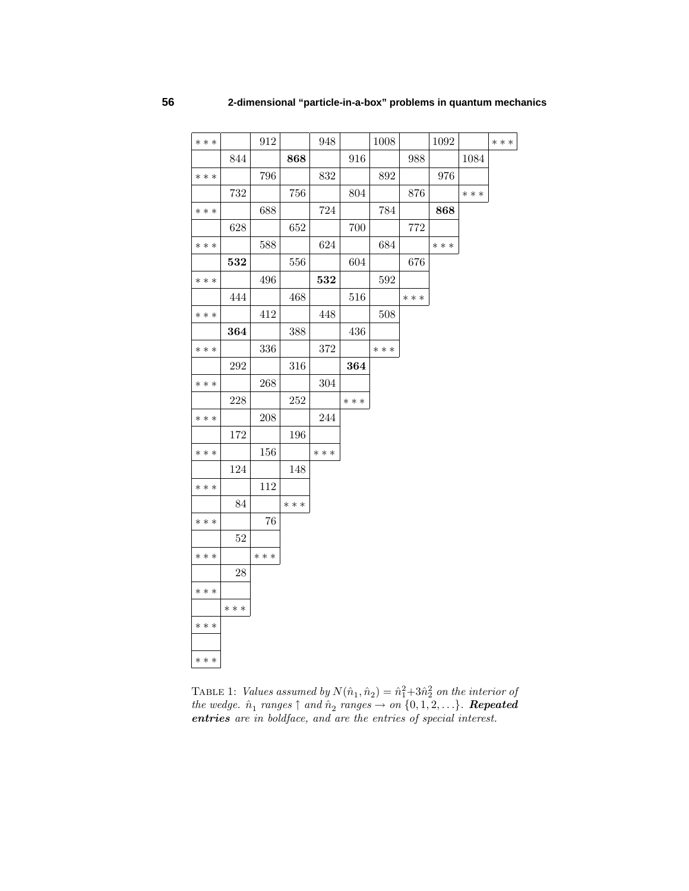| $***$ |        | 912   |         | 948       |       | 1008  |       | 1092  |       | $***$ |
|-------|--------|-------|---------|-----------|-------|-------|-------|-------|-------|-------|
|       | 844    |       | 868     |           | 916   |       | 988   |       | 1084  |       |
| $***$ |        | 796   |         | 832       |       | 892   |       | 976   |       |       |
|       | 732    |       | 756     |           | 804   |       | 876   |       | $***$ |       |
| $***$ |        | 688   |         | 724       |       | 784   |       | 868   |       |       |
|       | 628    |       | 652     |           | 700   |       | 772   |       |       |       |
| * * * |        | 588   |         | 624       |       | 684   |       | $***$ |       |       |
|       | 532    |       | 556     |           | 604   |       | 676   |       |       |       |
| $***$ |        | 496   |         | 532       |       | 592   |       |       |       |       |
|       | 444    |       | 468     |           | 516   |       | * * * |       |       |       |
| * * * |        | 412   |         | 448       |       | 508   |       |       |       |       |
|       | 364    |       | 388     |           | 436   |       |       |       |       |       |
| $***$ |        | 336   |         | 372       |       | $***$ |       |       |       |       |
|       | 292    |       | $316\,$ |           | 364   |       |       |       |       |       |
| $***$ |        | 268   |         | 304       |       |       |       |       |       |       |
|       | 228    |       | 252     |           | $***$ |       |       |       |       |       |
| $***$ |        | 208   |         | $\bf 244$ |       |       |       |       |       |       |
|       | 172    |       | 196     |           |       |       |       |       |       |       |
| * * * |        | 156   |         | * * *     |       |       |       |       |       |       |
|       | 124    |       | 148     |           |       |       |       |       |       |       |
| $***$ |        | 112   |         |           |       |       |       |       |       |       |
|       | 84     |       | $* * *$ |           |       |       |       |       |       |       |
| * * * |        | 76    |         |           |       |       |       |       |       |       |
|       | $52\,$ |       |         |           |       |       |       |       |       |       |
| $***$ |        | $***$ |         |           |       |       |       |       |       |       |
|       | 28     |       |         |           |       |       |       |       |       |       |
| $***$ |        |       |         |           |       |       |       |       |       |       |
|       | $***$  |       |         |           |       |       |       |       |       |       |
| $***$ |        |       |         |           |       |       |       |       |       |       |
|       |        |       |         |           |       |       |       |       |       |       |
| * * * |        |       |         |           |       |       |       |       |       |       |

TABLE 1: Values assumed by  $N(\hat{n}_1, \hat{n}_2) = \hat{n}_1^2 + 3\hat{n}_2^2$  on the interior of  $the \ wedge. \ \hat{n}_1 \ ranges \uparrow and \hat{n}_2 \ ranges \rightarrow on \{0, 1, 2, \ldots\}. \ \ \textit{Repeated}$ *entries* are in boldface, and are the entries of special interest.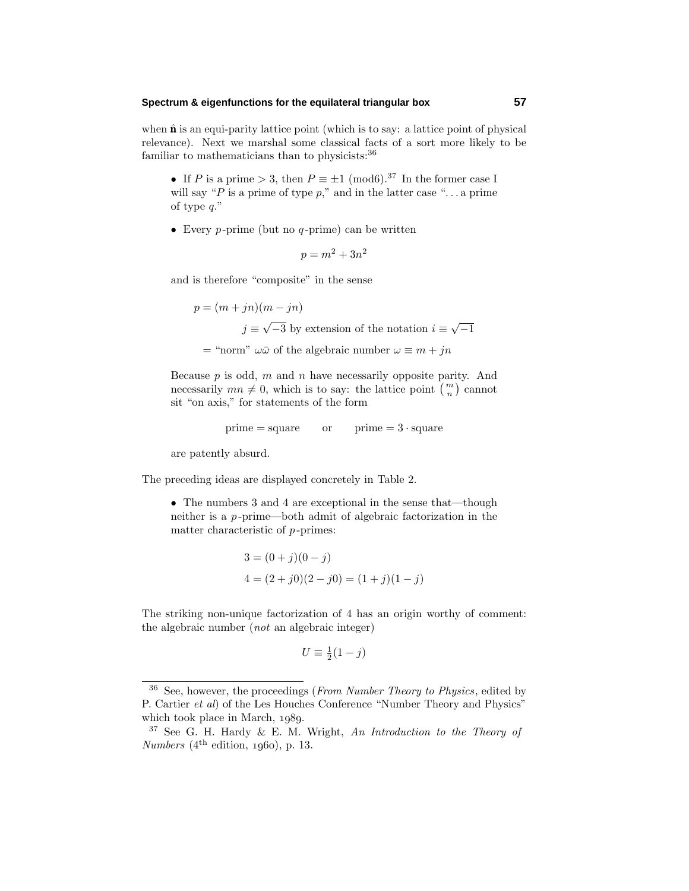when  $\hat{\mathbf{n}}$  is an equi-parity lattice point (which is to say: a lattice point of physical relevance). Next we marshal some classical facts of a sort more likely to be familiar to mathematicians than to physicists:<sup>36</sup>

• If *P* is a prime  $> 3$ , then  $P \equiv \pm 1 \pmod{6}$ .<sup>37</sup> In the former case I will say "*P* is a prime of type *p*," and in the latter case "*...* a prime of type *q*."

• Every *p* -prime (but no *q* -prime) can be written

 $p = m^2 + 3n^2$ 

and is therefore "composite" in the sense

 $p = (m + jn)(m - jn)$  $j \equiv \sqrt{-3}$  by extension of the notation  $i \equiv \sqrt{-1}$ 

 $=$  "norm"  $\omega \bar{\omega}$  of the algebraic number  $\omega \equiv m + jn$ 

Because *p* is odd, *m* and *n* have necessarily opposite parity. And necessarily  $mn \neq 0$ , which is to say: the lattice point  $\binom{m}{n}$  cannot sit "on axis," for statements of the form

$$
prime = square \qquad or \qquad prime = 3 \cdot square
$$

are patently absurd.

The preceding ideas are displayed concretely in Table 2.

• The numbers 3 and 4 are exceptional in the sense that—though neither is a *p* -prime—both admit of algebraic factorization in the matter characteristic of *p* -primes:

$$
3 = (0 + j)(0 - j)
$$
  

$$
4 = (2 + j0)(2 - j0) = (1 + j)(1 - j)
$$

The striking non-unique factorization of 4 has an origin worthy of comment: the algebraic number (not an algebraic integer)

$$
U \equiv \frac{1}{2}(1-j)
$$

 $36$  See, however, the proceedings (*From Number Theory to Physics*, edited by P. Cartier et al) of the Les Houches Conference "Number Theory and Physics" which took place in March,  $1989$ .

 $37$  See G. H. Hardy & E. M. Wright, An Introduction to the Theory of  $Numbers (4<sup>th</sup> edition, 1960), p. 13.$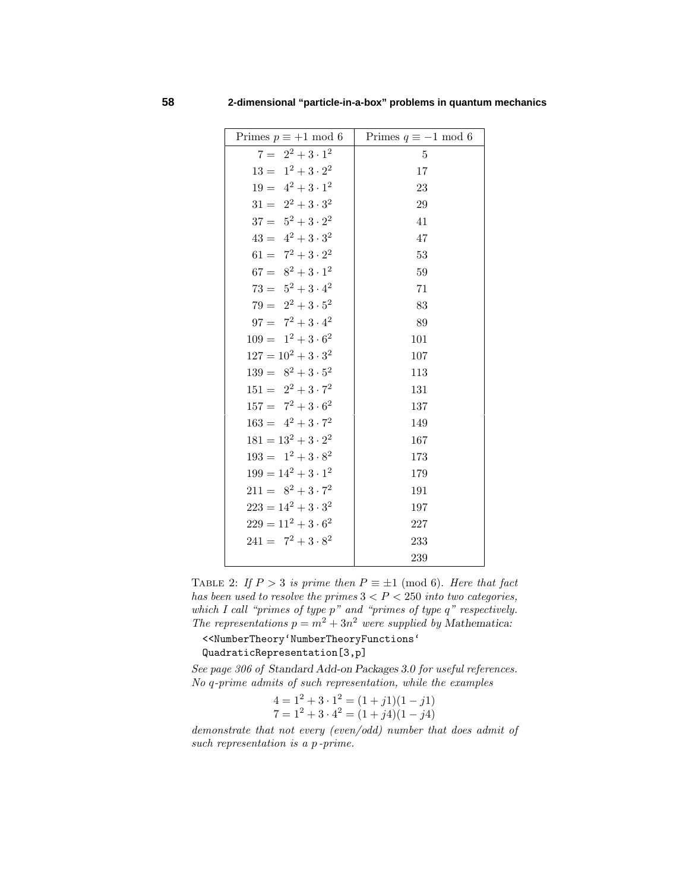| Primes $p \equiv +1 \mod 6$ | Primes $q\equiv -1$ mod $6$ |
|-----------------------------|-----------------------------|
| $7 = 2^2 + 3 \cdot 1^2$     | $\overline{5}$              |
| $13 = 1^2 + 3 \cdot 2^2$    | 17                          |
| $19 = 4^2 + 3 \cdot 1^2$    | 23                          |
| $31 = 2^2 + 3 \cdot 3^2$    | 29                          |
| $37 = 5^2 + 3 \cdot 2^2$    | 41                          |
| $43 = 4^2 + 3 \cdot 3^2$    | 47                          |
| $61 = 7^2 + 3 \cdot 2^2$    | 53                          |
| $67 = 8^2 + 3 \cdot 1^2$    | 59                          |
| $73 = 5^2 + 3 \cdot 4^2$    | 71                          |
| $79 = 2^2 + 3.5^2$          | 83                          |
| $97 = 7^2 + 3 \cdot 4^2$    | 89                          |
| $109 = 1^2 + 3 \cdot 6^2$   | 101                         |
| $127 = 10^2 + 3 \cdot 3^2$  | 107                         |
| $139 = 8^2 + 3.5^2$         | 113                         |
| $151 = 2^2 + 3 \cdot 7^2$   | 131                         |
| $157 = 7^2 + 3 \cdot 6^2$   | 137                         |
| $163 = 4^2 + 3 \cdot 7^2$   | 149                         |
| $181 = 13^2 + 3 \cdot 2^2$  | 167                         |
| $193 = 1^2 + 3 \cdot 8^2$   | 173                         |
| $199 = 14^2 + 3 \cdot 1^2$  | 179                         |
| $211 = 8^2 + 3 \cdot 7^2$   | 191                         |
| $223 = 14^2 + 3 \cdot 3^2$  | 197                         |
| $229 = 11^2 + 3 \cdot 6^2$  | 227                         |
| $241 = 7^2 + 3 \cdot 8^2$   | 233                         |
|                             | 239                         |

TABLE 2: If  $P > 3$  is prime then  $P \equiv \pm 1 \pmod{6}$ . Here that fact has been used to resolve the primes  $3 < P < 250$  into two categories, which I call "primes of type *p*" and "primes of type *q*" respectively. The representations  $p = m^2 + 3n^2$  were supplied by Mathematica:

<<NumberTheory'NumberTheoryFunctions'

QuadraticRepresentation[3,p]

See page 306 of *Standard Add-on Packages 3.0* for useful references. No *q*-prime admits of such representation, while the examples

$$
4 = 12 + 3 \cdot 12 = (1 + j1)(1 – j1)7 = 12 + 3 \cdot 42 = (1 + j4)(1 – j4)
$$

demonstrate that not every (even/odd) number that does admit of such representation is a *p* -prime.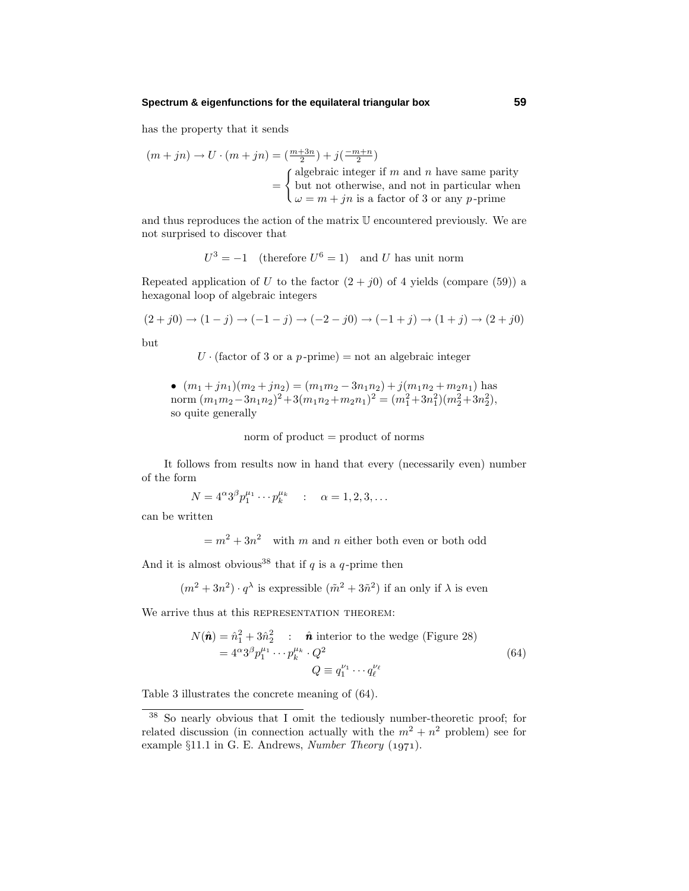has the property that it sends

$$
(m + jn) \to U \cdot (m + jn) = \left(\frac{m+3n}{2}\right) + j\left(\frac{-m+n}{2}\right)
$$
  
= 
$$
\begin{cases} \text{algebraic integer if } m \text{ and } n \text{ have same parity} \\ \text{but not otherwise, and not in particular when} \\ \omega = m + jn \text{ is a factor of 3 or any } p\text{-prime} \end{cases}
$$

and thus reproduces the action of the matrix U encountered previously. We are not surprised to discover that

$$
U^3 = -1
$$
 (therefore  $U^6 = 1$ ) and U has unit norm

Repeated application of *U* to the factor  $(2 + j0)$  of 4 yields (compare (59)) a hexagonal loop of algebraic integers

$$
(2+j0) \to (1-j) \to (-1-j) \to (-2-j0) \to (-1+j) \to (1+j) \to (2+j0)
$$

but

 $U \cdot$  (factor of 3 or a *p*-prime) = not an algebraic integer

• 
$$
(m_1 + jn_1)(m_2 + jn_2) = (m_1m_2 - 3n_1n_2) + j(m_1n_2 + m_2n_1)
$$
 has  
norm  $(m_1m_2 - 3n_1n_2)^2 + 3(m_1n_2 + m_2n_1)^2 = (m_1^2 + 3n_1^2)(m_2^2 + 3n_2^2)$ ,  
so quite generally

norm of product = product of norms

It follows from results now in hand that every (necessarily even) number of the form

$$
N = 4^{\alpha}3^{\beta}p_1^{\mu_1}\cdots p_k^{\mu_k} \quad : \quad \alpha = 1, 2, 3, \dots
$$

can be written

 $= m^2 + 3n^2$  with *m* and *n* either both even or both odd

And it is almost obvious<sup>38</sup> that if  $q$  is a  $q$ -prime then

$$
(m^2 + 3n^2) \cdot q^{\lambda}
$$
 is expressible  $(\tilde{m}^2 + 3\tilde{n}^2)$  if an only if  $\lambda$  is even

We arrive thus at this REPRESENTATION THEOREM:

$$
N(\hat{\mathbf{n}}) = \hat{n}_1^2 + 3\hat{n}_2^2 : \hat{\mathbf{n}} \text{ interior to the wedge (Figure 28)}
$$
  
=  $4^{\alpha}3^{\beta}p_1^{\mu_1} \cdots p_k^{\mu_k} \cdot Q^2$   

$$
Q \equiv q_1^{\nu_1} \cdots q_\ell^{\nu_\ell}
$$
 (64)

Table 3 illustrates the concrete meaning of (64).

<sup>38</sup> So nearly obvious that I omit the tediously number-theoretic proof; for related discussion (in connection actually with the  $m^2 + n^2$  problem) see for example  $§11.1$  in G. E. Andrews, Number Theory (1971).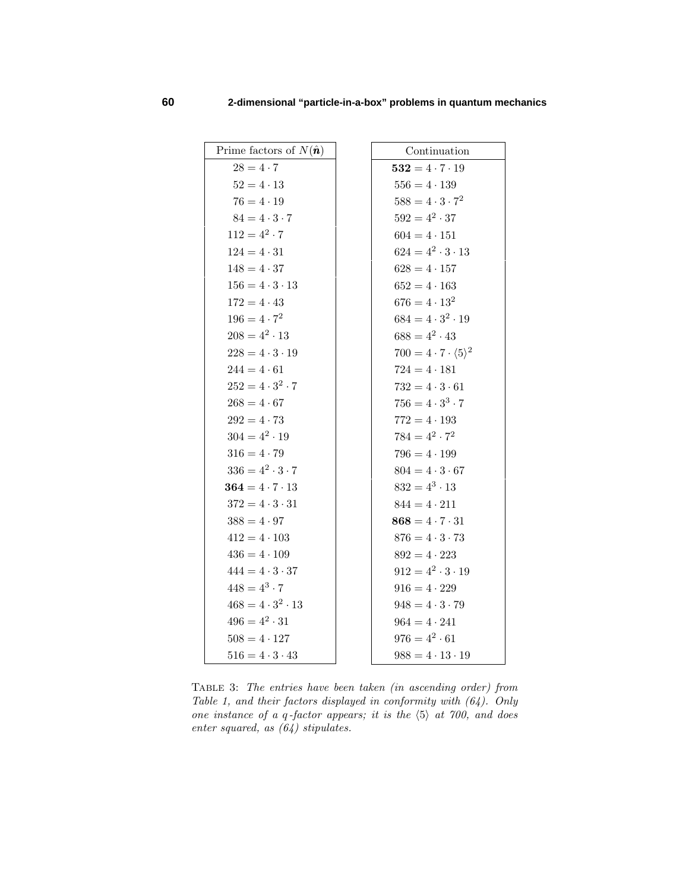| Prime factors of $N(\hat{\boldsymbol{n}})$ | Continuation                                |
|--------------------------------------------|---------------------------------------------|
| $28 = 4 \cdot 7$                           | $532 = 4 \cdot 7 \cdot 19$                  |
| $52 = 4 \cdot 13$                          | $556 = 4 \cdot 139$                         |
| $76 = 4 \cdot 19$                          | $588 = 4 \cdot 3 \cdot 7^2$                 |
| $84 = 4 \cdot 3 \cdot 7$                   | $592 = 4^2 \cdot 37$                        |
| $112 = 4^2 \cdot 7$                        | $604 = 4 \cdot 151$                         |
| $124 = 4 \cdot 31$                         | $624 = 4^2 \cdot 3 \cdot 13$                |
| $148 = 4 \cdot 37$                         | $628 = 4 \cdot 157$                         |
| $156 = 4 \cdot 3 \cdot 13$                 | $652 = 4 \cdot 163$                         |
| $172 = 4 \cdot 43$                         | $676 = 4 \cdot 13^2$                        |
| $196 = 4 \cdot 7^2$                        | $684 = 4 \cdot 3^2 \cdot 19$                |
| $208 = 4^2 \cdot 13$                       | $688 = 4^2 \cdot 43$                        |
| $228 = 4 \cdot 3 \cdot 19$                 | $700 = 4 \cdot 7 \cdot \langle 5 \rangle^2$ |
| $244 = 4 \cdot 61$                         | $724 = 4 \cdot 181$                         |
| $252 = 4 \cdot 3^2 \cdot 7$                | $732 = 4 \cdot 3 \cdot 61$                  |
| $268 = 4.67$                               | $756 = 4 \cdot 3^3 \cdot 7$                 |
| $292 = 4.73$                               | $772 = 4 \cdot 193$                         |
| $304 = 4^2 \cdot 19$                       | $784 = 4^2 \cdot 7^2$                       |
| $316 = 4.79$                               | $796 = 4 \cdot 199$                         |
| $336 = 4^2 \cdot 3 \cdot 7$                | $804 = 4 \cdot 3 \cdot 67$                  |
| $364 = 4 \cdot 7 \cdot 13$                 | $832 = 4^3 \cdot 13$                        |
| $372 = 4 \cdot 3 \cdot 31$                 | $844 = 4 \cdot 211$                         |
| $388 = 4 \cdot 97$                         | $868 = 4 \cdot 7 \cdot 31$                  |
| $412 = 4 \cdot 103$                        | $876 = 4 \cdot 3 \cdot 73$                  |
| $436 = 4 \cdot 109$                        | $892 = 4 \cdot 223$                         |
| $444 = 4 \cdot 3 \cdot 37$                 | $912 = 4^2 \cdot 3 \cdot 19$                |
| $448 = 4^3 \cdot 7$                        | $916 = 4 \cdot 229$                         |
| $468 = 4 \cdot 3^2 \cdot 13$               | $948 = 4 \cdot 3 \cdot 79$                  |
| $496 = 4^2 \cdot 31$                       | $964 = 4 \cdot 241$                         |
| $508 = 4 \cdot 127$                        | $976 = 4^2 \cdot 61$                        |
| $516 = 4 \cdot 3 \cdot 43$                 | $988 = 4 \cdot 13 \cdot 19$                 |

Table 3: The entries have been taken (in ascending order) from Table 1, and their factors displayed in conformity with  $(64)$ . Only one instance of a  $q$ -factor appears; it is the  $\langle 5 \rangle$  at 700, and does enter squared, as (64) stipulates.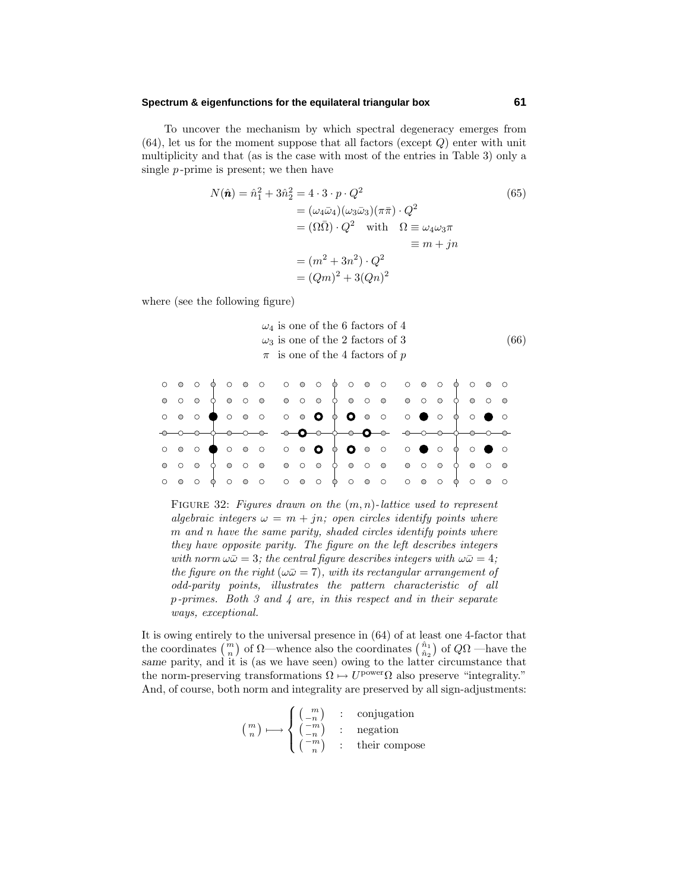To uncover the mechanism by which spectral degeneracy emerges from (64), let us for the moment suppose that all factors (except *Q*) enter with unit multiplicity and that (as is the case with most of the entries in Table 3) only a single *p* -prime is present; we then have

$$
N(\hat{\mathbf{n}}) = \hat{n}_1^2 + 3\hat{n}_2^2 = 4 \cdot 3 \cdot p \cdot Q^2
$$
  
\n
$$
= (\omega_4 \bar{\omega}_4)(\omega_3 \bar{\omega}_3)(\pi \bar{\pi}) \cdot Q^2
$$
  
\n
$$
= (\Omega \bar{\Omega}) \cdot Q^2 \quad \text{with} \quad \Omega \equiv \omega_4 \omega_3 \pi
$$
  
\n
$$
\equiv m + jn
$$
  
\n
$$
= (Qm)^2 + 3(Qn)^2
$$

where (see the following figure)

$$
\omega_4
$$
 is one of the 6 factors of 4  
\n
$$
\omega_3
$$
 is one of the 2 factors of 3  
\n
$$
\pi
$$
 is one of the 4 factors of p\n
$$
(66)
$$

|  |  |  | $\circ\;\circ\;\circ\;\bullet\;\circ\;\circ\;\circ\;\circ\;\bullet\;\bullet\;\bullet\;\bullet\;\circ\;\circ\;\bullet\;\circ\;\bullet\;\circ\;\bullet\;\circ\bullet\;\circ$ |  |  |  |  |  |  |  |
|--|--|--|----------------------------------------------------------------------------------------------------------------------------------------------------------------------------|--|--|--|--|--|--|--|
|  |  |  |                                                                                                                                                                            |  |  |  |  |  |  |  |
|  |  |  |                                                                                                                                                                            |  |  |  |  |  |  |  |

FIGURE 32: Figures drawn on the  $(m, n)$ -lattice used to represent algebraic integers  $\omega = m + jn$ ; open circles identify points where *m* and *n* have the same parity, shaded circles identify points where they have opposite parity. The figure on the left describes integers with norm  $\omega \bar{\omega} = 3$ ; the central figure describes integers with  $\omega \bar{\omega} = 4$ ; the figure on the right ( $\omega \bar{\omega} = 7$ ), with its rectangular arrangement of odd-parity points, illustrates the pattern characteristic of all *p*-primes. Both 3 and 4 are, in this respect and in their separate ways, exceptional.

It is owing entirely to the universal presence in (64) of at least one 4-factor that the coordinates  $\binom{m}{n}$  of  $\Omega$ —whence also the coordinates  $\binom{\hat{n}_1}{\hat{n}_2}$  of  $Q\Omega$  —have the *same* parity, and it is (as we have seen) owing to the latter circumstance that the norm-preserving transformations  $\Omega \mapsto U^{\text{power}} \Omega$  also preserve "integrality." And, of course, both norm and integrality are preserved by all sign-adjustments:

$$
\binom{m}{n} \longmapsto \begin{cases} \binom{m}{-n} & \colon & \text{conjugation} \\ \binom{-m}{n} & \colon & \text{negation} \\ \binom{-m}{n} & \colon & \text{their compose} \end{cases}
$$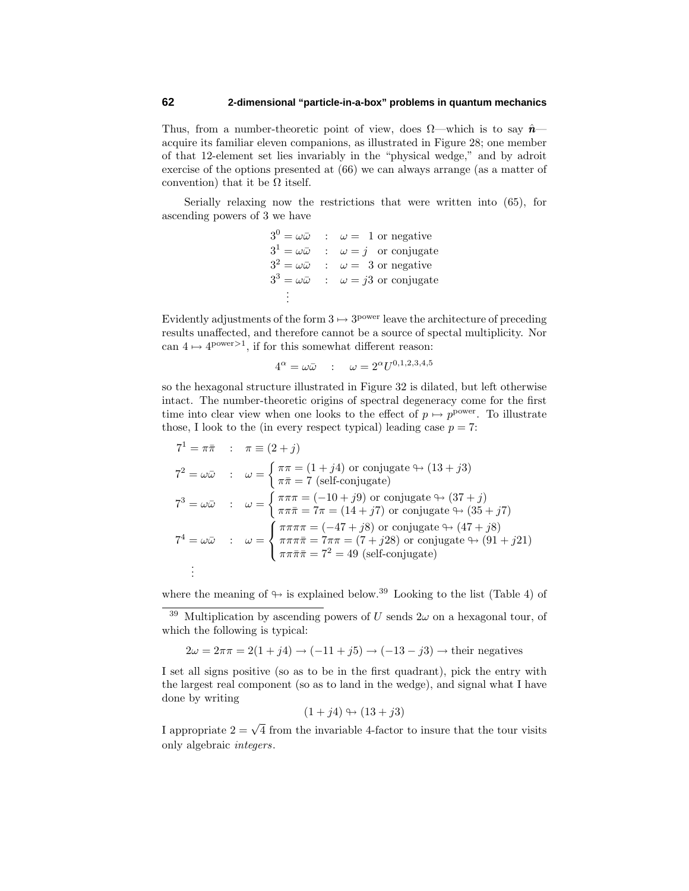Thus, from a number-theoretic point of view, does  $\Omega$ —which is to say  $\hat{\mathbf{n}}$  acquire its familiar eleven companions, as illustrated in Figure 28; one member of that 12-element set lies invariably in the "physical wedge," and by adroit exercise of the options presented at (66) we can always arrange (as a matter of convention) that it be  $\Omega$  itself.

Serially relaxing now the restrictions that were written into (65), for ascending powers of 3 we have

> $3^0 = \omega \bar{\omega}$  :  $\omega = 1$  or negative  $3^1 = \omega \bar{\omega}$  :  $\omega = j$  or conjugate  $3^2 = \omega \bar{\omega}$  :  $\omega = 3$  or negative  $3^3 = \omega \bar{\omega}$  :  $\omega = i3$  or conjugate . .

Evidently adjustments of the form  $3 \mapsto 3^{power}$  leave the architecture of preceding results unaffected, and therefore cannot be a source of spectal multiplicity. Nor can  $4 \mapsto 4^{power>1}$ , if for this somewhat different reason:

$$
4^{\alpha} = \omega \bar{\omega} \quad : \quad \omega = 2^{\alpha} U^{0,1,2,3,4,5}
$$

so the hexagonal structure illustrated in Figure 32 is dilated, but left otherwise intact. The number-theoretic origins of spectral degeneracy come for the first time into clear view when one looks to the effect of  $p \mapsto p^{\text{power}}$ . To illustrate those, I look to the (in every respect typical) leading case  $p = 7$ :

$$
7^{1} = \pi \bar{\pi} \quad : \quad \pi \equiv (2 + j)
$$
\n
$$
7^{2} = \omega \bar{\omega} \quad : \quad \omega = \begin{cases} \pi \pi = (1 + j4) \text{ or conjugate } \rightarrow (13 + j3) \\ \pi \bar{\pi} = 7 \text{ (self-conjugate)} \end{cases}
$$
\n
$$
7^{3} = \omega \bar{\omega} \quad : \quad \omega = \begin{cases} \pi \pi \pi = (-10 + j9) \text{ or conjugate } \rightarrow (37 + j) \\ \pi \pi \bar{\pi} = 7\pi = (14 + j7) \text{ or conjugate } \rightarrow (35 + j7) \end{cases}
$$
\n
$$
7^{4} = \omega \bar{\omega} \quad : \quad \omega = \begin{cases} \pi \pi \pi \pi = (-47 + j8) \text{ or conjugate } \rightarrow (47 + j8) \\ \pi \pi \pi \bar{\pi} = 7\pi \pi = (7 + j28) \text{ or conjugate } \rightarrow (91 + j21) \\ \pi \pi \bar{\pi} \bar{\pi} = 7^{2} = 49 \text{ (self-conjugate)} \end{cases}
$$
\n
$$
\vdots
$$

where the meaning of  $\leftrightarrow$  is explained below.<sup>39</sup> Looking to the list (Table 4) of

$$
2\omega = 2\pi\pi = 2(1+j4) \rightarrow (-11+j5) \rightarrow (-13-j3) \rightarrow \text{their negatives}
$$

I set all signs positive (so as to be in the first quadrant), pick the entry with the largest real component (so as to land in the wedge), and signal what I have done by writing

$$
(1+j4) \leftrightarrow (13+j3)
$$

I appropriate  $2 = \sqrt{4}$  from the invariable 4-factor to insure that the tour visits only algebraic integers.

<sup>&</sup>lt;sup>39</sup> Multiplication by ascending powers of *U* sends  $2\omega$  on a hexagonal tour, of which the following is typical: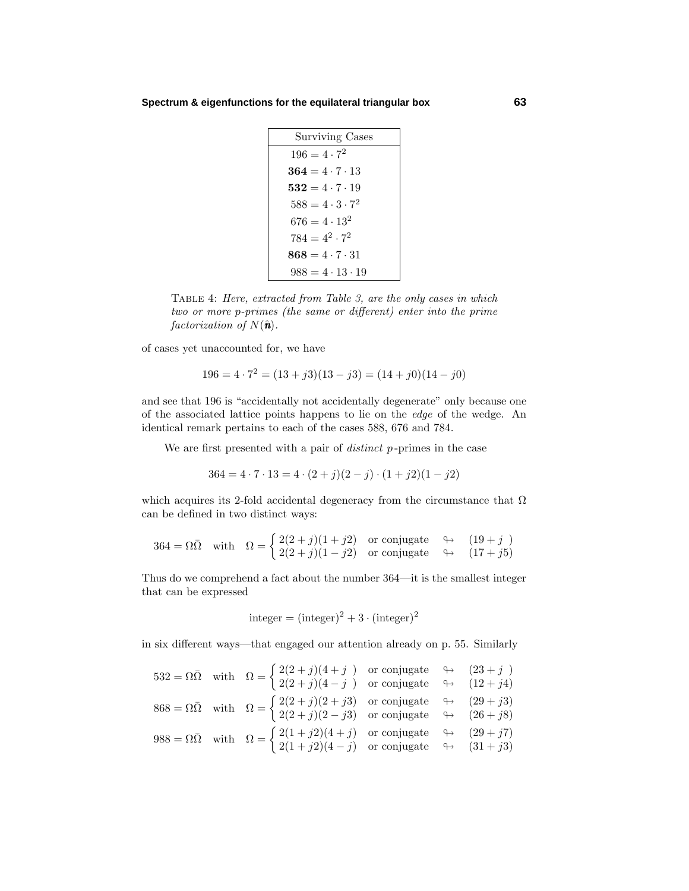| <b>Surviving Cases</b>      |  |  |  |  |  |  |
|-----------------------------|--|--|--|--|--|--|
| $196 = 4 \cdot 7^2$         |  |  |  |  |  |  |
| $364 = 4 \cdot 7 \cdot 13$  |  |  |  |  |  |  |
| $532 = 4 \cdot 7 \cdot 19$  |  |  |  |  |  |  |
| $588 = 4 \cdot 3 \cdot 7^2$ |  |  |  |  |  |  |
| $676 = 4 \cdot 13^2$        |  |  |  |  |  |  |
| $784 = 4^2 \cdot 7^2$       |  |  |  |  |  |  |
| $868 = 4 \cdot 7 \cdot 31$  |  |  |  |  |  |  |
| $988 = 4 \cdot 13 \cdot 19$ |  |  |  |  |  |  |

Table 4: Here, extracted from Table 3, are the only cases in which two or more *p*-primes (the same or different) enter into the prime factorization of  $N(\hat{\bf{n}})$ .

of cases yet unaccounted for, we have

$$
196 = 4 \cdot 7^2 = (13 + j3)(13 - j3) = (14 + j0)(14 - j0)
$$

and see that 196 is "accidentally not accidentally degenerate" only because one of the associated lattice points happens to lie on the edge of the wedge. An identical remark pertains to each of the cases 588, 676 and 784.

We are first presented with a pair of distinct *p* -primes in the case

$$
364 = 4 \cdot 7 \cdot 13 = 4 \cdot (2+j)(2-j) \cdot (1+j2)(1-j2)
$$

which acquires its 2-fold accidental degeneracy from the circumstance that  $\Omega$ can be defined in two distinct ways:

$$
364 = \Omega\bar{\Omega} \quad \text{with} \quad \Omega = \begin{cases} 2(2+j)(1+j2) & \text{or conjugate} \\ 2(2+j)(1-j2) & \text{or conjugate} \quad \mapsto \quad (17+j5) \end{cases}
$$

Thus do we comprehend a fact about the number 364—it is the smallest integer that can be expressed

integer = (integer)<sup>2</sup> + 3 · (integer)<sup>2</sup>

in six different ways—that engaged our attention already on p. 55. Similarly

$$
532 = \Omega \overline{\Omega} \quad \text{with} \quad \Omega = \begin{cases} 2(2+j)(4+j) & \text{or conjugate} \\ 2(2+j)(4-j) & \text{or conjugate} \end{cases} \quad \leftrightarrow \quad (23+j)
$$
\n
$$
868 = \Omega \overline{\Omega} \quad \text{with} \quad \Omega = \begin{cases} 2(2+j)(2+j3) & \text{or conjugate} \\ 2(2+j)(2-j3) & \text{or conjugate} \end{cases} \quad \leftrightarrow \quad (29+j3)
$$
\n
$$
988 = \Omega \overline{\Omega} \quad \text{with} \quad \Omega = \begin{cases} 2(1+j2)(4+j) & \text{or conjugate} \\ 2(1+j2)(4-j) & \text{or conjugate} \end{cases} \quad \leftrightarrow \quad (29+j7)
$$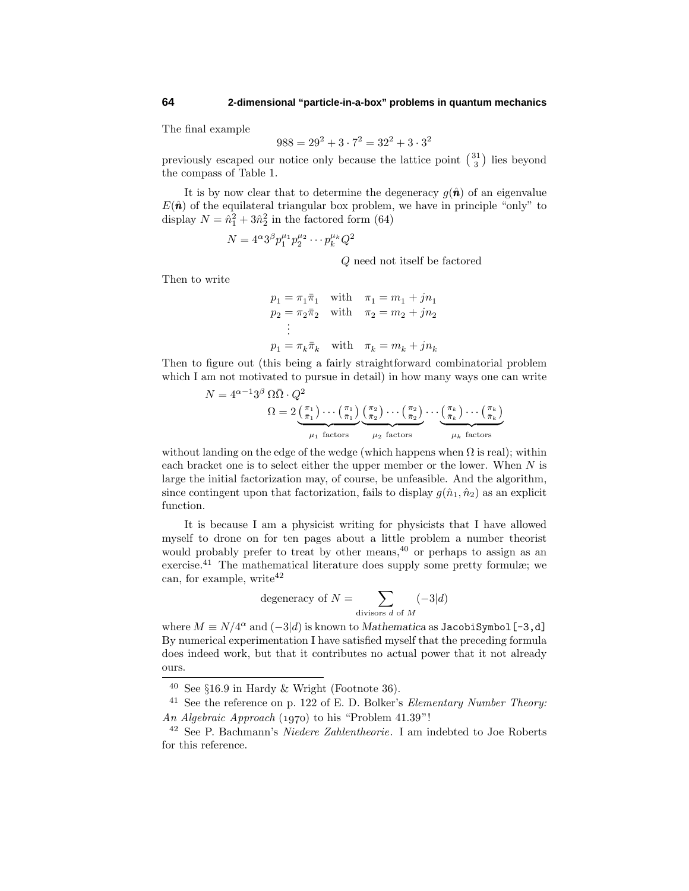The final example

$$
988 = 29^2 + 3 \cdot 7^2 = 32^2 + 3 \cdot 3^2
$$

previously escaped our notice only because the lattice point  $\binom{31}{3}$  lies beyond the compass of Table 1.

It is by now clear that to determine the degeneracy  $g(\hat{\bf{n}})$  of an eigenvalue  $E(\hat{\boldsymbol{n}})$  of the equilateral triangular box problem, we have in principle "only" to display  $N = \hat{n}_1^2 + 3\hat{n}_2^2$  in the factored form (64)

$$
N = 4^{\alpha} 3^{\beta} p_1^{\mu_1} p_2^{\mu_2} \cdots p_k^{\mu_k} Q^2
$$

*Q* need not itself be factored

Then to write

$$
p_1 = \pi_1 \bar{\pi}_1 \quad \text{with} \quad \pi_1 = m_1 + jn_1
$$
  
\n
$$
p_2 = \pi_2 \bar{\pi}_2 \quad \text{with} \quad \pi_2 = m_2 + jn_2
$$
  
\n:  
\n:  
\n
$$
p_1 = \pi_k \bar{\pi}_k \quad \text{with} \quad \pi_k = m_k + jn_k
$$

Then to figure out (this being a fairly straightforward combinatorial problem which I am not motivated to pursue in detail) in how many ways one can write

$$
N = 4^{\alpha - 1}3^{\beta} \Omega \overline{\Omega} \cdot Q^{2}
$$
  
\n
$$
\Omega = 2\underbrace{\binom{\pi_{1}}{\bar{\pi}_{1}} \cdots \binom{\pi_{1}}{\bar{\pi}_{1}} \binom{\pi_{2}}{\bar{\pi}_{2}} \cdots \binom{\pi_{2}}{\bar{\pi}_{2}} \cdots \binom{\pi_{k}}{\bar{\pi}_{k}} \cdots \binom{\pi_{k}}{\bar{\pi}_{k}}}{\mu_{1} \text{ factors}}
$$
  
\n
$$
\mu_{1} \text{ factors}
$$
  
\n
$$
\mu_{2} \text{ factors}
$$
  
\n
$$
\mu_{k} \text{ factors}
$$

without landing on the edge of the wedge (which happens when  $\Omega$  is real); within each bracket one is to select either the upper member or the lower. When *N* is large the initial factorization may, of course, be unfeasible. And the algorithm, since contingent upon that factorization, fails to display  $q(\hat{n}_1, \hat{n}_2)$  as an explicit function.

It is because I am a physicist writing for physicists that I have allowed myself to drone on for ten pages about a little problem a number theorist would probably prefer to treat by other means,  $40^{\circ}$  or perhaps to assign as an exercise.<sup>41</sup> The mathematical literature does supply some pretty formulæ; we can, for example, write  $42$ 

degeneracy of 
$$
N = \sum_{\text{divisors } d \text{ of } M} (-3|d)
$$

where  $M \equiv N/4^{\alpha}$  and  $(-3|d)$  is known to *Mathematica* as JacobiSymbol [-3,d] By numerical experimentation I have satisfied myself that the preceding formula does indeed work, but that it contributes no actual power that it not already ours.

 $40$  See §16.9 in Hardy & Wright (Footnote 36).

 $^{41}\,$  See the reference on p. 122 of E. D. Bolker's *Elementary Number Theory:* An Algebraic Approach  $(1970)$  to his "Problem 41.39"!

 $42$  See P. Bachmann's *Niedere Zahlentheorie*. I am indebted to Joe Roberts for this reference.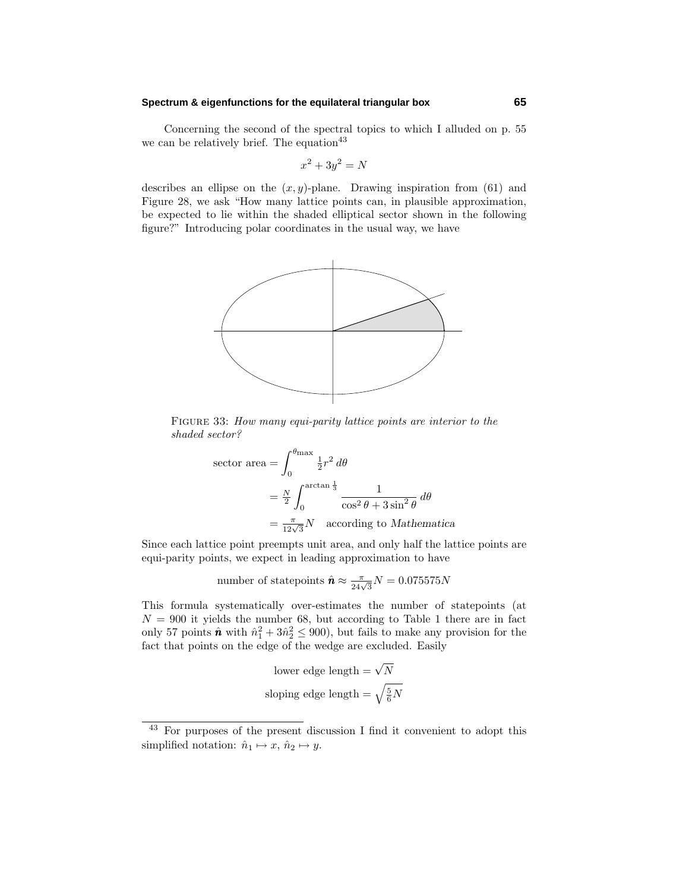Concerning the second of the spectral topics to which I alluded on p. 55 we can be relatively brief. The equation  $43$ 

$$
x^2 + 3y^2 = N
$$

describes an ellipse on the  $(x, y)$ -plane. Drawing inspiration from  $(61)$  and Figure 28, we ask "How many lattice points can, in plausible approximation, be expected to lie within the shaded elliptical sector shown in the following figure?" Introducing polar coordinates in the usual way, we have



FIGURE 33: How many equi-parity lattice points are interior to the shaded sector?

sector area 
$$
=\int_0^{\theta_{\text{max}}}\frac{1}{2}r^2 d\theta
$$
  
 $=\frac{N}{2}\int_0^{\arctan\frac{1}{3}}\frac{1}{\cos^2\theta + 3\sin^2\theta} d\theta$   
 $=\frac{\pi}{12\sqrt{3}}N$  according to Mathematica

Since each lattice point preempts unit area, and only half the lattice points are equi-parity points, we expect in leading approximation to have

number of statepoints 
$$
\hat{\mathbf{n}} \approx \frac{\pi}{24\sqrt{3}}N = 0.075575N
$$

This formula systematically over-estimates the number of statepoints (at  $N = 900$  it yields the number 68, but according to Table 1 there are in fact only 57 points  $\hat{\boldsymbol{n}}$  with  $\hat{n}_1^2 + 3\hat{n}_2^2 \le 900$ , but fails to make any provision for the fact that points on the edge of the wedge are excluded. Easily

lower edge length = 
$$
\sqrt{N}
$$
  
sloping edge length =  $\sqrt{\frac{5}{6}N}$ 

<sup>43</sup> For purposes of the present discussion I find it convenient to adopt this simplified notation:  $\hat{n}_1 \mapsto x, \, \hat{n}_2 \mapsto y$ .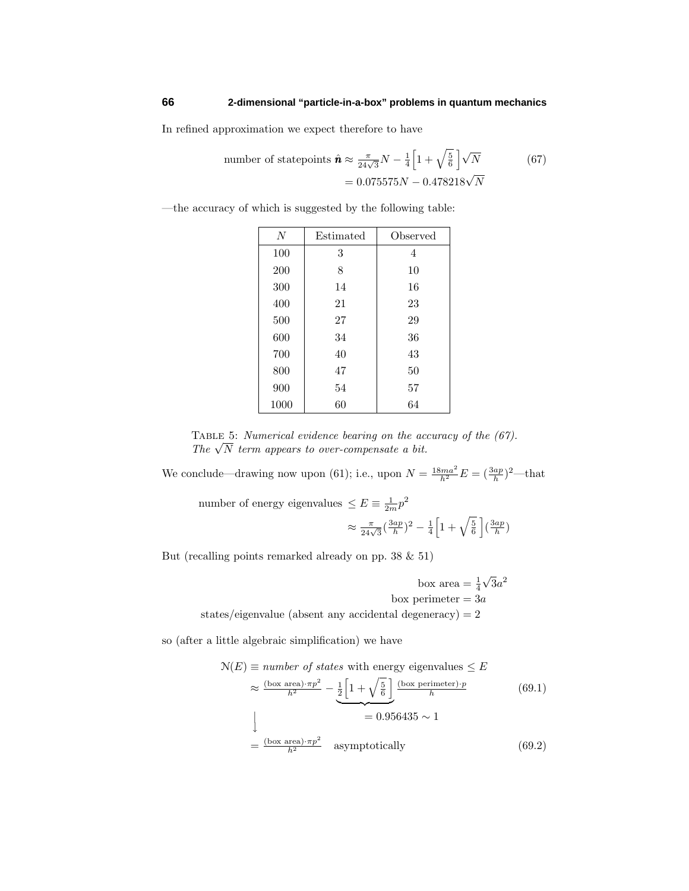In refined approximation we expect therefore to have

number of statepoints 
$$
\hat{\mathbf{n}} \approx \frac{\pi}{24\sqrt{3}}N - \frac{1}{4}\left[1 + \sqrt{\frac{5}{6}}\right]\sqrt{N}
$$
 (67)  
= 0.075575*N* – 0.478218 $\sqrt{N}$ 

—the accuracy of which is suggested by the following table:

| $\overline{N}$ | Estimated | Observed |
|----------------|-----------|----------|
| 100            | 3         | 4        |
| 200            | 8         | 10       |
| 300            | 14        | 16       |
| 400            | 21        | 23       |
| 500            | 27        | 29       |
| 600            | 34        | 36       |
| 700            | 40        | 43       |
| 800            | 47        | 50       |
| 900            | 54        | 57       |
| 1000           | 60        | 64       |

TABLE 5: Numerical evidence bearing on the accuracy of the  $(67)$ . TABLE 5: *Numerical eviaence bearing on the ac*<br>*The*  $\sqrt{N}$  term appears to over-compensate a bit.

We conclude—drawing now upon (61); i.e., upon  $N = \frac{18ma^2}{h^2}E = (\frac{3ap}{h})^2$ —that

number of energy eigenvalues  $\leq E \equiv \frac{1}{2m}p^2$ 

$$
\approx \frac{\pi}{24\sqrt{3}} \left(\frac{3ap}{h}\right)^2 - \frac{1}{4} \left[1 + \sqrt{\frac{5}{6}}\right] \left(\frac{3ap}{h}\right)
$$

But (recalling points remarked already on pp. 38 & 51)

box area  $=\frac{1}{4}$  $\sqrt{3}a^2$ box perimeter = 3*a* states/eigenvalue (absent any accidental degeneracy)  $= 2$ 

so (after a little algebraic simplification) we have

$$
N(E) \equiv number \ of \ states \ with \ energy \ eigenvalues \le E
$$
  
\n
$$
\approx \frac{(\text{box area}) \cdot \pi p^2}{h^2} - \frac{1}{2} \left[ 1 + \sqrt{\frac{5}{6}} \right] \frac{(\text{box perimeter}) \cdot p}{h}
$$
 (69.1)  
\n
$$
= 0.956435 \sim 1
$$
  
\n
$$
= \frac{(\text{box area}) \cdot \pi p^2}{h^2} \quad \text{asymptotically}
$$
 (69.2)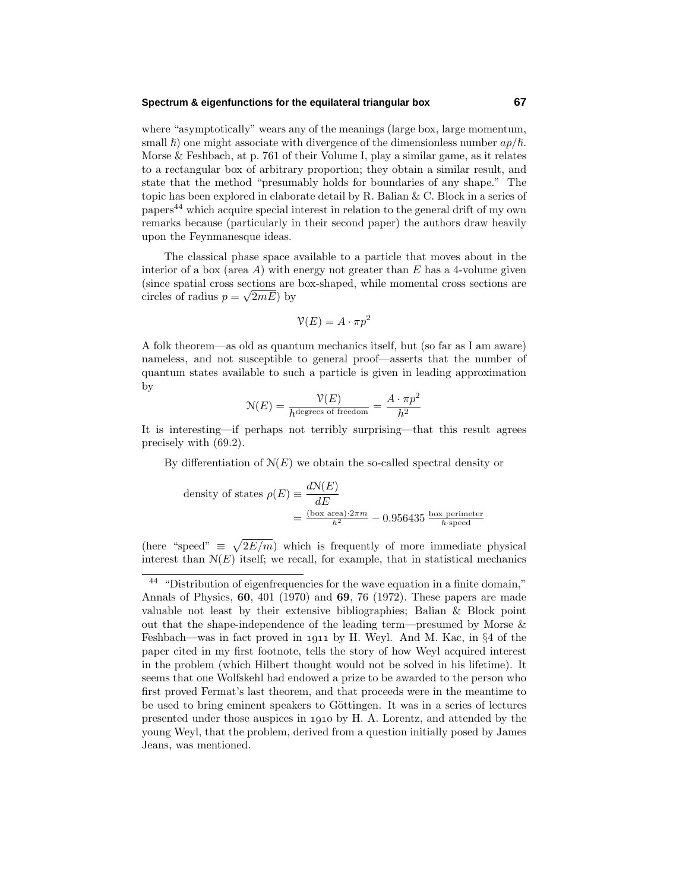where "asymptotically" wears any of the meanings (large box, large momentum, small  $\hbar$ ) one might associate with divergence of the dimensionless number  $a p/\hbar$ . Morse & Feshbach, at p. 761 of their Volume I, play a similar game, as it relates to a rectangular box of arbitrary proportion; they obtain a similar result, and state that the method "presumably holds for boundaries of any shape." The topic has been explored in elaborate detail by R. Balian & C. Block in a series of papers<sup>44</sup> which acquire special interest in relation to the general drift of my own remarks because (particularly in their second paper) the authors draw heavily upon the Feynmanesque ideas.

The classical phase space available to a particle that moves about in the interior of a box (area *A*) with energy not greater than *E* has a 4-volume given (since spatial cross sections are box-shaped, while momental cross sections are (since spatial cross sections are<br>circles of radius  $p = \sqrt{2mE}$ ) by

$$
\mathcal{V}(E) = A \cdot \pi p^2
$$

A folk theorem—as old as quantum mechanics itself, but (so far as I am aware) nameless, and not susceptible to general proof—asserts that the number of quantum states available to such a particle is given in leading approximation by

$$
N(E) = \frac{\mathcal{V}(E)}{h^{\text{degrees of freedom}}} = \frac{A \cdot \pi p^2}{h^2}
$$

It is interesting—if perhaps not terribly surprising—that this result agrees precisely with (69.2).

By differentiation of  $N(E)$  we obtain the so-called spectral density or

density of states 
$$
\rho(E) \equiv \frac{dN(E)}{dE}
$$
  
=  $\frac{(\text{box area}) \cdot 2\pi m}{h^2} - 0.956435 \frac{\text{box perimeter}}{h \cdot \text{speed}}$ 

(here "speed"  $\equiv \sqrt{2E/m}$ ) which is frequently of more immediate physical interest than  $N(E)$  itself; we recall, for example, that in statistical mechanics

<sup>&</sup>lt;sup>44</sup> "Distribution of eigenfrequencies for the wave equation in a finite domain," Annals of Physics, **60**, 401 (1970) and **69**, 76 (1972). These papers are made valuable not least by their extensive bibliographies; Balian & Block point out that the shape-independence of the leading term—presumed by Morse & Feshbach—was in fact proved in 1911 by H. Weyl. And M. Kac, in  $\S 4$  of the paper cited in my first footnote, tells the story of how Weyl acquired interest in the problem (which Hilbert thought would not be solved in his lifetime). It seems that one Wolfskehl had endowed a prize to be awarded to the person who first proved Fermat's last theorem, and that proceeds were in the meantime to be used to bring eminent speakers to Göttingen. It was in a series of lectures presented under those auspices in 1910 by H. A. Lorentz, and attended by the young Weyl, that the problem, derived from a question initially posed by James Jeans, was mentioned.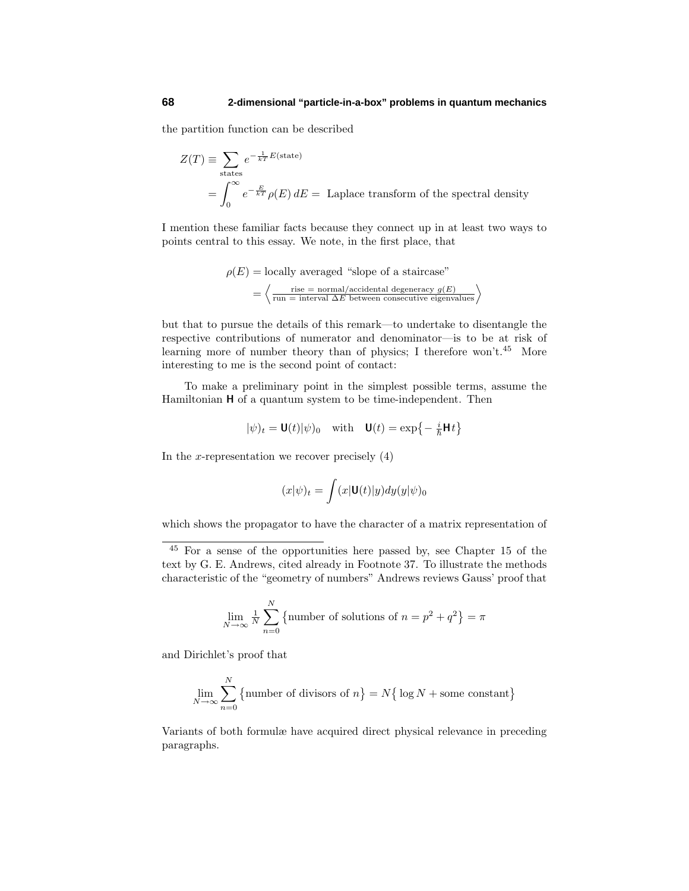the partition function can be described

$$
Z(T) \equiv \sum_{\text{states}} e^{-\frac{1}{kT}E(\text{state})}
$$
  
= 
$$
\int_0^\infty e^{-\frac{E}{kT}} \rho(E) dE = \text{Laplace transform of the spectral density}
$$

I mention these familiar facts because they connect up in at least two ways to points central to this essay. We note, in the first place, that

$$
\rho(E) = \text{locally averaged "slope of a staircase"}
$$

$$
= \left\langle \frac{\text{rise = normal}/\text{accidental degeneracy } g(E)}{\text{run = interval } \Delta E \text{ between consecutive eigenvalues}} \right\rangle
$$

but that to pursue the details of this remark—to undertake to disentangle the respective contributions of numerator and denominator—is to be at risk of learning more of number theory than of physics; I therefore won't. $45$  More interesting to me is the second point of contact:

To make a preliminary point in the simplest possible terms, assume the Hamiltonian **H** of a quantum system to be time-independent. Then

$$
|\psi)_t = \mathbf{U}(t)|\psi|_0 \quad \text{with} \quad \mathbf{U}(t) = \exp\left\{-\frac{i}{\hbar}\mathbf{H}t\right\}
$$

In the *x*-representation we recover precisely  $(4)$ 

$$
(x|\psi)_t = \int (x|\mathbf{U}(t)|y) dy (y|\psi)_0
$$

which shows the propagator to have the character of a matrix representation of

$$
\lim_{N \to \infty} \frac{1}{N} \sum_{n=0}^{N} \left\{ \text{number of solutions of } n = p^2 + q^2 \right\} = \pi
$$

and Dirichlet's proof that

$$
\lim_{N \to \infty} \sum_{n=0}^{N} \{ \text{number of divisors of } n \} = N \{ \log N + \text{some constant} \}
$$

Variants of both formulæ have acquired direct physical relevance in preceding paragraphs.

<sup>45</sup> For a sense of the opportunities here passed by, see Chapter 15 of the text by G. E. Andrews, cited already in Footnote 37. To illustrate the methods characteristic of the "geometry of numbers" Andrews reviews Gauss'proof that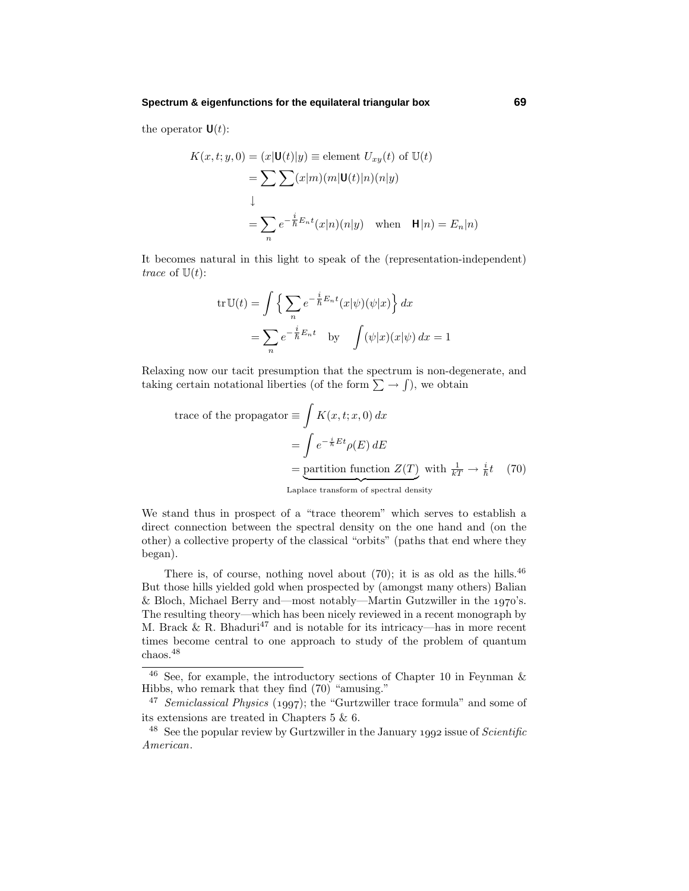the operator **:** 

$$
K(x, t; y, 0) = (x|\mathbf{U}(t)|y) \equiv \text{element } U_{xy}(t) \text{ of } \mathbb{U}(t)
$$
  
= 
$$
\sum \sum (x|m)(m|\mathbf{U}(t)|n)(n|y)
$$
  

$$
\downarrow
$$
  
= 
$$
\sum_{n} e^{-\frac{i}{\hbar}E_{n}t}(x|n)(n|y) \text{ when } \mathbf{H}|n) = E_{n}|n)
$$

It becomes natural in this light to speak of the (representation-independent) trace of  $\mathbb{U}(t)$ :

$$
\operatorname{tr} \mathbb{U}(t) = \int \left\{ \sum_{n} e^{-\frac{i}{\hbar} E_n t} (x|\psi)(\psi|x) \right\} dx
$$

$$
= \sum_{n} e^{-\frac{i}{\hbar} E_n t} \quad \text{by} \quad \int (\psi|x)(x|\psi) dx = 1
$$

Relaxing now our tacit presumption that the spectrum is non-degenerate, and taking certain notational liberties (of the form  $\sum \rightarrow \int$ ), we obtain

trace of the propagator 
$$
\equiv \int K(x, t; x, 0) dx
$$
  
\n
$$
= \int e^{-\frac{i}{\hbar}Et} \rho(E) dE
$$
\n
$$
= \underbrace{\text{partition function } Z(T)}_{\text{Laplace transform of spectral density}} \text{ with } \frac{1}{kT} \to \frac{i}{\hbar}t \quad (70)
$$

We stand thus in prospect of a "trace theorem" which serves to establish a direct connection between the spectral density on the one hand and (on the other) a collective property of the classical "orbits" (paths that end where they began).

There is, of course, nothing novel about  $(70)$ ; it is as old as the hills.<sup>46</sup> But those hills yielded gold when prospected by (amongst many others) Balian & Bloch, Michael Berry and—most notably—Martin Gutzwiller in the  $1970$ 's. The resulting theory—which has been nicely reviewed in a recent monograph by M. Brack  $\&$  R. Bhaduri<sup>47</sup> and is notable for its intricacy—has in more recent times become central to one approach to study of the problem of quantum chaos.<sup>48</sup>

<sup>&</sup>lt;sup>46</sup> See, for example, the introductory sections of Chapter 10 in Feynman  $\&$ Hibbs, who remark that they find (70) "amusing."

<sup>&</sup>lt;sup>47</sup> Semiclassical Physics (1997); the "Gurtzwiller trace formula" and some of its extensions are treated in Chapters 5 & 6.

<sup>&</sup>lt;sup>48</sup> See the popular review by Gurtzwiller in the January 1992 issue of *Scientific* American.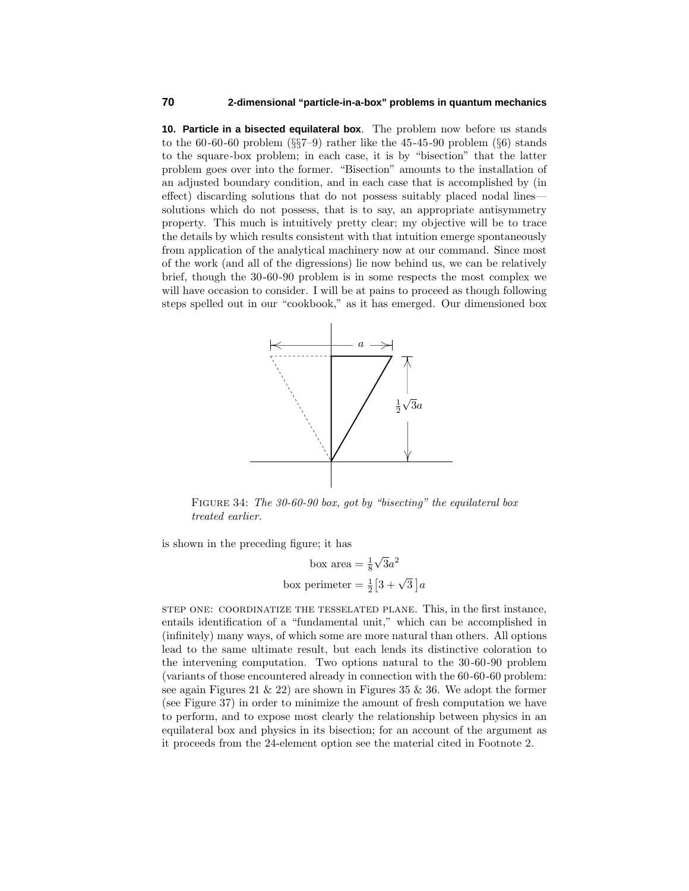**10. Particle in a bisected equilateral box**. The problem now before us stands to the 60-60-60 problem  $(\S\$ 7-9) rather like the 45-45-90 problem  $(\S6)$  stands to the square-box problem; in each case, it is by "bisection" that the latter problem goes over into the former. "Bisection" amounts to the installation of an adjusted boundary condition, and in each case that is accomplished by (in effect) discarding solutions that do not possess suitably placed nodal lines solutions which do not possess, that is to say, an appropriate antisymmetry property. This much is intuitively pretty clear; my objective will be to trace the details by which results consistent with that intuition emerge spontaneously from application of the analytical machinery now at our command. Since most of the work (and all of the digressions) lie now behind us, we can be relatively brief, though the 30-60-90 problem is in some respects the most complex we will have occasion to consider. I will be at pains to proceed as though following steps spelled out in our "cookbook," as it has emerged. Our dimensioned box



FIGURE 34: The 30-60-90 box, got by "bisecting" the equilateral box treated earlier.

is shown in the preceding figure; it has

box area  $=\frac{1}{8}$  $\sqrt{3}a^2$ box perimeter  $= \frac{1}{2} \left[ 3 + \sqrt{3} \right] a$ 

step one: coordinatize the tesselated plane. This, in the first instance, entails identification of a "fundamental unit," which can be accomplished in (infinitely) many ways, of which some are more natural than others. All options lead to the same ultimate result, but each lends its distinctive coloration to the intervening computation. Two options natural to the 30-60-90 problem (variants of those encountered already in connection with the 60-60-60 problem: see again Figures 21  $\&$  22) are shown in Figures 35  $\&$  36. We adopt the former (see Figure 37) in order to minimize the amount of fresh computation we have to perform, and to expose most clearly the relationship between physics in an equilateral box and physics in its bisection; for an account of the argument as it proceeds from the 24-element option see the material cited in Footnote 2.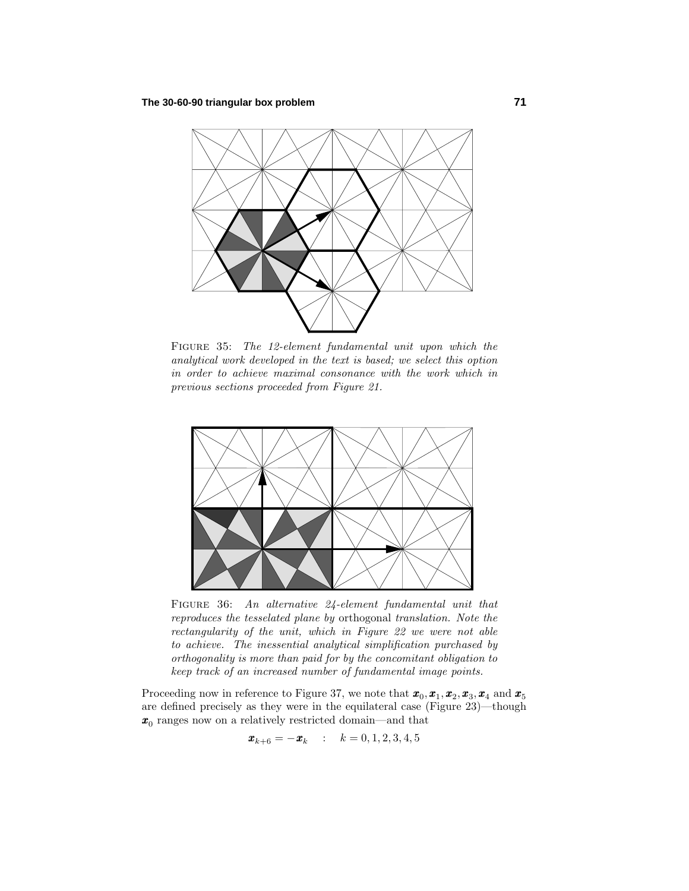

FIGURE 35: The 12-element fundamental unit upon which the analytical work developed in the text is based; we select this option in order to achieve maximal consonance with the work which in previous sections proceeded from Figure 21.



FIGURE 36: An alternative 24-element fundamental unit that reproduces the tesselated plane by orthogonal translation. Note the rectangularity of the unit, which in Figure 22 we were not able to achieve. The inessential analytical simplification purchased by orthogonality is more than paid for by the concomitant obligation to keep track of an increased number of fundamental image points.

Proceeding now in reference to Figure 37, we note that  $\mathbf{x}_0, \mathbf{x}_1, \mathbf{x}_2, \mathbf{x}_3, \mathbf{x}_4$  and  $\mathbf{x}_5$ are defined precisely as they were in the equilateral case (Figure 23)—though *x*<sup>0</sup> ranges now on a relatively restricted domain—and that

$$
\bm{x}_{k+6} = -\bm{x}_k \quad : \quad k = 0, 1, 2, 3, 4, 5
$$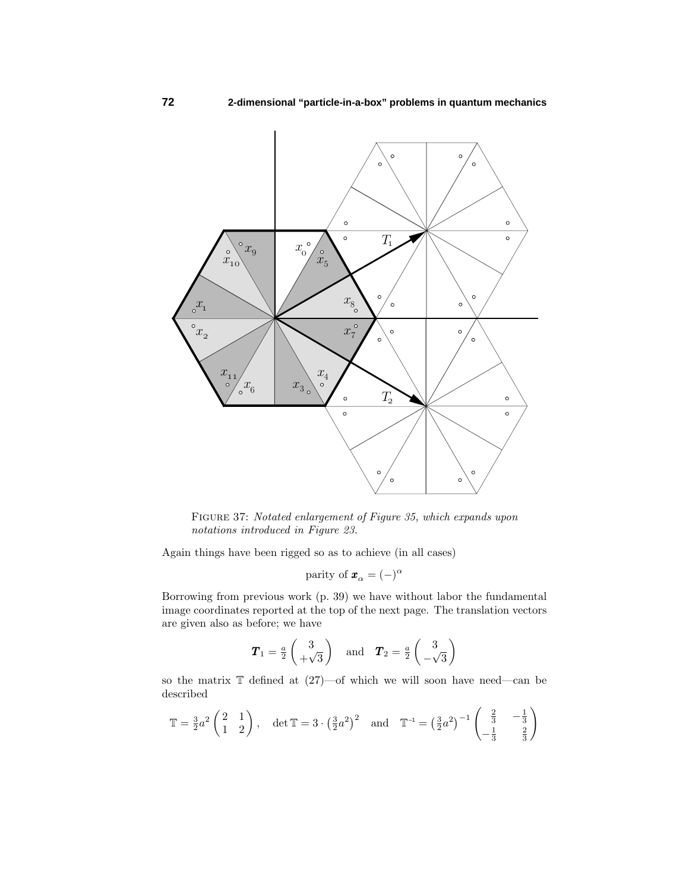

Figure 37: Notated enlargement of Figure 35, which expands upon notations introduced in Figure 23.

Again things have been rigged so as to achieve (in all cases)

parity of 
$$
\mathbf{x}_{\alpha} = (-)^{\alpha}
$$

Borrowing from previous work (p. 39) we have without labor the fundamental image coordinates reported at the top of the next page. The translation vectors are given also as before; we have

$$
T_1 = \frac{a}{2} \begin{pmatrix} 3 \\ +\sqrt{3} \end{pmatrix}
$$
 and  $T_2 = \frac{a}{2} \begin{pmatrix} 3 \\ -\sqrt{3} \end{pmatrix}$ 

so the matrix T defined at (27)—of which we will soon have need—can be described

$$
\mathbb{T} = \frac{3}{2}a^2 \begin{pmatrix} 2 & 1 \\ 1 & 2 \end{pmatrix}, \quad \det \mathbb{T} = 3 \cdot \left(\frac{3}{2}a^2\right)^2 \quad \text{and} \quad \mathbb{T}^{-1} = \left(\frac{3}{2}a^2\right)^{-1} \begin{pmatrix} \frac{2}{3} & -\frac{1}{3} \\ -\frac{1}{3} & \frac{2}{3} \end{pmatrix}
$$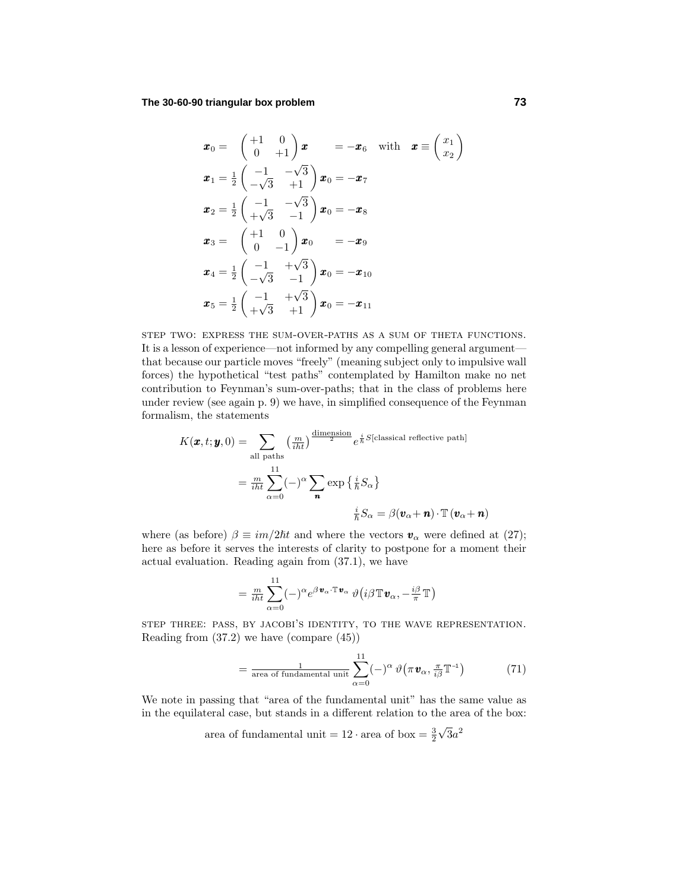$$
\mathbf{x}_0 = \begin{pmatrix} +1 & 0 \\ 0 & +1 \end{pmatrix} \mathbf{x} = -\mathbf{x}_6 \text{ with } \mathbf{x} \equiv \begin{pmatrix} x_1 \\ x_2 \end{pmatrix}
$$
  
\n
$$
\mathbf{x}_1 = \frac{1}{2} \begin{pmatrix} -1 & -\sqrt{3} \\ -\sqrt{3} & +1 \end{pmatrix} \mathbf{x}_0 = -\mathbf{x}_7
$$
  
\n
$$
\mathbf{x}_2 = \frac{1}{2} \begin{pmatrix} -1 & -\sqrt{3} \\ +\sqrt{3} & -1 \end{pmatrix} \mathbf{x}_0 = -\mathbf{x}_8
$$
  
\n
$$
\mathbf{x}_3 = \begin{pmatrix} +1 & 0 \\ 0 & -1 \end{pmatrix} \mathbf{x}_0 = -\mathbf{x}_9
$$
  
\n
$$
\mathbf{x}_4 = \frac{1}{2} \begin{pmatrix} -1 & +\sqrt{3} \\ -\sqrt{3} & -1 \end{pmatrix} \mathbf{x}_0 = -\mathbf{x}_{10}
$$
  
\n
$$
\mathbf{x}_5 = \frac{1}{2} \begin{pmatrix} -1 & +\sqrt{3} \\ +\sqrt{3} & +1 \end{pmatrix} \mathbf{x}_0 = -\mathbf{x}_{11}
$$

step two: express the sum-over-paths as a sum of theta functions. It is a lesson of experience—not informed by any compelling general argument that because our particle moves "freely" (meaning subject only to impulsive wall forces) the hypothetical "test paths" contemplated by Hamilton make no net contribution to Feynman's sum-over-paths; that in the class of problems here under review (see again p. 9) we have, in simplified consequence of the Feynman formalism, the statements

$$
K(\boldsymbol{x}, t; \boldsymbol{y}, 0) = \sum_{\text{all paths}} \left(\frac{m}{i\hbar t}\right)^{\frac{\text{dimension}}{2}} e^{\frac{i}{\hbar} S[\text{classical reflective path}]}
$$

$$
= \frac{m}{i\hbar t} \sum_{\alpha=0}^{11} (-)^{\alpha} \sum_{\mathbf{n}} \exp\left\{\frac{i}{\hbar} S_{\alpha}\right\}
$$

$$
\frac{i}{\hbar} S_{\alpha} = \beta(\mathbf{v}_{\alpha} + \mathbf{n}) \cdot \mathbb{T}(\mathbf{v}_{\alpha} + \mathbf{n})
$$

where (as before)  $\beta \equiv im/2\hbar t$  and where the vectors  $\mathbf{v}_\alpha$  were defined at (27); here as before it serves the interests of clarity to postpone for a moment their actual evaluation. Reading again from (37.1), we have

$$
= \tfrac{m}{i\hbar t}\sum_{\alpha=0}^{11}(-)^{\alpha} e^{\beta \, \boldsymbol{v}_{\alpha}\cdot \mathbb{T}\, \boldsymbol{v}_{\alpha}}\, \vartheta\big(i\beta \, \mathbb{T}\, \boldsymbol{v}_{\alpha},-\tfrac{i\beta}{\pi}\, \mathbb{T}\big)
$$

step three: pass, by jacobi's identity, to the wave representation. Reading from (37.2) we have (compare (45))

$$
= \frac{1}{\text{area of fundamental unit}} \sum_{\alpha=0}^{11} (-)^{\alpha} \vartheta \big(\pi \mathbf{v}_{\alpha}, \frac{\pi}{i\beta} \mathbb{T}^{-1} \big) \tag{71}
$$

We note in passing that "area of the fundamental unit" has the same value as in the equilateral case, but stands in a different relation to the area of the box:

> area of fundamental unit =  $12 \cdot \text{area of box} = \frac{3}{2}$  $\sqrt{3}a^2$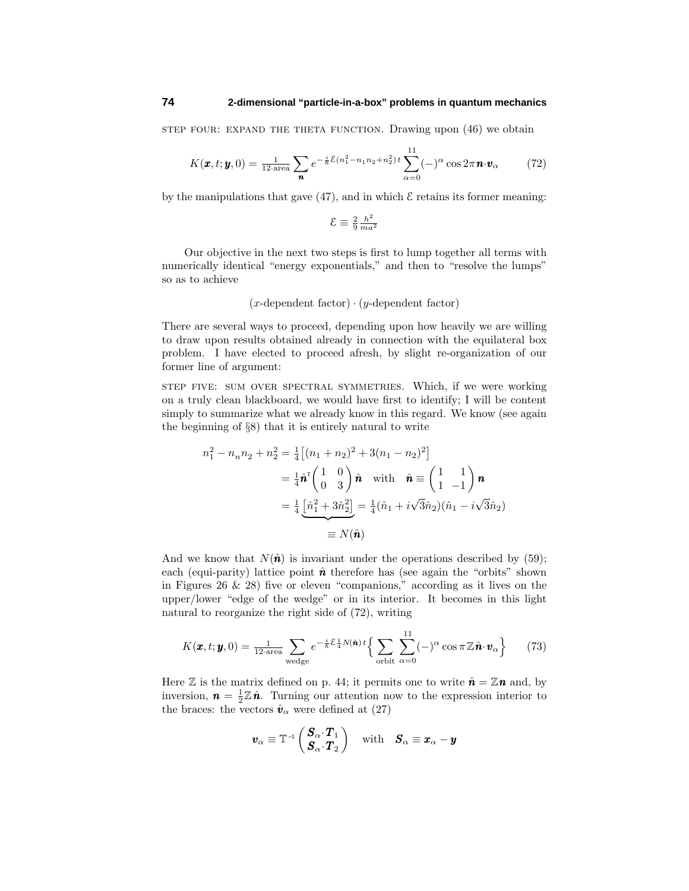step four: expand the theta function. Drawing upon (46) we obtain

$$
K(\pmb{x}, t; \pmb{y}, 0) = \frac{1}{12 \cdot \text{area}} \sum_{\pmb{n}} e^{-\frac{i}{\hbar} \mathcal{E}(n_1^2 - n_1 n_2 + n_2^2) t} \sum_{\alpha=0}^{11} (-)^{\alpha} \cos 2\pi \pmb{n} \cdot \pmb{v}_{\alpha}
$$
(72)

by the manipulations that gave  $(47)$ , and in which  $\mathcal E$  retains its former meaning:

$$
\mathcal{E} \equiv \frac{2}{9} \frac{h^2}{m a^2}
$$

Our objective in the next two steps is first to lump together all terms with numerically identical "energy exponentials," and then to "resolve the lumps" so as to achieve

(*x*-dependent factor) · (*y*-dependent factor)

There are several ways to proceed, depending upon how heavily we are willing to draw upon results obtained already in connection with the equilateral box problem. I have elected to proceed afresh, by slight re-organization of our former line of argument:

step five: sum over spectral symmetries. Which, if we were working on a truly clean blackboard, we would have first to identify; I will be content simply to summarize what we already know in this regard. We know (see again the beginning of §8) that it is entirely natural to write

$$
n_1^2 - n_n n_2 + n_2^2 = \frac{1}{4} \left[ (n_1 + n_2)^2 + 3(n_1 - n_2)^2 \right]
$$
  
=  $\frac{1}{4} \hat{\mathbf{n}}^T \begin{pmatrix} 1 & 0 \\ 0 & 3 \end{pmatrix} \hat{\mathbf{n}} \text{ with } \hat{\mathbf{n}} \equiv \begin{pmatrix} 1 & 1 \\ 1 & -1 \end{pmatrix} \mathbf{n}$   
=  $\frac{1}{4} \underbrace{\left[ \hat{n}_1^2 + 3\hat{n}_2^2 \right]}_{\equiv N(\hat{\mathbf{n}})} = \frac{1}{4} (\hat{n}_1 + i\sqrt{3}\hat{n}_2)(\hat{n}_1 - i\sqrt{3}\hat{n}_2)$   
=  $N(\hat{\mathbf{n}})$ 

And we know that  $N(\hat{\bf{n}})$  is invariant under the operations described by (59); each (equi-parity) lattice point  $\hat{\boldsymbol{n}}$  therefore has (see again the "orbits" shown in Figures  $26 \& 28$ ) five or eleven "companions," according as it lives on the upper/lower "edge of the wedge" or in its interior. It becomes in this light natural to reorganize the right side of (72), writing

$$
K(\pmb{x},t;\pmb{y},0) = \frac{1}{12\text{ area}}\sum_{\text{wedge}} e^{-\frac{i}{\hbar}\mathcal{E}\frac{1}{4}N(\hat{\pmb{n}})\,t} \Big\{\sum_{\text{orbit}}\sum_{\alpha=0}^{11}(-)^{\alpha}\cos\pi\,\mathbb{Z}\,\hat{\pmb{n}}\cdot\pmb{v}_{\alpha}\Big\} \qquad(73)
$$

Here  $\mathbb Z$  is the matrix defined on p. 44; it permits one to write  $\hat{\mathbf{n}} = \mathbb Z \mathbf{n}$  and, by inversion,  $\mathbf{n} = \frac{1}{2}\mathbb{Z}\hat{\mathbf{n}}$ . Turning our attention now to the expression interior to the braces: the vectors  $\hat{\mathbf{v}}_{\alpha}$  were defined at (27)

$$
\boldsymbol{v}_{\alpha} \equiv \mathbb{T}^{-1} \begin{pmatrix} \boldsymbol{S}_{\alpha} \cdot \boldsymbol{T}_{1} \\ \boldsymbol{S}_{\alpha} \cdot \boldsymbol{T}_{2} \end{pmatrix} \quad \text{with} \quad \boldsymbol{S}_{\alpha} \equiv \boldsymbol{x}_{\alpha} - \boldsymbol{y}
$$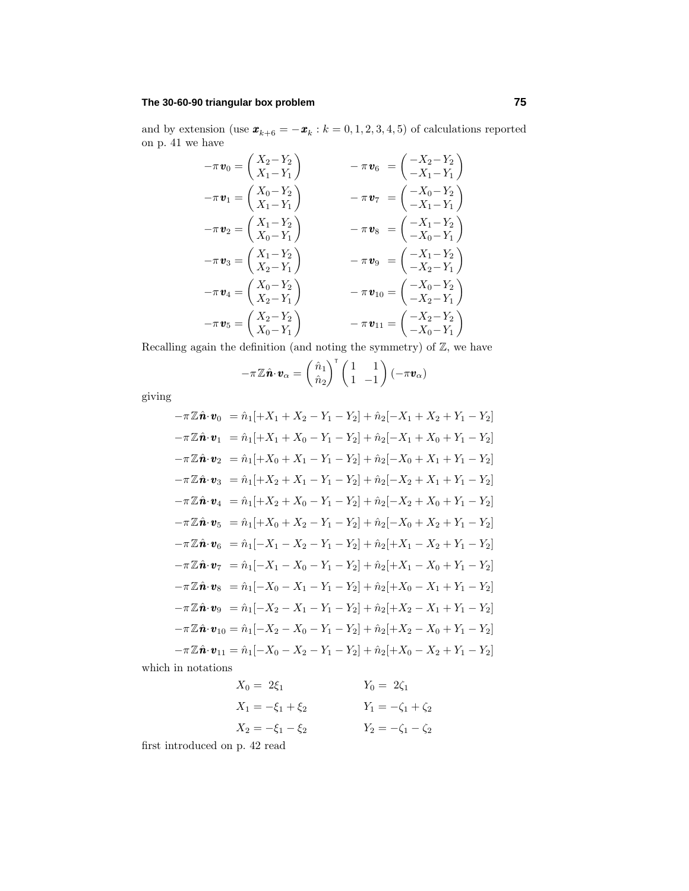# **The 30-60-90 triangular box problem 75**

and by extension (use  $\mathbf{x}_{k+6} = -\mathbf{x}_k : k = 0, 1, 2, 3, 4, 5$ ) of calculations reported on p. 41 we have

$$
-\pi \mathbf{v}_0 = \begin{pmatrix} X_2 - Y_2 \\ X_1 - Y_1 \end{pmatrix} - \pi \mathbf{v}_6 = \begin{pmatrix} -X_2 - Y_2 \\ -X_1 - Y_1 \end{pmatrix}
$$
  
\n
$$
-\pi \mathbf{v}_1 = \begin{pmatrix} X_0 - Y_2 \\ X_1 - Y_1 \end{pmatrix} - \pi \mathbf{v}_7 = \begin{pmatrix} -X_0 - Y_2 \\ -X_1 - Y_1 \end{pmatrix}
$$
  
\n
$$
-\pi \mathbf{v}_2 = \begin{pmatrix} X_1 - Y_2 \\ X_0 - Y_1 \end{pmatrix} - \pi \mathbf{v}_8 = \begin{pmatrix} -X_1 - Y_2 \\ -X_0 - Y_1 \end{pmatrix}
$$
  
\n
$$
-\pi \mathbf{v}_3 = \begin{pmatrix} X_1 - Y_2 \\ X_2 - Y_1 \end{pmatrix} - \pi \mathbf{v}_9 = \begin{pmatrix} -X_1 - Y_2 \\ -X_2 - Y_1 \end{pmatrix}
$$
  
\n
$$
-\pi \mathbf{v}_4 = \begin{pmatrix} X_0 - Y_2 \\ X_2 - Y_1 \end{pmatrix} - \pi \mathbf{v}_{10} = \begin{pmatrix} -X_0 - Y_2 \\ -X_2 - Y_1 \end{pmatrix}
$$
  
\n
$$
-\pi \mathbf{v}_5 = \begin{pmatrix} X_2 - Y_2 \\ X_0 - Y_1 \end{pmatrix} - \pi \mathbf{v}_{11} = \begin{pmatrix} -X_2 - Y_2 \\ -X_0 - Y_1 \end{pmatrix}
$$

Recalling again the definition (and noting the symmetry) of  $\mathbb{Z}$ , we have

$$
-\pi \mathbb{Z}\hat{\boldsymbol{n}} \cdot \boldsymbol{v}_{\alpha} = \begin{pmatrix} \hat{n}_1 \\ \hat{n}_2 \end{pmatrix}^{\mathsf{T}} \begin{pmatrix} 1 & 1 \\ 1 & -1 \end{pmatrix} (-\pi \boldsymbol{v}_{\alpha})
$$

giving

$$
-\pi \mathbb{Z}\hat{\mathbf{n}} \cdot \mathbf{v}_0 = \hat{n}_1[+X_1 + X_2 - Y_1 - Y_2] + \hat{n}_2[-X_1 + X_2 + Y_1 - Y_2]
$$
  
\n
$$
-\pi \mathbb{Z}\hat{\mathbf{n}} \cdot \mathbf{v}_1 = \hat{n}_1[+X_1 + X_0 - Y_1 - Y_2] + \hat{n}_2[-X_1 + X_0 + Y_1 - Y_2]
$$
  
\n
$$
-\pi \mathbb{Z}\hat{\mathbf{n}} \cdot \mathbf{v}_2 = \hat{n}_1[+X_0 + X_1 - Y_1 - Y_2] + \hat{n}_2[-X_0 + X_1 + Y_1 - Y_2]
$$
  
\n
$$
-\pi \mathbb{Z}\hat{\mathbf{n}} \cdot \mathbf{v}_3 = \hat{n}_1[+X_2 + X_1 - Y_1 - Y_2] + \hat{n}_2[-X_2 + X_1 + Y_1 - Y_2]
$$
  
\n
$$
-\pi \mathbb{Z}\hat{\mathbf{n}} \cdot \mathbf{v}_4 = \hat{n}_1[+X_2 + X_0 - Y_1 - Y_2] + \hat{n}_2[-X_2 + X_0 + Y_1 - Y_2]
$$
  
\n
$$
-\pi \mathbb{Z}\hat{\mathbf{n}} \cdot \mathbf{v}_5 = \hat{n}_1[+X_0 + X_2 - Y_1 - Y_2] + \hat{n}_2[-X_0 + X_2 + Y_1 - Y_2]
$$
  
\n
$$
-\pi \mathbb{Z}\hat{\mathbf{n}} \cdot \mathbf{v}_6 = \hat{n}_1[-X_1 - X_2 - Y_1 - Y_2] + \hat{n}_2[+X_1 - X_2 + Y_1 - Y_2]
$$
  
\n
$$
-\pi \mathbb{Z}\hat{\mathbf{n}} \cdot \mathbf{v}_7 = \hat{n}_1[-X_1 - X_0 - Y_1 - Y_2] + \hat{n}_2[+X_1 - X_0 + Y_1 - Y_2]
$$
  
\n
$$
-\pi \mathbb{Z}\hat{\mathbf{n}} \cdot \mathbf{v}_8 = \hat{n}_1[-X_0 - X_1 - Y_1 - Y_2] + \hat{n}_2[+X_0 - X_1 + Y_1 - Y_2]
$$
  
\n
$$
-\pi \mathbb{Z}\hat{\mathbf{n}} \cdot \mathbf{v}_9 = \hat{n}_1[-
$$

which in notations

$$
X_0 = 2\xi_1 \qquad Y_0 = 2\zeta_1
$$
  
\n
$$
X_1 = -\xi_1 + \xi_2 \qquad Y_1 = -\zeta_1 + \zeta_2
$$
  
\n
$$
X_2 = -\xi_1 - \xi_2 \qquad Y_2 = -\zeta_1 - \zeta_2
$$

first introduced on p. 42 read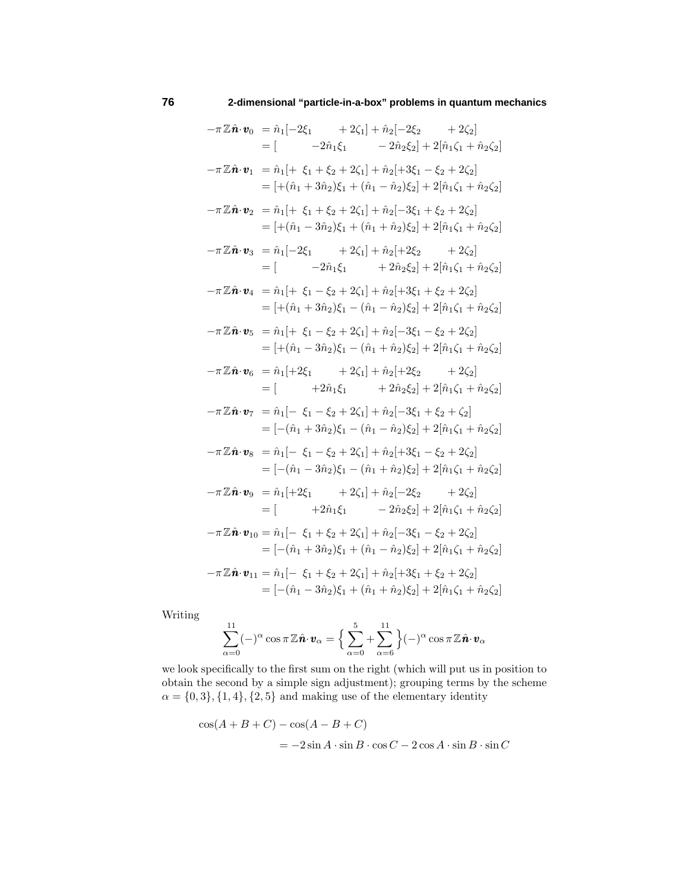$-\pi \mathbb{Z} \hat{\mathbf{n}} \cdot \mathbf{v}_0 = \hat{n}_1[-2\xi_1 + 2\zeta_1] + \hat{n}_2[-2\xi_2 + 2\zeta_2]$  $=$  [  $-2\hat{n}_1\xi_1 - 2\hat{n}_2\xi_2 + 2[\hat{n}_1\zeta_1 + \hat{n}_2\zeta_2]$  $-\pi \mathbb{Z} \hat{\mathbf{n}} \cdot \mathbf{v}_1 = \hat{n}_1[ + \xi_1 + \xi_2 + 2\zeta_1] + \hat{n}_2[ +3\xi_1 - \xi_2 + 2\zeta_2]$  $=$   $[+(\hat{n}_1 + 3\hat{n}_2)\xi_1 + (\hat{n}_1 - \hat{n}_2)\xi_2] + 2[\hat{n}_1\zeta_1 + \hat{n}_2\zeta_2]$  $-\pi \mathbb{Z} \hat{\mathbf{n}} \cdot \mathbf{v}_2 = \hat{n}_1[ + \xi_1 + \xi_2 + 2\zeta_1] + \hat{n}_2[-3\xi_1 + \xi_2 + 2\zeta_2]$  $=$   $[+(\hat{n}_1 - 3\hat{n}_2)\xi_1 + (\hat{n}_1 + \hat{n}_2)\xi_2] + 2[\hat{n}_1\zeta_1 + \hat{n}_2\zeta_2]$  $-\pi \mathbb{Z} \hat{\boldsymbol{n}} \cdot \boldsymbol{v}_3 = \hat{n}_1[-2\xi_1 + 2\zeta_1] + \hat{n}_2[+2\xi_2 + 2\zeta_2]$  $=$  [  $-2\hat{n}_1\xi_1 + 2\hat{n}_2\xi_2 + 2[\hat{n}_1\zeta_1 + \hat{n}_2\zeta_2]$  $-\pi \mathbb{Z} \hat{\boldsymbol{n}} \cdot \boldsymbol{v}_4 = \hat{n}_1[ + \xi_1 - \xi_2 + 2\zeta_1] + \hat{n}_2[ +3\xi_1 + \xi_2 + 2\zeta_2]$  $=$   $[+( $\hat{n}_1 + 3\hat{n}_2)\xi_1 - (\hat{n}_1 - \hat{n}_2)\xi_2] + 2[\hat{n}_1\zeta_1 + \hat{n}_2\zeta_2]$$  $-\pi \mathbb{Z} \hat{\mathbf{n}} \cdot \mathbf{v}_5 = \hat{n}_1[ + \xi_1 - \xi_2 + 2\zeta_1] + \hat{n}_2[-3\xi_1 - \xi_2 + 2\zeta_2]$  $=$   $[+(\hat{n}_1 - 3\hat{n}_2)\xi_1 - (\hat{n}_1 + \hat{n}_2)\xi_2] + 2[\hat{n}_1\zeta_1 + \hat{n}_2\zeta_2]$  $-\pi \mathbb{Z} \hat{\mathbf{n}} \cdot \mathbf{v}_6 = \hat{n}_1[+2\xi_1 + 2\zeta_1] + \hat{n}_2[+2\xi_2 + 2\zeta_2]$  $=$  [  $+2\hat{n}_1\xi_1 + 2\hat{n}_2\xi_2 + 2[\hat{n}_1\zeta_1 + \hat{n}_2\zeta_2]$  $-\pi \mathbb{Z} \hat{\mathbf{n}} \cdot \mathbf{v}_7 = \hat{n}_1[-\xi_1 - \xi_2 + 2\zeta_1] + \hat{n}_2[-3\xi_1 + \xi_2 + \zeta_2]$  $=$   $[-(\hat{n}_1 + 3\hat{n}_2)\xi_1 - (\hat{n}_1 - \hat{n}_2)\xi_2] + 2[\hat{n}_1\zeta_1 + \hat{n}_2\zeta_2]$  $-\pi \mathbb{Z} \hat{\mathbf{n}} \cdot \mathbf{v}_8 = \hat{n}_1[-\xi_1 - \xi_2 + 2\zeta_1] + \hat{n}_2[+3\xi_1 - \xi_2 + 2\zeta_2]$  $=$   $[-(\hat{n}_1 - 3\hat{n}_2)\xi_1 - (\hat{n}_1 + \hat{n}_2)\xi_2] + 2[\hat{n}_1\zeta_1 + \hat{n}_2\zeta_2]$  $-\pi \mathbb{Z} \hat{\mathbf{n}} \cdot \mathbf{v}_9 = \hat{n}_1[+2\xi_1 + 2\zeta_1] + \hat{n}_2[-2\xi_2 + 2\zeta_2]$  $=$  [  $+2\hat{n}_1\xi_1 - 2\hat{n}_2\xi_2 + 2[\hat{n}_1\zeta_1 + \hat{n}_2\zeta_2]$  $-\pi \mathbb{Z} \hat{\mathbf{n}} \cdot \mathbf{v}_{10} = \hat{n}_1[-\xi_1 + \xi_2 + 2\zeta_1] + \hat{n}_2[-3\xi_1 - \xi_2 + 2\zeta_2]$  $=$   $[-(\hat{n}_1 + 3\hat{n}_2)\xi_1 + (\hat{n}_1 - \hat{n}_2)\xi_2] + 2[\hat{n}_1\zeta_1 + \hat{n}_2\zeta_2]$  $-\pi \mathbb{Z} \hat{\mathbf{n}} \cdot \mathbf{v}_{11} = \hat{n}_1[-\xi_1 + \xi_2 + 2\zeta_1] + \hat{n}_2[+3\xi_1 + \xi_2 + 2\zeta_2]$  $=$   $[-(\hat{n}_1 - 3\hat{n}_2)\xi_1 + (\hat{n}_1 + \hat{n}_2)\xi_2] + 2[\hat{n}_1\zeta_1 + \hat{n}_2\zeta_2]$ 

Writing

$$
\sum_{\alpha=0}^{11}(-)^{\alpha}\cos\pi\mathbb{Z}\hat{\boldsymbol{n}}\!\cdot\!\boldsymbol{v}_{\alpha}=\Big\{\sum_{\alpha=0}^{5}+\sum_{\alpha=6}^{11}\Big\}(-)^{\alpha}\cos\pi\mathbb{Z}\hat{\boldsymbol{n}}\!\cdot\!\boldsymbol{v}_{\alpha}
$$

we look specifically to the first sum on the right (which will put us in position to obtain the second by a simple sign adjustment); grouping terms by the scheme  $\alpha = \{0, 3\}, \{1, 4\}, \{2, 5\}$  and making use of the elementary identity

$$
\cos(A + B + C) - \cos(A - B + C)
$$
  
=  $-2\sin A \cdot \sin B \cdot \cos C - 2\cos A \cdot \sin B \cdot \sin C$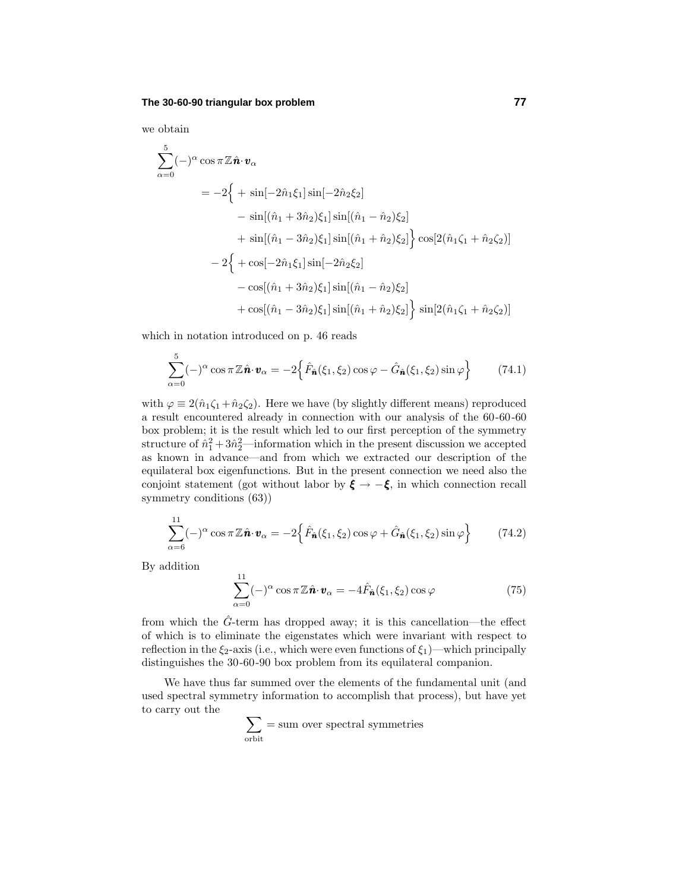## **The 30-60-90 triangular box problem 77**

we obtain 5

$$
\sum_{\alpha=0}^{5}(-)^{\alpha}\cos\pi\mathbb{Z}\hat{\mathbf{n}}\cdot\mathbf{v}_{\alpha}
$$
\n
$$
= -2\left\{ + \sin[-2\hat{n}_{1}\xi_{1}]\sin[-2\hat{n}_{2}\xi_{2}] \right.
$$
\n
$$
- \sin[(\hat{n}_{1} + 3\hat{n}_{2})\xi_{1}]\sin[(\hat{n}_{1} - \hat{n}_{2})\xi_{2}]
$$
\n
$$
+ \sin[(\hat{n}_{1} - 3\hat{n}_{2})\xi_{1}]\sin[(\hat{n}_{1} + \hat{n}_{2})\xi_{2}]\right\} \cos[2(\hat{n}_{1}\zeta_{1} + \hat{n}_{2}\zeta_{2})]
$$
\n
$$
- 2\left\{ + \cos[-2\hat{n}_{1}\xi_{1}]\sin[-2\hat{n}_{2}\xi_{2}] \right.
$$
\n
$$
- \cos[(\hat{n}_{1} + 3\hat{n}_{2})\xi_{1}]\sin[(\hat{n}_{1} - \hat{n}_{2})\xi_{2}]
$$
\n
$$
+ \cos[(\hat{n}_{1} - 3\hat{n}_{2})\xi_{1}]\sin[(\hat{n}_{1} + \hat{n}_{2})\xi_{2}]\right\} \sin[2(\hat{n}_{1}\zeta_{1} + \hat{n}_{2}\zeta_{2})]
$$

which in notation introduced on p. 46 reads

$$
\sum_{\alpha=0}^{5} (-)^{\alpha} \cos \pi \mathbb{Z} \hat{\boldsymbol{n}} \cdot \boldsymbol{v}_{\alpha} = -2 \left\{ \hat{F}_{\hat{\boldsymbol{n}}}(\xi_1, \xi_2) \cos \varphi - \hat{G}_{\hat{\boldsymbol{n}}}(\xi_1, \xi_2) \sin \varphi \right\}
$$
(74.1)

with  $\varphi \equiv 2(\hat{n}_1\zeta_1 + \hat{n}_2\zeta_2)$ . Here we have (by slightly different means) reproduced a result encountered already in connection with our analysis of the 60-60-60 box problem; it is the result which led to our first perception of the symmetry structure of  $\hat{n}_1^2 + 3\hat{n}_2^2$ —information which in the present discussion we accepted as known in advance—and from which we extracted our description of the equilateral box eigenfunctions. But in the present connection we need also the conjoint statement (got without labor by  $\xi \rightarrow -\xi$ , in which connection recall symmetry conditions (63))

$$
\sum_{\alpha=6}^{11} (-)^{\alpha} \cos \pi \mathbb{Z} \hat{\boldsymbol{n}} \cdot \boldsymbol{v}_{\alpha} = -2 \left\{ \hat{F}_{\hat{\boldsymbol{n}}}(\xi_1, \xi_2) \cos \varphi + \hat{G}_{\hat{\boldsymbol{n}}}(\xi_1, \xi_2) \sin \varphi \right\}
$$
(74.2)

By addition

$$
\sum_{\alpha=0}^{11} (-)^{\alpha} \cos \pi \mathbb{Z} \hat{\boldsymbol{n}} \cdot \boldsymbol{v}_{\alpha} = -4 \hat{F}_{\hat{\boldsymbol{n}}}(\xi_1, \xi_2) \cos \varphi \tag{75}
$$

from which the  $\hat{G}$ -term has dropped away; it is this cancellation—the effect of which is to eliminate the eigenstates which were invariant with respect to reflection in the  $\xi_2$ -axis (i.e., which were even functions of  $\xi_1$ )—which principally distinguishes the 30-60-90 box problem from its equilateral companion.

We have thus far summed over the elements of the fundamental unit (and used spectral symmetry information to accomplish that process), but have yet to carry out the

$$
\sum_{\text{orbit}} = \text{sum over spectral symmetries}
$$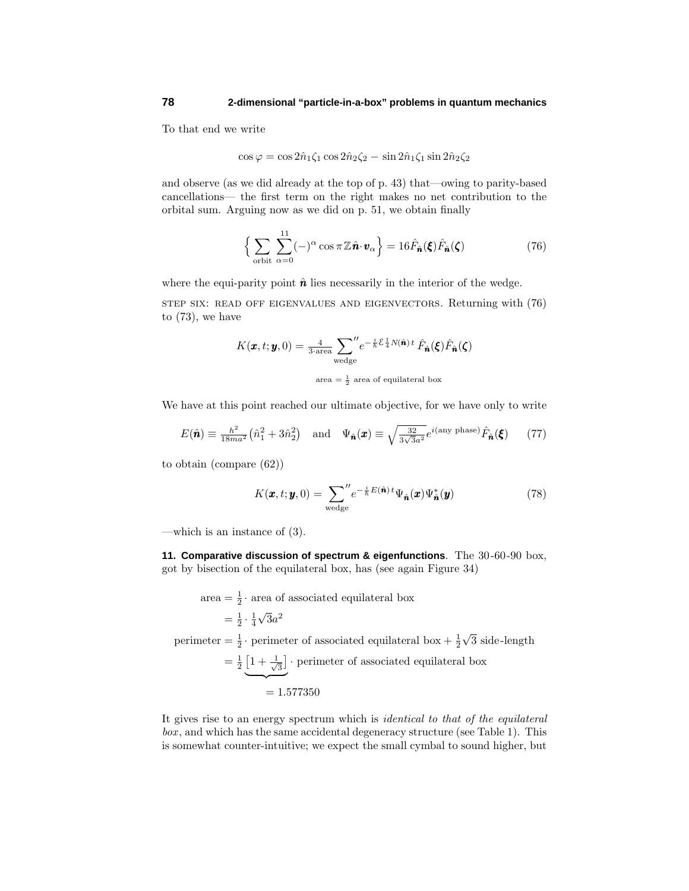To that end we write

$$
\cos\varphi = \cos 2\hat{n}_1 \zeta_1 \cos 2\hat{n}_2 \zeta_2 - \sin 2\hat{n}_1 \zeta_1 \sin 2\hat{n}_2 \zeta_2
$$

and observe (as we did already at the top of p. 43) that—owing to parity-based cancellations— the first term on the right makes no net contribution to the orbital sum. Arguing now as we did on p. 51, we obtain finally

$$
\left\{\sum_{\text{orbit}}\sum_{\alpha=0}^{11}(-)^{\alpha}\cos\pi\mathbb{Z}\hat{\boldsymbol{n}}\cdot\boldsymbol{v}_{\alpha}\right\} = 16\hat{F}_{\hat{\boldsymbol{n}}}(\boldsymbol{\xi})\hat{F}_{\hat{\boldsymbol{n}}}(\boldsymbol{\zeta})\tag{76}
$$

where the equi-parity point  $\hat{\boldsymbol{n}}$  lies necessarily in the interior of the wedge.

step six: read off eigenvalues and eigenvectors. Returning with (76) to (73), we have

$$
K(\pmb{x}, t; \pmb{y}, 0) = \frac{4}{3 \cdot \text{area}} \sum_{\text{wedge}}^{\prime\prime} e^{-\frac{i}{\hbar} \mathcal{E} \frac{1}{4} N(\hat{\pmb{n}}) t} \hat{F}_{\hat{\pmb{n}}}(\pmb{\xi}) \hat{F}_{\hat{\pmb{n}}}(\pmb{\zeta})
$$
  
area =  $\frac{1}{2}$  area of equilateral box

We have at this point reached our ultimate objective, for we have only to write

$$
E(\hat{\boldsymbol{n}}) \equiv \frac{\hbar^2}{18ma^2} \left(\hat{n}_1^2 + 3\hat{n}_2^2\right) \quad \text{and} \quad \Psi_{\hat{\boldsymbol{n}}}(\boldsymbol{x}) \equiv \sqrt{\frac{32}{3\sqrt{3}a^2}} e^{i(\text{any phase})} \hat{F}_{\hat{\boldsymbol{n}}}(\boldsymbol{\xi}) \tag{77}
$$

to obtain (compare (62))

$$
K(\boldsymbol{x},t;\boldsymbol{y},0) = \sum_{\text{wedge}}^{\prime\prime} e^{-\frac{i}{\hbar}E(\hat{\mathbf{n}})\,t} \Psi_{\hat{\mathbf{n}}}(\boldsymbol{x}) \Psi_{\hat{\mathbf{n}}}^{*}(\boldsymbol{y})
$$
(78)

—which is an instance of (3).

**11. Comparative discussion of spectrum & eigenfunctions**. The 30-60-90 box, got by bisection of the equilateral box, has (see again Figure 34)

area = 
$$
\frac{1}{2}
$$
 · area of associated equilateral box  
\n=  $\frac{1}{2} \cdot \frac{1}{4} \sqrt{3} a^2$   
\nperimeter =  $\frac{1}{2}$  · perimeter of associated equilateral box +  $\frac{1}{2} \sqrt{3}$  side-length  
\n=  $\frac{1}{2} \underbrace{1 + \frac{1}{\sqrt{3}}}$  · perimeter of associated equilateral box  
\n= 1.577350

It gives rise to an energy spectrum which is identical to that of the equilateral box , and which has the same accidental degeneracy structure (see Table 1). This is somewhat counter-intuitive; we expect the small cymbal to sound higher, but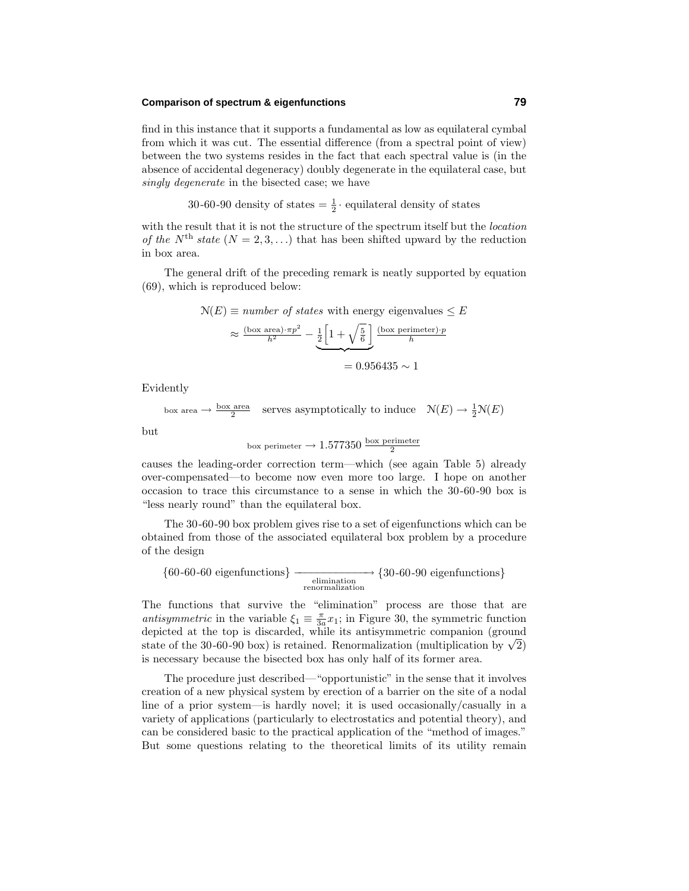# **Comparison of spectrum & eigenfunctions 79**

find in this instance that it supports a fundamental as low as equilateral cymbal from which it was cut. The essential difference (from a spectral point of view) between the two systems resides in the fact that each spectral value is (in the absence of accidental degeneracy) doubly degenerate in the equilateral case, but singly degenerate in the bisected case; we have

30-60-90 density of states  $=\frac{1}{2} \cdot$  equilateral density of states

with the result that it is not the structure of the spectrum itself but the *location* of the  $N^{\text{th}}$  state  $(N = 2, 3, ...)$  that has been shifted upward by the reduction in box area.

The general drift of the preceding remark is neatly supported by equation (69), which is reproduced below:

$$
\mathcal{N}(E) \equiv number \ of \ states \ with \ energy \ eigenvalues \le E
$$

$$
\approx \frac{(\text{box area}) \cdot \pi p^2}{h^2} - \underbrace{\frac{1}{2} \left[ 1 + \sqrt{\frac{5}{6}} \right]}_{\equiv 0.956435 \sim 1}
$$

Evidently

box area  $\rightarrow \frac{\text{box area}}{2}$  serves asymptotically to induce  $\mathcal{N}(E) \rightarrow \frac{1}{2} \mathcal{N}(E)$ 

but

box perimeter 
$$
\rightarrow
$$
 1.577350  $\frac{\text{box perimeter}}{2}$ 

causes the leading-order correction term—which (see again Table 5) already over-compensated—to become now even more too large. I hope on another occasion to trace this circumstance to a sense in which the 30-60-90 box is "less nearly round" than the equilateral box.

The 30-60-90 box problem gives rise to a set of eigenfunctions which can be obtained from those of the associated equilateral box problem by a procedure of the design

 ${60-60-60}$  eigenfunctions}  $\xrightarrow{\text{elimination}}$ <br>renormalization {30-60-90 eigenfunctions}

The functions that survive the "elimination" process are those that are antisymmetric in the variable  $\xi_1 \equiv \frac{\pi}{3a}x_1$ ; in Figure 30, the symmetric function depicted at the top is discarded, while its antisymmetric companion (ground state of the 30-60-90 box) is retained. Renormalization (multiplication by  $\sqrt{2}$ ) is necessary because the bisected box has only half of its former area.

The procedure just described—"opportunistic" in the sense that it involves creation of a new physical system by erection of a barrier on the site of a nodal line of a prior system—is hardly novel; it is used occasionally/casually in a variety of applications (particularly to electrostatics and potential theory), and can be considered basic to the practical application of the "method of images." But some questions relating to the theoretical limits of its utility remain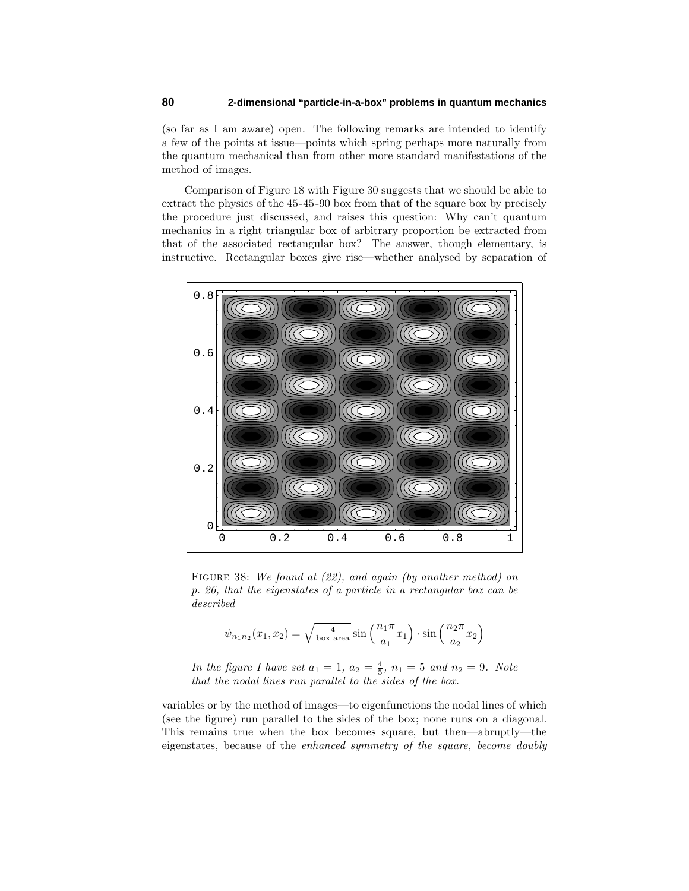(so far as I am aware) open. The following remarks are intended to identify a few of the points at issue—points which spring perhaps more naturally from the quantum mechanical than from other more standard manifestations of the method of images.

Comparison of Figure 18 with Figure 30 suggests that we should be able to extract the physics of the 45-45-90 box from that of the square box by precisely the procedure just discussed, and raises this question: Why can't quantum mechanics in a right triangular box of arbitrary proportion be extracted from that of the associated rectangular box? The answer, though elementary, is instructive. Rectangular boxes give rise—whether analysed by separation of



FIGURE 38: We found at (22), and again (by another method) on p. 26, that the eigenstates of a particle in a rectangular box can be described

$$
\psi_{n_1 n_2}(x_1, x_2) = \sqrt{\frac{4}{\text{box area}}}\sin\left(\frac{n_1 \pi}{a_1} x_1\right) \cdot \sin\left(\frac{n_2 \pi}{a_2} x_2\right)
$$

*In the figure I have set*  $a_1 = 1, a_2 = \frac{4}{5}, n_1 = 5$  and  $n_2 = 9$ . Note that the nodal lines run parallel to the sides of the box.

variables or by the method of images—to eigenfunctions the nodal lines of which (see the figure) run parallel to the sides of the box; none runs on a diagonal. This remains true when the box becomes square, but then—abruptly—the eigenstates, because of the enhanced symmetry of the square, become doubly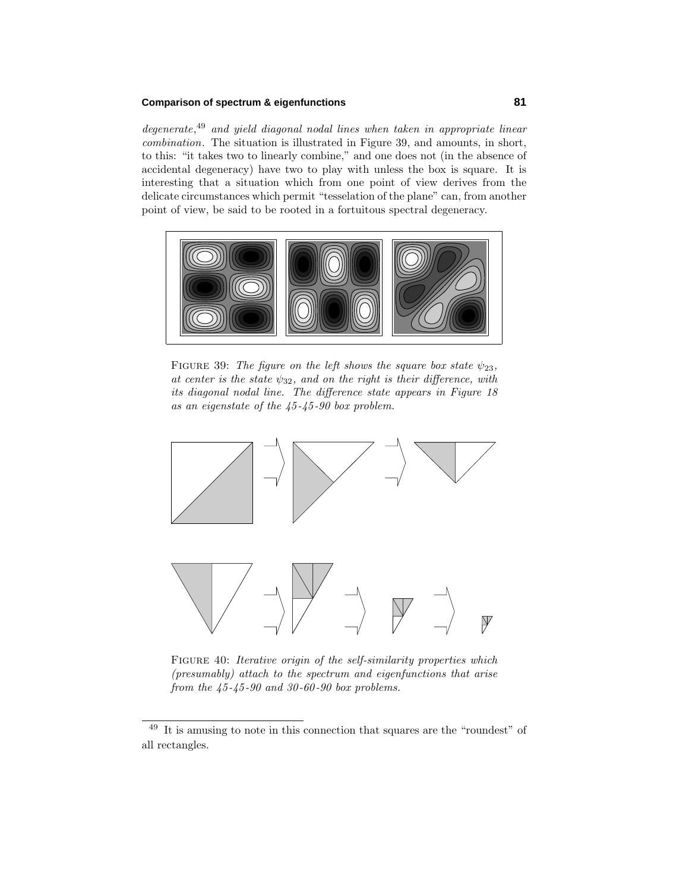## **Comparison of spectrum & eigenfunctions 81**

degenerate,<sup>49</sup> and yield diagonal nodal lines when taken in appropriate linear combination. The situation is illustrated in Figure 39, and amounts, in short, to this: "it takes two to linearly combine," and one does not (in the absence of accidental degeneracy) have two to play with unless the box is square. It is interesting that a situation which from one point of view derives from the delicate circumstances which permit "tesselation of the plane" can, from another point of view, be said to be rooted in a fortuitous spectral degeneracy.



FIGURE 39: The figure on the left shows the square box state  $\psi_{23}$ , at center is the state  $\psi_{32}$ , and on the right is their difference, with its diagonal nodal line. The difference state appears in Figure 18 as an eigenstate of the 45 -45 -90 box problem.



FIGURE 40: Iterative origin of the self-similarity properties which (presumably) attach to the spectrum and eigenfunctions that arise from the  $45 - 45 - 90$  and  $30 - 60 - 90$  box problems.

<sup>49</sup> It is amusing to note in this connection that squares are the "roundest" of all rectangles.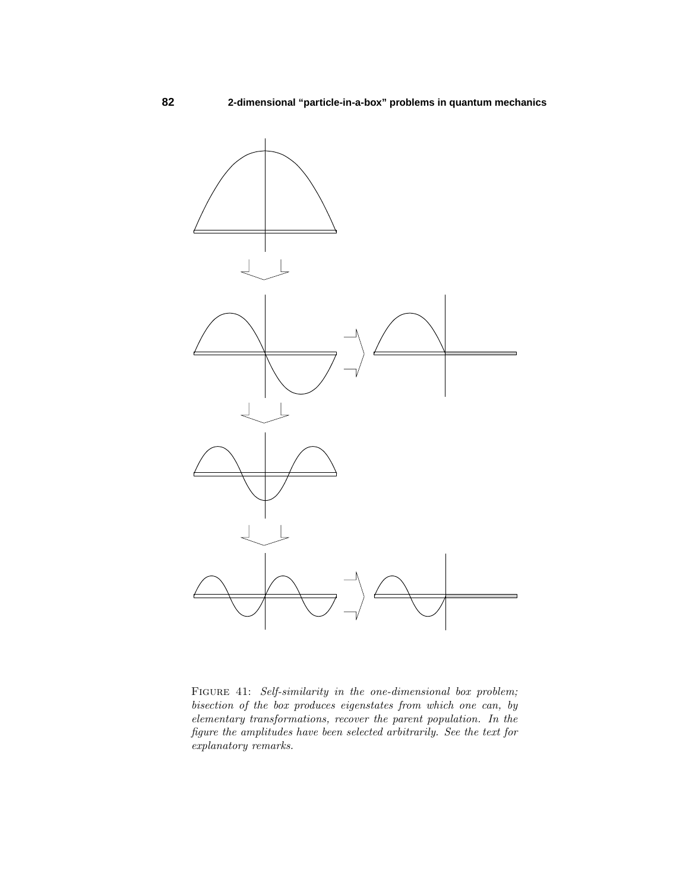

FIGURE 41: Self-similarity in the one-dimensional box problem; bisection of the box produces eigenstates from which one can, by elementary transformations, recover the parent population. In the figure the amplitudes have been selected arbitrarily. See the text for explanatory remarks.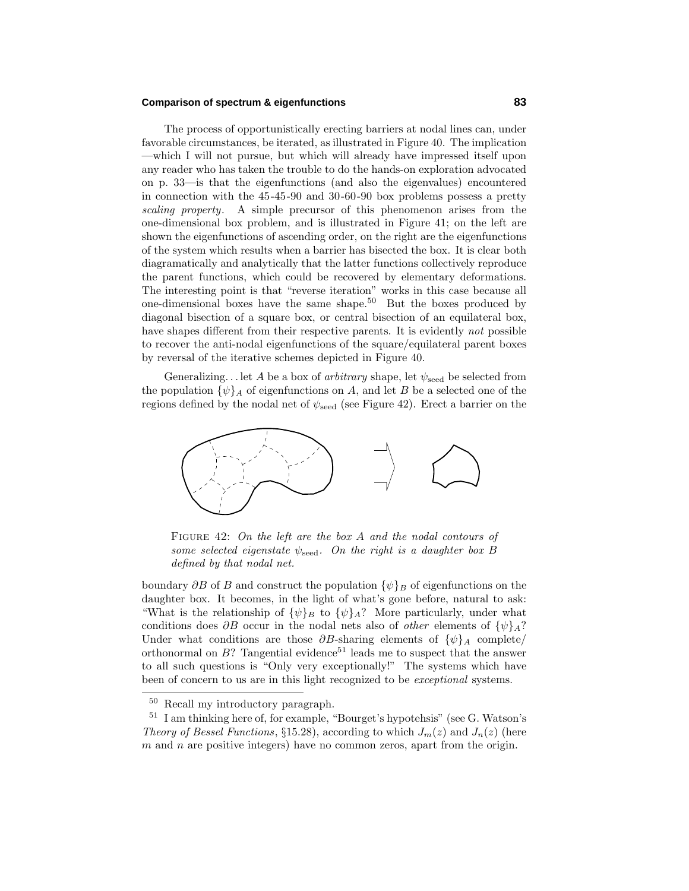#### **Comparison of spectrum & eigenfunctions 83**

The process of opportunistically erecting barriers at nodal lines can, under favorable circumstances, be iterated, as illustrated in Figure 40. The implication —which I will not pursue, but which will already have impressed itself upon any reader who has taken the trouble to do the hands-on exploration advocated on p. 33—is that the eigenfunctions (and also the eigenvalues) encountered in connection with the 45-45-90 and 30-60-90 box problems possess a pretty scaling property. A simple precursor of this phenomenon arises from the one-dimensional box problem, and is illustrated in Figure 41; on the left are shown the eigenfunctions of ascending order, on the right are the eigenfunctions of the system which results when a barrier has bisected the box. It is clear both diagramatically and analytically that the latter functions collectively reproduce the parent functions, which could be recovered by elementary deformations. The interesting point is that "reverse iteration" works in this case because all one-dimensional boxes have the same shape.<sup>50</sup> But the boxes produced by diagonal bisection of a square box, or central bisection of an equilateral box, have shapes different from their respective parents. It is evidently not possible to recover the anti-nodal eigenfunctions of the square/equilateral parent boxes by reversal of the iterative schemes depicted in Figure 40.

Generalizing*...* let *A* be a box of arbitrary shape, let *ψ*seed be selected from the population  $\{\psi\}_A$  of eigenfunctions on *A*, and let *B* be a selected one of the regions defined by the nodal net of  $\psi_{\text{seed}}$  (see Figure 42). Erect a barrier on the



Figure 42: On the left are the box *A* and the nodal contours of some selected eigenstate *ψ*seed. On the right is a daughter box *B* defined by that nodal net.

boundary  $\partial B$  of *B* and construct the population  $\{\psi\}_B$  of eigenfunctions on the daughter box. It becomes, in the light of what's gone before, natural to ask: "What is the relationship of  $\{\psi\}_B$  to  $\{\psi\}_A$ ? More particularly, under what conditions does  $\partial B$  occur in the nodal nets also of *other* elements of  $\{\psi\}_A$ ? Under what conditions are those  $\partial B$ -sharing elements of  $\{\psi\}_A$  complete/ orthonormal on  $B$ ? Tangential evidence<sup>51</sup> leads me to suspect that the answer to all such questions is "Only very exceptionally!" The systems which have been of concern to us are in this light recognized to be exceptional systems.

<sup>50</sup> Recall my introductory paragraph.

<sup>51</sup> I am thinking here of, for example, "Bourget's hypotehsis" (see G. Watson's *Theory of Bessel Functions*, §15.28), according to which  $J_m(z)$  and  $J_n(z)$  (here *m* and *n* are positive integers) have no common zeros, apart from the origin.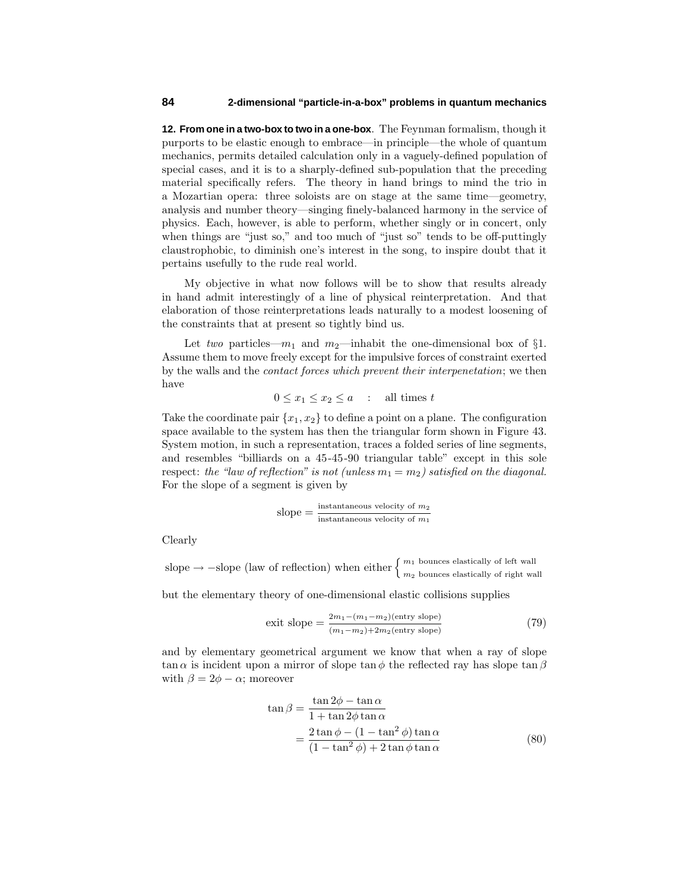**12. From one in a two-box to two in a one-box**. The Feynman formalism, though it purports to be elastic enough to embrace—in principle—the whole of quantum mechanics, permits detailed calculation only in a vaguely-defined population of special cases, and it is to a sharply-defined sub-population that the preceding material specifically refers. The theory in hand brings to mind the trio in a Mozartian opera: three soloists are on stage at the same time—geometry, analysis and number theory—singing finely-balanced harmony in the service of physics. Each, however, is able to perform, whether singly or in concert, only when things are "just so," and too much of "just so" tends to be off-puttingly claustrophobic, to diminish one's interest in the song, to inspire doubt that it pertains usefully to the rude real world.

My objective in what now follows will be to show that results already in hand admit interestingly of a line of physical reinterpretation. And that elaboration of those reinterpretations leads naturally to a modest loosening of the constraints that at present so tightly bind us.

Let two particles— $m_1$  and  $m_2$ —inhabit the one-dimensional box of  $\S1$ . Assume them to move freely except for the impulsive forces of constraint exerted by the walls and the contact forces which prevent their interpenetation; we then have

$$
0 \le x_1 \le x_2 \le a \quad : \quad \text{all times } t
$$

Take the coordinate pair  ${x_1, x_2}$  to define a point on a plane. The configuration space available to the system has then the triangular form shown in Figure 43. System motion, in such a representation, traces a folded series of line segments, and resembles "billiards on a 45-45-90 triangular table" except in this sole respect: the "law of reflection" is not (unless  $m_1 = m_2$ ) satisfied on the diagonal. For the slope of a segment is given by

slope = 
$$
\frac{\text{instantaneous velocity of } m_2}{\text{instantaneous velocity of } m_1}
$$

Clearly

slope  $\rightarrow$  −slope (law of reflection) when either  $\left\{ \frac{m_1}{m_2} \right\}$  bounces elastically of right wall

but the elementary theory of one-dimensional elastic collisions supplies

$$
exit slope = \frac{2m_1 - (m_1 - m_2)(entry slope)}{(m_1 - m_2) + 2m_2(entry slope)}
$$
\n(79)

and by elementary geometrical argument we know that when a ray of slope tan  $\alpha$  is incident upon a mirror of slope tan  $\phi$  the reflected ray has slope tan  $\beta$ with  $\beta = 2\phi - \alpha$ ; moreover

$$
\tan \beta = \frac{\tan 2\phi - \tan \alpha}{1 + \tan 2\phi \tan \alpha}
$$
  
= 
$$
\frac{2 \tan \phi - (1 - \tan^2 \phi) \tan \alpha}{(1 - \tan^2 \phi) + 2 \tan \phi \tan \alpha}
$$
 (80)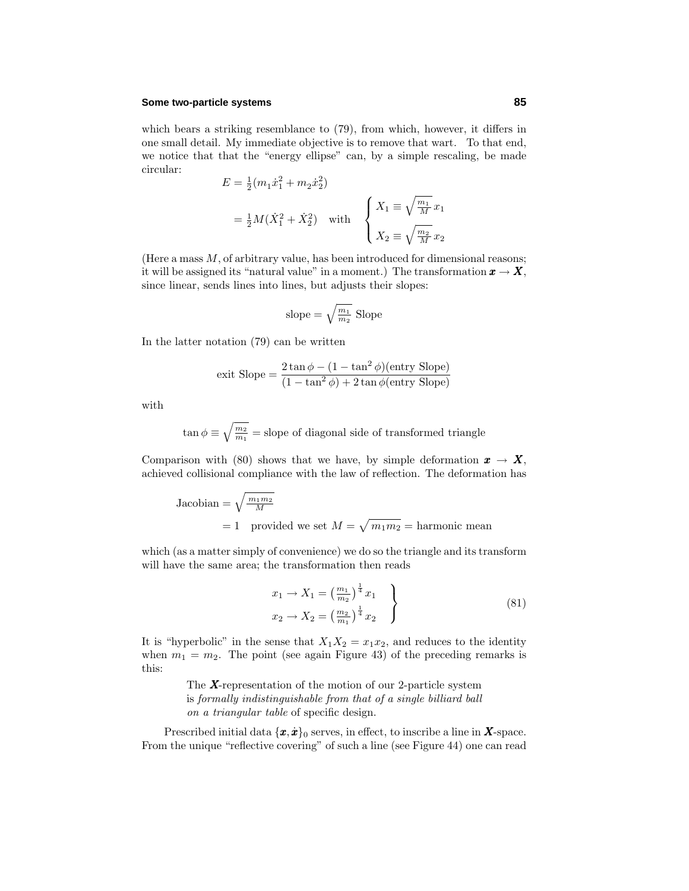## **Some two-particle systems 85**

which bears a striking resemblance to (79), from which, however, it differs in one small detail. My immediate objective is to remove that wart. To that end, we notice that that the "energy ellipse" can, by a simple rescaling, be made circular:

$$
E = \frac{1}{2}(m_1\dot{x}_1^2 + m_2\dot{x}_2^2)
$$
  
=  $\frac{1}{2}M(\dot{X}_1^2 + \dot{X}_2^2)$  with 
$$
\begin{cases} X_1 \equiv \sqrt{\frac{m_1}{M}}x_1 \\ X_2 \equiv \sqrt{\frac{m_2}{M}}x_2 \end{cases}
$$

(Here a mass *M*, of arbitrary value, has been introduced for dimensional reasons; it will be assigned its "natural value" in a moment.) The transformation  $x \to X$ , since linear, sends lines into lines, but adjusts their slopes:

slope = 
$$
\sqrt{\frac{m_1}{m_2}}
$$
 Slope

In the latter notation (79) can be written

$$
exit \text{ Slope} = \frac{2 \tan \phi - (1 - \tan^2 \phi)(entry \text{ Slope})}{(1 - \tan^2 \phi) + 2 \tan \phi(entry \text{ Slope})}
$$

with

$$
\tan\phi\equiv\sqrt{\frac{m_2}{m_1}}=
$$
slope of diagonal side of transformed triangle

Comparison with (80) shows that we have, by simple deformation  $x \to X$ , achieved collisional compliance with the law of reflection. The deformation has

Jacobian = 
$$
\sqrt{\frac{m_1 m_2}{M}}
$$
  
= 1 provided we set  $M = \sqrt{m_1 m_2}$  = harmonic mean

which (as a matter simply of convenience) we do so the triangle and its transform will have the same area; the transformation then reads

$$
x_1 \to X_1 = \left(\frac{m_1}{m_2}\right)^{\frac{1}{4}} x_1
$$
  
\n
$$
x_2 \to X_2 = \left(\frac{m_2}{m_1}\right)^{\frac{1}{4}} x_2
$$
\n(81)

It is "hyperbolic" in the sense that  $X_1X_2 = x_1x_2$ , and reduces to the identity when  $m_1 = m_2$ . The point (see again Figure 43) of the preceding remarks is this:

> The *X*-representation of the motion of our 2-particle system is formally indistinguishable from that of a single billiard ball on a triangular table of specific design.

Prescribed initial data  $\{\boldsymbol{x}, \dot{\boldsymbol{x}}\}$ <sup>0</sup> serves, in effect, to inscribe a line in **X**-space. From the unique "reflective covering" of such a line (see Figure 44) one can read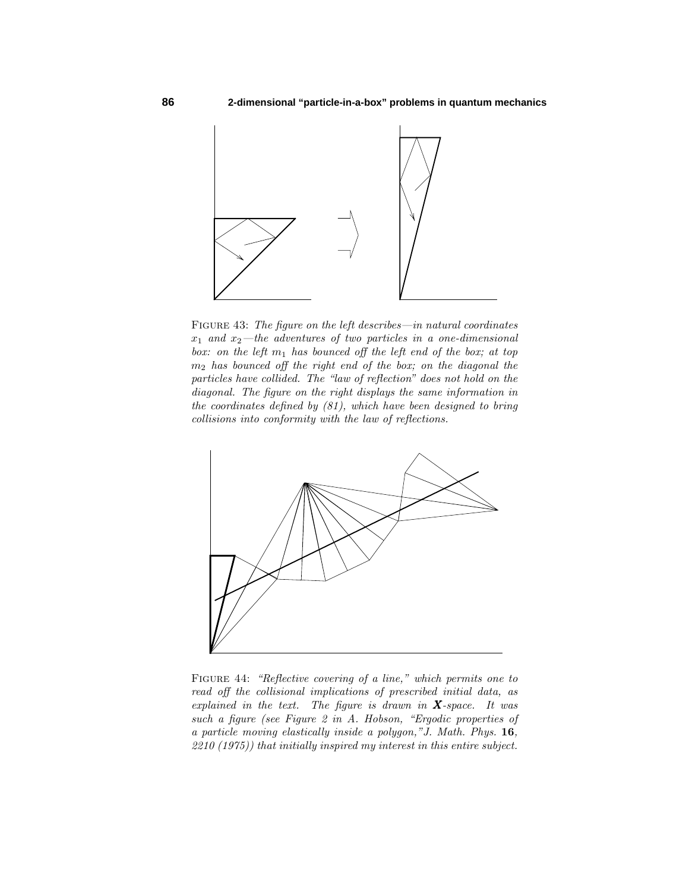

FIGURE 43: The figure on the left describes—in natural coordinates  $x_1$  and  $x_2$ —the adventures of two particles in a one-dimensional box: on the left  $m_1$  has bounced off the left end of the box; at top *m*<sup>2</sup> has bounced off the right end of the box; on the diagonal the particles have collided. The "law of reflection" does not hold on the diagonal. The figure on the right displays the same information in the coordinates defined by (81), which have been designed to bring collisions into conformity with the law of reflections.



Figure 44: "Reflective covering of a line," which permits one to read off the collisional implications of prescribed initial data, as explained in the text. The figure is drawn in *X*-space. It was such a figure (see Figure 2 in A. Hobson, "Ergodic properties of a particle moving elastically inside a polygon,"J. Math. Phys. **16**, 2210 (1975)) that initially inspired my interest in this entire subject.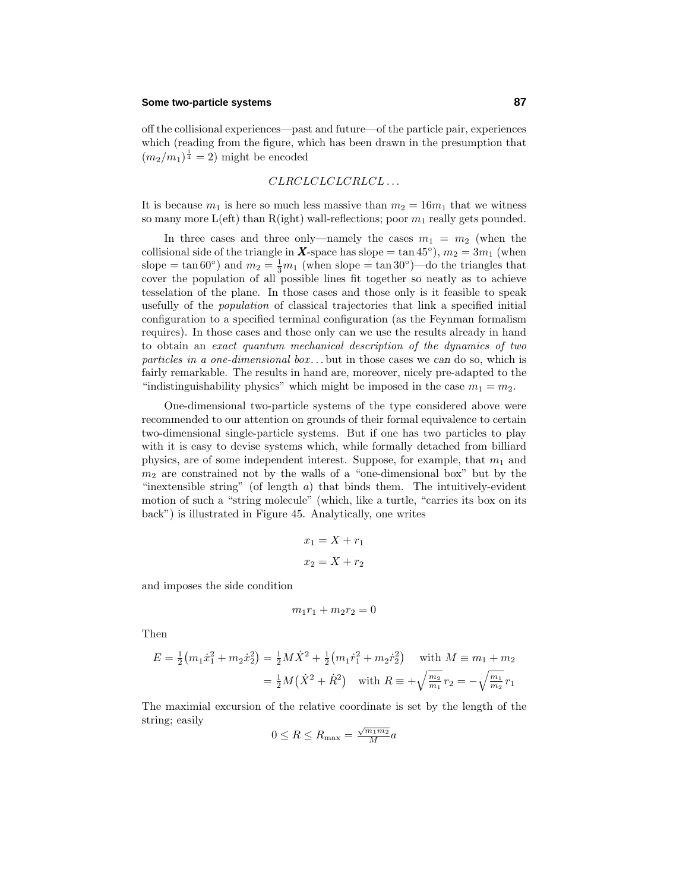## **Some two-particle systems 87**

off the collisional experiences—past and future—of the particle pair, experiences which (reading from the figure, which has been drawn in the presumption that  $(m_2/m_1)^{\frac{1}{4}} = 2$  might be encoded

#### *CLRCLCLCLCRLCL . . .*

It is because  $m_1$  is here so much less massive than  $m_2 = 16m_1$  that we witness so many more  $L($ eft) than  $R($ ight) wall-reflections; poor  $m_1$  really gets pounded.

In three cases and three only—namely the cases  $m_1 = m_2$  (when the collisional side of the triangle in *X*-space has slope = tan 45<sup>°</sup>),  $m_2 = 3m_1$  (when slope =  $\tan 60°$ ) and  $m_2 = \frac{1}{3}m_1$  (when slope =  $\tan 30°$ )—do the triangles that cover the population of all possible lines fit together so neatly as to achieve tesselation of the plane. In those cases and those only is it feasible to speak usefully of the population of classical trajectories that link a specified initial configuration to a specified terminal configuration (as the Feynman formalism requires). In those cases and those only can we use the results already in hand to obtain an exact quantum mechanical description of the dynamics of two particles in a one-dimensional box *...* but in those cases we *can* do so, which is fairly remarkable. The results in hand are, moreover, nicely pre-adapted to the "indistinguishability physics" which might be imposed in the case  $m_1 = m_2$ .

One-dimensional two-particle systems of the type considered above were recommended to our attention on grounds of their formal equivalence to certain two-dimensional single-particle systems. But if one has two particles to play with it is easy to devise systems which, while formally detached from billiard physics, are of some independent interest. Suppose, for example, that *m*<sup>1</sup> and  $m_2$  are constrained not by the walls of a "one-dimensional box" but by the "inextensible string" (of length *a*) that binds them. The intuitively-evident motion of such a "string molecule" (which, like a turtle, "carries its box on its back") is illustrated in Figure 45. Analytically, one writes

$$
x_1 = X + r_1
$$

$$
x_2 = X + r_2
$$

and imposes the side condition

$$
m_1r_1 + m_2r_2 = 0
$$

Then

$$
E = \frac{1}{2} (m_1 \dot{x}_1^2 + m_2 \dot{x}_2^2) = \frac{1}{2} M \dot{X}^2 + \frac{1}{2} (m_1 \dot{r}_1^2 + m_2 \dot{r}_2^2) \quad \text{with } M \equiv m_1 + m_2
$$

$$
= \frac{1}{2} M (\dot{X}^2 + \dot{R}^2) \quad \text{with } R \equiv +\sqrt{\frac{m_2}{m_1}} r_2 = -\sqrt{\frac{m_1}{m_2}} r_1
$$

The maximial excursion of the relative coordinate is set by the length of the string; easily

$$
0 \le R \le R_{\text{max}} = \frac{\sqrt{m_1 m_2}}{M} a
$$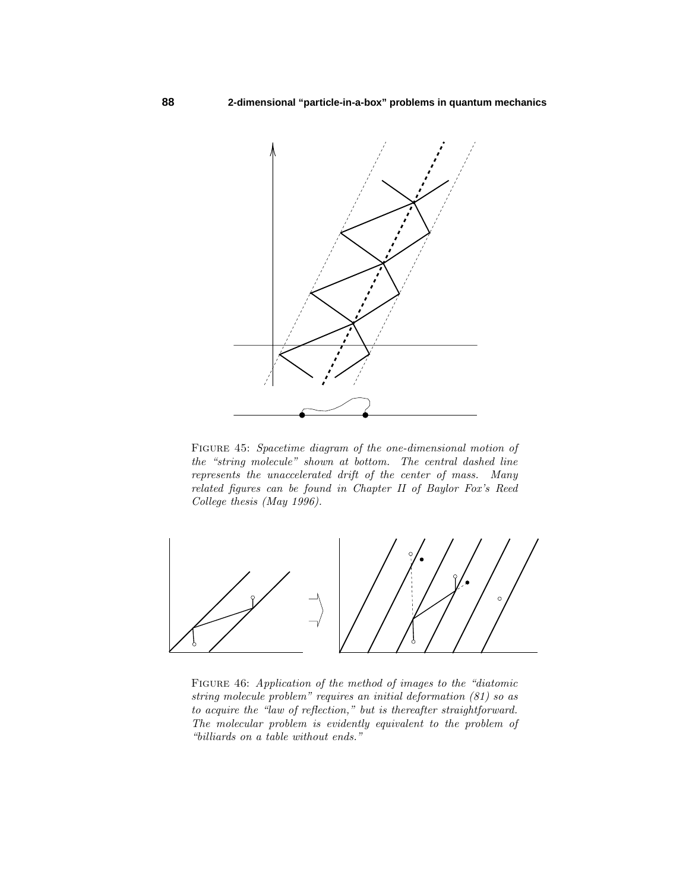

FIGURE 45: Spacetime diagram of the one-dimensional motion of the "string molecule" shown at bottom. The central dashed line represents the unaccelerated drift of the center of mass. Many related figures can be found in Chapter II of Baylor Fox's Reed College thesis (May 1996).



FIGURE 46: Application of the method of images to the "diatomic string molecule problem" requires an initial deformation (81) so as to acquire the "law of reflection," but is thereafter straightforward. The molecular problem is evidently equivalent to the problem of "billiards on a table without ends."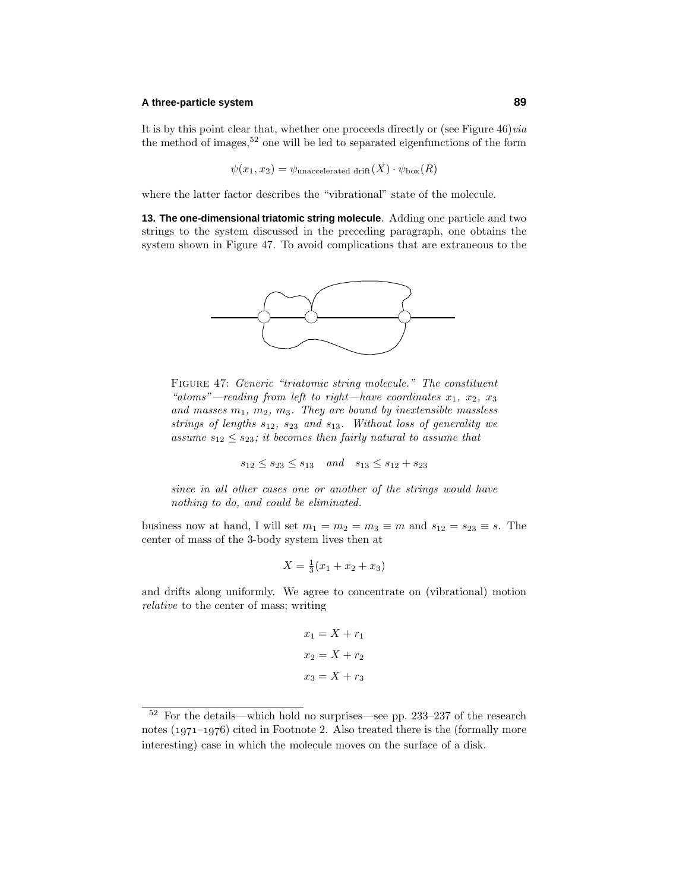## **A three-particle system 89**

It is by this point clear that, whether one proceeds directly or (see Figure  $46$ ) $via$ the method of images,  $52$  one will be led to separated eigenfunctions of the form

$$
\psi(x_1, x_2) = \psi_{\text{unaccelerated drift}}(X) \cdot \psi_{\text{box}}(R)
$$

where the latter factor describes the "vibrational" state of the molecule.

**13. The one-dimensional triatomic string molecule**. Adding one particle and two strings to the system discussed in the preceding paragraph, one obtains the system shown in Figure 47. To avoid complications that are extraneous to the



Figure 47: Generic "triatomic string molecule." The constituent "atoms"—reading from left to right—have coordinates  $x_1, x_2, x_3$ and masses  $m_1$ ,  $m_2$ ,  $m_3$ . They are bound by inextensible massless strings of lengths *s*12, *s*<sup>23</sup> and *s*13. Without loss of generality we assume  $s_{12} \leq s_{23}$ ; it becomes then fairly natural to assume that

$$
s_{12} \leq s_{23} \leq s_{13}
$$
 and  $s_{13} \leq s_{12} + s_{23}$ 

since in all other cases one or another of the strings would have nothing to do, and could be eliminated.

business now at hand, I will set  $m_1 = m_2 = m_3 \equiv m$  and  $s_{12} = s_{23} \equiv s$ . The center of mass of the 3-body system lives then at

$$
X = \frac{1}{3}(x_1 + x_2 + x_3)
$$

and drifts along uniformly. We agree to concentrate on (vibrational) motion relative to the center of mass; writing

$$
x_1 = X + r_1
$$

$$
x_2 = X + r_2
$$

$$
x_3 = X + r_3
$$

<sup>52</sup> For the details—which hold no surprises—see pp. 233–237 of the research notes  $(1971-1976)$  cited in Footnote 2. Also treated there is the (formally more interesting) case in which the molecule moves on the surface of a disk.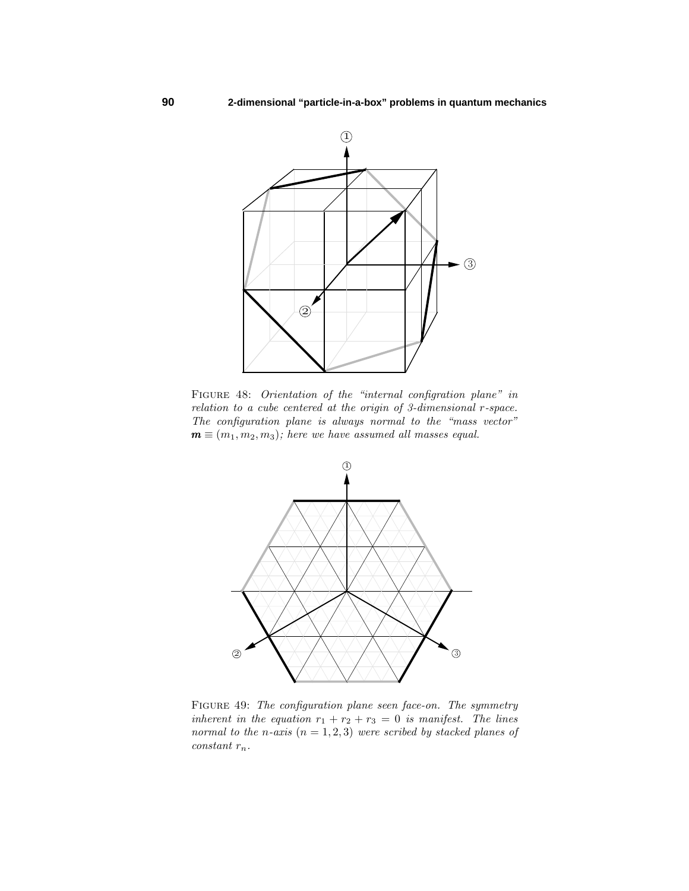

Figure 48: Orientation of the "internal configration plane" in relation to a cube centered at the origin of 3-dimensional *r*-space. The configuration plane is always normal to the "mass vector"  $\mathbf{m} \equiv (m_1, m_2, m_3)$ ; here we have assumed all masses equal.



FIGURE 49: The configuration plane seen face-on. The symmetry inherent in the equation  $r_1 + r_2 + r_3 = 0$  is manifest. The lines normal to the *n*-axis  $(n = 1, 2, 3)$  were scribed by stacked planes of constant *rn*.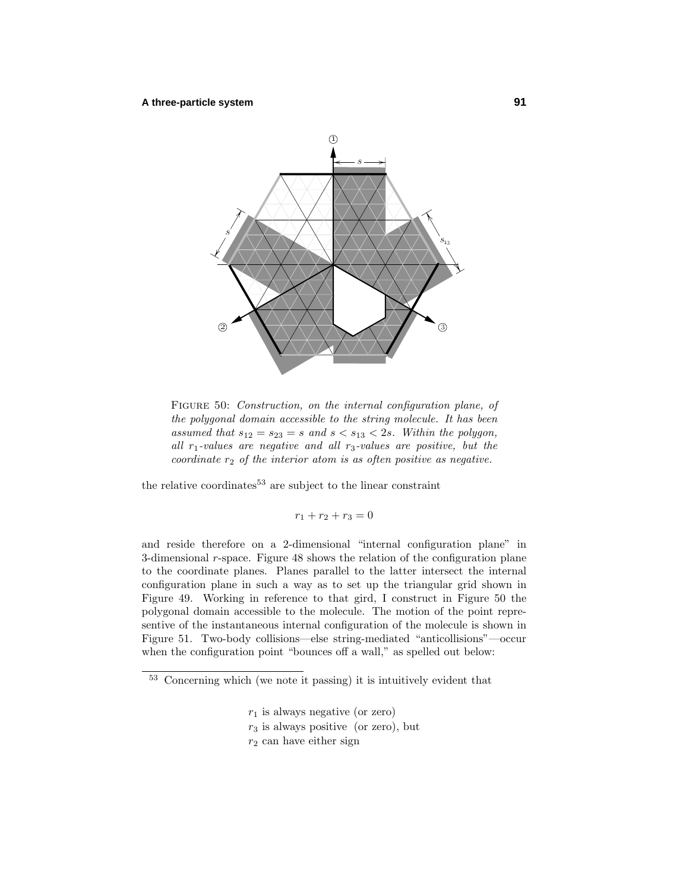

FIGURE 50: Construction, on the internal configuration plane, of the polygonal domain accessible to the string molecule. It has been assumed that  $s_{12} = s_{23} = s$  and  $s < s_{13} < 2s$ . Within the polygon, all *r*1-values are negative and all *r*3-values are positive, but the coordinate  $r_2$  of the interior atom is as often positive as negative.

the relative coordinates  $53$  are subject to the linear constraint

$$
r_1 + r_2 + r_3 = 0
$$

and reside therefore on a 2-dimensional "internal configuration plane" in 3-dimensional *r*-space. Figure 48 shows the relation of the configuration plane to the coordinate planes. Planes parallel to the latter intersect the internal configuration plane in such a way as to set up the triangular grid shown in Figure 49. Working in reference to that gird, I construct in Figure 50 the polygonal domain accessible to the molecule. The motion of the point representive of the instantaneous internal configuration of the molecule is shown in Figure 51. Two-body collisions—else string-mediated "anticollisions"—occur when the configuration point "bounces off a wall," as spelled out below:

- *r*<sup>1</sup> is always negative (or zero)
- $r_3$  is always positive (or zero), but
- *r*<sup>2</sup> can have either sign

 $\frac{53}{53}$  Concerning which (we note it passing) it is intuitively evident that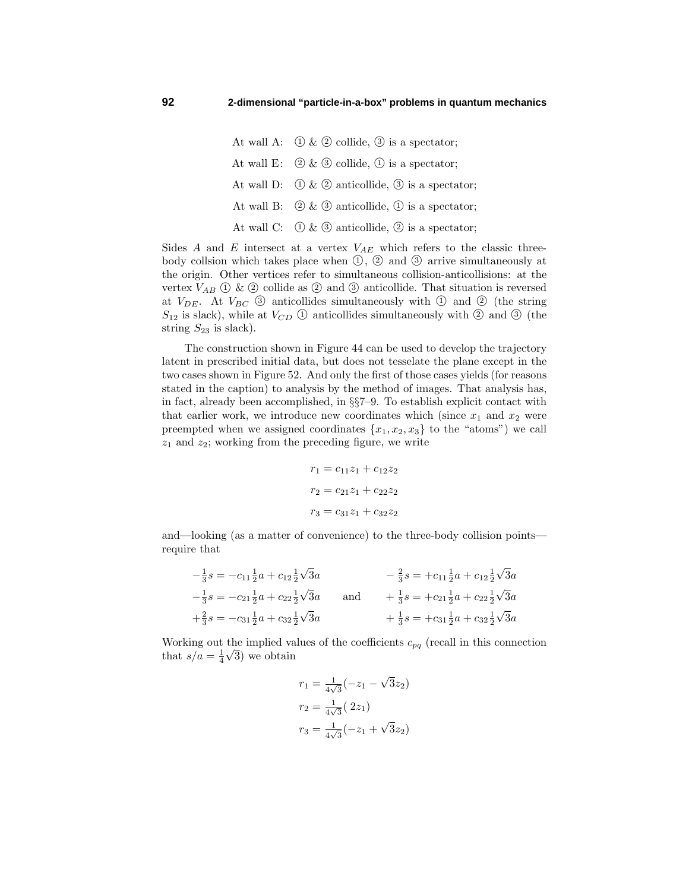At wall A:  $\bigcirc$  &  $\bigcirc$  collide,  $\circledcirc$  is a spectator; At wall E:  $(2) \& (3)$  collide,  $(1)$  is a spectator; At wall D:  $\bigcirc$  &  $\bigcirc$  anticollide,  $\circledcirc$  is a spectator; At wall B:  $(2) \& (3)$  anticollide,  $(1)$  is a spectator; At wall C:  $\bigcirc$  &  $\circledcirc$  anticollide,  $\circledcirc$  is a spectator;

Sides  $A$  and  $E$  intersect at a vertex  $V_{AE}$  which refers to the classic threebody collsion which takes place when  $(1, 2)$  and  $(3)$  arrive simultaneously at the origin. Other vertices refer to simultaneous collision-anticollisions: at the vertex  $V_{AB} \n\bigcirc \& \n\bigcirc$  collide as  $\bigcirc$  and  $\bigcirc$  anticollide. That situation is reversed at  $V_{DE}$ . At  $V_{BC}$   $\circled{3}$  anticollides simultaneously with  $\circled{1}$  and  $\circled{2}$  (the string  $S_{12}$  is slack), while at  $V_{CD}$   $\circled{1}$  anticollides simultaneously with  $\circled{2}$  and  $\circled{3}$  (the string  $S_{23}$  is slack).

The construction shown in Figure 44 can be used to develop the trajectory latent in prescribed initial data, but does not tesselate the plane except in the two cases shown in Figure 52. And only the first of those cases yields (for reasons stated in the caption) to analysis by the method of images. That analysis has, in fact, already been accomplished, in §§7–9. To establish explicit contact with that earlier work, we introduce new coordinates which (since  $x_1$  and  $x_2$  were preempted when we assigned coordinates  $\{x_1, x_2, x_3\}$  to the "atoms") we call *z*<sup>1</sup> and *z*2; working from the preceding figure, we write

$$
r_1 = c_{11}z_1 + c_{12}z_2
$$

$$
r_2 = c_{21}z_1 + c_{22}z_2
$$

$$
r_3 = c_{31}z_1 + c_{32}z_2
$$

and—looking (as a matter of convenience) to the three-body collision points require that

$$
-\frac{1}{3}s = -c_{11}\frac{1}{2}a + c_{12}\frac{1}{2}\sqrt{3}a
$$
  
\n
$$
-\frac{1}{3}s = -c_{21}\frac{1}{2}a + c_{22}\frac{1}{2}\sqrt{3}a
$$
  
\n
$$
+\frac{2}{3}s = -c_{31}\frac{1}{2}a + c_{32}\frac{1}{2}\sqrt{3}a
$$
  
\nand  
\n
$$
+\frac{1}{3}s = +c_{21}\frac{1}{2}a + c_{22}\frac{1}{2}\sqrt{3}a
$$
  
\n
$$
+\frac{1}{3}s = +c_{31}\frac{1}{2}a + c_{32}\frac{1}{2}\sqrt{3}a
$$
  
\n
$$
+\frac{1}{3}s = +c_{31}\frac{1}{2}a + c_{32}\frac{1}{2}\sqrt{3}a
$$

Working out the implied values of the coefficients  $c_{pq}$  (recall in this connection working out the implied va<br>that  $s/a = \frac{1}{4}\sqrt{3}$  we obtain

$$
r_1 = \frac{1}{4\sqrt{3}}(-z_1 - \sqrt{3}z_2)
$$

$$
r_2 = \frac{1}{4\sqrt{3}}(2z_1)
$$

$$
r_3 = \frac{1}{4\sqrt{3}}(-z_1 + \sqrt{3}z_2)
$$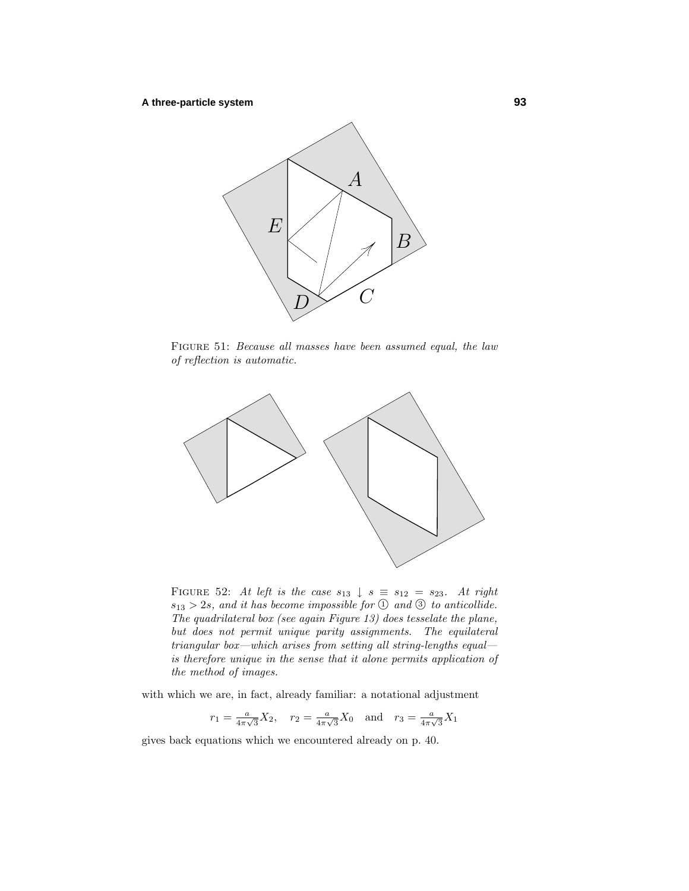

Figure 51: Because all masses have been assumed equal, the law of reflection is automatic.



FIGURE 52: At left is the case  $s_{13} \downarrow s \equiv s_{12} = s_{23}$ . At right  $s_{13} > 2s$ , and it has become impossible for  $\textcircled{1}$  and  $\textcircled{3}$  to anticollide. The quadrilateral box (see again Figure 13) does tesselate the plane, but does not permit unique parity assignments. The equilateral triangular box—which arises from setting all string-lengths equal is therefore unique in the sense that it alone permits application of the method of images.

with which we are, in fact, already familiar: a notational adjustment

$$
r_1 = \frac{a}{4\pi\sqrt{3}} X_2
$$
,  $r_2 = \frac{a}{4\pi\sqrt{3}} X_0$  and  $r_3 = \frac{a}{4\pi\sqrt{3}} X_1$ 

gives back equations which we encountered already on p. 40.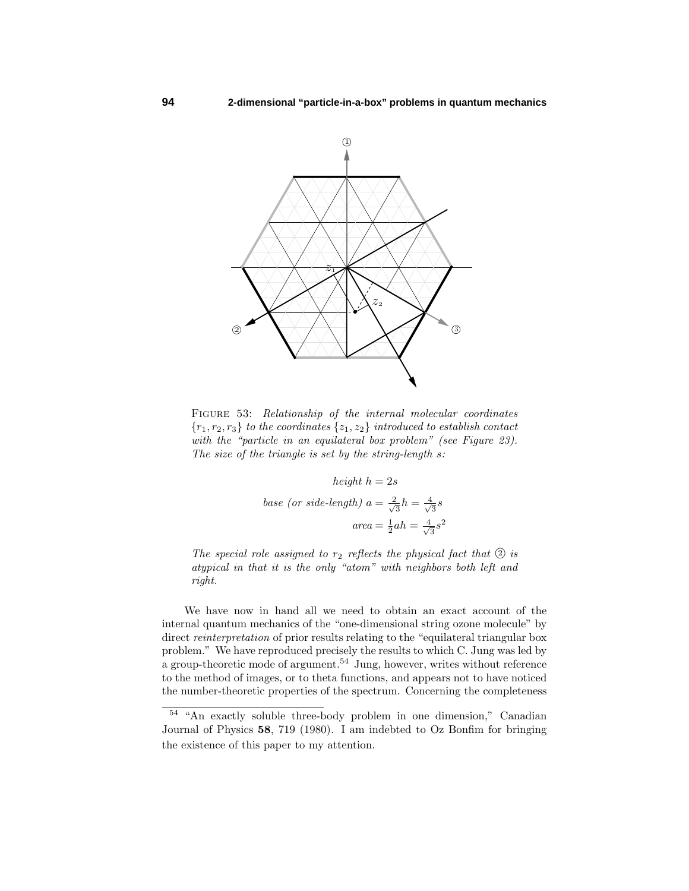

FIGURE 53: Relationship of the internal molecular coordinates  ${r_1, r_2, r_3}$  to the coordinates  ${z_1, z_2}$  introduced to establish contact with the "particle in an equilateral box problem" (see Figure 23). The size of the triangle is set by the string-length *s*:

height 
$$
h = 2s
$$
  
base (or side-length)  $a = \frac{2}{\sqrt{3}}h = \frac{4}{\sqrt{3}}s$   

$$
area = \frac{1}{2}ah = \frac{4}{\sqrt{3}}s^2
$$

The special role assigned to  $r_2$  reflects the physical fact that  $\circled{2}$  is atypical in that it is the only "atom" with neighbors both left and right.

We have now in hand all we need to obtain an exact account of the internal quantum mechanics of the "one-dimensional string ozone molecule" by direct reinterpretation of prior results relating to the "equilateral triangular box problem." We have reproduced precisely the results to which C. Jung was led by a group-theoretic mode of argument.<sup>54</sup> Jung, however, writes without reference to the method of images, or to theta functions, and appears not to have noticed the number-theoretic properties of the spectrum. Concerning the completeness

<sup>54</sup> "An exactly soluble three-body problem in one dimension," Canadian Journal of Physics **58**, 719 (1980). I am indebted to Oz Bonfim for bringing the existence of this paper to my attention.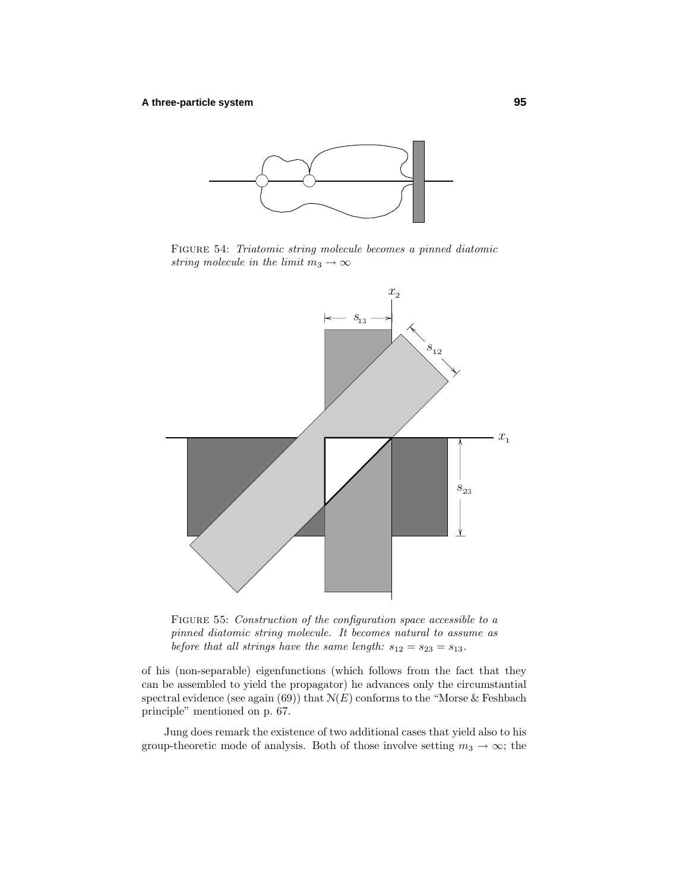

Figure 54: Triatomic string molecule becomes a pinned diatomic string molecule in the limit  $m_3 \to \infty$ 



FIGURE 55: Construction of the configuration space accessible to a pinned diatomic string molecule. It becomes natural to assume as before that all strings have the same length:  $s_{12} = s_{23} = s_{13}$ .

of his (non-separable) eigenfunctions (which follows from the fact that they can be assembled to yield the propagator) he advances only the circumstantial spectral evidence (see again  $(69)$ ) that  $N(E)$  conforms to the "Morse & Feshbach principle" mentioned on p. 67.

Jung does remark the existence of two additional cases that yield also to his group-theoretic mode of analysis. Both of those involve setting  $m_3 \to \infty$ ; the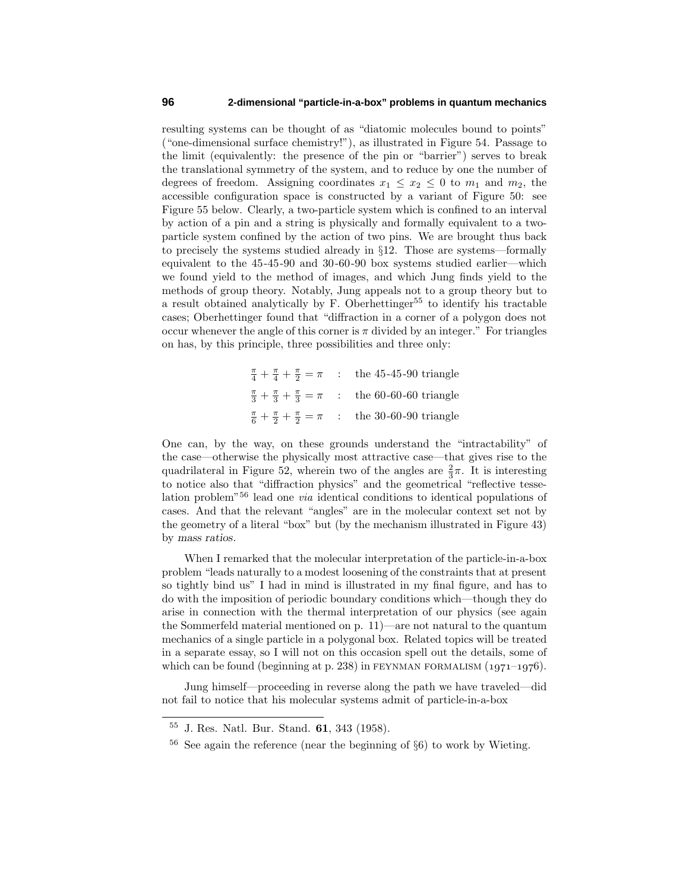resulting systems can be thought of as "diatomic molecules bound to points" ("one-dimensional surface chemistry!"), as illustrated in Figure 54. Passage to the limit (equivalently: the presence of the pin or "barrier") serves to break the translational symmetry of the system, and to reduce by one the number of degrees of freedom. Assigning coordinates  $x_1 \leq x_2 \leq 0$  to  $m_1$  and  $m_2$ , the accessible configuration space is constructed by a variant of Figure 50: see Figure 55 below. Clearly, a two-particle system which is confined to an interval by action of a pin and a string is physically and formally equivalent to a twoparticle system confined by the action of two pins. We are brought thus back to precisely the systems studied already in §12. Those are systems—formally equivalent to the 45-45-90 and 30-60-90 box systems studied earlier—which we found yield to the method of images, and which Jung finds yield to the methods of group theory. Notably, Jung appeals not to a group theory but to a result obtained analytically by  $F$ . Oberhettinger<sup>55</sup> to identify his tractable cases; Oberhettinger found that "diffraction in a corner of a polygon does not occur whenever the angle of this corner is  $\pi$  divided by an integer." For triangles on has, by this principle, three possibilities and three only:

> $\frac{\pi}{4} + \frac{\pi}{4} + \frac{\pi}{2} = \pi$  : the 45-45-90 triangle  $\frac{\pi}{3} + \frac{\pi}{3} + \frac{\pi}{3} = \pi$  : the 60-60-60 triangle  $\frac{\pi}{6} + \frac{\pi}{2} + \frac{\pi}{2} = \pi$  : the 30-60-90 triangle

One can, by the way, on these grounds understand the "intractability" of the case—otherwise the physically most attractive case—that gives rise to the quadrilateral in Figure 52, wherein two of the angles are  $\frac{2}{3}\pi$ . It is interesting to notice also that "diffraction physics" and the geometrical "reflective tesselation problem"<sup>56</sup> lead one via identical conditions to identical populations of cases. And that the relevant "angles" are in the molecular context set not by the geometry of a literal "box" but (by the mechanism illustrated in Figure 43) by *mass ratios*.

When I remarked that the molecular interpretation of the particle-in-a-box problem "leads naturally to a modest loosening of the constraints that at present so tightly bind us" I had in mind is illustrated in my final figure, and has to do with the imposition of periodic boundary conditions which—though they do arise in connection with the thermal interpretation of our physics (see again the Sommerfeld material mentioned on p. 11)—are not natural to the quantum mechanics of a single particle in a polygonal box. Related topics will be treated in a separate essay, so I will not on this occasion spell out the details, some of which can be found (beginning at p. 238) in FEYNMAN FORMALISM  $(1971-1976)$ .

Jung himself—proceeding in reverse along the path we have traveled—did not fail to notice that his molecular systems admit of particle-in-a-box

<sup>55</sup> J. Res. Natl. Bur. Stand. **61**, 343 (1958).

<sup>56</sup> See again the reference (near the beginning of §6) to work by Wieting.